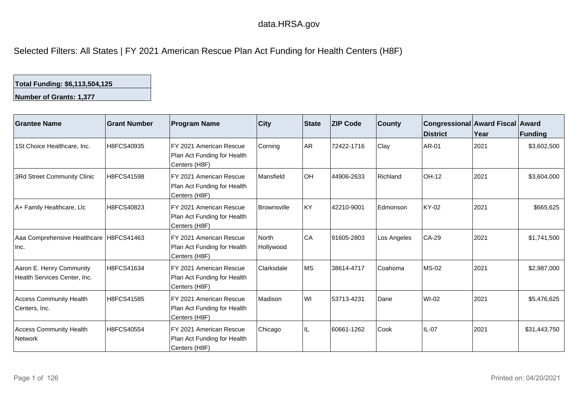## data.HRSA.gov

Selected Filters: All States | FY 2021 American Rescue Plan Act Funding for Health Centers (H8F)

## **Total Funding: \$6,113,504,125**

**Number of Grants: 1,377**

| Grantee Name                                             | <b>Grant Number</b> | <b>Program Name</b>                                                                 | <b>City</b>               | State     | <b>ZIP Code</b> | <b>County</b> | Congressional Award Fiscal Award<br>District | Year | Funding      |
|----------------------------------------------------------|---------------------|-------------------------------------------------------------------------------------|---------------------------|-----------|-----------------|---------------|----------------------------------------------|------|--------------|
| 1St Choice Healthcare, Inc.                              | H8FCS40935          | FY 2021 American Rescue<br>Plan Act Funding for Health<br>Centers (H8F)             | Corning                   | AR.       | 72422-1716      | Clay          | <b>AR-01</b>                                 | 2021 | \$3,602,500  |
| 3Rd Street Community Clinic                              | H8FCS41598          | FY 2021 American Rescue<br>Plan Act Funding for Health<br>Centers (H8F)             | Mansfield                 | <b>OH</b> | 44906-2633      | Richland      | OH-12                                        | 2021 | \$3,604,000  |
| A+ Family Healthcare, Llc                                | H8FCS40823          | FY 2021 American Rescue<br>Plan Act Funding for Health<br>Centers (H8F)             | <b>Brownsville</b>        | KY        | 42210-9001      | Edmonson      | <b>KY-02</b>                                 | 2021 | \$665,625    |
| Aaa Comprehensive Healthcare   H8FCS41463<br>Inc.        |                     | FY 2021 American Rescue<br>Plan Act Funding for Health<br>Centers (H8F)             | <b>North</b><br>Hollywood | CA        | 91605-2803      | Los Angeles   | $CA-29$                                      | 2021 | \$1,741,500  |
| Aaron E. Henry Community<br>Health Services Center, Inc. | H8FCS41634          | FY 2021 American Rescue<br>Plan Act Funding for Health<br>Centers (H8F)             | Clarksdale                | <b>MS</b> | 38614-4717      | Coahoma       | $MS-02$                                      | 2021 | \$2,987,000  |
| <b>Access Community Health</b><br>Centers, Inc.          | H8FCS41585          | FY 2021 American Rescue<br>Plan Act Funding for Health<br>Centers (H <sub>8F)</sub> | Madison                   | WI        | 53713-4231      | Dane          | WI-02                                        | 2021 | \$5,476,625  |
| Access Community Health<br><b>Network</b>                | H8FCS40554          | FY 2021 American Rescue<br>Plan Act Funding for Health<br>Centers (H8F)             | Chicago                   | IL.       | 60661-1262      | Cook          | $IL-07$                                      | 2021 | \$31,443,750 |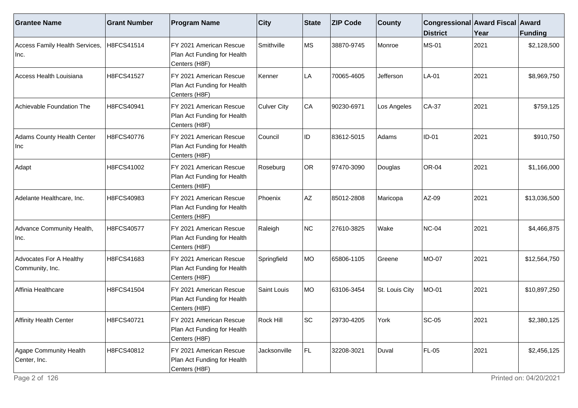| <b>Grantee Name</b>                        | <b>Grant Number</b> | <b>Program Name</b>                                                                  | <b>City</b>        | State     | <b>ZIP Code</b> | <b>County</b>  | Congressional Award Fiscal Award<br><b>District</b> | Year | Funding      |
|--------------------------------------------|---------------------|--------------------------------------------------------------------------------------|--------------------|-----------|-----------------|----------------|-----------------------------------------------------|------|--------------|
| Access Family Health Services,<br>Inc.     | H8FCS41514          | FY 2021 American Rescue<br>Plan Act Funding for Health<br>Centers (H8F)              | Smithville         | <b>MS</b> | 38870-9745      | Monroe         | <b>MS-01</b>                                        | 2021 | \$2,128,500  |
| Access Health Louisiana                    | H8FCS41527          | FY 2021 American Rescue<br>Plan Act Funding for Health<br>Centers (H8F)              | Kenner             | LA        | 70065-4605      | Jefferson      | LA-01                                               | 2021 | \$8,969,750  |
| Achievable Foundation The                  | H8FCS40941          | FY 2021 American Rescue<br>Plan Act Funding for Health<br>Centers (H <sub>8F</sub> ) | <b>Culver City</b> | CA        | 90230-6971      | Los Angeles    | CA-37                                               | 2021 | \$759,125    |
| Adams County Health Center<br>Inc          | H8FCS40776          | FY 2021 American Rescue<br>Plan Act Funding for Health<br>Centers (H8F)              | Council            | ID        | 83612-5015      | Adams          | $ID-01$                                             | 2021 | \$910,750    |
| Adapt                                      | H8FCS41002          | FY 2021 American Rescue<br>Plan Act Funding for Health<br>Centers (H8F)              | Roseburg           | OR        | 97470-3090      | Douglas        | OR-04                                               | 2021 | \$1,166,000  |
| Adelante Healthcare, Inc.                  | H8FCS40983          | FY 2021 American Rescue<br>Plan Act Funding for Health<br>Centers (H8F)              | Phoenix            | <b>AZ</b> | 85012-2808      | Maricopa       | AZ-09                                               | 2021 | \$13,036,500 |
| Advance Community Health,<br>Inc.          | H8FCS40577          | FY 2021 American Rescue<br>Plan Act Funding for Health<br>Centers (H8F)              | Raleigh            | NC        | 27610-3825      | Wake           | <b>NC-04</b>                                        | 2021 | \$4,466,875  |
| Advocates For A Healthy<br>Community, Inc. | H8FCS41683          | FY 2021 American Rescue<br>Plan Act Funding for Health<br>Centers (H8F)              | Springfield        | MO        | 65806-1105      | Greene         | <b>MO-07</b>                                        | 2021 | \$12,564,750 |
| Affinia Healthcare                         | H8FCS41504          | FY 2021 American Rescue<br>Plan Act Funding for Health<br>Centers (H8F)              | Saint Louis        | MO        | 63106-3454      | St. Louis City | MO-01                                               | 2021 | \$10,897,250 |
| Affinity Health Center                     | H8FCS40721          | FY 2021 American Rescue<br>Plan Act Funding for Health<br>Centers (H8F)              | Rock Hill          | <b>SC</b> | 29730-4205      | York           | <b>SC-05</b>                                        | 2021 | \$2,380,125  |
| Agape Community Health<br>Center, Inc.     | H8FCS40812          | FY 2021 American Rescue<br>Plan Act Funding for Health<br>Centers (H8F)              | Jacksonville       | FL.       | 32208-3021      | Duval          | <b>FL-05</b>                                        | 2021 | \$2,456,125  |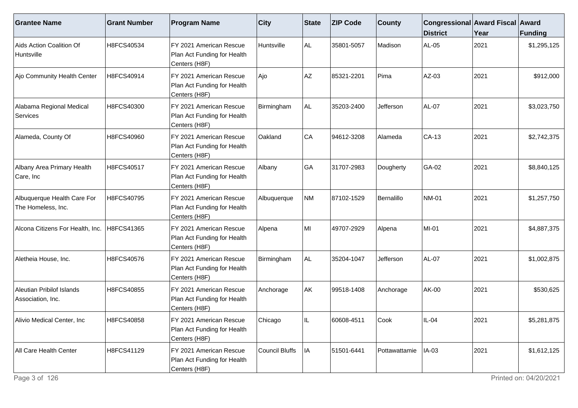| <b>Grantee Name</b>                               | <b>Grant Number</b> | <b>Program Name</b>                                                     | $ $ City       | <b>State</b> | <b>ZIP Code</b> | <b>County</b> | Congressional Award Fiscal Award<br><b>District</b> | Year | Funding     |
|---------------------------------------------------|---------------------|-------------------------------------------------------------------------|----------------|--------------|-----------------|---------------|-----------------------------------------------------|------|-------------|
| Aids Action Coalition Of<br>Huntsville            | H8FCS40534          | FY 2021 American Rescue<br>Plan Act Funding for Health<br>Centers (H8F) | Huntsville     | ALL.         | 35801-5057      | Madison       | AL-05                                               | 2021 | \$1,295,125 |
| Ajo Community Health Center                       | H8FCS40914          | FY 2021 American Rescue<br>Plan Act Funding for Health<br>Centers (H8F) | Ajo            | AZ           | 85321-2201      | Pima          | AZ-03                                               | 2021 | \$912,000   |
| Alabama Regional Medical<br>Services              | H8FCS40300          | FY 2021 American Rescue<br>Plan Act Funding for Health<br>Centers (H8F) | Birmingham     | AL.          | 35203-2400      | Jefferson     | <b>AL-07</b>                                        | 2021 | \$3,023,750 |
| Alameda, County Of                                | H8FCS40960          | FY 2021 American Rescue<br>Plan Act Funding for Health<br>Centers (H8F) | Oakland        | CA           | 94612-3208      | Alameda       | CA-13                                               | 2021 | \$2,742,375 |
| Albany Area Primary Health<br>Care, Inc           | H8FCS40517          | FY 2021 American Rescue<br>Plan Act Funding for Health<br>Centers (H8F) | Albany         | GA           | 31707-2983      | Dougherty     | GA-02                                               | 2021 | \$8,840,125 |
| Albuquerque Health Care For<br>The Homeless, Inc. | H8FCS40795          | FY 2021 American Rescue<br>Plan Act Funding for Health<br>Centers (H8F) | Albuquerque    | NM           | 87102-1529      | Bernalillo    | NM-01                                               | 2021 | \$1,257,750 |
| Alcona Citizens For Health, Inc.                  | H8FCS41365          | FY 2021 American Rescue<br>Plan Act Funding for Health<br>Centers (H8F) | Alpena         | MI           | 49707-2929      | Alpena        | MI-01                                               | 2021 | \$4,887,375 |
| Aletheia House, Inc.                              | H8FCS40576          | FY 2021 American Rescue<br>Plan Act Funding for Health<br>Centers (H8F) | Birmingham     | ALL.         | 35204-1047      | Jefferson     | AL-07                                               | 2021 | \$1,002,875 |
| Aleutian Pribilof Islands<br>Association, Inc.    | H8FCS40855          | FY 2021 American Rescue<br>Plan Act Funding for Health<br>Centers (H8F) | Anchorage      | AK           | 99518-1408      | Anchorage     | AK-00                                               | 2021 | \$530,625   |
| Alivio Medical Center, Inc                        | H8FCS40858          | FY 2021 American Rescue<br>Plan Act Funding for Health<br>Centers (H8F) | Chicago        |              | 60608-4511      | Cook          | $IL-04$                                             | 2021 | \$5,281,875 |
| All Care Health Center                            | H8FCS41129          | FY 2021 American Rescue<br>Plan Act Funding for Health<br>Centers (H8F) | Council Bluffs | IA           | 51501-6441      | Pottawattamie | IA-03                                               | 2021 | \$1,612,125 |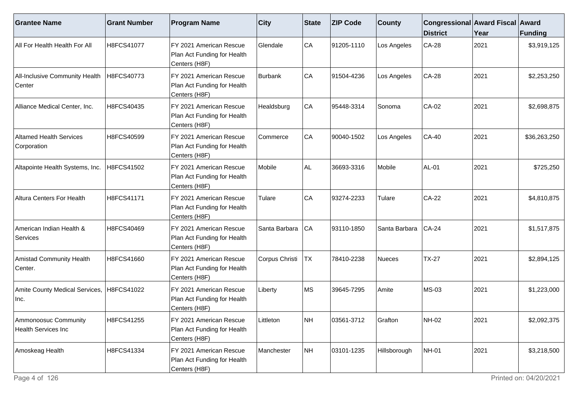| <b>Grantee Name</b>                                | <b>Grant Number</b> | <b>Program Name</b>                                                     | $ $ City       | State                     | <b>ZIP Code</b> | <b>County</b> | Congressional Award Fiscal Award<br><b>District</b> | Year | Funding      |
|----------------------------------------------------|---------------------|-------------------------------------------------------------------------|----------------|---------------------------|-----------------|---------------|-----------------------------------------------------|------|--------------|
| All For Health Health For All                      | H8FCS41077          | FY 2021 American Rescue<br>Plan Act Funding for Health<br>Centers (H8F) | Glendale       | CA                        | 91205-1110      | Los Angeles   | <b>CA-28</b>                                        | 2021 | \$3,919,125  |
| All-Inclusive Community Health<br>Center           | H8FCS40773          | FY 2021 American Rescue<br>Plan Act Funding for Health<br>Centers (H8F) | Burbank        | CA                        | 91504-4236      | Los Angeles   | $CA-28$                                             | 2021 | \$2,253,250  |
| Alliance Medical Center, Inc.                      | H8FCS40435          | FY 2021 American Rescue<br>Plan Act Funding for Health<br>Centers (H8F) | Healdsburg     | CA                        | 95448-3314      | Sonoma        | CA-02                                               | 2021 | \$2,698,875  |
| <b>Altamed Health Services</b><br>Corporation      | H8FCS40599          | FY 2021 American Rescue<br>Plan Act Funding for Health<br>Centers (H8F) | Commerce       | CA                        | 90040-1502      | Los Angeles   | <b>CA-40</b>                                        | 2021 | \$36,263,250 |
| Altapointe Health Systems, Inc.                    | H8FCS41502          | FY 2021 American Rescue<br>Plan Act Funding for Health<br>Centers (H8F) | Mobile         | AL.                       | 36693-3316      | Mobile        | <b>AL-01</b>                                        | 2021 | \$725,250    |
| Altura Centers For Health                          | H8FCS41171          | FY 2021 American Rescue<br>Plan Act Funding for Health<br>Centers (H8F) | Tulare         | CA                        | 93274-2233      | Tulare        | <b>CA-22</b>                                        | 2021 | \$4,810,875  |
| American Indian Health &<br>Services               | H8FCS40469          | FY 2021 American Rescue<br>Plan Act Funding for Health<br>Centers (H8F) | Santa Barbara  | CA                        | 93110-1850      | Santa Barbara | $CA-24$                                             | 2021 | \$1,517,875  |
| Amistad Community Health<br>Center.                | H8FCS41660          | FY 2021 American Rescue<br>Plan Act Funding for Health<br>Centers (H8F) | Corpus Christi | $ \textsf{T} \textsf{X} $ | 78410-2238      | Nueces        | <b>TX-27</b>                                        | 2021 | \$2,894,125  |
| Amite County Medical Services, H8FCS41022<br> Inc. |                     | FY 2021 American Rescue<br>Plan Act Funding for Health<br>Centers (H8F) | Liberty        | ∣MS                       | 39645-7295      | Amite         | <b>MS-03</b>                                        | 2021 | \$1,223,000  |
| Ammonoosuc Community<br><b>Health Services Inc</b> | H8FCS41255          | FY 2021 American Rescue<br>Plan Act Funding for Health<br>Centers (H8F) | Littleton      | NH                        | 03561-3712      | Grafton       | NH-02                                               | 2021 | \$2,092,375  |
| Amoskeag Health                                    | H8FCS41334          | FY 2021 American Rescue<br>Plan Act Funding for Health<br>Centers (H8F) | Manchester     | NH                        | 03101-1235      | Hillsborough  | NH-01                                               | 2021 | \$3,218,500  |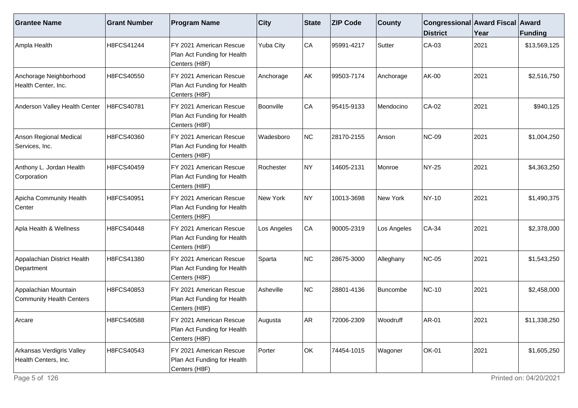| <b>Grantee Name</b>                               | <b>Grant Number</b> | <b>Program Name</b>                                                      | $ $ City                | <b>State</b> | <b>ZIP Code</b> | <b>County</b> | Congressional Award Fiscal Award<br><b>District</b> | Year | <b>Funding</b> |
|---------------------------------------------------|---------------------|--------------------------------------------------------------------------|-------------------------|--------------|-----------------|---------------|-----------------------------------------------------|------|----------------|
| Ampla Health                                      | H8FCS41244          | FY 2021 American Rescue<br>Plan Act Funding for Health<br>Centers (H8F)  | Yuba City               | CA           | 95991-4217      | Sutter        | CA-03                                               | 2021 | \$13,569,125   |
| Anchorage Neighborhood<br>Health Center, Inc.     | H8FCS40550          | FY 2021 American Rescue<br>Plan Act Funding for Health<br>Centers (H8F)  | Anchorage               | AK           | 99503-7174      | Anchorage     | AK-00                                               | 2021 | \$2,516,750    |
| Anderson Valley Health Center                     | H8FCS40781          | FY 2021 American Rescue<br>Plan Act Funding for Health<br>Centers (H8F)  | Boonville               | CA           | 95415-9133      | Mendocino     | CA-02                                               | 2021 | \$940,125      |
| Anson Regional Medical<br>Services, Inc.          | H8FCS40360          | FY 2021 American Rescue<br>Plan Act Funding for Health<br>Centers (H8F)  | <i><b>Nadesboro</b></i> | NC           | 28170-2155      | Anson         | <b>NC-09</b>                                        | 2021 | \$1,004,250    |
| Anthony L. Jordan Health<br>Corporation           | H8FCS40459          | FY 2021 American Rescue<br>Plan Act Funding for Health<br>Centers (H8F)  | Rochester               | NY)          | 14605-2131      | Monroe        | NY-25                                               | 2021 | \$4,363,250    |
| Apicha Community Health<br>Center                 | H8FCS40951          | IFY 2021 American Rescue<br>Plan Act Funding for Health<br>Centers (H8F) | New York                | NY)          | 10013-3698      | New York      | NY-10                                               | 2021 | \$1,490,375    |
| Apla Health & Wellness                            | H8FCS40448          | FY 2021 American Rescue<br>Plan Act Funding for Health<br>Centers (H8F)  | Los Angeles             | CA           | 90005-2319      | Los Angeles   | <b>CA-34</b>                                        | 2021 | \$2,378,000    |
| Appalachian District Health<br>Department         | H8FCS41380          | FY 2021 American Rescue<br>Plan Act Funding for Health<br>Centers (H8F)  | Sparta                  | NC           | 28675-3000      | Alleghany     | NC-05                                               | 2021 | \$1,543,250    |
| Appalachian Mountain<br>Community Health Centers  | H8FCS40853          | FY 2021 American Rescue<br>Plan Act Funding for Health<br>Centers (H8F)  | Asheville               | NC           | 28801-4136      | Buncombe      | NC-10                                               | 2021 | \$2,458,000    |
| Arcare                                            | H8FCS40588          | FY 2021 American Rescue<br>Plan Act Funding for Health<br>Centers (H8F)  | Augusta                 | AR           | 72006-2309      | Woodruff      | AR-01                                               | 2021 | \$11,338,250   |
| Arkansas Verdigris Valley<br>Health Centers, Inc. | H8FCS40543          | FY 2021 American Rescue<br>Plan Act Funding for Health<br>Centers (H8F)  | Porter                  | OK           | 74454-1015      | Wagoner       | <b>OK-01</b>                                        | 2021 | \$1,605,250    |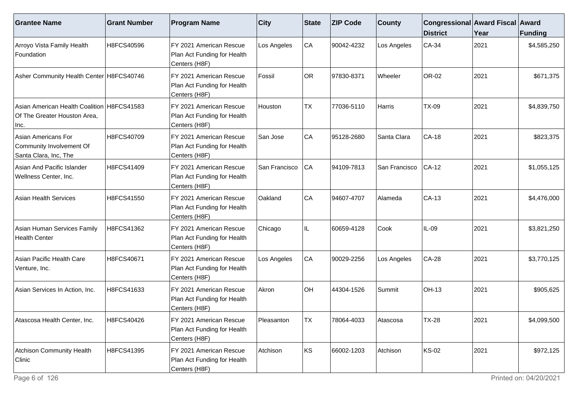| <b>Grantee Name</b>                                                                | <b>Grant Number</b> | <b>Program Name</b>                                                      | <b>City</b>    | State     | <b>ZIP Code</b> | <b>County</b> | Congressional Award Fiscal Award<br><b>District</b> | Year | Funding     |
|------------------------------------------------------------------------------------|---------------------|--------------------------------------------------------------------------|----------------|-----------|-----------------|---------------|-----------------------------------------------------|------|-------------|
| Arroyo Vista Family Health<br>Foundation                                           | H8FCS40596          | FY 2021 American Rescue<br>Plan Act Funding for Health<br>Centers (H8F)  | Los Angeles    | CA        | 90042-4232      | Los Angeles   | $CA-34$                                             | 2021 | \$4,585,250 |
| Asher Community Health Center H8FCS40746                                           |                     | FY 2021 American Rescue<br>Plan Act Funding for Health<br>Centers (H8F)  | Fossil         | <b>OR</b> | 97830-8371      | Wheeler       | OR-02                                               | 2021 | \$671,375   |
| Asian American Health Coalition H8FCS41583<br>Of The Greater Houston Area,<br>Inc. |                     | FY 2021 American Rescue<br>Plan Act Funding for Health<br>Centers (H8F)  | Houston        | <b>TX</b> | 77036-5110      | Harris        | <b>TX-09</b>                                        | 2021 | \$4,839,750 |
| Asian Americans For<br>Community Involvement Of<br>Santa Clara, Inc, The           | H8FCS40709          | FY 2021 American Rescue<br>Plan Act Funding for Health<br>Centers (H8F)  | San Jose       | CA        | 95128-2680      | Santa Clara   | $CA-18$                                             | 2021 | \$823,375   |
| Asian And Pacific Islander<br>Wellness Center, Inc.                                | H8FCS41409          | FY 2021 American Rescue<br>Plan Act Funding for Health<br>Centers (H8F)  | San Francisco  | CA        | 94109-7813      | San Francisco | $CA-12$                                             | 2021 | \$1,055,125 |
| <b>Asian Health Services</b>                                                       | H8FCS41550          | FY 2021 American Rescue<br>Plan Act Funding for Health<br>Centers (H8F)  | <b>Oakland</b> | CA        | 94607-4707      | Alameda       | $CA-13$                                             | 2021 | \$4,476,000 |
| Asian Human Services Family<br>Health Center                                       | H8FCS41362          | FY 2021 American Rescue<br>Plan Act Funding for Health<br>Centers (H8F)  | Chicago        | IL        | 60659-4128      | Cook          | $IL-09$                                             | 2021 | \$3,821,250 |
| Asian Pacific Health Care<br>Venture, Inc.                                         | H8FCS40671          | FY 2021 American Rescue<br>Plan Act Funding for Health<br>Centers (H8F)  | Los Angeles    | CA        | 90029-2256      | Los Angeles   | CA-28                                               | 2021 | \$3,770,125 |
| Asian Services In Action, Inc.                                                     | H8FCS41633          | IFY 2021 American Rescue<br>Plan Act Funding for Health<br>Centers (H8F) | Akron          | OH        | 44304-1526      | Summit        | <b>OH-13</b>                                        | 2021 | \$905,625   |
| Atascosa Health Center, Inc.                                                       | H8FCS40426          | FY 2021 American Rescue<br>Plan Act Funding for Health<br>Centers (H8F)  | Pleasanton     | ltx       | 78064-4033      | Atascosa      | <b>TX-28</b>                                        | 2021 | \$4,099,500 |
| Atchison Community Health<br>Clinic                                                | H8FCS41395          | FY 2021 American Rescue<br>Plan Act Funding for Health<br>Centers (H8F)  | Atchison       | KS        | 66002-1203      | Atchison      | <b>KS-02</b>                                        | 2021 | \$972,125   |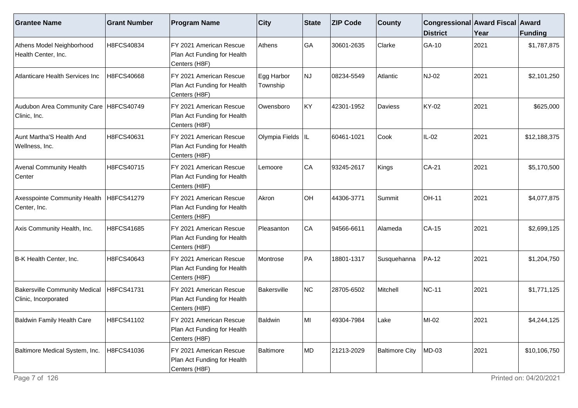| <b>Grantee Name</b>                                          | <b>Grant Number</b> | <b>Program Name</b>                                                                  | $ $ City               | State | <b>ZIP Code</b> | <b>County</b>         | Congressional Award Fiscal Award<br><b>District</b> | Year | Funding      |
|--------------------------------------------------------------|---------------------|--------------------------------------------------------------------------------------|------------------------|-------|-----------------|-----------------------|-----------------------------------------------------|------|--------------|
| Athens Model Neighborhood<br>Health Center, Inc.             | H8FCS40834          | FY 2021 American Rescue<br>Plan Act Funding for Health<br>Centers (H8F)              | Athens                 | GA    | 30601-2635      | Clarke                | GA-10                                               | 2021 | \$1,787,875  |
| Atlanticare Health Services Inc                              | H8FCS40668          | FY 2021 American Rescue<br>Plan Act Funding for Health<br>Centers (H8F)              | Egg Harbor<br>Township | NJ    | 08234-5549      | Atlantic              | NJ-02                                               | 2021 | \$2,101,250  |
| Audubon Area Community Care   H8FCS40749<br>Clinic, Inc.     |                     | FY 2021 American Rescue<br>Plan Act Funding for Health<br>Centers (H8F)              | Owensboro              | KY    | 42301-1952      | Daviess               | KY-02                                               | 2021 | \$625,000    |
| Aunt Martha'S Health And<br>Wellness, Inc.                   | H8FCS40631          | FY 2021 American Rescue<br>Plan Act Funding for Health<br>Centers (H8F)              | Olympia Fields IL      |       | 60461-1021      | Cook                  | IL-02                                               | 2021 | \$12,188,375 |
| <b>Avenal Community Health</b><br>Center                     | H8FCS40715          | FY 2021 American Rescue<br>Plan Act Funding for Health<br>Centers (H8F)              | Lemoore                | CA    | 93245-2617      | Kings                 | CA-21                                               | 2021 | \$5,170,500  |
| Axesspointe Community Health<br>Center, Inc.                 | H8FCS41279          | FY 2021 American Rescue<br>Plan Act Funding for Health<br>Centers (H8F)              | Akron                  | OH    | 44306-3771      | Summit                | <b>OH-11</b>                                        | 2021 | \$4,077,875  |
| Axis Community Health, Inc.                                  | H8FCS41685          | FY 2021 American Rescue<br>Plan Act Funding for Health<br>Centers (H8F)              | Pleasanton             | CA    | 94566-6611      | Alameda               | <b>CA-15</b>                                        | 2021 | \$2,699,125  |
| B-K Health Center, Inc.                                      | H8FCS40643          | FY 2021 American Rescue<br>Plan Act Funding for Health<br>Centers (H8F)              | Montrose               | PA    | 18801-1317      | Susquehanna           | PA-12                                               | 2021 | \$1,204,750  |
| <b>Bakersville Community Medical</b><br>Clinic, Incorporated | H8FCS41731          | FY 2021 American Rescue<br>Plan Act Funding for Health<br>Centers (H8F)              | Bakersville            | NC    | 28705-6502      | Mitchell              | <b>NC-11</b>                                        | 2021 | \$1,771,125  |
| Baldwin Family Health Care                                   | H8FCS41102          | FY 2021 American Rescue<br>Plan Act Funding for Health<br>Centers (H <sub>8F</sub> ) | <b>Baldwin</b>         | lMI   | 49304-7984      | Lake                  | $MI-02$                                             | 2021 | \$4,244,125  |
| Baltimore Medical System, Inc.                               | H8FCS41036          | FY 2021 American Rescue<br>Plan Act Funding for Health<br>Centers (H8F)              | Baltimore              | MD    | 21213-2029      | <b>Baltimore City</b> | MD-03                                               | 2021 | \$10,106,750 |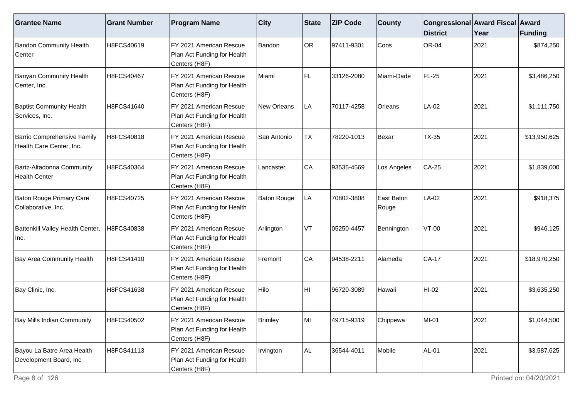| <b>Grantee Name</b>                                     | <b>Grant Number</b> | <b>Program Name</b>                                                     | <b>City</b>        | State     | <b>ZIP Code</b> | <b>County</b>       | Congressional Award Fiscal Award<br><b>District</b> | Year | Funding      |
|---------------------------------------------------------|---------------------|-------------------------------------------------------------------------|--------------------|-----------|-----------------|---------------------|-----------------------------------------------------|------|--------------|
| <b>Bandon Community Health</b><br>Center                | H8FCS40619          | FY 2021 American Rescue<br>Plan Act Funding for Health<br>Centers (H8F) | Bandon             | <b>OR</b> | 97411-9301      | Coos                | <b>OR-04</b>                                        | 2021 | \$874,250    |
| <b>Banyan Community Health</b><br>Center, Inc.          | H8FCS40467          | FY 2021 American Rescue<br>Plan Act Funding for Health<br>Centers (H8F) | Miami              | FL        | 33126-2080      | Miami-Dade          | <b>FL-25</b>                                        | 2021 | \$3,486,250  |
| <b>Baptist Community Health</b><br>Services, Inc.       | H8FCS41640          | FY 2021 American Rescue<br>Plan Act Funding for Health<br>Centers (H8F) | New Orleans        | LA        | 70117-4258      | Orleans             | LA-02                                               | 2021 | \$1,111,750  |
| Barrio Comprehensive Family<br>Health Care Center, Inc. | H8FCS40818          | FY 2021 American Rescue<br>Plan Act Funding for Health<br>Centers (H8F) | San Antonio        | <b>TX</b> | 78220-1013      | Bexar               | <b>TX-35</b>                                        | 2021 | \$13,950,625 |
| Bartz-Altadonna Community<br>Health Center              | H8FCS40364          | FY 2021 American Rescue<br>Plan Act Funding for Health<br>Centers (H8F) | Lancaster          | CA        | 93535-4569      | Los Angeles         | CA-25                                               | 2021 | \$1,839,000  |
| Baton Rouge Primary Care<br>Collaborative, Inc.         | H8FCS40725          | FY 2021 American Rescue<br>Plan Act Funding for Health<br>Centers (H8F) | <b>Baton Rouge</b> | LA        | 70802-3808      | East Baton<br>Rouge | LA-02                                               | 2021 | \$918,375    |
| Battenkill Valley Health Center,<br>Inc.                | H8FCS40838          | FY 2021 American Rescue<br>Plan Act Funding for Health<br>Centers (H8F) | Arlington          | VT        | 05250-4457      | Bennington          | $VT-00$                                             | 2021 | \$946,125    |
| <b>Bay Area Community Health</b>                        | H8FCS41410          | FY 2021 American Rescue<br>Plan Act Funding for Health<br>Centers (H8F) | Fremont            | CA        | 94538-2211      | Alameda             | $CA-17$                                             | 2021 | \$18,970,250 |
| Bay Clinic, Inc.                                        | H8FCS41638          | FY 2021 American Rescue<br>Plan Act Funding for Health<br>Centers (H8F) | Hilo               | HI        | 96720-3089      | Hawaii              | HI-02                                               | 2021 | \$3,635,250  |
| <b>Bay Mills Indian Community</b>                       | H8FCS40502          | FY 2021 American Rescue<br>Plan Act Funding for Health<br>Centers (H8F) | <b>Brimley</b>     | MI        | 49715-9319      | Chippewa            | $MI-01$                                             | 2021 | \$1,044,500  |
| Bayou La Batre Area Health<br>Development Board, Inc    | H8FCS41113          | FY 2021 American Rescue<br>Plan Act Funding for Health<br>Centers (H8F) | Irvington          | AL.       | 36544-4011      | Mobile              | <b>AL-01</b>                                        | 2021 | \$3,587,625  |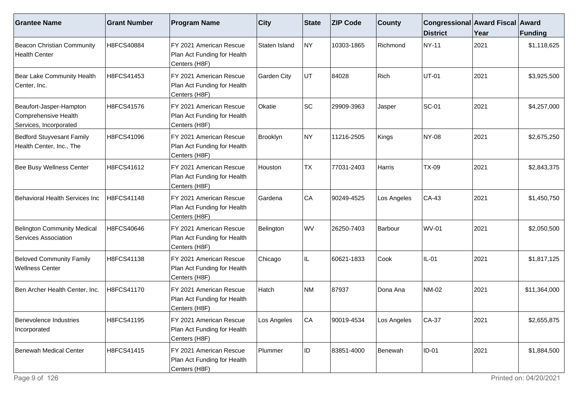| <b>Grantee Name</b>                                                       | <b>Grant Number</b> | <b>Program Name</b>                                                     | $ $ City           | <b>State</b> | <b>ZIP Code</b> | <b>County</b> | Congressional Award Fiscal Award<br><b>District</b> | Year | <b>Funding</b> |
|---------------------------------------------------------------------------|---------------------|-------------------------------------------------------------------------|--------------------|--------------|-----------------|---------------|-----------------------------------------------------|------|----------------|
| Beacon Christian Community<br><b>Health Center</b>                        | H8FCS40884          | FY 2021 American Rescue<br>Plan Act Funding for Health<br>Centers (H8F) | Staten Island      | NY.          | 10303-1865      | Richmond      | NY-11                                               | 2021 | \$1,118,625    |
| Bear Lake Community Health<br>Center, Inc.                                | H8FCS41453          | FY 2021 American Rescue<br>Plan Act Funding for Health<br>Centers (H8F) | <b>Garden City</b> | UT           | 84028           | Rich          | <b>UT-01</b>                                        | 2021 | \$3,925,500    |
| Beaufort-Jasper-Hampton<br>Comprehensive Health<br>Services, Incorporated | H8FCS41576          | FY 2021 American Rescue<br>Plan Act Funding for Health<br>Centers (H8F) | Okatie             | SC           | 29909-3963      | Jasper        | <b>SC-01</b>                                        | 2021 | \$4,257,000    |
| <b>Bedford Stuyvesant Family</b><br>Health Center, Inc., The              | H8FCS41096          | FY 2021 American Rescue<br>Plan Act Funding for Health<br>Centers (H8F) | Brooklyn           | NY)          | 11216-2505      | Kings         | NY-08                                               | 2021 | \$2,675,250    |
| Bee Busy Wellness Center                                                  | H8FCS41612          | FY 2021 American Rescue<br>Plan Act Funding for Health<br>Centers (H8F) | Houston            | <b>TX</b>    | 77031-2403      | Harris        | <b>TX-09</b>                                        | 2021 | \$2,843,375    |
| Behavioral Health Services Inc                                            | H8FCS41148          | FY 2021 American Rescue<br>Plan Act Funding for Health<br>Centers (H8F) | Gardena            | CA           | 90249-4525      | Los Angeles   | CA-43                                               | 2021 | \$1,450,750    |
| <b>Belington Community Medical</b><br><b>Services Association</b>         | H8FCS40646          | FY 2021 American Rescue<br>Plan Act Funding for Health<br>Centers (H8F) | Belington          | WV           | 26250-7403      | Barbour       | <b>WV-01</b>                                        | 2021 | \$2,050,500    |
| <b>Beloved Community Family</b><br><b>Wellness Center</b>                 | H8FCS41138          | FY 2021 American Rescue<br>Plan Act Funding for Health<br>Centers (H8F) | Chicago            | IL.          | 60621-1833      | Cook          | $IL-01$                                             | 2021 | \$1,817,125    |
| Ben Archer Health Center, Inc.                                            | H8FCS41170          | FY 2021 American Rescue<br>Plan Act Funding for Health<br>Centers (H8F) | Hatch              | NM           | 87937           | Dona Ana      | <b>NM-02</b>                                        | 2021 | \$11,364,000   |
| Benevolence Industries<br>Incorporated                                    | H8FCS41195          | FY 2021 American Rescue<br>Plan Act Funding for Health<br>Centers (H8F) | Los Angeles        | CA           | 90019-4534      | Los Angeles   | $CA-37$                                             | 2021 | \$2,655,875    |
| Benewah Medical Center                                                    | H8FCS41415          | FY 2021 American Rescue<br>Plan Act Funding for Health<br>Centers (H8F) | Plummer            | ID           | 83851-4000      | Benewah       | $ID-01$                                             | 2021 | \$1,884,500    |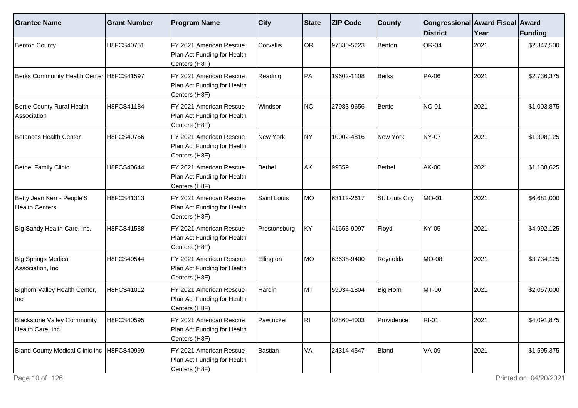| <b>Grantee Name</b>                                     | <b>Grant Number</b> | <b>Program Name</b>                                                     | $ $ City     | State     | <b>ZIP Code</b> | <b>County</b>  | Congressional Award Fiscal Award<br><b>District</b> | Year | <b>Funding</b> |
|---------------------------------------------------------|---------------------|-------------------------------------------------------------------------|--------------|-----------|-----------------|----------------|-----------------------------------------------------|------|----------------|
| Benton County                                           | H8FCS40751          | FY 2021 American Rescue<br>Plan Act Funding for Health<br>Centers (H8F) | Corvallis    | <b>OR</b> | 97330-5223      | Benton         | <b>OR-04</b>                                        | 2021 | \$2,347,500    |
| Berks Community Health Center   H8FCS41597              |                     | FY 2021 American Rescue<br>Plan Act Funding for Health<br>Centers (H8F) | Reading      | PA        | 19602-1108      | Berks          | <b>PA-06</b>                                        | 2021 | \$2,736,375    |
| Bertie County Rural Health<br>Association               | H8FCS41184          | FY 2021 American Rescue<br>Plan Act Funding for Health<br>Centers (H8F) | Windsor      | NC        | 27983-9656      | Bertie         | <b>NC-01</b>                                        | 2021 | \$1,003,875    |
| Betances Health Center                                  | H8FCS40756          | FY 2021 American Rescue<br>Plan Act Funding for Health<br>Centers (H8F) | New York     | NY)       | 10002-4816      | New York       | <b>NY-07</b>                                        | 2021 | \$1,398,125    |
| <b>Bethel Family Clinic</b>                             | H8FCS40644          | FY 2021 American Rescue<br>Plan Act Funding for Health<br>Centers (H8F) | Bethel       | AK        | 99559           | Bethel         | AK-00                                               | 2021 | \$1,138,625    |
| Betty Jean Kerr - People'S<br><b>Health Centers</b>     | H8FCS41313          | FY 2021 American Rescue<br>Plan Act Funding for Health<br>Centers (H8F) | Saint Louis  | <b>MO</b> | 63112-2617      | St. Louis City | MO-01                                               | 2021 | \$6,681,000    |
| Big Sandy Health Care, Inc.                             | H8FCS41588          | FY 2021 American Rescue<br>Plan Act Funding for Health<br>Centers (H8F) | Prestonsburg | KY        | 41653-9097      | Floyd          | <b>KY-05</b>                                        | 2021 | \$4,992,125    |
| Big Springs Medical<br>Association, Inc                 | H8FCS40544          | FY 2021 American Rescue<br>Plan Act Funding for Health<br>Centers (H8F) | Ellington    | MO        | 63638-9400      | Reynolds       | <b>MO-08</b>                                        | 2021 | \$3,734,125    |
| Bighorn Valley Health Center,<br>Inc                    | H8FCS41012          | FY 2021 American Rescue<br>Plan Act Funding for Health<br>Centers (H8F) | Hardin       | MT        | 59034-1804      | Big Horn       | <b>MT-00</b>                                        | 2021 | \$2,057,000    |
| <b>Blackstone Valley Community</b><br>Health Care, Inc. | H8FCS40595          | FY 2021 American Rescue<br>Plan Act Funding for Health<br>Centers (H8F) | Pawtucket    | RII.      | 02860-4003      | Providence     | <b>RI-01</b>                                        | 2021 | \$4,091,875    |
| Bland County Medical Clinic Inc   H8FCS40999            |                     | FY 2021 American Rescue<br>Plan Act Funding for Health<br>Centers (H8F) | Bastian      | VA        | 24314-4547      | Bland          | <b>VA-09</b>                                        | 2021 | \$1,595,375    |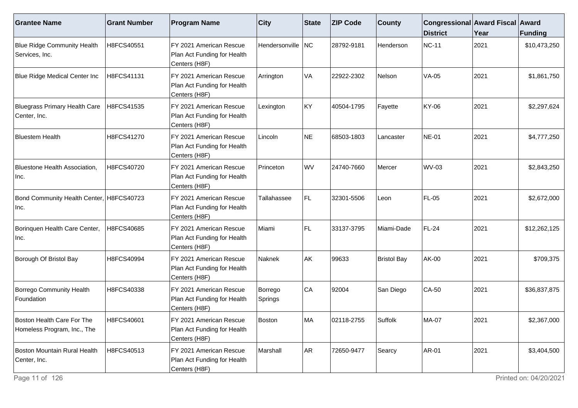| <b>Grantee Name</b>                                       | <b>Grant Number</b> | <b>Program Name</b>                                                     | $ $ City           | State     | <b>ZIP Code</b> | <b>County</b>      | Congressional Award Fiscal Award<br><b>District</b> | Year | <b>Funding</b> |
|-----------------------------------------------------------|---------------------|-------------------------------------------------------------------------|--------------------|-----------|-----------------|--------------------|-----------------------------------------------------|------|----------------|
| <b>Blue Ridge Community Health</b><br>Services, Inc.      | H8FCS40551          | FY 2021 American Rescue<br>Plan Act Funding for Health<br>Centers (H8F) | Hendersonville NC  |           | 28792-9181      | Henderson          | <b>NC-11</b>                                        | 2021 | \$10,473,250   |
| Blue Ridge Medical Center Inc                             | H8FCS41131          | FY 2021 American Rescue<br>Plan Act Funding for Health<br>Centers (H8F) | Arrington          | VA        | 22922-2302      | Nelson             | $VA-05$                                             | 2021 | \$1,861,750    |
| Bluegrass Primary Health Care<br>Center, Inc.             | H8FCS41535          | FY 2021 American Rescue<br>Plan Act Funding for Health<br>Centers (H8F) | Lexington          | KY        | 40504-1795      | Fayette            | <b>KY-06</b>                                        | 2021 | \$2,297,624    |
| <b>Bluestem Health</b>                                    | H8FCS41270          | FY 2021 American Rescue<br>Plan Act Funding for Health<br>Centers (H8F) | Lincoln            | <b>NE</b> | 68503-1803      | Lancaster          | <b>NE-01</b>                                        | 2021 | \$4,777,250    |
| Bluestone Health Association,<br>Inc.                     | H8FCS40720          | FY 2021 American Rescue<br>Plan Act Funding for Health<br>Centers (H8F) | Princeton          | <b>WV</b> | 24740-7660      | Mercer             | <b>WV-03</b>                                        | 2021 | \$2,843,250    |
| Bond Community Health Center, H8FCS40723<br>Inc.          |                     | FY 2021 American Rescue<br>Plan Act Funding for Health<br>Centers (H8F) | Tallahassee        | FL.       | 32301-5506      | Leon               | <b>FL-05</b>                                        | 2021 | \$2,672,000    |
| Borinquen Health Care Center,<br>Inc.                     | H8FCS40685          | FY 2021 American Rescue<br>Plan Act Funding for Health<br>Centers (H8F) | Miami              | FL.       | 33137-3795      | Miami-Dade         | <b>FL-24</b>                                        | 2021 | \$12,262,125   |
| Borough Of Bristol Bay                                    | H8FCS40994          | FY 2021 American Rescue<br>Plan Act Funding for Health<br>Centers (H8F) | Naknek             | AK        | 99633           | <b>Bristol Bay</b> | <b>AK-00</b>                                        | 2021 | \$709,375      |
| Borrego Community Health<br>Foundation                    | H8FCS40338          | FY 2021 American Rescue<br>Plan Act Funding for Health<br>Centers (H8F) | Borrego<br>Springs | CA        | 92004           | San Diego          | $CA-50$                                             | 2021 | \$36,837,875   |
| Boston Health Care For The<br>Homeless Program, Inc., The | H8FCS40601          | FY 2021 American Rescue<br>Plan Act Funding for Health<br>Centers (H8F) | Boston             | MA        | 02118-2755      | Suffolk            | <b>MA-07</b>                                        | 2021 | \$2,367,000    |
| Boston Mountain Rural Health<br>Center, Inc.              | H8FCS40513          | FY 2021 American Rescue<br>Plan Act Funding for Health<br>Centers (H8F) | Marshall           | AR        | 72650-9477      | Searcy             | <b>AR-01</b>                                        | 2021 | \$3,404,500    |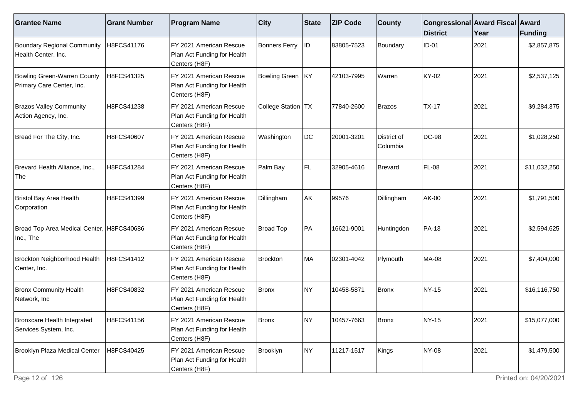| <b>Grantee Name</b>                                             | <b>Grant Number</b> | <b>Program Name</b>                                                     | $ $ City               | State    | <b>ZIP Code</b> | <b>County</b>           | Congressional Award Fiscal Award<br><b>District</b> | Year | Funding      |
|-----------------------------------------------------------------|---------------------|-------------------------------------------------------------------------|------------------------|----------|-----------------|-------------------------|-----------------------------------------------------|------|--------------|
| <b>Boundary Regional Community</b><br>Health Center, Inc.       | H8FCS41176          | FY 2021 American Rescue<br>Plan Act Funding for Health<br>Centers (H8F) | <b>Bonners Ferry</b>   | $\sf ID$ | 83805-7523      | Boundary                | $ID-01$                                             | 2021 | \$2,857,875  |
| <b>Bowling Green-Warren County</b><br>Primary Care Center, Inc. | H8FCS41325          | FY 2021 American Rescue<br>Plan Act Funding for Health<br>Centers (H8F) | Bowling Green   KY     |          | 42103-7995      | Warren                  | KY-02                                               | 2021 | \$2,537,125  |
| <b>Brazos Valley Community</b><br>Action Agency, Inc.           | H8FCS41238          | FY 2021 American Rescue<br>Plan Act Funding for Health<br>Centers (H8F) | <b>College Station</b> | TX       | 77840-2600      | <b>Brazos</b>           | $TX-17$                                             | 2021 | \$9,284,375  |
| Bread For The City, Inc.                                        | H8FCS40607          | FY 2021 American Rescue<br>Plan Act Funding for Health<br>Centers (H8F) | Washington             | DC       | 20001-3201      | District of<br>Columbia | DC-98                                               | 2021 | \$1,028,250  |
| Brevard Health Alliance, Inc.,<br>The                           | H8FCS41284          | FY 2021 American Rescue<br>Plan Act Funding for Health<br>Centers (H8F) | Palm Bay               | FL.      | 32905-4616      | Brevard                 | <b>FL-08</b>                                        | 2021 | \$11,032,250 |
| Bristol Bay Area Health<br>Corporation                          | H8FCS41399          | FY 2021 American Rescue<br>Plan Act Funding for Health<br>Centers (H8F) | Dillingham             | AK       | 99576           | Dillingham              | AK-00                                               | 2021 | \$1,791,500  |
| Broad Top Area Medical Center, H8FCS40686<br>Inc., The          |                     | FY 2021 American Rescue<br>Plan Act Funding for Health<br>Centers (H8F) | Broad Top              | PA       | 16621-9001      | Huntingdon              | <b>PA-13</b>                                        | 2021 | \$2,594,625  |
| Brockton Neighborhood Health<br>Center, Inc.                    | H8FCS41412          | FY 2021 American Rescue<br>Plan Act Funding for Health<br>Centers (H8F) | Brockton               | MA       | 02301-4042      | Plymouth                | <b>MA-08</b>                                        | 2021 | \$7,404,000  |
| <b>Bronx Community Health</b><br>Network, Inc                   | H8FCS40832          | FY 2021 American Rescue<br>Plan Act Funding for Health<br>Centers (H8F) | Bronx                  | NY)      | 10458-5871      | Bronx                   | NY-15                                               | 2021 | \$16,116,750 |
| Bronxcare Health Integrated<br>Services System, Inc.            | H8FCS41156          | FY 2021 American Rescue<br>Plan Act Funding for Health<br>Centers (H8F) | <b>Bronx</b>           | NY)      | 10457-7663      | Bronx                   | NY-15                                               | 2021 | \$15,077,000 |
| Brooklyn Plaza Medical Center                                   | H8FCS40425          | FY 2021 American Rescue<br>Plan Act Funding for Health<br>Centers (H8F) | Brooklyn               | NY)      | 11217-1517      | Kings                   | NY-08                                               | 2021 | \$1,479,500  |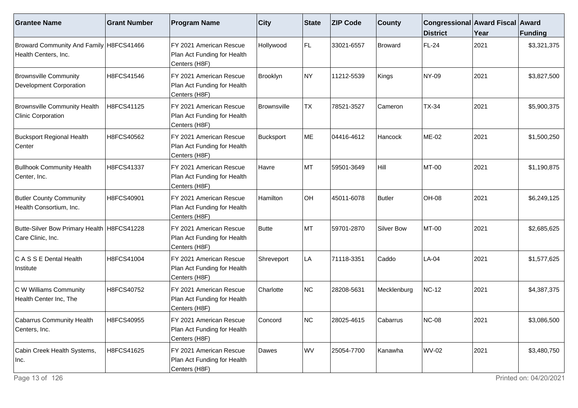| <b>Grantee Name</b>                                               | <b>Grant Number</b> | <b>Program Name</b>                                                      | $ $ City     | <b>State</b> | <b>ZIP Code</b> | <b>County</b> | Congressional Award Fiscal Award<br><b>District</b> | Year | Funding     |
|-------------------------------------------------------------------|---------------------|--------------------------------------------------------------------------|--------------|--------------|-----------------|---------------|-----------------------------------------------------|------|-------------|
| Broward Community And Family H8FCS41466<br>Health Centers, Inc.   |                     | FY 2021 American Rescue<br>Plan Act Funding for Health<br>Centers (H8F)  | Hollywood    | FL.          | 33021-6557      | Broward       | FL-24                                               | 2021 | \$3,321,375 |
| <b>Brownsville Community</b><br><b>Development Corporation</b>    | H8FCS41546          | FY 2021 American Rescue<br>Plan Act Funding for Health<br>Centers (H8F)  | Brooklyn     | NY)          | 11212-5539      | Kings         | <b>NY-09</b>                                        | 2021 | \$3,827,500 |
| <b>Brownsville Community Health</b><br><b>Clinic Corporation</b>  | H8FCS41125          | FY 2021 American Rescue<br>Plan Act Funding for Health<br>Centers (H8F)  | Brownsville  | <b>TX</b>    | 78521-3527      | Cameron       | <b>TX-34</b>                                        | 2021 | \$5,900,375 |
| <b>Bucksport Regional Health</b><br><b>Center</b>                 | H8FCS40562          | IFY 2021 American Rescue<br>Plan Act Funding for Health<br>Centers (H8F) | Bucksport    | ME           | 04416-4612      | Hancock       | <b>ME-02</b>                                        | 2021 | \$1,500,250 |
| <b>Bullhook Community Health</b><br>Center, Inc.                  | H8FCS41337          | FY 2021 American Rescue<br>Plan Act Funding for Health<br>Centers (H8F)  | Havre        | MT           | 59501-3649      | Hill          | MT-00                                               | 2021 | \$1,190,875 |
| <b>Butler County Community</b><br>Health Consortium, Inc.         | H8FCS40901          | FY 2021 American Rescue<br>Plan Act Funding for Health<br>Centers (H8F)  | Hamilton     | OH           | 45011-6078      | Butler        | <b>OH-08</b>                                        | 2021 | \$6,249,125 |
| Butte-Silver Bow Primary Health   H8FCS41228<br>Care Clinic, Inc. |                     | FY 2021 American Rescue<br>Plan Act Funding for Health<br>Centers (H8F)  | <b>Butte</b> | MT           | 59701-2870      | Silver Bow    | <b>MT-00</b>                                        | 2021 | \$2,685,625 |
| C A S S E Dental Health<br>Institute                              | H8FCS41004          | FY 2021 American Rescue<br>Plan Act Funding for Health<br>Centers (H8F)  | Shreveport   | LA           | 71118-3351      | Caddo         | $LA-04$                                             | 2021 | \$1,577,625 |
| C W Williams Community<br>Health Center Inc, The                  | H8FCS40752          | FY 2021 American Rescue<br>Plan Act Funding for Health<br>Centers (H8F)  | Charlotte    | NC           | 28208-5631      | Mecklenburg   | <b>NC-12</b>                                        | 2021 | \$4,387,375 |
| Cabarrus Community Health<br>Centers, Inc.                        | H8FCS40955          | FY 2021 American Rescue<br>Plan Act Funding for Health<br>Centers (H8F)  | Concord      | NC           | 28025-4615      | Cabarrus      | <b>NC-08</b>                                        | 2021 | \$3,086,500 |
| Cabin Creek Health Systems,<br>Inc.                               | H8FCS41625          | FY 2021 American Rescue<br>Plan Act Funding for Health<br>Centers (H8F)  | Dawes        | WV           | 25054-7700      | Kanawha       | <b>WV-02</b>                                        | 2021 | \$3,480,750 |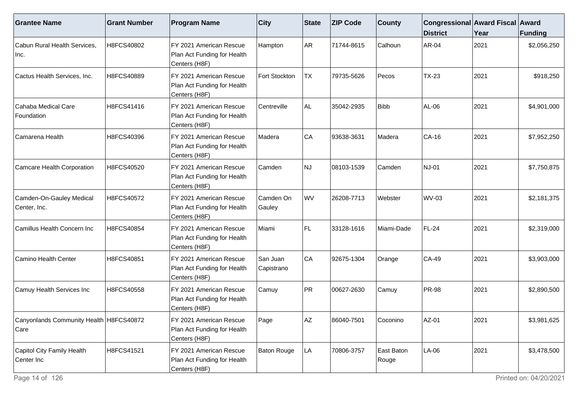| <b>Grantee Name</b>                               | <b>Grant Number</b> | <b>Program Name</b>                                                     | <b>City</b>            | State     | <b>ZIP Code</b> | <b>County</b>       | Congressional Award Fiscal Award<br><b>District</b> | Year | Funding     |
|---------------------------------------------------|---------------------|-------------------------------------------------------------------------|------------------------|-----------|-----------------|---------------------|-----------------------------------------------------|------|-------------|
| Cabun Rural Health Services,<br>Inc.              | H8FCS40802          | FY 2021 American Rescue<br>Plan Act Funding for Health<br>Centers (H8F) | Hampton                | <b>AR</b> | 71744-8615      | Calhoun             | AR-04                                               | 2021 | \$2,056,250 |
| Cactus Health Services, Inc.                      | H8FCS40889          | FY 2021 American Rescue<br>Plan Act Funding for Health<br>Centers (H8F) | Fort Stockton          | <b>TX</b> | 79735-5626      | Pecos               | $TX-23$                                             | 2021 | \$918,250   |
| Cahaba Medical Care<br>Foundation                 | H8FCS41416          | FY 2021 American Rescue<br>Plan Act Funding for Health<br>Centers (H8F) | Centreville            | AL.       | 35042-2935      | <b>Bibb</b>         | AL-06                                               | 2021 | \$4,901,000 |
| Camarena Health                                   | H8FCS40396          | FY 2021 American Rescue<br>Plan Act Funding for Health<br>Centers (H8F) | Madera                 | CA        | 93638-3631      | Madera              | CA-16                                               | 2021 | \$7,952,250 |
| Camcare Health Corporation                        | H8FCS40520          | FY 2021 American Rescue<br>Plan Act Funding for Health<br>Centers (H8F) | Camden                 | NJ.       | 08103-1539      | Camden              | <b>NJ-01</b>                                        | 2021 | \$7,750,875 |
| Camden-On-Gauley Medical<br>Center, Inc.          | H8FCS40572          | FY 2021 American Rescue<br>Plan Act Funding for Health<br>Centers (H8F) | Camden On<br>Gauley    | <b>WV</b> | 26208-7713      | Webster             | <b>WV-03</b>                                        | 2021 | \$2,181,375 |
| Camillus Health Concern Inc                       | H8FCS40854          | FY 2021 American Rescue<br>Plan Act Funding for Health<br>Centers (H8F) | Miami                  | FL.       | 33128-1616      | Miami-Dade          | <b>FL-24</b>                                        | 2021 | \$2,319,000 |
| Camino Health Center                              | H8FCS40851          | FY 2021 American Rescue<br>Plan Act Funding for Health<br>Centers (H8F) | San Juan<br>Capistrano | CA        | 92675-1304      | Orange              | CA-49                                               | 2021 | \$3,903,000 |
| Camuy Health Services Inc                         | H8FCS40558          | FY 2021 American Rescue<br>Plan Act Funding for Health<br>Centers (H8F) | Camuy                  | PR        | 00627-2630      | Camuy               | <b>PR-98</b>                                        | 2021 | \$2,890,500 |
| Canyonlands Community Health   H8FCS40872<br>Care |                     | FY 2021 American Rescue<br>Plan Act Funding for Health<br>Centers (H8F) | Page                   | <b>AZ</b> | 86040-7501      | Coconino            | AZ-01                                               | 2021 | \$3,981,625 |
| Capitol City Family Health<br>Center Inc          | H8FCS41521          | FY 2021 American Rescue<br>Plan Act Funding for Health<br>Centers (H8F) | Baton Rouge            | LA        | 70806-3757      | East Baton<br>Rouge | LA-06                                               | 2021 | \$3,478,500 |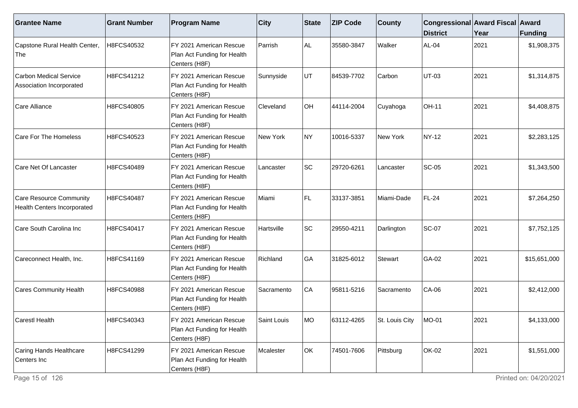| <b>Grantee Name</b>                                    | <b>Grant Number</b> | <b>Program Name</b>                                                     | <b>City</b>      | State | <b>ZIP Code</b> | <b>County</b>  | Congressional Award Fiscal Award<br><b>District</b> | Year | Funding      |
|--------------------------------------------------------|---------------------|-------------------------------------------------------------------------|------------------|-------|-----------------|----------------|-----------------------------------------------------|------|--------------|
| Capstone Rural Health Center,<br>The                   | H8FCS40532          | FY 2021 American Rescue<br>Plan Act Funding for Health<br>Centers (H8F) | Parrish          | AL.   | 35580-3847      | Walker         | AL-04                                               | 2021 | \$1,908,375  |
| Carbon Medical Service<br>Association Incorporated     | H8FCS41212          | FY 2021 American Rescue<br>Plan Act Funding for Health<br>Centers (H8F) | Sunnyside        | UT    | 84539-7702      | Carbon         | <b>UT-03</b>                                        | 2021 | \$1,314,875  |
| Care Alliance                                          | H8FCS40805          | FY 2021 American Rescue<br>Plan Act Funding for Health<br>Centers (H8F) | <b>Cleveland</b> | OH    | 44114-2004      | Cuyahoga       | <b>OH-11</b>                                        | 2021 | \$4,408,875  |
| Care For The Homeless                                  | H8FCS40523          | FY 2021 American Rescue<br>Plan Act Funding for Health<br>Centers (H8F) | New York         | NY)   | 10016-5337      | New York       | <b>NY-12</b>                                        | 2021 | \$2,283,125  |
| Care Net Of Lancaster                                  | H8FCS40489          | FY 2021 American Rescue<br>Plan Act Funding for Health<br>Centers (H8F) | Lancaster        | SC    | 29720-6261      | Lancaster      | <b>SC-05</b>                                        | 2021 | \$1,343,500  |
| Care Resource Community<br>Health Centers Incorporated | H8FCS40487          | FY 2021 American Rescue<br>Plan Act Funding for Health<br>Centers (H8F) | Miami            | FL    | 33137-3851      | Miami-Dade     | FL-24                                               | 2021 | \$7,264,250  |
| Care South Carolina Inc                                | H8FCS40417          | FY 2021 American Rescue<br>Plan Act Funding for Health<br>Centers (H8F) | Hartsville       | SC    | 29550-4211      | Darlington     | <b>SC-07</b>                                        | 2021 | \$7,752,125  |
| Careconnect Health, Inc.                               | H8FCS41169          | FY 2021 American Rescue<br>Plan Act Funding for Health<br>Centers (H8F) | Richland         | GA    | 31825-6012      | <b>Stewart</b> | GA-02                                               | 2021 | \$15,651,000 |
| <b>Cares Community Health</b>                          | H8FCS40988          | FY 2021 American Rescue<br>Plan Act Funding for Health<br>Centers (H8F) | Sacramento       | CA    | 95811-5216      | Sacramento     | $CA-06$                                             | 2021 | \$2,412,000  |
| Carestl Health                                         | H8FCS40343          | FY 2021 American Rescue<br>Plan Act Funding for Health<br>Centers (H8F) | Saint Louis      | IMO.  | 63112-4265      | St. Louis City | MO-01                                               | 2021 | \$4,133,000  |
| Caring Hands Healthcare<br>Centers Inc                 | H8FCS41299          | FY 2021 American Rescue<br>Plan Act Funding for Health<br>Centers (H8F) | Mcalester        | OK    | 74501-7606      | Pittsburg      | <b>OK-02</b>                                        | 2021 | \$1,551,000  |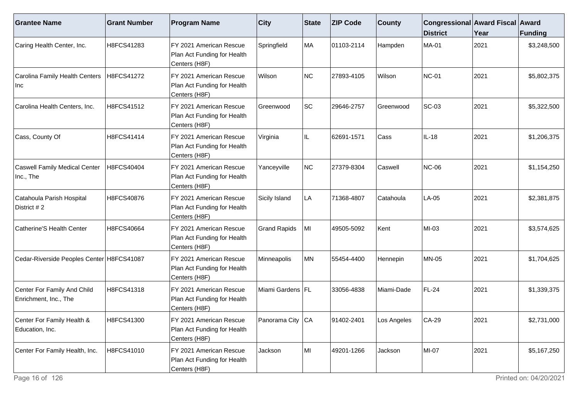| <b>Grantee Name</b>                                  | <b>Grant Number</b> | <b>Program Name</b>                                                      | <b>City</b>         | <b>State</b> | <b>ZIP Code</b> | <b>County</b> | Congressional Award Fiscal Award<br><b>District</b> | Year | <b>Funding</b> |
|------------------------------------------------------|---------------------|--------------------------------------------------------------------------|---------------------|--------------|-----------------|---------------|-----------------------------------------------------|------|----------------|
| Caring Health Center, Inc.                           | H8FCS41283          | FY 2021 American Rescue<br>Plan Act Funding for Health<br>Centers (H8F)  | Springfield         | MA           | 01103-2114      | Hampden       | <b>MA-01</b>                                        | 2021 | \$3,248,500    |
| Carolina Family Health Centers<br>Inc                | H8FCS41272          | FY 2021 American Rescue<br>Plan Act Funding for Health<br>Centers (H8F)  | Wilson              | NC           | 27893-4105      | Wilson        | <b>NC-01</b>                                        | 2021 | \$5,802,375    |
| Carolina Health Centers, Inc.                        | H8FCS41512          | FY 2021 American Rescue<br>Plan Act Funding for Health<br>Centers (H8F)  | Greenwood           | SC           | 29646-2757      | Greenwood     | <b>SC-03</b>                                        | 2021 | \$5,322,500    |
| Cass, County Of                                      | H8FCS41414          | IFY 2021 American Rescue<br>Plan Act Funding for Health<br>Centers (H8F) | Virginia            | IL.          | 62691-1571      | Cass          | $IL-18$                                             | 2021 | \$1,206,375    |
| <b>Caswell Family Medical Center</b><br>Inc., The    | H8FCS40404          | FY 2021 American Rescue<br>Plan Act Funding for Health<br>Centers (H8F)  | Yanceyville         | NC           | 27379-8304      | Caswell       | <b>NC-06</b>                                        | 2021 | \$1,154,250    |
| Catahoula Parish Hospital<br>District # 2            | H8FCS40876          | FY 2021 American Rescue<br>Plan Act Funding for Health<br>Centers (H8F)  | Sicily Island       | LA           | 71368-4807      | Catahoula     | LA-05                                               | 2021 | \$2,381,875    |
| Catherine'S Health Center                            | H8FCS40664          | FY 2021 American Rescue<br>Plan Act Funding for Health<br>Centers (H8F)  | <b>Grand Rapids</b> | MI           | 49505-5092      | Kent          | $MI-03$                                             | 2021 | \$3,574,625    |
| Cedar-Riverside Peoples Center H8FCS41087            |                     | FY 2021 American Rescue<br>Plan Act Funding for Health<br>Centers (H8F)  | Minneapolis         | MN           | 55454-4400      | Hennepin      | <b>MN-05</b>                                        | 2021 | \$1,704,625    |
| Center For Family And Child<br>Enrichment, Inc., The | H8FCS41318          | FY 2021 American Rescue<br>Plan Act Funding for Health<br>Centers (H8F)  | Miami Gardens   FL  |              | 33056-4838      | Miami-Dade    | FL-24                                               | 2021 | \$1,339,375    |
| Center For Family Health &<br>Education, Inc.        | H8FCS41300          | FY 2021 American Rescue<br>Plan Act Funding for Health<br>Centers (H8F)  | Panorama City CA    |              | 91402-2401      | Los Angeles   | $CA-29$                                             | 2021 | \$2,731,000    |
| Center For Family Health, Inc.                       | H8FCS41010          | FY 2021 American Rescue<br>Plan Act Funding for Health<br>Centers (H8F)  | Jackson             | MI           | 49201-1266      | Jackson       | MI-07                                               | 2021 | \$5,167,250    |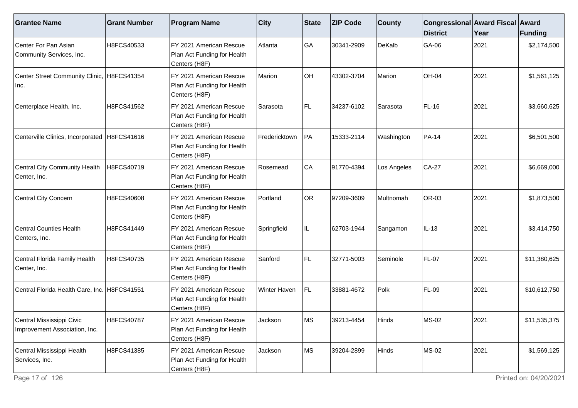| <b>Grantee Name</b>                                        | <b>Grant Number</b> | <b>Program Name</b>                                                     | $ $ City            | State     | <b>ZIP Code</b> | <b>County</b> | Congressional Award Fiscal Award<br><b>District</b> | Year | <b>Funding</b> |
|------------------------------------------------------------|---------------------|-------------------------------------------------------------------------|---------------------|-----------|-----------------|---------------|-----------------------------------------------------|------|----------------|
| Center For Pan Asian<br>Community Services, Inc.           | H8FCS40533          | FY 2021 American Rescue<br>Plan Act Funding for Health<br>Centers (H8F) | Atlanta             | GA        | 30341-2909      | DeKalb        | GA-06                                               | 2021 | \$2,174,500    |
| Center Street Community Clinic, H8FCS41354<br>Inc.         |                     | FY 2021 American Rescue<br>Plan Act Funding for Health<br>Centers (H8F) | Marion              | OH        | 43302-3704      | Marion        | OH-04                                               | 2021 | \$1,561,125    |
| Centerplace Health, Inc.                                   | H8FCS41562          | FY 2021 American Rescue<br>Plan Act Funding for Health<br>Centers (H8F) | Sarasota            | FL.       | 34237-6102      | Sarasota      | <b>FL-16</b>                                        | 2021 | \$3,660,625    |
| Centerville Clinics, Incorporated   H8FCS41616             |                     | FY 2021 American Rescue<br>Plan Act Funding for Health<br>Centers (H8F) | Fredericktown       | PA        | 15333-2114      | Washington    | <b>PA-14</b>                                        | 2021 | \$6,501,500    |
| Central City Community Health<br>Center, Inc.              | H8FCS40719          | FY 2021 American Rescue<br>Plan Act Funding for Health<br>Centers (H8F) | Rosemead            | CA        | 91770-4394      | Los Angeles   | <b>CA-27</b>                                        | 2021 | \$6,669,000    |
| Central City Concern                                       | H8FCS40608          | FY 2021 American Rescue<br>Plan Act Funding for Health<br>Centers (H8F) | Portland            | <b>OR</b> | 97209-3609      | Multnomah     | OR-03                                               | 2021 | \$1,873,500    |
| <b>Central Counties Health</b><br>Centers, Inc.            | H8FCS41449          | FY 2021 American Rescue<br>Plan Act Funding for Health<br>Centers (H8F) | Springfield         | IL.       | 62703-1944      | Sangamon      | IL-13                                               | 2021 | \$3,414,750    |
| Central Florida Family Health<br>Center, Inc.              | H8FCS40735          | FY 2021 American Rescue<br>Plan Act Funding for Health<br>Centers (H8F) | Sanford             | FL.       | 32771-5003      | Seminole      | <b>FL-07</b>                                        | 2021 | \$11,380,625   |
| Central Florida Health Care, Inc.   H8FCS41551             |                     | FY 2021 American Rescue<br>Plan Act Funding for Health<br>Centers (H8F) | <b>Winter Haven</b> | FL.       | 33881-4672      | Polk          | <b>FL-09</b>                                        | 2021 | \$10,612,750   |
| Central Mississippi Civic<br>Improvement Association, Inc. | H8FCS40787          | FY 2021 American Rescue<br>Plan Act Funding for Health<br>Centers (H8F) | Jackson             | <b>MS</b> | 39213-4454      | Hinds         | <b>MS-02</b>                                        | 2021 | \$11,535,375   |
| Central Mississippi Health<br>Services, Inc.               | H8FCS41385          | FY 2021 American Rescue<br>Plan Act Funding for Health<br>Centers (H8F) | Jackson             | ∣MS       | 39204-2899      | Hinds         | <b>MS-02</b>                                        | 2021 | \$1,569,125    |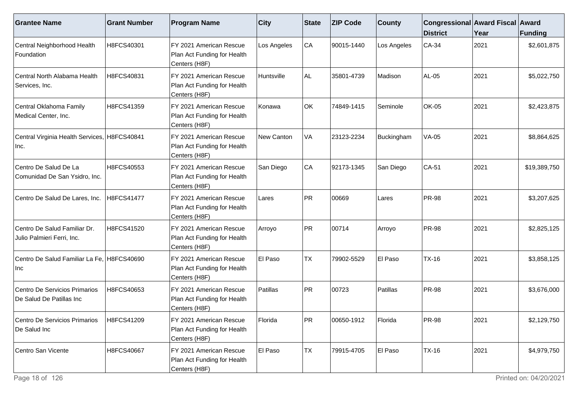| <b>Grantee Name</b>                                        | <b>Grant Number</b> | <b>Program Name</b>                                                      | <b>City</b> | State     | <b>ZIP Code</b> | <b>County</b> | Congressional Award Fiscal Award<br><b>District</b> | Year | Funding      |
|------------------------------------------------------------|---------------------|--------------------------------------------------------------------------|-------------|-----------|-----------------|---------------|-----------------------------------------------------|------|--------------|
| Central Neighborhood Health<br>Foundation                  | H8FCS40301          | FY 2021 American Rescue<br>Plan Act Funding for Health<br>Centers (H8F)  | Los Angeles | CA        | 90015-1440      | Los Angeles   | $CA-34$                                             | 2021 | \$2,601,875  |
| Central North Alabama Health<br>Services, Inc.             | H8FCS40831          | FY 2021 American Rescue<br>Plan Act Funding for Health<br>Centers (H8F)  | Huntsville  | AL        | 35801-4739      | Madison       | AL-05                                               | 2021 | \$5,022,750  |
| Central Oklahoma Family<br>Medical Center, Inc.            | H8FCS41359          | FY 2021 American Rescue<br>Plan Act Funding for Health<br>Centers (H8F)  | Konawa      | OK        | 74849-1415      | Seminole      | OK-05                                               | 2021 | \$2,423,875  |
| Central Virginia Health Services, H8FCS40841<br>Inc.       |                     | FY 2021 American Rescue<br>Plan Act Funding for Health<br>Centers (H8F)  | New Canton  | VA        | 23123-2234      | Buckingham    | <b>VA-05</b>                                        | 2021 | \$8,864,625  |
| Centro De Salud De La<br>Comunidad De San Ysidro, Inc.     | H8FCS40553          | FY 2021 American Rescue<br>Plan Act Funding for Health<br>Centers (H8F)  | San Diego   | CA        | 92173-1345      | San Diego     | CA-51                                               | 2021 | \$19,389,750 |
| Centro De Salud De Lares, Inc.                             | H8FCS41477          | FY 2021 American Rescue<br>Plan Act Funding for Health<br>Centers (H8F)  | Lares       | PR)       | 00669           | Lares         | <b>PR-98</b>                                        | 2021 | \$3,207,625  |
| Centro De Salud Familiar Dr.<br>Julio Palmieri Ferri, Inc. | H8FCS41520          | FY 2021 American Rescue<br>Plan Act Funding for Health<br>Centers (H8F)  | Arroyo      | PR        | 00714           | Arroyo        | <b>PR-98</b>                                        | 2021 | \$2,825,125  |
| Centro De Salud Familiar La Fe, H8FCS40690<br>Inc          |                     | FY 2021 American Rescue<br>Plan Act Funding for Health<br>Centers (H8F)  | El Paso     | <b>TX</b> | 79902-5529      | El Paso       | $TX-16$                                             | 2021 | \$3,858,125  |
| Centro De Servicios Primarios<br>De Salud De Patillas Inc  | H8FCS40653          | IFY 2021 American Rescue<br>Plan Act Funding for Health<br>Centers (H8F) | Patillas    | PR)       | 00723           | Patillas      | <b>PR-98</b>                                        | 2021 | \$3,676,000  |
| Centro De Servicios Primarios<br>De Salud Inc              | H8FCS41209          | FY 2021 American Rescue<br>Plan Act Funding for Health<br>Centers (H8F)  | Florida     | PR        | 00650-1912      | Florida       | <b>PR-98</b>                                        | 2021 | \$2,129,750  |
| Centro San Vicente                                         | H8FCS40667          | FY 2021 American Rescue<br>Plan Act Funding for Health<br>Centers (H8F)  | El Paso     | <b>TX</b> | 79915-4705      | El Paso       | <b>TX-16</b>                                        | 2021 | \$4,979,750  |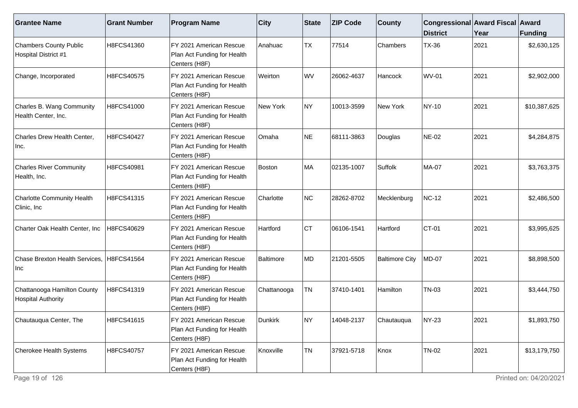| <b>Grantee Name</b>                                      | <b>Grant Number</b> | <b>Program Name</b>                                                      | $ $ City    | <b>State</b>    | <b>ZIP Code</b> | <b>County</b>         | Congressional Award Fiscal Award<br><b>District</b> | Year | <b>Funding</b> |
|----------------------------------------------------------|---------------------|--------------------------------------------------------------------------|-------------|-----------------|-----------------|-----------------------|-----------------------------------------------------|------|----------------|
| <b>Chambers County Public</b><br>Hospital District #1    | H8FCS41360          | FY 2021 American Rescue<br>Plan Act Funding for Health<br>Centers (H8F)  | l Anahuac   | <b>TX</b>       | 77514           | Chambers              | <b>TX-36</b>                                        | 2021 | \$2,630,125    |
| Change, Incorporated                                     | H8FCS40575          | FY 2021 American Rescue<br>Plan Act Funding for Health<br>Centers (H8F)  | Weirton     | WV              | 26062-4637      | Hancock               | <b>WV-01</b>                                        | 2021 | \$2,902,000    |
| Charles B. Wang Community<br>Health Center, Inc.         | H8FCS41000          | FY 2021 American Rescue<br>Plan Act Funding for Health<br>Centers (H8F)  | New York    | NY)             | 10013-3599      | New York              | NY-10                                               | 2021 | \$10,387,625   |
| Charles Drew Health Center,<br>Inc.                      | H8FCS40427          | FY 2021 American Rescue<br>Plan Act Funding for Health<br>Centers (H8F)  | Omaha       | NE              | 68111-3863      | Douglas               | NE-02                                               | 2021 | \$4,284,875    |
| <b>Charles River Community</b><br>Health, Inc.           | H8FCS40981          | FY 2021 American Rescue<br>Plan Act Funding for Health<br>Centers (H8F)  | Boston      | MA              | 02135-1007      | Suffolk               | MA-07                                               | 2021 | \$3,763,375    |
| <b>Charlotte Community Health</b><br>Clinic, Inc         | H8FCS41315          | IFY 2021 American Rescue<br>Plan Act Funding for Health<br>Centers (H8F) | Charlotte   | NC              | 28262-8702      | Mecklenburg           | NC-12                                               | 2021 | \$2,486,500    |
| Charter Oak Health Center, Inc                           | H8FCS40629          | FY 2021 American Rescue<br>Plan Act Funding for Health<br>Centers (H8F)  | Hartford    | CT              | 06106-1541      | Hartford              | CT-01                                               | 2021 | \$3,995,625    |
| Chase Brexton Health Services, H8FCS41564<br>Inc         |                     | FY 2021 American Rescue<br>Plan Act Funding for Health<br>Centers (H8F)  | Baltimore   | MD              | 21201-5505      | <b>Baltimore City</b> | <b>MD-07</b>                                        | 2021 | \$8,898,500    |
| Chattanooga Hamilton County<br><b>Hospital Authority</b> | H8FCS41319          | FY 2021 American Rescue<br>Plan Act Funding for Health<br>Centers (H8F)  | Chattanooga | TN              | 37410-1401      | Hamilton              | <b>TN-03</b>                                        | 2021 | \$3,444,750    |
| Chautauqua Center, The                                   | H8FCS41615          | FY 2021 American Rescue<br>Plan Act Funding for Health<br>Centers (H8F)  | Dunkirk     | NY)             | 14048-2137      | Chautauqua            | <b>NY-23</b>                                        | 2021 | \$1,893,750    |
| Cherokee Health Systems                                  | H8FCS40757          | FY 2021 American Rescue<br>Plan Act Funding for Health<br>Centers (H8F)  | Knoxville   | $ \textsf{TN} $ | 37921-5718      | Knox                  | <b>TN-02</b>                                        | 2021 | \$13,179,750   |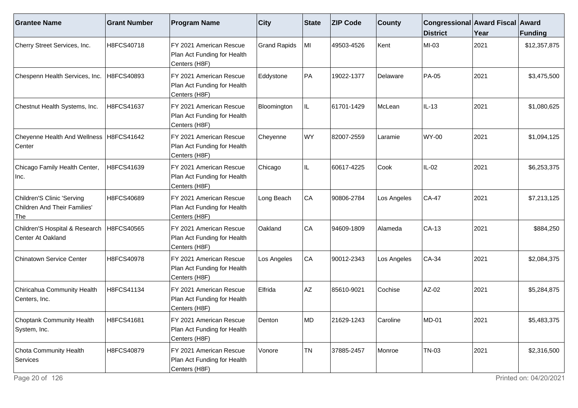| <b>Grantee Name</b>                                               | <b>Grant Number</b> | <b>Program Name</b>                                                     | <b>City</b>         | <b>State</b> | <b>ZIP Code</b> | <b>County</b> | Congressional Award Fiscal Award<br><b>District</b> | Year | Funding      |
|-------------------------------------------------------------------|---------------------|-------------------------------------------------------------------------|---------------------|--------------|-----------------|---------------|-----------------------------------------------------|------|--------------|
| Cherry Street Services, Inc.                                      | H8FCS40718          | FY 2021 American Rescue<br>Plan Act Funding for Health<br>Centers (H8F) | <b>Grand Rapids</b> | MI           | 49503-4526      | Kent          | MI-03                                               | 2021 | \$12,357,875 |
| Chespenn Health Services, Inc.                                    | H8FCS40893          | FY 2021 American Rescue<br>Plan Act Funding for Health<br>Centers (H8F) | Eddystone           | PA           | 19022-1377      | Delaware      | <b>PA-05</b>                                        | 2021 | \$3,475,500  |
| Chestnut Health Systems, Inc.                                     | H8FCS41637          | FY 2021 American Rescue<br>Plan Act Funding for Health<br>Centers (H8F) | Bloomington         | IL.          | 61701-1429      | McLean        | $IL-13$                                             | 2021 | \$1,080,625  |
| Cheyenne Health And Wellness   H8FCS41642<br>Center               |                     | FY 2021 American Rescue<br>Plan Act Funding for Health<br>Centers (H8F) | Cheyenne            | WY           | 82007-2559      | Laramie       | <b>WY-00</b>                                        | 2021 | \$1,094,125  |
| Chicago Family Health Center,<br>Inc.                             | H8FCS41639          | FY 2021 American Rescue<br>Plan Act Funding for Health<br>Centers (H8F) | Chicago             | IL           | 60617-4225      | Cook          | $IL-02$                                             | 2021 | \$6,253,375  |
| Children'S Clinic 'Serving<br>Children And Their Families'<br>The | H8FCS40689          | FY 2021 American Rescue<br>Plan Act Funding for Health<br>Centers (H8F) | Long Beach          | CA           | 90806-2784      | Los Angeles   | <b>CA-47</b>                                        | 2021 | \$7,213,125  |
| Children'S Hospital & Research<br>Center At Oakland               | H8FCS40565          | FY 2021 American Rescue<br>Plan Act Funding for Health<br>Centers (H8F) | Oakland             | CA           | 94609-1809      | Alameda       | CA-13                                               | 2021 | \$884,250    |
| Chinatown Service Center                                          | H8FCS40978          | FY 2021 American Rescue<br>Plan Act Funding for Health<br>Centers (H8F) | Los Angeles         | CA           | 90012-2343      | Los Angeles   | CA-34                                               | 2021 | \$2,084,375  |
| Chiricahua Community Health<br>Centers, Inc.                      | H8FCS41134          | FY 2021 American Rescue<br>Plan Act Funding for Health<br>Centers (H8F) | Elfrida             | AZ           | 85610-9021      | Cochise       | AZ-02                                               | 2021 | \$5,284,875  |
| Choptank Community Health<br>System, Inc.                         | H8FCS41681          | FY 2021 American Rescue<br>Plan Act Funding for Health<br>Centers (H8F) | Denton              | lMD.         | 21629-1243      | Caroline      | <b>MD-01</b>                                        | 2021 | \$5,483,375  |
| Chota Community Health<br>Services                                | H8FCS40879          | FY 2021 American Rescue<br>Plan Act Funding for Health<br>Centers (H8F) | Vonore              | <b>TN</b>    | 37885-2457      | Monroe        | <b>TN-03</b>                                        | 2021 | \$2,316,500  |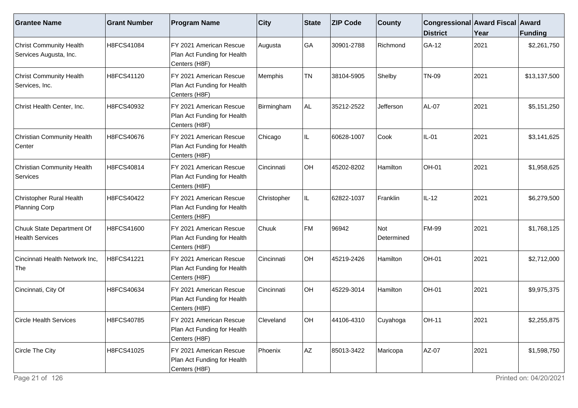| <b>Grantee Name</b>                                      | <b>Grant Number</b> | <b>Program Name</b>                                                     | $ $ City    | State | <b>ZIP Code</b> | <b>County</b>     | <b>Congressional Award Fiscal Award</b><br><b>District</b> | Year | Funding      |
|----------------------------------------------------------|---------------------|-------------------------------------------------------------------------|-------------|-------|-----------------|-------------------|------------------------------------------------------------|------|--------------|
| <b>Christ Community Health</b><br>Services Augusta, Inc. | H8FCS41084          | FY 2021 American Rescue<br>Plan Act Funding for Health<br>Centers (H8F) | Augusta     | GA    | 30901-2788      | Richmond          | GA-12                                                      | 2021 | \$2,261,750  |
| <b>Christ Community Health</b><br>Services, Inc.         | H8FCS41120          | FY 2021 American Rescue<br>Plan Act Funding for Health<br>Centers (H8F) | Memphis     | TN    | 38104-5905      | Shelby            | <b>TN-09</b>                                               | 2021 | \$13,137,500 |
| Christ Health Center, Inc.                               | H8FCS40932          | FY 2021 American Rescue<br>Plan Act Funding for Health<br>Centers (H8F) | Birmingham  | AL.   | 35212-2522      | Jefferson         | <b>AL-07</b>                                               | 2021 | \$5,151,250  |
| Christian Community Health<br>Center                     | H8FCS40676          | FY 2021 American Rescue<br>Plan Act Funding for Health<br>Centers (H8F) | Chicago     | IL.   | 60628-1007      | Cook              | $IL-01$                                                    | 2021 | \$3,141,625  |
| Christian Community Health<br>Services                   | H8FCS40814          | FY 2021 American Rescue<br>Plan Act Funding for Health<br>Centers (H8F) | Cincinnati  | OH    | 45202-8202      | Hamilton          | OH-01                                                      | 2021 | \$1,958,625  |
| Christopher Rural Health<br>Planning Corp                | H8FCS40422          | FY 2021 American Rescue<br>Plan Act Funding for Health<br>Centers (H8F) | Christopher | IL.   | 62822-1037      | Franklin          | $IL-12$                                                    | 2021 | \$6,279,500  |
| Chuuk State Department Of<br><b>Health Services</b>      | H8FCS41600          | FY 2021 American Rescue<br>Plan Act Funding for Health<br>Centers (H8F) | Chuuk       | FM    | 96942           | Not<br>Determined | <b>FM-99</b>                                               | 2021 | \$1,768,125  |
| Cincinnati Health Network Inc,<br>The                    | H8FCS41221          | FY 2021 American Rescue<br>Plan Act Funding for Health<br>Centers (H8F) | Cincinnati  | OH    | 45219-2426      | Hamilton          | OH-01                                                      | 2021 | \$2,712,000  |
| Cincinnati, City Of                                      | H8FCS40634          | FY 2021 American Rescue<br>Plan Act Funding for Health<br>Centers (H8F) | Cincinnati  | OH    | 45229-3014      | Hamilton          | OH-01                                                      | 2021 | \$9,975,375  |
| <b>Circle Health Services</b>                            | H8FCS40785          | FY 2021 American Rescue<br>Plan Act Funding for Health<br>Centers (H8F) | Cleveland   | OH    | 44106-4310      | Cuyahoga          | <b>OH-11</b>                                               | 2021 | \$2,255,875  |
| Circle The City                                          | H8FCS41025          | FY 2021 American Rescue<br>Plan Act Funding for Health<br>Centers (H8F) | Phoenix     | AZ    | 85013-3422      | Maricopa          | AZ-07                                                      | 2021 | \$1,598,750  |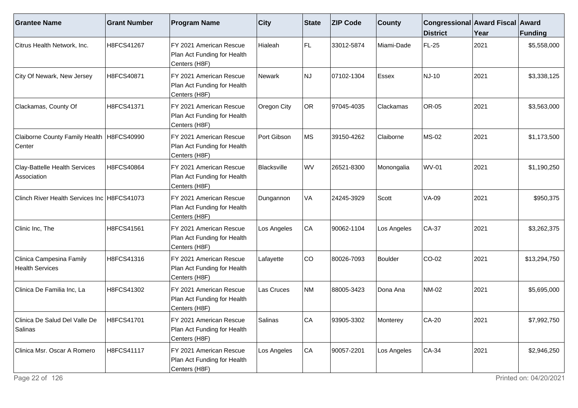| <b>Grantee Name</b>                                   | <b>Grant Number</b> | <b>Program Name</b>                                                     | <b>City</b> | <b>State</b> | <b>ZIP Code</b> | <b>County</b> | Congressional Award Fiscal Award<br><b>District</b> | Year | <b>Funding</b> |
|-------------------------------------------------------|---------------------|-------------------------------------------------------------------------|-------------|--------------|-----------------|---------------|-----------------------------------------------------|------|----------------|
| Citrus Health Network, Inc.                           | H8FCS41267          | FY 2021 American Rescue<br>Plan Act Funding for Health<br>Centers (H8F) | Hialeah     | FL.          | 33012-5874      | Miami-Dade    | FL-25                                               | 2021 | \$5,558,000    |
| City Of Newark, New Jersey                            | H8FCS40871          | FY 2021 American Rescue<br>Plan Act Funding for Health<br>Centers (H8F) | Newark      | <b>NJ</b>    | 07102-1304      | Essex         | NJ-10                                               | 2021 | \$3,338,125    |
| Clackamas, County Of                                  | H8FCS41371          | FY 2021 American Rescue<br>Plan Act Funding for Health<br>Centers (H8F) | Oregon City | OR           | 97045-4035      | Clackamas     | <b>OR-05</b>                                        | 2021 | \$3,563,000    |
| Claiborne County Family Health   H8FCS40990<br>Center |                     | FY 2021 American Rescue<br>Plan Act Funding for Health<br>Centers (H8F) | Port Gibson | <b>MS</b>    | 39150-4262      | Claiborne     | <b>MS-02</b>                                        | 2021 | \$1,173,500    |
| Clay-Battelle Health Services<br>Association          | H8FCS40864          | FY 2021 American Rescue<br>Plan Act Funding for Health<br>Centers (H8F) | Blacksville | <b>WV</b>    | 26521-8300      | Monongalia    | <b>WV-01</b>                                        | 2021 | \$1,190,250    |
| Clinch River Health Services Inc H8FCS41073           |                     | FY 2021 American Rescue<br>Plan Act Funding for Health<br>Centers (H8F) | Dungannon   | VA           | 24245-3929      | Scott         | <b>VA-09</b>                                        | 2021 | \$950,375      |
| Clinic Inc, The                                       | H8FCS41561          | FY 2021 American Rescue<br>Plan Act Funding for Health<br>Centers (H8F) | Los Angeles | CA           | 90062-1104      | Los Angeles   | <b>CA-37</b>                                        | 2021 | \$3,262,375    |
| Clinica Campesina Family<br><b>Health Services</b>    | H8FCS41316          | FY 2021 American Rescue<br>Plan Act Funding for Health<br>Centers (H8F) | Lafayette   | CO           | 80026-7093      | Boulder       | CO-02                                               | 2021 | \$13,294,750   |
| Clinica De Familia Inc, La                            | H8FCS41302          | FY 2021 American Rescue<br>Plan Act Funding for Health<br>Centers (H8F) | Las Cruces  | <b>NM</b>    | 88005-3423      | Dona Ana      | <b>NM-02</b>                                        | 2021 | \$5,695,000    |
| Clinica De Salud Del Valle De<br>Salinas              | H8FCS41701          | FY 2021 American Rescue<br>Plan Act Funding for Health<br>Centers (H8F) | Salinas     | CA           | 93905-3302      | Monterey      | CA-20                                               | 2021 | \$7,992,750    |
| Clinica Msr. Oscar A Romero                           | H8FCS41117          | FY 2021 American Rescue<br>Plan Act Funding for Health<br>Centers (H8F) | Los Angeles | CA           | 90057-2201      | Los Angeles   | $CA-34$                                             | 2021 | \$2,946,250    |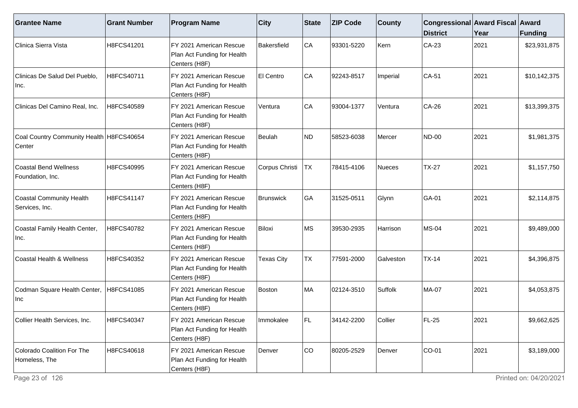| <b>Grantee Name</b>                                | <b>Grant Number</b> | <b>Program Name</b>                                                     | <b>City</b>       | <b>State</b> | <b>ZIP Code</b> | <b>County</b> | Congressional Award Fiscal Award<br><b>District</b> | Year | Funding      |
|----------------------------------------------------|---------------------|-------------------------------------------------------------------------|-------------------|--------------|-----------------|---------------|-----------------------------------------------------|------|--------------|
| Clinica Sierra Vista                               | H8FCS41201          | FY 2021 American Rescue<br>Plan Act Funding for Health<br>Centers (H8F) | Bakersfield       | CA           | 93301-5220      | Kern          | CA-23                                               | 2021 | \$23,931,875 |
| Clinicas De Salud Del Pueblo,<br>Inc.              | H8FCS40711          | FY 2021 American Rescue<br>Plan Act Funding for Health<br>Centers (H8F) | El Centro         | CA           | 92243-8517      | Imperial      | $CA-51$                                             | 2021 | \$10,142,375 |
| Clinicas Del Camino Real, Inc.                     | H8FCS40589          | FY 2021 American Rescue<br>Plan Act Funding for Health<br>Centers (H8F) | Ventura           | CA           | 93004-1377      | Ventura       | CA-26                                               | 2021 | \$13,399,375 |
| Coal Country Community Health H8FCS40654<br>Center |                     | FY 2021 American Rescue<br>Plan Act Funding for Health<br>Centers (H8F) | Beulah            | ND)          | 58523-6038      | Mercer        | <b>ND-00</b>                                        | 2021 | \$1,981,375  |
| <b>Coastal Bend Wellness</b><br>Foundation, Inc.   | H8FCS40995          | FY 2021 American Rescue<br>Plan Act Funding for Health<br>Centers (H8F) | Corpus Christi    | TX           | 78415-4106      | <b>Nueces</b> | <b>TX-27</b>                                        | 2021 | \$1,157,750  |
| Coastal Community Health<br>Services, Inc.         | H8FCS41147          | FY 2021 American Rescue<br>Plan Act Funding for Health<br>Centers (H8F) | <b>Brunswick</b>  | GA           | 31525-0511      | Glynn         | GA-01                                               | 2021 | \$2,114,875  |
| Coastal Family Health Center,<br>Inc.              | H8FCS40782          | FY 2021 American Rescue<br>Plan Act Funding for Health<br>Centers (H8F) | Biloxi            | ∣MS          | 39530-2935      | Harrison      | <b>MS-04</b>                                        | 2021 | \$9,489,000  |
| Coastal Health & Wellness                          | H8FCS40352          | FY 2021 American Rescue<br>Plan Act Funding for Health<br>Centers (H8F) | <b>Texas City</b> | <b>TX</b>    | 77591-2000      | Galveston     | $TX-14$                                             | 2021 | \$4,396,875  |
| Codman Square Health Center,<br>Inc                | H8FCS41085          | FY 2021 American Rescue<br>Plan Act Funding for Health<br>Centers (H8F) | Boston            | MA           | 02124-3510      | Suffolk       | <b>MA-07</b>                                        | 2021 | \$4,053,875  |
| Collier Health Services, Inc.                      | H8FCS40347          | FY 2021 American Rescue<br>Plan Act Funding for Health<br>Centers (H8F) | Immokalee         | l Fl         | 34142-2200      | Collier       | FL-25                                               | 2021 | \$9,662,625  |
| Colorado Coalition For The<br>Homeless, The        | H8FCS40618          | FY 2021 American Rescue<br>Plan Act Funding for Health<br>Centers (H8F) | Denver            | ∣co          | 80205-2529      | Denver        | $CO-01$                                             | 2021 | \$3,189,000  |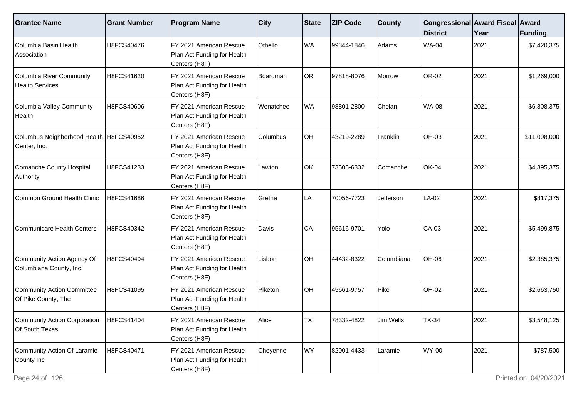| <b>Grantee Name</b>                                         | <b>Grant Number</b> | <b>Program Name</b>                                                      | $ $ City  | State | <b>ZIP Code</b> | <b>County</b> | Congressional Award Fiscal Award<br><b>District</b> | Year | Funding      |
|-------------------------------------------------------------|---------------------|--------------------------------------------------------------------------|-----------|-------|-----------------|---------------|-----------------------------------------------------|------|--------------|
| Columbia Basin Health<br>Association                        | H8FCS40476          | FY 2021 American Rescue<br>Plan Act Funding for Health<br>Centers (H8F)  | Othello   | WA    | 99344-1846      | Adams         | <b>WA-04</b>                                        | 2021 | \$7,420,375  |
| <b>Columbia River Community</b><br><b>Health Services</b>   | H8FCS41620          | FY 2021 American Rescue<br>Plan Act Funding for Health<br>Centers (H8F)  | Boardman  | OR    | 97818-8076      | Morrow        | OR-02                                               | 2021 | \$1,269,000  |
| Columbia Valley Community<br>Health                         | H8FCS40606          | FY 2021 American Rescue<br>Plan Act Funding for Health<br>Centers (H8F)  | Wenatchee | WA    | 98801-2800      | Chelan        | <b>WA-08</b>                                        | 2021 | \$6,808,375  |
| Columbus Neighborhood Health H8FCS40952<br>Center, Inc.     |                     | FY 2021 American Rescue<br>Plan Act Funding for Health<br>Centers (H8F)  | Columbus  | OH    | 43219-2289      | Franklin      | OH-03                                               | 2021 | \$11,098,000 |
| Comanche County Hospital<br>Authority                       | H8FCS41233          | FY 2021 American Rescue<br>Plan Act Funding for Health<br>Centers (H8F)  | Lawton    | OK    | 73505-6332      | Comanche      | <b>OK-04</b>                                        | 2021 | \$4,395,375  |
| Common Ground Health Clinic                                 | H8FCS41686          | IFY 2021 American Rescue<br>Plan Act Funding for Health<br>Centers (H8F) | l Gretna  | LA    | 70056-7723      | Jefferson     | $LA-02$                                             | 2021 | \$817,375    |
| Communicare Health Centers                                  | H8FCS40342          | FY 2021 American Rescue<br>Plan Act Funding for Health<br>Centers (H8F)  | Davis     | CA    | 95616-9701      | Yolo          | CA-03                                               | 2021 | \$5,499,875  |
| Community Action Agency Of<br>Columbiana County, Inc.       | H8FCS40494          | FY 2021 American Rescue<br>Plan Act Funding for Health<br>Centers (H8F)  | Lisbon    | OH    | 44432-8322      | Columbiana    | OH-06                                               | 2021 | \$2,385,375  |
| Community Action Committee<br>Of Pike County, The           | H8FCS41095          | IFY 2021 American Rescue<br>Plan Act Funding for Health<br>Centers (H8F) | Piketon   | OH    | 45661-9757      | Pike          | <b>OH-02</b>                                        | 2021 | \$2,663,750  |
| Community Action Corporation   H8FCS41404<br>Of South Texas |                     | FY 2021 American Rescue<br>Plan Act Funding for Health<br>Centers (H8F)  | Alice     | TX    | 78332-4822      | Jim Wells     | <b>TX-34</b>                                        | 2021 | \$3,548,125  |
| Community Action Of Laramie<br>County Inc                   | H8FCS40471          | FY 2021 American Rescue<br>Plan Act Funding for Health<br>Centers (H8F)  | Cheyenne  | WY    | 82001-4433      | Laramie       | <b>WY-00</b>                                        | 2021 | \$787,500    |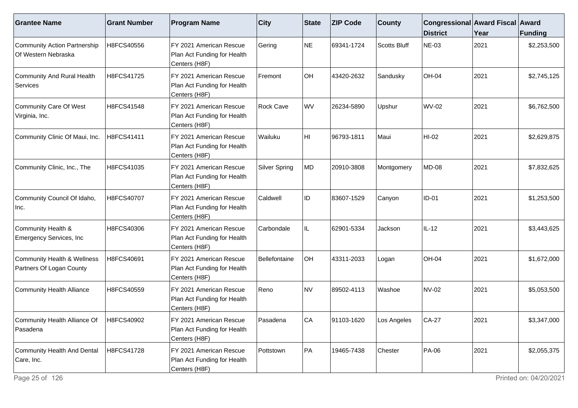| <b>Grantee Name</b>                                     | <b>Grant Number</b> | <b>Program Name</b>                                                      | <b>City</b>          | State     | <b>ZIP Code</b> | <b>County</b> | Congressional Award Fiscal Award<br><b>District</b> | Year | <b>Funding</b> |
|---------------------------------------------------------|---------------------|--------------------------------------------------------------------------|----------------------|-----------|-----------------|---------------|-----------------------------------------------------|------|----------------|
| Community Action Partnership<br>Of Western Nebraska     | H8FCS40556          | FY 2021 American Rescue<br>Plan Act Funding for Health<br>Centers (H8F)  | Gering               | NE        | 69341-1724      | Scotts Bluff  | NE-03                                               | 2021 | \$2,253,500    |
| Community And Rural Health<br>Services                  | H8FCS41725          | FY 2021 American Rescue<br>Plan Act Funding for Health<br>Centers (H8F)  | Fremont              | <b>OH</b> | 43420-2632      | Sandusky      | <b>OH-04</b>                                        | 2021 | \$2,745,125    |
| Community Care Of West<br>Virginia, Inc.                | H8FCS41548          | FY 2021 American Rescue<br>Plan Act Funding for Health<br>Centers (H8F)  | <b>Rock Cave</b>     | WV        | 26234-5890      | Upshur        | WV-02                                               | 2021 | \$6,762,500    |
| Community Clinic Of Maui, Inc.                          | H8FCS41411          | FY 2021 American Rescue<br>Plan Act Funding for Health<br>Centers (H8F)  | Wailuku              | HI        | 96793-1811      | Maui          | HI-02                                               | 2021 | \$2,629,875    |
| Community Clinic, Inc., The                             | H8FCS41035          | FY 2021 American Rescue<br>Plan Act Funding for Health<br>Centers (H8F)  | <b>Silver Spring</b> | MD        | 20910-3808      | Montgomery    | <b>MD-08</b>                                        | 2021 | \$7,832,625    |
| Community Council Of Idaho,<br>Inc.                     | H8FCS40707          | IFY 2021 American Rescue<br>Plan Act Funding for Health<br>Centers (H8F) | Caldwell             | ID        | 83607-1529      | Canyon        | <b>ID-01</b>                                        | 2021 | \$1,253,500    |
| Community Health &<br>Emergency Services, Inc           | H8FCS40306          | FY 2021 American Rescue<br>Plan Act Funding for Health<br>Centers (H8F)  | Carbondale           | IL        | 62901-5334      | Jackson       | IL-12                                               | 2021 | \$3,443,625    |
| Community Health & Wellness<br>Partners Of Logan County | H8FCS40691          | FY 2021 American Rescue<br>Plan Act Funding for Health<br>Centers (H8F)  | Bellefontaine        | <b>OH</b> | 43311-2033      | Logan         | <b>OH-04</b>                                        | 2021 | \$1,672,000    |
| <b>Community Health Alliance</b>                        | H8FCS40559          | IFY 2021 American Rescue<br>Plan Act Funding for Health<br>Centers (H8F) | Reno                 | NV        | 89502-4113      | Washoe        | <b>NV-02</b>                                        | 2021 | \$5,053,500    |
| Community Health Alliance Of<br>Pasadena                | H8FCS40902          | FY 2021 American Rescue<br>Plan Act Funding for Health<br>Centers (H8F)  | Pasadena             | lCA       | 91103-1620      | _os Angeles   | $CA-27$                                             | 2021 | \$3,347,000    |
| Community Health And Dental<br>Care, Inc.               | H8FCS41728          | FY 2021 American Rescue<br>Plan Act Funding for Health<br>Centers (H8F)  | Pottstown            | PA        | 19465-7438      | Chester       | <b>PA-06</b>                                        | 2021 | \$2,055,375    |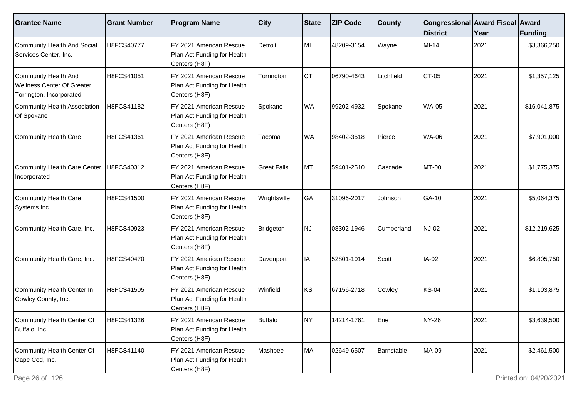| <b>Grantee Name</b>                                                                   | <b>Grant Number</b> | <b>Program Name</b>                                                      | $ $ City           | State | <b>ZIP Code</b> | <b>County</b> | Congressional Award Fiscal Award<br><b>District</b> | Year | Funding      |
|---------------------------------------------------------------------------------------|---------------------|--------------------------------------------------------------------------|--------------------|-------|-----------------|---------------|-----------------------------------------------------|------|--------------|
| Community Health And Social<br>Services Center, Inc.                                  | H8FCS40777          | FY 2021 American Rescue<br>Plan Act Funding for Health<br>Centers (H8F)  | Detroit            | MI    | 48209-3154      | Wayne         | MI-14                                               | 2021 | \$3,366,250  |
| <b>Community Health And</b><br>Wellness Center Of Greater<br>Torrington, Incorporated | H8FCS41051          | FY 2021 American Rescue<br>Plan Act Funding for Health<br>Centers (H8F)  | Torrington         | ∣c⊤   | 06790-4643      | Litchfield    | $CT-05$                                             | 2021 | \$1,357,125  |
| Community Health Association<br>Of Spokane                                            | H8FCS41182          | IFY 2021 American Rescue<br>Plan Act Funding for Health<br>Centers (H8F) | Spokane            | WA    | 99202-4932      | Spokane       | <b>WA-05</b>                                        | 2021 | \$16,041,875 |
| <b>Community Health Care</b>                                                          | H8FCS41361          | FY 2021 American Rescue<br>Plan Act Funding for Health<br>Centers (H8F)  | Tacoma             | WA    | 98402-3518      | Pierce        | <b>WA-06</b>                                        | 2021 | \$7,901,000  |
| Community Health Care Center,<br>Incorporated                                         | H8FCS40312          | FY 2021 American Rescue<br>Plan Act Funding for Health<br>Centers (H8F)  | <b>Great Falls</b> | MT    | 59401-2510      | Cascade       | <b>MT-00</b>                                        | 2021 | \$1,775,375  |
| Community Health Care<br>Systems Inc                                                  | H8FCS41500          | IFY 2021 American Rescue<br>Plan Act Funding for Health<br>Centers (H8F) | Wrightsville       | GA    | 31096-2017      | Johnson       | GA-10                                               | 2021 | \$5,064,375  |
| Community Health Care, Inc.                                                           | H8FCS40923          | FY 2021 American Rescue<br>Plan Act Funding for Health<br>Centers (H8F)  | Bridgeton          | NJ    | 08302-1946      | Cumberland    | <b>NJ-02</b>                                        | 2021 | \$12,219,625 |
| Community Health Care, Inc.                                                           | H8FCS40470          | FY 2021 American Rescue<br>Plan Act Funding for Health<br>Centers (H8F)  | Davenport          | IA    | 52801-1014      | Scott         | IA-02                                               | 2021 | \$6,805,750  |
| Community Health Center In<br>Cowley County, Inc.                                     | H8FCS41505          | FY 2021 American Rescue<br>Plan Act Funding for Health<br>Centers (H8F)  | Winfield           | ∣ĸs   | 67156-2718      | Cowley        | <b>KS-04</b>                                        | 2021 | \$1,103,875  |
| Community Health Center Of<br>Buffalo, Inc.                                           | H8FCS41326          | FY 2021 American Rescue<br>Plan Act Funding for Health<br>Centers (H8F)  | <b>Buffalo</b>     | INY.  | 14214-1761      | Erie          | <b>NY-26</b>                                        | 2021 | \$3,639,500  |
| Community Health Center Of<br>Cape Cod, Inc.                                          | H8FCS41140          | FY 2021 American Rescue<br>Plan Act Funding for Health<br>Centers (H8F)  | Mashpee            | MA    | 02649-6507      | Barnstable    | MA-09                                               | 2021 | \$2,461,500  |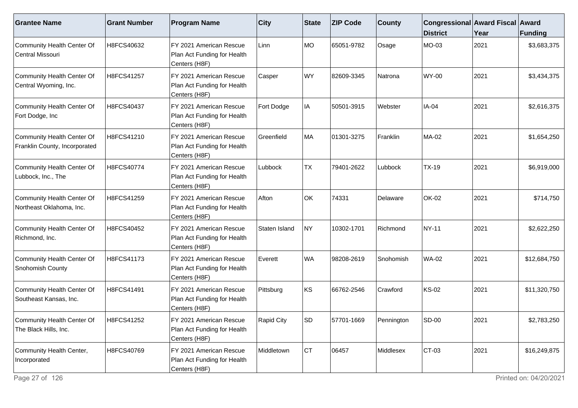| <b>Grantee Name</b>                                         | <b>Grant Number</b> | <b>Program Name</b>                                                      | $ $ City          | State     | <b>ZIP Code</b> | <b>County</b> | Congressional Award Fiscal Award<br><b>District</b> | Year | Funding      |
|-------------------------------------------------------------|---------------------|--------------------------------------------------------------------------|-------------------|-----------|-----------------|---------------|-----------------------------------------------------|------|--------------|
| Community Health Center Of<br>Central Missouri              | H8FCS40632          | FY 2021 American Rescue<br>Plan Act Funding for Health<br>Centers (H8F)  | Linn              | MO        | 65051-9782      | Osage         | MO-03                                               | 2021 | \$3,683,375  |
| Community Health Center Of<br>Central Wyoming, Inc.         | H8FCS41257          | FY 2021 American Rescue<br>Plan Act Funding for Health<br>Centers (H8F)  | Casper            | WY        | 82609-3345      | Natrona       | <b>WY-00</b>                                        | 2021 | \$3,434,375  |
| Community Health Center Of<br>Fort Dodge, Inc               | H8FCS40437          | IFY 2021 American Rescue<br>Plan Act Funding for Health<br>Centers (H8F) | Fort Dodge        | IA        | 50501-3915      | Webster       | IA-04                                               | 2021 | \$2,616,375  |
| Community Health Center Of<br>Franklin County, Incorporated | H8FCS41210          | FY 2021 American Rescue<br>Plan Act Funding for Health<br>Centers (H8F)  | Greenfield        | MA        | 01301-3275      | Franklin      | MA-02                                               | 2021 | \$1,654,250  |
| Community Health Center Of<br>Lubbock, Inc., The            | H8FCS40774          | FY 2021 American Rescue<br>Plan Act Funding for Health<br>Centers (H8F)  | Lubbock           | <b>TX</b> | 79401-2622      | Lubbock       | <b>TX-19</b>                                        | 2021 | \$6,919,000  |
| Community Health Center Of<br>Northeast Oklahoma, Inc.      | H8FCS41259          | FY 2021 American Rescue<br>Plan Act Funding for Health<br>Centers (H8F)  | Afton             | OK        | 74331           | Delaware      | <b>OK-02</b>                                        | 2021 | \$714,750    |
| Community Health Center Of<br>Richmond, Inc.                | H8FCS40452          | FY 2021 American Rescue<br>Plan Act Funding for Health<br>Centers (H8F)  | Staten Island     | NY)       | 10302-1701      | Richmond      | NY-11                                               | 2021 | \$2,622,250  |
| Community Health Center Of<br>Snohomish County              | H8FCS41173          | FY 2021 American Rescue<br>Plan Act Funding for Health<br>Centers (H8F)  | Everett           | WA        | 98208-2619      | Snohomish     | <b>WA-02</b>                                        | 2021 | \$12,684,750 |
| Community Health Center Of<br>Southeast Kansas, Inc.        | H8FCS41491          | FY 2021 American Rescue<br>Plan Act Funding for Health<br>Centers (H8F)  | Pittsburg         | ∣ĸs       | 66762-2546      | Crawford      | <b>KS-02</b>                                        | 2021 | \$11,320,750 |
| Community Health Center Of<br>The Black Hills, Inc.         | H8FCS41252          | FY 2021 American Rescue<br>Plan Act Funding for Health<br>Centers (H8F)  | <b>Rapid City</b> | ISD.      | 57701-1669      | Pennington    | <b>SD-00</b>                                        | 2021 | \$2,783,250  |
| Community Health Center,<br>Incorporated                    | H8FCS40769          | FY 2021 American Rescue<br>Plan Act Funding for Health<br>Centers (H8F)  | Middletown        | CT        | 06457           | Middlesex     | $CT-03$                                             | 2021 | \$16,249,875 |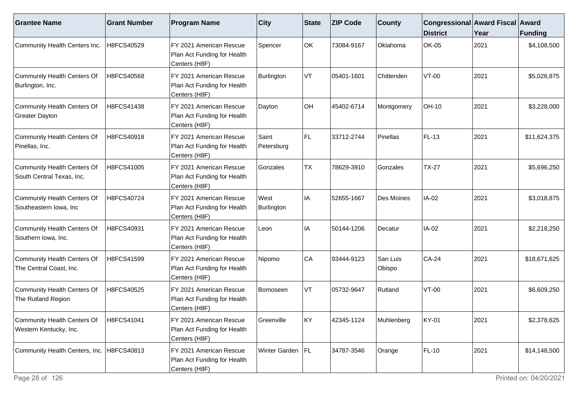| <b>Grantee Name</b>                                      | <b>Grant Number</b> | <b>Program Name</b>                                                     | $ $ City            | <b>State</b> | <b>ZIP Code</b> | <b>County</b>      | Congressional Award Fiscal Award<br><b>District</b> | Year | <b>Funding</b> |
|----------------------------------------------------------|---------------------|-------------------------------------------------------------------------|---------------------|--------------|-----------------|--------------------|-----------------------------------------------------|------|----------------|
| Community Health Centers Inc.                            | H8FCS40529          | FY 2021 American Rescue<br>Plan Act Funding for Health<br>Centers (H8F) | Spencer             | OK           | 73084-9167      | Oklahoma           | <b>OK-05</b>                                        | 2021 | \$4,108,500    |
| Community Health Centers Of<br>Burlington, Inc.          | H8FCS40568          | FY 2021 American Rescue<br>Plan Act Funding for Health<br>Centers (H8F) | Burlington          | VT           | 05401-1601      | Chittenden         | $VT-00$                                             | 2021 | \$5,026,875    |
| Community Health Centers Of<br><b>Greater Dayton</b>     | H8FCS41438          | FY 2021 American Rescue<br>Plan Act Funding for Health<br>Centers (H8F) | Dayton              | OH           | 45402-6714      | Montgomery         | OH-10                                               | 2021 | \$3,228,000    |
| Community Health Centers Of<br>Pinellas, Inc.            | H8FCS40918          | FY 2021 American Rescue<br>Plan Act Funding for Health<br>Centers (H8F) | Saint<br>Petersburg | FL.          | 33712-2744      | Pinellas           | FL-13                                               | 2021 | \$11,624,375   |
| Community Health Centers Of<br>South Central Texas, Inc. | H8FCS41005          | FY 2021 American Rescue<br>Plan Act Funding for Health<br>Centers (H8F) | Gonzales            | TX           | 78629-3910      | Gonzales           | <b>TX-27</b>                                        | 2021 | \$5,696,250    |
| Community Health Centers Of<br>Southeastern lowa, Inc    | H8FCS40724          | FY 2021 American Rescue<br>Plan Act Funding for Health<br>Centers (H8F) | West<br>Burlington  | IA           | 52655-1667      | Des Moines         | IA-02                                               | 2021 | \$3,018,875    |
| Community Health Centers Of<br>Southern Iowa, Inc.       | H8FCS40931          | FY 2021 American Rescue<br>Plan Act Funding for Health<br>Centers (H8F) | Leon                | IA           | 50144-1206      | Decatur            | IA-02                                               | 2021 | \$2,218,250    |
| Community Health Centers Of<br>The Central Coast, Inc.   | H8FCS41599          | FY 2021 American Rescue<br>Plan Act Funding for Health<br>Centers (H8F) | Nipomo              | CA           | 93444-9123      | San Luis<br>Obispo | $CA-24$                                             | 2021 | \$18,671,625   |
| Community Health Centers Of<br>The Rutland Region        | H8FCS40525          | FY 2021 American Rescue<br>Plan Act Funding for Health<br>Centers (H8F) | Bomoseen            | VT           | 05732-9647      | Rutland            | $VT-00$                                             | 2021 | \$6,609,250    |
| Community Health Centers Of<br>Western Kentucky, Inc.    | H8FCS41041          | FY 2021 American Rescue<br>Plan Act Funding for Health<br>Centers (H8F) | Greenville          | <b>KY</b>    | 42345-1124      | Muhlenberg         | <b>KY-01</b>                                        | 2021 | \$2,378,625    |
| Community Health Centers, Inc.   H8FCS40813              |                     | FY 2021 American Rescue<br>Plan Act Funding for Health<br>Centers (H8F) | Winter Garden   FL  |              | 34787-3546      | Orange             | FL-10                                               | 2021 | \$14,148,500   |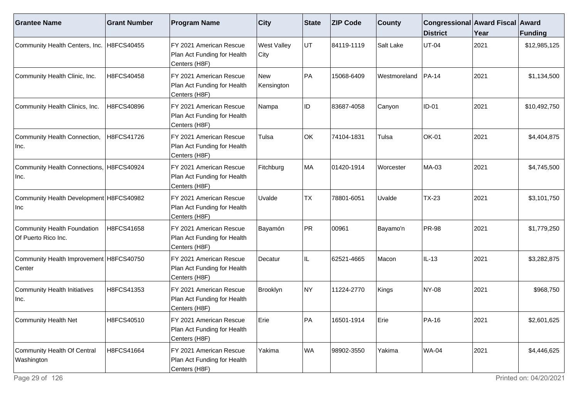| <b>Grantee Name</b>                                | <b>Grant Number</b> | <b>Program Name</b>                                                     | <b>City</b>                | <b>State</b> | <b>ZIP Code</b> | <b>County</b> | Congressional Award Fiscal Award<br><b>District</b> | Year | Funding      |
|----------------------------------------------------|---------------------|-------------------------------------------------------------------------|----------------------------|--------------|-----------------|---------------|-----------------------------------------------------|------|--------------|
| Community Health Centers, Inc. H8FCS40455          |                     | FY 2021 American Rescue<br>Plan Act Funding for Health<br>Centers (H8F) | <b>West Valley</b><br>City | UT           | 84119-1119      | Salt Lake     | <b>UT-04</b>                                        | 2021 | \$12,985,125 |
| Community Health Clinic, Inc.                      | H8FCS40458          | FY 2021 American Rescue<br>Plan Act Funding for Health<br>Centers (H8F) | New<br>Kensington          | PA           | 15068-6409      | Westmoreland  | <b>PA-14</b>                                        | 2021 | \$1,134,500  |
| Community Health Clinics, Inc.                     | H8FCS40896          | FY 2021 American Rescue<br>Plan Act Funding for Health<br>Centers (H8F) | Nampa                      | ID           | 83687-4058      | Canyon        | $ID-01$                                             | 2021 | \$10,492,750 |
| Community Health Connection,<br>Inc.               | H8FCS41726          | FY 2021 American Rescue<br>Plan Act Funding for Health<br>Centers (H8F) | Tulsa                      | OK           | 74104-1831      | Tulsa         | OK-01                                               | 2021 | \$4,404,875  |
| Community Health Connections, H8FCS40924<br> Inc.  |                     | FY 2021 American Rescue<br>Plan Act Funding for Health<br>Centers (H8F) | Fitchburg                  | MA           | 01420-1914      | Worcester     | MA-03                                               | 2021 | \$4,745,500  |
| Community Health Development   H8FCS40982<br>Inc   |                     | FY 2021 American Rescue<br>Plan Act Funding for Health<br>Centers (H8F) | Uvalde                     | <b>TX</b>    | 78801-6051      | Uvalde        | <b>TX-23</b>                                        | 2021 | \$3,101,750  |
| Community Health Foundation<br>Of Puerto Rico Inc. | H8FCS41658          | FY 2021 American Rescue<br>Plan Act Funding for Health<br>Centers (H8F) | Bayamón                    | PR           | 00961           | Bayamo'n      | <b>PR-98</b>                                        | 2021 | \$1,779,250  |
| Community Health Improvement H8FCS40750<br>Center  |                     | FY 2021 American Rescue<br>Plan Act Funding for Health<br>Centers (H8F) | Decatur                    | IL           | 62521-4665      | Macon         | $IL-13$                                             | 2021 | \$3,282,875  |
| Community Health Initiatives<br> Inc.              | H8FCS41353          | FY 2021 American Rescue<br>Plan Act Funding for Health<br>Centers (H8F) | Brooklyn                   | NY)          | 11224-2770      | Kings         | <b>NY-08</b>                                        | 2021 | \$968,750    |
| Community Health Net                               | H8FCS40510          | FY 2021 American Rescue<br>Plan Act Funding for Health<br>Centers (H8F) | Erie                       | PA           | 16501-1914      | <b>E</b> rie  | PA-16                                               | 2021 | \$2,601,625  |
| Community Health Of Central<br>Washington          | H8FCS41664          | FY 2021 American Rescue<br>Plan Act Funding for Health<br>Centers (H8F) | Yakima                     | WA           | 98902-3550      | Yakima        | <b>WA-04</b>                                        | 2021 | \$4,446,625  |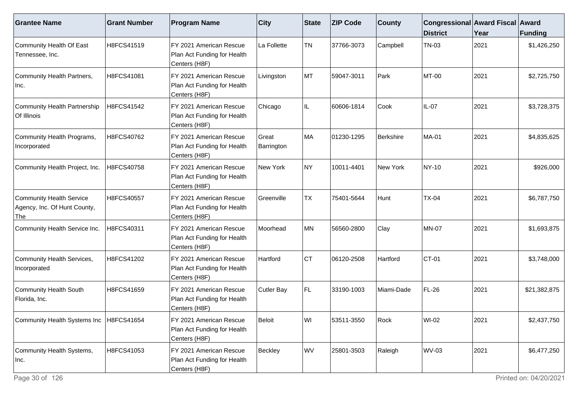| <b>Grantee Name</b>                                             | <b>Grant Number</b> | <b>Program Name</b>                                                     | <b>City</b>         | <b>State</b> | <b>ZIP Code</b> | <b>County</b> | Congressional Award Fiscal Award<br><b>District</b> | Year | <b>Funding</b> |
|-----------------------------------------------------------------|---------------------|-------------------------------------------------------------------------|---------------------|--------------|-----------------|---------------|-----------------------------------------------------|------|----------------|
| Community Health Of East<br>Tennessee, Inc.                     | H8FCS41519          | FY 2021 American Rescue<br>Plan Act Funding for Health<br>Centers (H8F) | La Follette         | <b>TN</b>    | 37766-3073      | Campbell      | <b>TN-03</b>                                        | 2021 | \$1,426,250    |
| Community Health Partners,<br>Inc.                              | H8FCS41081          | FY 2021 American Rescue<br>Plan Act Funding for Health<br>Centers (H8F) | Livingston          | MT           | 59047-3011      | Park          | MT-00                                               | 2021 | \$2,725,750    |
| Community Health Partnership<br>Of Illinois                     | H8FCS41542          | FY 2021 American Rescue<br>Plan Act Funding for Health<br>Centers (H8F) | Chicago             | IL           | 60606-1814      | Cook          | IL-07                                               | 2021 | \$3,728,375    |
| Community Health Programs,<br>Incorporated                      | H8FCS40762          | FY 2021 American Rescue<br>Plan Act Funding for Health<br>Centers (H8F) | Great<br>Barrington | MA           | 01230-1295      | Berkshire     | <b>MA-01</b>                                        | 2021 | \$4,835,625    |
| Community Health Project, Inc.                                  | H8FCS40758          | FY 2021 American Rescue<br>Plan Act Funding for Health<br>Centers (H8F) | New York            | NY)          | 10011-4401      | New York      | <b>NY-10</b>                                        | 2021 | \$926,000      |
| Community Health Service<br>Agency, Inc. Of Hunt County,<br>The | H8FCS40557          | FY 2021 American Rescue<br>Plan Act Funding for Health<br>Centers (H8F) | l Greenville        | <b>TX</b>    | 75401-5644      | Hunt          | <b>TX-04</b>                                        | 2021 | \$6,787,750    |
| Community Health Service Inc.                                   | H8FCS40311          | FY 2021 American Rescue<br>Plan Act Funding for Health<br>Centers (H8F) | Moorhead            | MN           | 56560-2800      | Clay          | <b>MN-07</b>                                        | 2021 | \$1,693,875    |
| Community Health Services,<br>Incorporated                      | H8FCS41202          | FY 2021 American Rescue<br>Plan Act Funding for Health<br>Centers (H8F) | Hartford            | <b>CT</b>    | 06120-2508      | Hartford      | CT-01                                               | 2021 | \$3,748,000    |
| Community Health South<br>Florida, Inc.                         | H8FCS41659          | FY 2021 American Rescue<br>Plan Act Funding for Health<br>Centers (H8F) | Cutler Bay          | FL.          | 33190-1003      | Miami-Dade    | <b>FL-26</b>                                        | 2021 | \$21,382,875   |
| Community Health Systems Inc   H8FCS41654                       |                     | FY 2021 American Rescue<br>Plan Act Funding for Health<br>Centers (H8F) | <b>Beloit</b>       | WI           | 53511-3550      | Rock          | WI-02                                               | 2021 | \$2,437,750    |
| Community Health Systems,<br>Inc.                               | H8FCS41053          | FY 2021 American Rescue<br>Plan Act Funding for Health<br>Centers (H8F) | Beckley             | <b>WV</b>    | 25801-3503      | Raleigh       | <b>WV-03</b>                                        | 2021 | \$6,477,250    |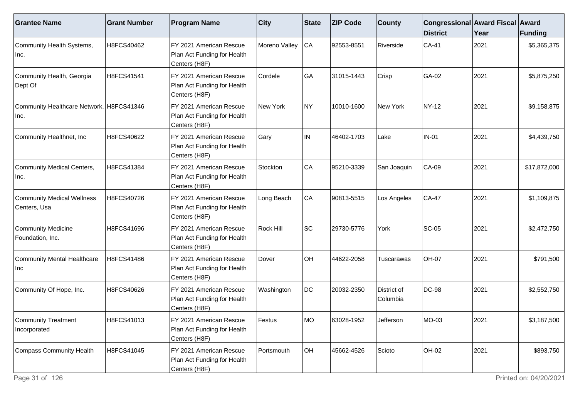| <b>Grantee Name</b>                               | <b>Grant Number</b> | <b>Program Name</b>                                                     | <b>City</b>   | State | <b>ZIP Code</b> | <b>County</b>           | Congressional Award Fiscal Award<br><b>District</b> | Year | Funding      |
|---------------------------------------------------|---------------------|-------------------------------------------------------------------------|---------------|-------|-----------------|-------------------------|-----------------------------------------------------|------|--------------|
| Community Health Systems,<br>Inc.                 | H8FCS40462          | FY 2021 American Rescue<br>Plan Act Funding for Health<br>Centers (H8F) | Moreno Valley | CA    | 92553-8551      | Riverside               | $CA-41$                                             | 2021 | \$5,365,375  |
| Community Health, Georgia<br>Dept Of              | H8FCS41541          | FY 2021 American Rescue<br>Plan Act Funding for Health<br>Centers (H8F) | Cordele       | GA    | 31015-1443      | Crisp                   | GA-02                                               | 2021 | \$5,875,250  |
| Community Healthcare Network, H8FCS41346<br>∣Inc. |                     | FY 2021 American Rescue<br>Plan Act Funding for Health<br>Centers (H8F) | New York      | NY)   | 10010-1600      | New York                | NY-12                                               | 2021 | \$9,158,875  |
| Community Healthnet, Inc                          | H8FCS40622          | FY 2021 American Rescue<br>Plan Act Funding for Health<br>Centers (H8F) | Gary          | IN    | 46402-1703      | Lake                    | <b>IN-01</b>                                        | 2021 | \$4,439,750  |
| Community Medical Centers,<br>Inc.                | H8FCS41384          | FY 2021 American Rescue<br>Plan Act Funding for Health<br>Centers (H8F) | Stockton      | CA    | 95210-3339      | San Joaquin             | <b>CA-09</b>                                        | 2021 | \$17,872,000 |
| Community Medical Wellness<br>Centers, Usa        | H8FCS40726          | FY 2021 American Rescue<br>Plan Act Funding for Health<br>Centers (H8F) | Long Beach    | CA    | 90813-5515      | Los Angeles             | $CA-47$                                             | 2021 | \$1,109,875  |
| Community Medicine<br>Foundation, Inc.            | H8FCS41696          | FY 2021 American Rescue<br>Plan Act Funding for Health<br>Centers (H8F) | Rock Hill     | SC    | 29730-5776      | York                    | <b>SC-05</b>                                        | 2021 | \$2,472,750  |
| Community Mental Healthcare<br>Inc                | H8FCS41486          | FY 2021 American Rescue<br>Plan Act Funding for Health<br>Centers (H8F) | Dover         | OH    | 44622-2058      | Tuscarawas              | <b>OH-07</b>                                        | 2021 | \$791,500    |
| Community Of Hope, Inc.                           | H8FCS40626          | FY 2021 American Rescue<br>Plan Act Funding for Health<br>Centers (H8F) | Washington    | DC    | 20032-2350      | District of<br>Columbia | DC-98                                               | 2021 | \$2,552,750  |
| Community Treatment<br>Incorporated               | H8FCS41013          | FY 2021 American Rescue<br>Plan Act Funding for Health<br>Centers (H8F) | Festus        | IMO.  | 63028-1952      | Jefferson               | MO-03                                               | 2021 | \$3,187,500  |
| Compass Community Health                          | H8FCS41045          | FY 2021 American Rescue<br>Plan Act Funding for Health<br>Centers (H8F) | Portsmouth    | OH    | 45662-4526      | Scioto                  | OH-02                                               | 2021 | \$893,750    |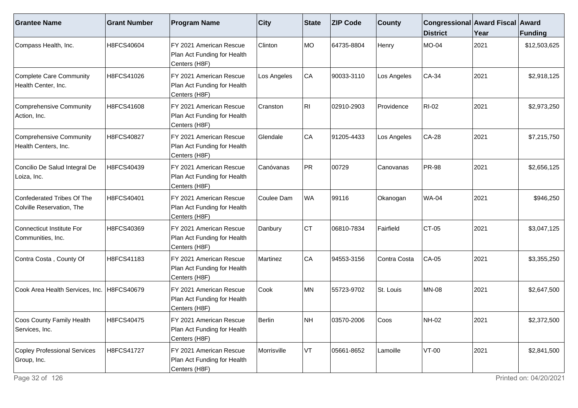| <b>Grantee Name</b>                                     | <b>Grant Number</b> | <b>Program Name</b>                                                      | $ $ City    | State | <b>ZIP Code</b> | <b>County</b> | Congressional Award Fiscal Award<br><b>District</b> | Year | Funding      |
|---------------------------------------------------------|---------------------|--------------------------------------------------------------------------|-------------|-------|-----------------|---------------|-----------------------------------------------------|------|--------------|
| Compass Health, Inc.                                    | H8FCS40604          | FY 2021 American Rescue<br>Plan Act Funding for Health<br>Centers (H8F)  | Clinton     | MO    | 64735-8804      | Henry         | <b>MO-04</b>                                        | 2021 | \$12,503,625 |
| <b>Complete Care Community</b><br>Health Center, Inc.   | H8FCS41026          | FY 2021 American Rescue<br>Plan Act Funding for Health<br>Centers (H8F)  | Los Angeles | CA    | 90033-3110      | Los Angeles   | $CA-34$                                             | 2021 | \$2,918,125  |
| Comprehensive Community<br>Action, Inc.                 | H8FCS41608          | IFY 2021 American Rescue<br>Plan Act Funding for Health<br>Centers (H8F) | Cranston    | RII   | 02910-2903      | Providence    | <b>RI-02</b>                                        | 2021 | \$2,973,250  |
| Comprehensive Community<br>Health Centers, Inc.         | H8FCS40827          | FY 2021 American Rescue<br>Plan Act Funding for Health<br>Centers (H8F)  | Glendale    | CA    | 91205-4433      | Los Angeles   | <b>CA-28</b>                                        | 2021 | \$7,215,750  |
| Concilio De Salud Integral De<br>Loiza, Inc.            | H8FCS40439          | FY 2021 American Rescue<br>Plan Act Funding for Health<br>Centers (H8F)  | Canóvanas   | PR    | 00729           | Canovanas     | <b>PR-98</b>                                        | 2021 | \$2,656,125  |
| Confederated Tribes Of The<br>Colville Reservation, The | H8FCS40401          | IFY 2021 American Rescue<br>Plan Act Funding for Health<br>Centers (H8F) | Coulee Dam  | WA    | 99116           | Okanogan      | <b>WA-04</b>                                        | 2021 | \$946,250    |
| Connecticut Institute For<br>Communities, Inc.          | H8FCS40369          | FY 2021 American Rescue<br>Plan Act Funding for Health<br>Centers (H8F)  | Danbury     | CT    | 06810-7834      | Fairfield     | CT-05                                               | 2021 | \$3,047,125  |
| Contra Costa, County Of                                 | H8FCS41183          | FY 2021 American Rescue<br>Plan Act Funding for Health<br>Centers (H8F)  | Martinez    | CA    | 94553-3156      | Contra Costa  | CA-05                                               | 2021 | \$3,355,250  |
| Cook Area Health Services, Inc.                         | H8FCS40679          | FY 2021 American Rescue<br>Plan Act Funding for Health<br>Centers (H8F)  | Cook        | lMN.  | 55723-9702      | St. Louis     | <b>MN-08</b>                                        | 2021 | \$2,647,500  |
| Coos County Family Health<br>Services, Inc.             | H8FCS40475          | FY 2021 American Rescue<br>Plan Act Funding for Health<br>Centers (H8F)  | Berlin      | NH    | 03570-2006      | <b>Coos</b>   | <b>NH-02</b>                                        | 2021 | \$2,372,500  |
| Copley Professional Services<br>Group, Inc.             | H8FCS41727          | FY 2021 American Rescue<br>Plan Act Funding for Health<br>Centers (H8F)  | Morrisville | VT)   | 05661-8652      | Lamoille      | $VT-00$                                             | 2021 | \$2,841,500  |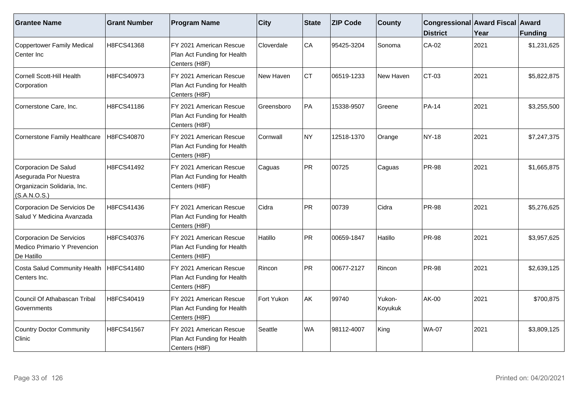| <b>Grantee Name</b>                                                                          | <b>Grant Number</b> | <b>Program Name</b>                                                     | <b>City</b> | State | <b>ZIP Code</b> | <b>County</b>     | Congressional Award Fiscal Award<br><b>District</b> | Year | <b>Funding</b> |
|----------------------------------------------------------------------------------------------|---------------------|-------------------------------------------------------------------------|-------------|-------|-----------------|-------------------|-----------------------------------------------------|------|----------------|
| Coppertower Family Medical<br>Center Inc                                                     | H8FCS41368          | FY 2021 American Rescue<br>Plan Act Funding for Health<br>Centers (H8F) | Cloverdale  | CA    | 95425-3204      | Sonoma            | $CA-02$                                             | 2021 | \$1,231,625    |
| Cornell Scott-Hill Health<br>Corporation                                                     | H8FCS40973          | FY 2021 American Rescue<br>Plan Act Funding for Health<br>Centers (H8F) | New Haven   | Iст   | 06519-1233      | New Haven         | $ CT-03 $                                           | 2021 | \$5,822,875    |
| Cornerstone Care, Inc.                                                                       | H8FCS41186          | FY 2021 American Rescue<br>Plan Act Funding for Health<br>Centers (H8F) | Greensboro  | PA    | 15338-9507      | Greene            | <b>PA-14</b>                                        | 2021 | \$3,255,500    |
| Cornerstone Family Healthcare                                                                | H8FCS40870          | FY 2021 American Rescue<br>Plan Act Funding for Health<br>Centers (H8F) | Cornwall    | NY)   | 12518-1370      | Orange            | NY-18                                               | 2021 | \$7,247,375    |
| Corporacion De Salud<br>Asegurada Por Nuestra<br>Organizacin Solidaria, Inc.<br>(S.A.N.O.S.) | H8FCS41492          | FY 2021 American Rescue<br>Plan Act Funding for Health<br>Centers (H8F) | Caguas      | PR)   | 00725           | Caguas            | <b>PR-98</b>                                        | 2021 | \$1,665,875    |
| Corporacion De Servicios De<br>Salud Y Medicina Avanzada                                     | H8FCS41436          | FY 2021 American Rescue<br>Plan Act Funding for Health<br>Centers (H8F) | Cidra       | PR    | 00739           | Cidra             | <b>PR-98</b>                                        | 2021 | \$5,276,625    |
| Corporacion De Servicios<br>Medico Primario Y Prevencion<br>De Hatillo                       | H8FCS40376          | FY 2021 American Rescue<br>Plan Act Funding for Health<br>Centers (H8F) | Hatillo     | PR    | 00659-1847      | Hatillo           | <b>PR-98</b>                                        | 2021 | \$3,957,625    |
| Costa Salud Community Health<br>Centers Inc.                                                 | H8FCS41480          | FY 2021 American Rescue<br>Plan Act Funding for Health<br>Centers (H8F) | Rincon      | PR)   | 00677-2127      | Rincon            | <b>PR-98</b>                                        | 2021 | \$2,639,125    |
| Council Of Athabascan Tribal<br>Governments                                                  | H8FCS40419          | FY 2021 American Rescue<br>Plan Act Funding for Health<br>Centers (H8F) | Fort Yukon  | AK    | 99740           | Yukon-<br>Koyukuk | AK-00                                               | 2021 | \$700,875      |
| Country Doctor Community<br>Clinic                                                           | H8FCS41567          | FY 2021 American Rescue<br>Plan Act Funding for Health<br>Centers (H8F) | Seattle     | WA    | 98112-4007      | King              | <b>WA-07</b>                                        | 2021 | \$3,809,125    |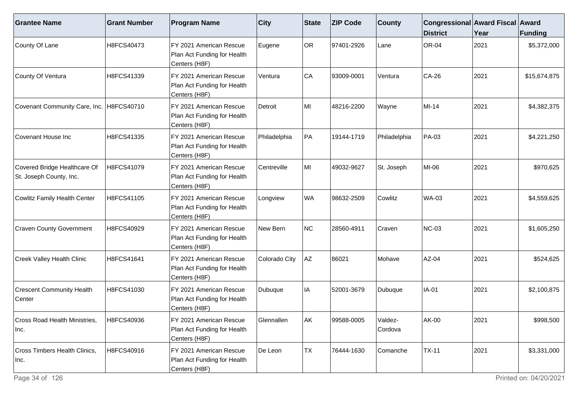| <b>Grantee Name</b>                                     | <b>Grant Number</b> | <b>Program Name</b>                                                                  | <b>City</b>   | State     | <b>ZIP Code</b> | <b>County</b>      | Congressional Award Fiscal Award<br><b>District</b> | Year | <b>Funding</b> |
|---------------------------------------------------------|---------------------|--------------------------------------------------------------------------------------|---------------|-----------|-----------------|--------------------|-----------------------------------------------------|------|----------------|
| County Of Lane                                          | H8FCS40473          | FY 2021 American Rescue<br>Plan Act Funding for Health<br>Centers (H8F)              | Eugene        | <b>OR</b> | 97401-2926      | Lane               | <b>OR-04</b>                                        | 2021 | \$5,372,000    |
| County Of Ventura                                       | H8FCS41339          | FY 2021 American Rescue<br>Plan Act Funding for Health<br>Centers (H8F)              | Ventura       | CA        | 93009-0001      | Ventura            | CA-26                                               | 2021 | \$15,674,875   |
| Covenant Community Care, Inc.                           | H8FCS40710          | FY 2021 American Rescue<br>Plan Act Funding for Health<br>Centers (H8F)              | Detroit       | MI        | 48216-2200      | Wayne              | MI-14                                               | 2021 | \$4,382,375    |
| Covenant House Inc                                      | H8FCS41335          | FY 2021 American Rescue<br>Plan Act Funding for Health<br>Centers (H8F)              | Philadelphia  | PA        | 19144-1719      | Philadelphia       | PA-03                                               | 2021 | \$4,221,250    |
| Covered Bridge Healthcare Of<br>St. Joseph County, Inc. | H8FCS41079          | FY 2021 American Rescue<br>Plan Act Funding for Health<br>Centers (H8F)              | Centreville   | MI        | 49032-9627      | St. Joseph         | MI-06                                               | 2021 | \$970,625      |
| Cowlitz Family Health Center                            | H8FCS41105          | FY 2021 American Rescue<br>Plan Act Funding for Health<br>Centers (H8F)              | Longview      | <b>WA</b> | 98632-2509      | Cowlitz            | <b>WA-03</b>                                        | 2021 | \$4,559,625    |
| <b>Craven County Government</b>                         | H8FCS40929          | FY 2021 American Rescue<br>Plan Act Funding for Health<br>Centers (H8F)              | New Bern      | NC        | 28560-4911      | Craven             | <b>NC-03</b>                                        | 2021 | \$1,605,250    |
| <b>Creek Valley Health Clinic</b>                       | H8FCS41641          | FY 2021 American Rescue<br>Plan Act Funding for Health<br>Centers (H8F)              | Colorado City | AZ        | 86021           | Mohave             | AZ-04                                               | 2021 | \$524,625      |
| <b>Crescent Community Health</b><br>Center              | H8FCS41030          | FY 2021 American Rescue<br>Plan Act Funding for Health<br>Centers (H8F)              | Dubuque       | IA        | 52001-3679      | Dubuque            | IA-01                                               | 2021 | \$2,100,875    |
| Cross Road Health Ministries,<br>Inc.                   | H8FCS40936          | FY 2021 American Rescue<br>Plan Act Funding for Health<br>Centers (H <sub>8F</sub> ) | Glennallen    | AK        | 99588-0005      | Valdez-<br>Cordova | AK-00                                               | 2021 | \$998,500      |
| Cross Timbers Health Clinics,<br>Inc.                   | H8FCS40916          | FY 2021 American Rescue<br>Plan Act Funding for Health<br>Centers (H8F)              | De Leon       | <b>TX</b> | 76444-1630      | Comanche           | $TX-11$                                             | 2021 | \$3,331,000    |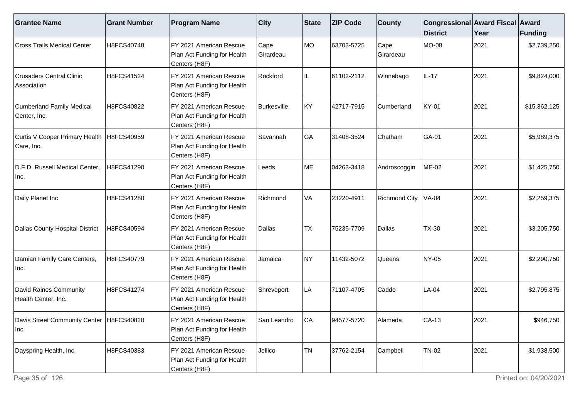| <b>Grantee Name</b>                                | <b>Grant Number</b> | <b>Program Name</b>                                                     | <b>City</b>              | State     | <b>ZIP Code</b> | <b>County</b>        | Congressional Award Fiscal Award<br><b>District</b> | Year | <b>Funding</b> |
|----------------------------------------------------|---------------------|-------------------------------------------------------------------------|--------------------------|-----------|-----------------|----------------------|-----------------------------------------------------|------|----------------|
| Cross Trails Medical Center                        | H8FCS40748          | FY 2021 American Rescue<br>Plan Act Funding for Health<br>Centers (H8F) | Cape<br><b>Girardeau</b> | MO        | 63703-5725      | Cape<br>Girardeau    | <b>MO-08</b>                                        | 2021 | \$2,739,250    |
| <b>Crusaders Central Clinic</b><br>Association     | H8FCS41524          | FY 2021 American Rescue<br>Plan Act Funding for Health<br>Centers (H8F) | Rockford                 | IL.       | 61102-2112      | Winnebago            | IL-17                                               | 2021 | \$9,824,000    |
| <b>Cumberland Family Medical</b><br>Center, Inc.   | H8FCS40822          | FY 2021 American Rescue<br>Plan Act Funding for Health<br>Centers (H8F) | Burkesville              | KY        | 42717-7915      | Cumberland           | <b>KY-01</b>                                        | 2021 | \$15,362,125   |
| Curtis V Cooper Primary Health<br>Care, Inc.       | H8FCS40959          | FY 2021 American Rescue<br>Plan Act Funding for Health<br>Centers (H8F) | Savannah                 | GA        | 31408-3524      | Chatham              | GA-01                                               | 2021 | \$5,989,375    |
| D.F.D. Russell Medical Center,<br>Inc.             | H8FCS41290          | FY 2021 American Rescue<br>Plan Act Funding for Health<br>Centers (H8F) | Leeds                    | ME        | 04263-3418      | Androscoggin         | ME-02                                               | 2021 | \$1,425,750    |
| Daily Planet Inc                                   | H8FCS41280          | FY 2021 American Rescue<br>Plan Act Funding for Health<br>Centers (H8F) | Richmond                 | VA        | 23220-4911      | <b>Richmond City</b> | <b>VA-04</b>                                        | 2021 | \$2,259,375    |
| Dallas County Hospital District                    | H8FCS40594          | FY 2021 American Rescue<br>Plan Act Funding for Health<br>Centers (H8F) | Dallas                   | <b>TX</b> | 75235-7709      | Dallas               | <b>TX-30</b>                                        | 2021 | \$3,205,750    |
| Damian Family Care Centers,<br>.Inc.               | H8FCS40779          | FY 2021 American Rescue<br>Plan Act Funding for Health<br>Centers (H8F) | Jamaica                  | <b>NY</b> | 11432-5072      | Queens               | NY-05                                               | 2021 | \$2,290,750    |
| David Raines Community<br>Health Center, Inc.      | H8FCS41274          | FY 2021 American Rescue<br>Plan Act Funding for Health<br>Centers (H8F) | Shreveport               | LA        | 71107-4705      | Caddo                | LA-04                                               | 2021 | \$2,795,875    |
| Davis Street Community Center   H8FCS40820<br> Inc |                     | FY 2021 American Rescue<br>Plan Act Funding for Health<br>Centers (H8F) | San Leandro              | CA        | 94577-5720      | Alameda              | $CA-13$                                             | 2021 | \$946,750      |
| Dayspring Health, Inc.                             | H8FCS40383          | FY 2021 American Rescue<br>Plan Act Funding for Health<br>Centers (H8F) | Jellico                  | <b>TN</b> | 37762-2154      | Campbell             | <b>TN-02</b>                                        | 2021 | \$1,938,500    |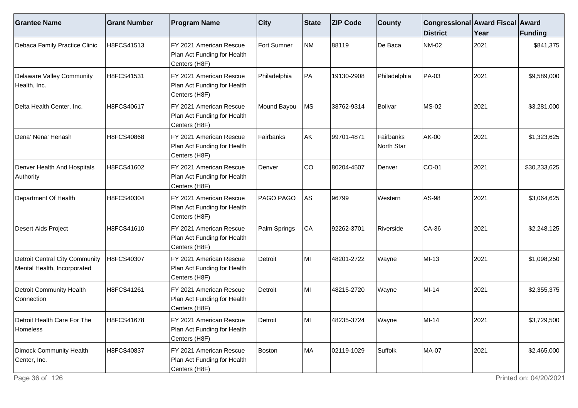| <b>Grantee Name</b>                                                  | <b>Grant Number</b> | <b>Program Name</b>                                                     | <b>City</b>      | <b>State</b> | <b>ZIP Code</b> | <b>County</b>           | Congressional Award Fiscal Award<br><b>District</b> | Year | <b>Funding</b> |
|----------------------------------------------------------------------|---------------------|-------------------------------------------------------------------------|------------------|--------------|-----------------|-------------------------|-----------------------------------------------------|------|----------------|
| Debaca Family Practice Clinic                                        | H8FCS41513          | FY 2021 American Rescue<br>Plan Act Funding for Health<br>Centers (H8F) | Fort Sumner      | NM           | 88119           | De Baca                 | NM-02                                               | 2021 | \$841,375      |
| <b>Delaware Valley Community</b><br>Health, Inc.                     | H8FCS41531          | FY 2021 American Rescue<br>Plan Act Funding for Health<br>Centers (H8F) | Philadelphia     | PA           | 19130-2908      | Philadelphia            | PA-03                                               | 2021 | \$9,589,000    |
| Delta Health Center, Inc.                                            | H8FCS40617          | FY 2021 American Rescue<br>Plan Act Funding for Health<br>Centers (H8F) | Mound Bayou      | MS           | 38762-9314      | Bolivar                 | <b>MS-02</b>                                        | 2021 | \$3,281,000    |
| Dena' Nena' Henash                                                   | H8FCS40868          | FY 2021 American Rescue<br>Plan Act Funding for Health<br>Centers (H8F) | Fairbanks        | AK           | 99701-4871      | Fairbanks<br>North Star | AK-00                                               | 2021 | \$1,323,625    |
| Denver Health And Hospitals<br>Authority                             | H8FCS41602          | FY 2021 American Rescue<br>Plan Act Funding for Health<br>Centers (H8F) | Denver           | CO           | 80204-4507      | Denver                  | CO-01                                               | 2021 | \$30,233,625   |
| Department Of Health                                                 | H8FCS40304          | FY 2021 American Rescue<br>Plan Act Funding for Health<br>Centers (H8F) | <b>PAGO PAGO</b> | AS           | 96799           | Western                 | AS-98                                               | 2021 | \$3,064,625    |
| Desert Aids Project                                                  | H8FCS41610          | FY 2021 American Rescue<br>Plan Act Funding for Health<br>Centers (H8F) | Palm Springs     | CA           | 92262-3701      | Riverside               | CA-36                                               | 2021 | \$2,248,125    |
| <b>Detroit Central City Community</b><br>Mental Health, Incorporated | H8FCS40307          | FY 2021 American Rescue<br>Plan Act Funding for Health<br>Centers (H8F) | Detroit          | MI           | 48201-2722      | Wayne                   | MI-13                                               | 2021 | \$1,098,250    |
| <b>Detroit Community Health</b><br>Connection                        | H8FCS41261          | FY 2021 American Rescue<br>Plan Act Funding for Health<br>Centers (H8F) | Detroit          | lMI          | 48215-2720      | Wayne                   | $MI-14$                                             | 2021 | \$2,355,375    |
| Detroit Health Care For The<br>Homeless                              | H8FCS41678          | FY 2021 American Rescue<br>Plan Act Funding for Health<br>Centers (H8F) | Detroit          | l MI         | 48235-3724      | Wayne                   | $MI-14$                                             | 2021 | \$3,729,500    |
| Dimock Community Health<br>Center, Inc.                              | H8FCS40837          | FY 2021 American Rescue<br>Plan Act Funding for Health<br>Centers (H8F) | Boston           | MA           | 02119-1029      | Suffolk                 | <b>MA-07</b>                                        | 2021 | \$2,465,000    |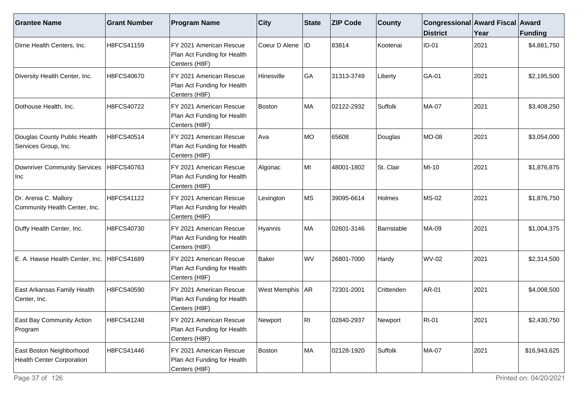| <b>Grantee Name</b>                                          | <b>Grant Number</b> | <b>Program Name</b>                                                     | <b>City</b>       | <b>State</b> | <b>ZIP Code</b> | <b>County</b> | Congressional Award Fiscal Award<br><b>District</b> | Year | Funding      |
|--------------------------------------------------------------|---------------------|-------------------------------------------------------------------------|-------------------|--------------|-----------------|---------------|-----------------------------------------------------|------|--------------|
| Dirne Health Centers, Inc.                                   | H8FCS41159          | FY 2021 American Rescue<br>Plan Act Funding for Health<br>Centers (H8F) | Coeur D Alene     | <b>IID</b>   | 83814           | Kootenai      | <b>ID-01</b>                                        | 2021 | \$4,881,750  |
| Diversity Health Center, Inc.                                | H8FCS40670          | FY 2021 American Rescue<br>Plan Act Funding for Health<br>Centers (H8F) | Hinesville        | GA           | 31313-3749      | Liberty       | GA-01                                               | 2021 | \$2,195,500  |
| Dothouse Health, Inc.                                        | H8FCS40722          | FY 2021 American Rescue<br>Plan Act Funding for Health<br>Centers (H8F) | <b>Boston</b>     | MA           | 02122-2932      | Suffolk       | MA-07                                               | 2021 | \$3,408,250  |
| Douglas County Public Health<br>Services Group, Inc.         | H8FCS40514          | FY 2021 American Rescue<br>Plan Act Funding for Health<br>Centers (H8F) | Ava               | MO           | 65608           | Douglas       | MO-08                                               | 2021 | \$3,054,000  |
| <b>Downriver Community Services</b><br>Inc                   | H8FCS40763          | FY 2021 American Rescue<br>Plan Act Funding for Health<br>Centers (H8F) | Algonac           | MI           | 48001-1802      | St. Clair     | MI-10                                               | 2021 | \$1,876,875  |
| Dr. Arenia C. Mallory<br>Community Health Center, Inc.       | H8FCS41122          | FY 2021 American Rescue<br>Plan Act Funding for Health<br>Centers (H8F) | Lexington         | MS           | 39095-6614      | Holmes        | <b>MS-02</b>                                        | 2021 | \$1,876,750  |
| Duffy Health Center, Inc.                                    | H8FCS40730          | FY 2021 American Rescue<br>Plan Act Funding for Health<br>Centers (H8F) | Hyannis           | MA           | 02601-3146      | Barnstable    | MA-09                                               | 2021 | \$1,004,375  |
| E. A. Hawse Health Center, Inc.                              | H8FCS41689          | FY 2021 American Rescue<br>Plan Act Funding for Health<br>Centers (H8F) | <b>Baker</b>      | WV           | 26801-7000      | Hardy         | <b>WV-02</b>                                        | 2021 | \$2,314,500  |
| East Arkansas Family Health<br>Center, Inc.                  | H8FCS40590          | FY 2021 American Rescue<br>Plan Act Funding for Health<br>Centers (H8F) | West Memphis   AR |              | 72301-2001      | Crittenden    | AR-01                                               | 2021 | \$4,008,500  |
| East Bay Community Action<br>Program                         | H8FCS41248          | FY 2021 American Rescue<br>Plan Act Funding for Health<br>Centers (H8F) | Newport           | ∣RI          | 02840-2937      | Newport       | <b>RI-01</b>                                        | 2021 | \$2,430,750  |
| East Boston Neighborhood<br><b>Health Center Corporation</b> | H8FCS41446          | FY 2021 American Rescue<br>Plan Act Funding for Health<br>Centers (H8F) | Boston            | MA           | 02128-1920      | Suffolk       | <b>MA-07</b>                                        | 2021 | \$16,943,625 |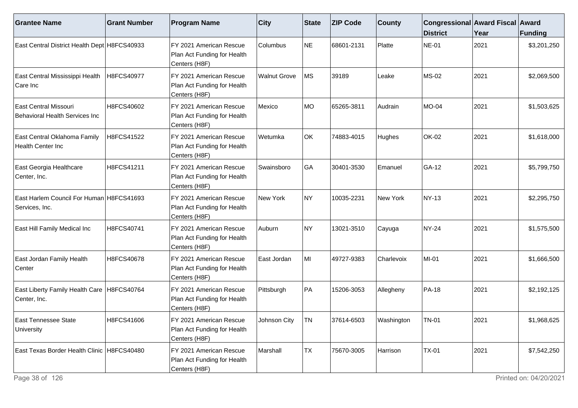| <b>Grantee Name</b>                                          | <b>Grant Number</b> | <b>Program Name</b>                                                     | $ $ City            | <b>State</b> | <b>ZIP Code</b> | <b>County</b> | Congressional Award Fiscal Award<br><b>District</b> | Year | <b>Funding</b> |
|--------------------------------------------------------------|---------------------|-------------------------------------------------------------------------|---------------------|--------------|-----------------|---------------|-----------------------------------------------------|------|----------------|
| East Central District Health Dept H8FCS40933                 |                     | FY 2021 American Rescue<br>Plan Act Funding for Health<br>Centers (H8F) | <b>Columbus</b>     | <b>NE</b>    | 68601-2131      | Platte        | <b>NE-01</b>                                        | 2021 | \$3,201,250    |
| East Central Mississippi Health<br>Care Inc                  | H8FCS40977          | FY 2021 American Rescue<br>Plan Act Funding for Health<br>Centers (H8F) | <b>Walnut Grove</b> | <b>MS</b>    | 39189           | Leake         | <b>MS-02</b>                                        | 2021 | \$2,069,500    |
| East Central Missouri<br>Behavioral Health Services Inc      | H8FCS40602          | FY 2021 American Rescue<br>Plan Act Funding for Health<br>Centers (H8F) | Mexico              | <b>MO</b>    | 65265-3811      | Audrain       | MO-04                                               | 2021 | \$1,503,625    |
| East Central Oklahoma Family<br>Health Center Inc            | H8FCS41522          | FY 2021 American Rescue<br>Plan Act Funding for Health<br>Centers (H8F) | Wetumka             | OK           | 74883-4015      | Hughes        | <b>OK-02</b>                                        | 2021 | \$1,618,000    |
| East Georgia Healthcare<br>Center, Inc.                      | H8FCS41211          | FY 2021 American Rescue<br>Plan Act Funding for Health<br>Centers (H8F) | Swainsboro          | GA           | 30401-3530      | Emanuel       | GA-12                                               | 2021 | \$5,799,750    |
| East Harlem Council For Human H8FCS41693<br>Services, Inc.   |                     | FY 2021 American Rescue<br>Plan Act Funding for Health<br>Centers (H8F) | New York            | NY.          | 10035-2231      | New York      | <b>NY-13</b>                                        | 2021 | \$2,295,750    |
| East Hill Family Medical Inc                                 | H8FCS40741          | FY 2021 American Rescue<br>Plan Act Funding for Health<br>Centers (H8F) | Auburn              | NY)          | 13021-3510      | Cayuga        | <b>NY-24</b>                                        | 2021 | \$1,575,500    |
| East Jordan Family Health<br>Center                          | H8FCS40678          | FY 2021 American Rescue<br>Plan Act Funding for Health<br>Centers (H8F) | East Jordan         | MI           | 49727-9383      | Charlevoix    | MI-01                                               | 2021 | \$1,666,500    |
| East Liberty Family Health Care   H8FCS40764<br>Center, Inc. |                     | FY 2021 American Rescue<br>Plan Act Funding for Health<br>Centers (H8F) | Pittsburgh          | PA           | 15206-3053      | Allegheny     | <b>PA-18</b>                                        | 2021 | \$2,192,125    |
| <b>East Tennessee State</b><br>University                    | H8FCS41606          | FY 2021 American Rescue<br>Plan Act Funding for Health<br>Centers (H8F) | Johnson City        | TN           | 37614-6503      | Washington    | <b>TN-01</b>                                        | 2021 | \$1,968,625    |
| East Texas Border Health Clinic H8FCS40480                   |                     | FY 2021 American Rescue<br>Plan Act Funding for Health<br>Centers (H8F) | Marshall            | <b>TX</b>    | 75670-3005      | Harrison      | <b>TX-01</b>                                        | 2021 | \$7,542,250    |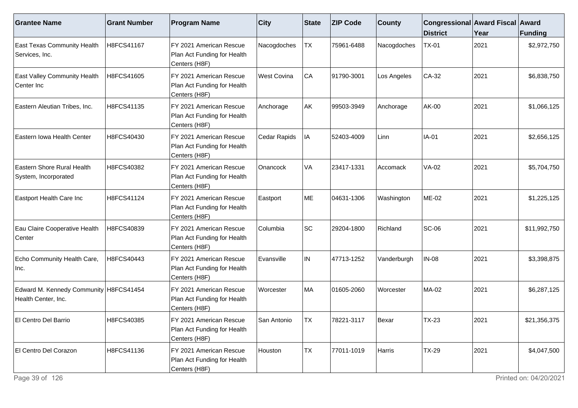| <b>Grantee Name</b>                                             | <b>Grant Number</b> | <b>Program Name</b>                                                     | <b>City</b>        | <b>State</b> | <b>ZIP Code</b> | <b>County</b> | Congressional Award Fiscal Award<br><b>District</b> | Year | <b>Funding</b> |
|-----------------------------------------------------------------|---------------------|-------------------------------------------------------------------------|--------------------|--------------|-----------------|---------------|-----------------------------------------------------|------|----------------|
| <b>East Texas Community Health</b><br>Services, Inc.            | H8FCS41167          | FY 2021 American Rescue<br>Plan Act Funding for Health<br>Centers (H8F) | Nacogdoches        | <b>TX</b>    | 75961-6488      | Nacogdoches   | <b>TX-01</b>                                        | 2021 | \$2,972,750    |
| <b>East Valley Community Health</b><br>Center Inc               | H8FCS41605          | FY 2021 American Rescue<br>Plan Act Funding for Health<br>Centers (H8F) | <b>West Covina</b> | CA           | 91790-3001      | Los Angeles   | $CA-32$                                             | 2021 | \$6,838,750    |
| Eastern Aleutian Tribes, Inc.                                   | H8FCS41135          | FY 2021 American Rescue<br>Plan Act Funding for Health<br>Centers (H8F) | Anchorage          | AK           | 99503-3949      | Anchorage     | <b>AK-00</b>                                        | 2021 | \$1,066,125    |
| Eastern Iowa Health Center                                      | H8FCS40430          | FY 2021 American Rescue<br>Plan Act Funding for Health<br>Centers (H8F) | Cedar Rapids       | IA           | 52403-4009      | Linn          | IA-01                                               | 2021 | \$2,656,125    |
| Eastern Shore Rural Health<br>System, Incorporated              | H8FCS40382          | FY 2021 American Rescue<br>Plan Act Funding for Health<br>Centers (H8F) | Onancock           | VA           | 23417-1331      | Accomack      | <b>VA-02</b>                                        | 2021 | \$5,704,750    |
| Eastport Health Care Inc                                        | H8FCS41124          | FY 2021 American Rescue<br>Plan Act Funding for Health<br>Centers (H8F) | Eastport           | ME           | 04631-1306      | Washington    | ME-02                                               | 2021 | \$1,225,125    |
| Eau Claire Cooperative Health<br>Center                         | H8FCS40839          | FY 2021 American Rescue<br>Plan Act Funding for Health<br>Centers (H8F) | Columbia           | <b>SC</b>    | 29204-1800      | Richland      | <b>SC-06</b>                                        | 2021 | \$11,992,750   |
| Echo Community Health Care,<br>Inc.                             | H8FCS40443          | FY 2021 American Rescue<br>Plan Act Funding for Health<br>Centers (H8F) | Evansville         | IN           | 47713-1252      | Vanderburgh   | <b>IN-08</b>                                        | 2021 | \$3,398,875    |
| Edward M. Kennedy Community   H8FCS41454<br>Health Center, Inc. |                     | FY 2021 American Rescue<br>Plan Act Funding for Health<br>Centers (H8F) | Worcester          | MA           | 01605-2060      | Worcester     | <b>MA-02</b>                                        | 2021 | \$6,287,125    |
| El Centro Del Barrio                                            | H8FCS40385          | FY 2021 American Rescue<br>Plan Act Funding for Health<br>Centers (H8F) | San Antonio        | TX.          | 78221-3117      | Bexar         | <b>TX-23</b>                                        | 2021 | \$21,356,375   |
| El Centro Del Corazon                                           | H8FCS41136          | FY 2021 American Rescue<br>Plan Act Funding for Health<br>Centers (H8F) | Houston            | <b>TX</b>    | 77011-1019      | Harris        | <b>TX-29</b>                                        | 2021 | \$4,047,500    |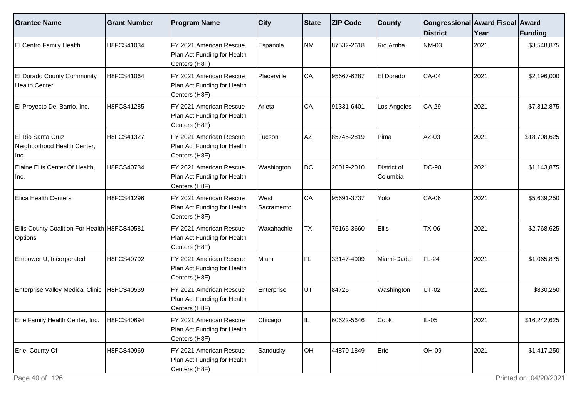| <b>Grantee Name</b>                                       | <b>Grant Number</b> | <b>Program Name</b>                                                      | $ $ City            | <b>State</b> | <b>ZIP Code</b> | <b>County</b>           | Congressional Award Fiscal Award<br><b>District</b> | Year | Funding      |
|-----------------------------------------------------------|---------------------|--------------------------------------------------------------------------|---------------------|--------------|-----------------|-------------------------|-----------------------------------------------------|------|--------------|
| El Centro Family Health                                   | H8FCS41034          | FY 2021 American Rescue<br>Plan Act Funding for Health<br>Centers (H8F)  | Espanola            | NM           | 87532-2618      | Rio Arriba              | <b>NM-03</b>                                        | 2021 | \$3,548,875  |
| El Dorado County Community<br><b>Health Center</b>        | H8FCS41064          | FY 2021 American Rescue<br>Plan Act Funding for Health<br>Centers (H8F)  | Placerville         | CA           | 95667-6287      | El Dorado               | <b>CA-04</b>                                        | 2021 | \$2,196,000  |
| El Proyecto Del Barrio, Inc.                              | H8FCS41285          | FY 2021 American Rescue<br>Plan Act Funding for Health<br>Centers (H8F)  | Arleta              | CA           | 91331-6401      | Los Angeles             | CA-29                                               | 2021 | \$7,312,875  |
| El Rio Santa Cruz<br>Neighborhood Health Center,<br>Inc.  | H8FCS41327          | IFY 2021 American Rescue<br>Plan Act Funding for Health<br>Centers (H8F) | Tucson              | AZ           | 85745-2819      | Pima                    | AZ-03                                               | 2021 | \$18,708,625 |
| Elaine Ellis Center Of Health,<br>Inc.                    | H8FCS40734          | FY 2021 American Rescue<br>Plan Act Funding for Health<br>Centers (H8F)  | Washington          | DC           | 20019-2010      | District of<br>Columbia | <b>DC-98</b>                                        | 2021 | \$1,143,875  |
| <b>Elica Health Centers</b>                               | H8FCS41296          | FY 2021 American Rescue<br>Plan Act Funding for Health<br>Centers (H8F)  | West<br> Sacramento | CA           | 95691-3737      | Yolo                    | <b>CA-06</b>                                        | 2021 | \$5,639,250  |
| Ellis County Coalition For Health   H8FCS40581<br>Options |                     | FY 2021 American Rescue<br>Plan Act Funding for Health<br>Centers (H8F)  | Waxahachie          | <b>TX</b>    | 75165-3660      | Ellis                   | TX-06                                               | 2021 | \$2,768,625  |
| Empower U, Incorporated                                   | H8FCS40792          | FY 2021 American Rescue<br>Plan Act Funding for Health<br>Centers (H8F)  | Miami               | FL.          | 33147-4909      | Miami-Dade              | FL-24                                               | 2021 | \$1,065,875  |
| <b>Enterprise Valley Medical Clinic</b>                   | H8FCS40539          | FY 2021 American Rescue<br>Plan Act Funding for Health<br>Centers (H8F)  | Enterprise          | UT           | 84725           | Washington              | <b>UT-02</b>                                        | 2021 | \$830,250    |
| Erie Family Health Center, Inc.                           | H8FCS40694          | FY 2021 American Rescue<br>Plan Act Funding for Health<br>Centers (H8F)  | Chicago             |              | 60622-5646      | Cook                    | IL-05                                               | 2021 | \$16,242,625 |
| Erie, County Of                                           | H8FCS40969          | FY 2021 American Rescue<br>Plan Act Funding for Health<br>Centers (H8F)  | Sandusky            | OH           | 44870-1849      | Erie                    | OH-09                                               | 2021 | \$1,417,250  |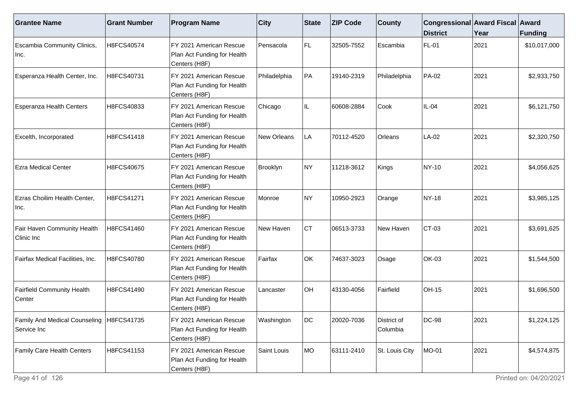| <b>Grantee Name</b>                                       | <b>Grant Number</b> | <b>Program Name</b>                                                      | $ $ City      | <b>State</b> | <b>ZIP Code</b> | <b>County</b>           | Congressional Award Fiscal Award<br><b>District</b> | Year | <b>Funding</b> |
|-----------------------------------------------------------|---------------------|--------------------------------------------------------------------------|---------------|--------------|-----------------|-------------------------|-----------------------------------------------------|------|----------------|
| Escambia Community Clinics,<br>Inc.                       | H8FCS40574          | FY 2021 American Rescue<br>Plan Act Funding for Health<br>Centers (H8F)  | l Pensacola   | FL.          | 32505-7552      | Escambia                | FL-01                                               | 2021 | \$10,017,000   |
| Esperanza Health Center, Inc.                             | H8FCS40731          | FY 2021 American Rescue<br>Plan Act Funding for Health<br>Centers (H8F)  | Philadelphia  | PA           | 19140-2319      | Philadelphia            | PA-02                                               | 2021 | \$2,933,750    |
| <b>Esperanza Health Centers</b>                           | H8FCS40833          | FY 2021 American Rescue<br>Plan Act Funding for Health<br>Centers (H8F)  | Chicago       | IL.          | 60608-2884      | Cook                    | IL-04                                               | 2021 | \$6,121,750    |
| Excelth, Incorporated                                     | H8FCS41418          | FY 2021 American Rescue<br>Plan Act Funding for Health<br>Centers (H8F)  | New Orleans   | LA           | 70112-4520      | Orleans                 | $LA-02$                                             | 2021 | \$2,320,750    |
| <b>Ezra Medical Center</b>                                | H8FCS40675          | FY 2021 American Rescue<br>Plan Act Funding for Health<br>Centers (H8F)  | Brooklyn      | NY)          | 11218-3612      | Kings                   | NY-10                                               | 2021 | \$4,056,625    |
| Ezras Choilim Health Center,<br>Inc.                      | H8FCS41271          | IFY 2021 American Rescue<br>Plan Act Funding for Health<br>Centers (H8F) | <b>Monroe</b> | NY)          | 10950-2923      | Orange                  | NY-18                                               | 2021 | \$3,985,125    |
| Fair Haven Community Health<br>Clinic Inc                 | H8FCS41460          | FY 2021 American Rescue<br>Plan Act Funding for Health<br>Centers (H8F)  | New Haven     | Iст          | 06513-3733      | New Haven               | CT-03                                               | 2021 | \$3,691,625    |
| Fairfax Medical Facilities, Inc.                          | H8FCS40780          | FY 2021 American Rescue<br>Plan Act Funding for Health<br>Centers (H8F)  | Fairfax       | OK           | 74637-3023      | Osage                   | OK-03                                               | 2021 | \$1,544,500    |
| <b>Fairfield Community Health</b><br>Center               | H8FCS41490          | FY 2021 American Rescue<br>Plan Act Funding for Health<br>Centers (H8F)  | Lancaster     | OH           | 43130-4056      | Fairfield               | OH-15                                               | 2021 | \$1,696,500    |
| Family And Medical Counseling   H8FCS41735<br>Service Inc |                     | FY 2021 American Rescue<br>Plan Act Funding for Health<br>Centers (H8F)  | Washington    | DC           | 20020-7036      | District of<br>Columbia | <b>DC-98</b>                                        | 2021 | \$1,224,125    |
| <b>Family Care Health Centers</b>                         | H8FCS41153          | FY 2021 American Rescue<br>Plan Act Funding for Health<br>Centers (H8F)  | Saint Louis   | MO           | 63111-2410      | St. Louis City          | MO-01                                               | 2021 | \$4,574,875    |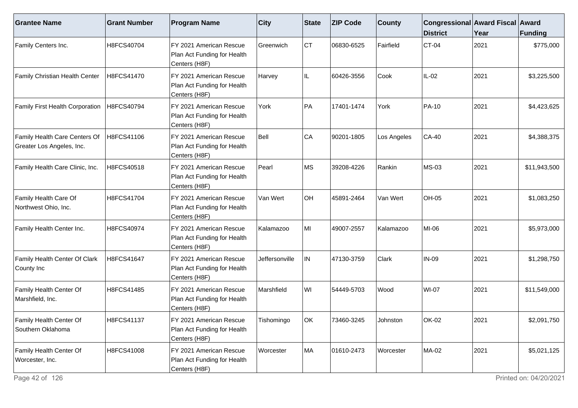| <b>Grantee Name</b>                                        | <b>Grant Number</b> | <b>Program Name</b>                                                      | <b>City</b>    | State     | <b>ZIP Code</b> | <b>County</b> | Congressional Award Fiscal Award<br><b>District</b> | Year | <b>Funding</b> |
|------------------------------------------------------------|---------------------|--------------------------------------------------------------------------|----------------|-----------|-----------------|---------------|-----------------------------------------------------|------|----------------|
| Family Centers Inc.                                        | H8FCS40704          | FY 2021 American Rescue<br>Plan Act Funding for Health<br>Centers (H8F)  | Greenwich      | <b>CT</b> | 06830-6525      | Fairfield     | $CT-04$                                             | 2021 | \$775,000      |
| Family Christian Health Center                             | H8FCS41470          | FY 2021 American Rescue<br>Plan Act Funding for Health<br>Centers (H8F)  | Harvey         | IL        | 60426-3556      | Cook          | IL-02                                               | 2021 | \$3,225,500    |
| Family First Health Corporation                            | H8FCS40794          | FY 2021 American Rescue<br>Plan Act Funding for Health<br>Centers (H8F)  | York           | PA        | 17401-1474      | York          | PA-10                                               | 2021 | \$4,423,625    |
| Family Health Care Centers Of<br>Greater Los Angeles, Inc. | H8FCS41106          | FY 2021 American Rescue<br>Plan Act Funding for Health<br>Centers (H8F)  | Bell           | CA        | 90201-1805      | Los Angeles   | $CA-40$                                             | 2021 | \$4,388,375    |
| Family Health Care Clinic, Inc.                            | H8FCS40518          | FY 2021 American Rescue<br>Plan Act Funding for Health<br>Centers (H8F)  | Pearl          | MS        | 39208-4226      | Rankin        | MS-03                                               | 2021 | \$11,943,500   |
| Family Health Care Of<br>Northwest Ohio, Inc.              | H8FCS41704          | IFY 2021 American Rescue<br>Plan Act Funding for Health<br>Centers (H8F) | Van Wert       | <b>OH</b> | 45891-2464      | Van Wert      | <b>OH-05</b>                                        | 2021 | \$1,083,250    |
| Family Health Center Inc.                                  | H8FCS40974          | FY 2021 American Rescue<br>Plan Act Funding for Health<br>Centers (H8F)  | Kalamazoo      | MI        | 49007-2557      | Kalamazoo     | MI-06                                               | 2021 | \$5,973,000    |
| Family Health Center Of Clark<br>County Inc                | H8FCS41647          | FY 2021 American Rescue<br>Plan Act Funding for Health<br>Centers (H8F)  | Jeffersonville | IN        | 47130-3759      | Clark         | <b>IN-09</b>                                        | 2021 | \$1,298,750    |
| Family Health Center Of<br>Marshfield, Inc.                | H8FCS41485          | IFY 2021 American Rescue<br>Plan Act Funding for Health<br>Centers (H8F) | Marshfield     | WI        | 54449-5703      | Wood          | WI-07                                               | 2021 | \$11,549,000   |
| Family Health Center Of<br>Southern Oklahoma               | H8FCS41137          | FY 2021 American Rescue<br>Plan Act Funding for Health<br>Centers (H8F)  | Tishomingo     | OK        | 73460-3245      | Johnston      | <b>OK-02</b>                                        | 2021 | \$2,091,750    |
| Family Health Center Of<br>Worcester, Inc.                 | H8FCS41008          | FY 2021 American Rescue<br>Plan Act Funding for Health<br>Centers (H8F)  | Worcester      | MA        | 01610-2473      | Worcester     | MA-02                                               | 2021 | \$5,021,125    |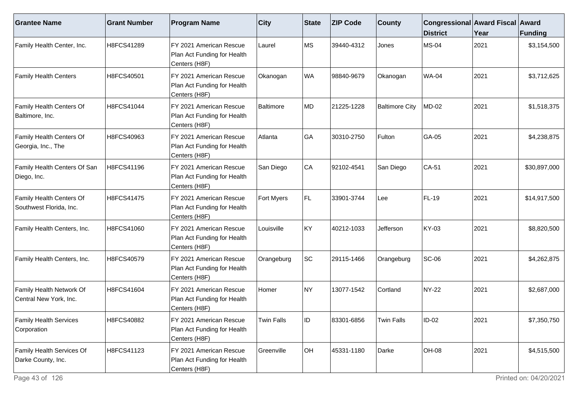| <b>Grantee Name</b>                                 | <b>Grant Number</b> | <b>Program Name</b>                                                     | <b>City</b>       | <b>State</b> | <b>ZIP Code</b> | <b>County</b>         | Congressional Award Fiscal Award<br><b>District</b> | Year | Funding      |
|-----------------------------------------------------|---------------------|-------------------------------------------------------------------------|-------------------|--------------|-----------------|-----------------------|-----------------------------------------------------|------|--------------|
| Family Health Center, Inc.                          | H8FCS41289          | FY 2021 American Rescue<br>Plan Act Funding for Health<br>Centers (H8F) | Laurel            | MS           | 39440-4312      | Jones                 | <b>MS-04</b>                                        | 2021 | \$3,154,500  |
| <b>Family Health Centers</b>                        | H8FCS40501          | FY 2021 American Rescue<br>Plan Act Funding for Health<br>Centers (H8F) | Okanogan          | WA           | 98840-9679      | Okanogan              | <b>WA-04</b>                                        | 2021 | \$3,712,625  |
| Family Health Centers Of<br>Baltimore, Inc.         | H8FCS41044          | FY 2021 American Rescue<br>Plan Act Funding for Health<br>Centers (H8F) | Baltimore         | MD           | 21225-1228      | <b>Baltimore City</b> | <b>MD-02</b>                                        | 2021 | \$1,518,375  |
| Family Health Centers Of<br>Georgia, Inc., The      | H8FCS40963          | FY 2021 American Rescue<br>Plan Act Funding for Health<br>Centers (H8F) | Atlanta           | GA           | 30310-2750      | Fulton                | GA-05                                               | 2021 | \$4,238,875  |
| Family Health Centers Of San<br>Diego, Inc.         | H8FCS41196          | FY 2021 American Rescue<br>Plan Act Funding for Health<br>Centers (H8F) | San Diego         | CA           | 92102-4541      | San Diego             | CA-51                                               | 2021 | \$30,897,000 |
| Family Health Centers Of<br>Southwest Florida, Inc. | H8FCS41475          | FY 2021 American Rescue<br>Plan Act Funding for Health<br>Centers (H8F) | Fort Myers        | FL           | 33901-3744      | Lee                   | <b>FL-19</b>                                        | 2021 | \$14,917,500 |
| Family Health Centers, Inc.                         | H8FCS41060          | FY 2021 American Rescue<br>Plan Act Funding for Health<br>Centers (H8F) | Louisville        | KY           | 40212-1033      | Jefferson             | KY-03                                               | 2021 | \$8,820,500  |
| Family Health Centers, Inc.                         | H8FCS40579          | FY 2021 American Rescue<br>Plan Act Funding for Health<br>Centers (H8F) | Orangeburg        | SC           | 29115-1466      | Orangeburg            | <b>SC-06</b>                                        | 2021 | \$4,262,875  |
| Family Health Network Of<br>Central New York, Inc.  | H8FCS41604          | FY 2021 American Rescue<br>Plan Act Funding for Health<br>Centers (H8F) | Homer             | NY)          | 13077-1542      | Cortland              | NY-22                                               | 2021 | \$2,687,000  |
| <b>Family Health Services</b><br>Corporation        | H8FCS40882          | FY 2021 American Rescue<br>Plan Act Funding for Health<br>Centers (H8F) | <b>Twin Falls</b> | ID           | 83301-6856      | <b>Twin Falls</b>     | $ID-02$                                             | 2021 | \$7,350,750  |
| Family Health Services Of<br>Darke County, Inc.     | H8FCS41123          | FY 2021 American Rescue<br>Plan Act Funding for Health<br>Centers (H8F) | Greenville        | OH           | 45331-1180      | Darke                 | OH-08                                               | 2021 | \$4,515,500  |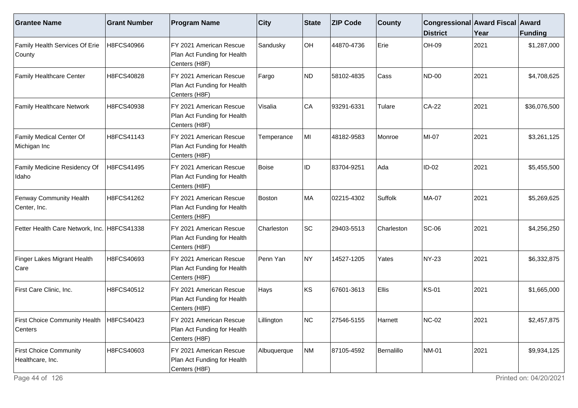| <b>Grantee Name</b>                                   | <b>Grant Number</b> | <b>Program Name</b>                                                     | $ $ City     | <b>State</b> | <b>ZIP Code</b> | <b>County</b> | Congressional Award Fiscal Award<br><b>District</b> | Year | <b>Funding</b> |
|-------------------------------------------------------|---------------------|-------------------------------------------------------------------------|--------------|--------------|-----------------|---------------|-----------------------------------------------------|------|----------------|
| Family Health Services Of Erie<br>County              | H8FCS40966          | FY 2021 American Rescue<br>Plan Act Funding for Health<br>Centers (H8F) | Sandusky     | OH           | 44870-4736      | Erie          | OH-09                                               | 2021 | \$1,287,000    |
| <b>Family Healthcare Center</b>                       | H8FCS40828          | FY 2021 American Rescue<br>Plan Act Funding for Health<br>Centers (H8F) | Fargo        | ND           | 58102-4835      | Cass          | <b>ND-00</b>                                        | 2021 | \$4,708,625    |
| <b>Family Healthcare Network</b>                      | H8FCS40938          | FY 2021 American Rescue<br>Plan Act Funding for Health<br>Centers (H8F) | Visalia      | CA           | 93291-6331      | Tulare        | $CA-22$                                             | 2021 | \$36,076,500   |
| <b>Family Medical Center Of</b><br>Michigan Inc       | H8FCS41143          | FY 2021 American Rescue<br>Plan Act Funding for Health<br>Centers (H8F) | Temperance   | MI           | 48182-9583      | Monroe        | MI-07                                               | 2021 | \$3,261,125    |
| Family Medicine Residency Of<br>Idaho                 | H8FCS41495          | FY 2021 American Rescue<br>Plan Act Funding for Health<br>Centers (H8F) | <b>Boise</b> | ID           | 83704-9251      | Ada           | $ID-02$                                             | 2021 | \$5,455,500    |
| <b>Fenway Community Health</b><br>Center, Inc.        | H8FCS41262          | FY 2021 American Rescue<br>Plan Act Funding for Health<br>Centers (H8F) | Boston       | MA           | 02215-4302      | Suffolk       | <b>MA-07</b>                                        | 2021 | \$5,269,625    |
| Fetter Health Care Network, Inc. H8FCS41338           |                     | FY 2021 American Rescue<br>Plan Act Funding for Health<br>Centers (H8F) | Charleston   | <b>SC</b>    | 29403-5513      | Charleston    | <b>SC-06</b>                                        | 2021 | \$4,256,250    |
| Finger Lakes Migrant Health<br>Care                   | H8FCS40693          | FY 2021 American Rescue<br>Plan Act Funding for Health<br>Centers (H8F) | Penn Yan     | NY)          | 14527-1205      | Yates         | <b>NY-23</b>                                        | 2021 | \$6,332,875    |
| First Care Clinic, Inc.                               | H8FCS40512          | FY 2021 American Rescue<br>Plan Act Funding for Health<br>Centers (H8F) | Hays         | ∣ĸs          | 67601-3613      | <b>Ellis</b>  | <b>KS-01</b>                                        | 2021 | \$1,665,000    |
| First Choice Community Health   H8FCS40423<br>Centers |                     | FY 2021 American Rescue<br>Plan Act Funding for Health<br>Centers (H8F) | Lillington   | INC.         | 27546-5155      | Harnett       | <b>NC-02</b>                                        | 2021 | \$2,457,875    |
| <b>First Choice Community</b><br>Healthcare, Inc.     | H8FCS40603          | FY 2021 American Rescue<br>Plan Act Funding for Health<br>Centers (H8F) | Albuquerque  | NM           | 87105-4592      | Bernalillo    | <b>NM-01</b>                                        | 2021 | \$9,934,125    |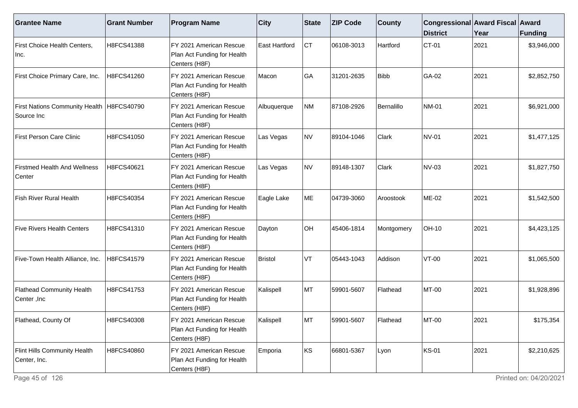| <b>Grantee Name</b>                                       | <b>Grant Number</b> | <b>Program Name</b>                                                     | <b>City</b>    | State     | <b>ZIP Code</b> | <b>County</b> | Congressional Award Fiscal Award<br><b>District</b> | Year | Funding     |
|-----------------------------------------------------------|---------------------|-------------------------------------------------------------------------|----------------|-----------|-----------------|---------------|-----------------------------------------------------|------|-------------|
| First Choice Health Centers,<br>Inc.                      | H8FCS41388          | FY 2021 American Rescue<br>Plan Act Funding for Health<br>Centers (H8F) | East Hartford  | <b>CT</b> | 06108-3013      | Hartford      | CT-01                                               | 2021 | \$3,946,000 |
| First Choice Primary Care, Inc.                           | H8FCS41260          | FY 2021 American Rescue<br>Plan Act Funding for Health<br>Centers (H8F) | Macon          | GA        | 31201-2635      | <b>Bibb</b>   | GA-02                                               | 2021 | \$2,852,750 |
| First Nations Community Health   H8FCS40790<br>Source Inc |                     | FY 2021 American Rescue<br>Plan Act Funding for Health<br>Centers (H8F) | Albuquerque    | <b>NM</b> | 87108-2926      | Bernalillo    | <b>NM-01</b>                                        | 2021 | \$6,921,000 |
| <b>First Person Care Clinic</b>                           | H8FCS41050          | FY 2021 American Rescue<br>Plan Act Funding for Health<br>Centers (H8F) | Las Vegas      | NV)       | 89104-1046      | Clark         | <b>NV-01</b>                                        | 2021 | \$1,477,125 |
| <b>Firstmed Health And Wellness</b><br>Center             | H8FCS40621          | FY 2021 American Rescue<br>Plan Act Funding for Health<br>Centers (H8F) | Las Vegas      | NV        | 89148-1307      | Clark         | <b>NV-03</b>                                        | 2021 | \$1,827,750 |
| Fish River Rural Health                                   | H8FCS40354          | FY 2021 American Rescue<br>Plan Act Funding for Health<br>Centers (H8F) | Eagle Lake     | ME        | 04739-3060      | Aroostook     | <b>ME-02</b>                                        | 2021 | \$1,542,500 |
| <b>Five Rivers Health Centers</b>                         | H8FCS41310          | FY 2021 American Rescue<br>Plan Act Funding for Health<br>Centers (H8F) | Dayton         | OH        | 45406-1814      | Montgomery    | OH-10                                               | 2021 | \$4,423,125 |
| Five-Town Health Alliance, Inc.                           | H8FCS41579          | FY 2021 American Rescue<br>Plan Act Funding for Health<br>Centers (H8F) | <b>Bristol</b> | VT        | 05443-1043      | Addison       | $VT-00$                                             | 2021 | \$1,065,500 |
| <b>Flathead Community Health</b><br>∣Center ,Inc          | H8FCS41753          | FY 2021 American Rescue<br>Plan Act Funding for Health<br>Centers (H8F) | Kalispell      | MT        | 59901-5607      | Flathead      | <b>MT-00</b>                                        | 2021 | \$1,928,896 |
| Flathead, County Of                                       | H8FCS40308          | FY 2021 American Rescue<br>Plan Act Funding for Health<br>Centers (H8F) | Kalispell      | MT        | 59901-5607      | Flathead      | <b>MT-00</b>                                        | 2021 | \$175,354   |
| Flint Hills Community Health<br>Center, Inc.              | H8FCS40860          | FY 2021 American Rescue<br>Plan Act Funding for Health<br>Centers (H8F) | Emporia        | KS        | 66801-5367      | Lyon          | <b>KS-01</b>                                        | 2021 | \$2,210,625 |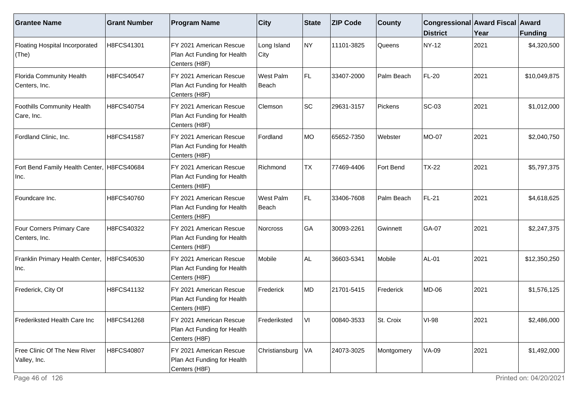| <b>Grantee Name</b>                                | <b>Grant Number</b> | <b>Program Name</b>                                                     | <b>City</b>         | <b>State</b> | <b>ZIP Code</b> | <b>County</b> | Congressional Award Fiscal Award<br><b>District</b> | Year | <b>Funding</b> |
|----------------------------------------------------|---------------------|-------------------------------------------------------------------------|---------------------|--------------|-----------------|---------------|-----------------------------------------------------|------|----------------|
| Floating Hospital Incorporated<br>(The)            | H8FCS41301          | FY 2021 American Rescue<br>Plan Act Funding for Health<br>Centers (H8F) | Long Island<br>City | NY)          | 11101-3825      | Queens        | <b>NY-12</b>                                        | 2021 | \$4,320,500    |
| Florida Community Health<br>Centers, Inc.          | H8FCS40547          | FY 2021 American Rescue<br>Plan Act Funding for Health<br>Centers (H8F) | West Palm<br>Beach  | FL.          | 33407-2000      | Palm Beach    | FL-20                                               | 2021 | \$10,049,875   |
| <b>Foothills Community Health</b><br>Care, Inc.    | H8FCS40754          | FY 2021 American Rescue<br>Plan Act Funding for Health<br>Centers (H8F) | Clemson             | <b>SC</b>    | 29631-3157      | Pickens       | <b>SC-03</b>                                        | 2021 | \$1,012,000    |
| Fordland Clinic, Inc.                              | H8FCS41587          | FY 2021 American Rescue<br>Plan Act Funding for Health<br>Centers (H8F) | Fordland            | MO           | 65652-7350      | Webster       | MO-07                                               | 2021 | \$2,040,750    |
| Fort Bend Family Health Center, H8FCS40684<br>Inc. |                     | FY 2021 American Rescue<br>Plan Act Funding for Health<br>Centers (H8F) | Richmond            | <b>TX</b>    | 77469-4406      | Fort Bend     | <b>TX-22</b>                                        | 2021 | \$5,797,375    |
| Foundcare Inc.                                     | H8FCS40760          | FY 2021 American Rescue<br>Plan Act Funding for Health<br>Centers (H8F) | West Palm<br>Beach  | FL.          | 33406-7608      | Palm Beach    | FL-21                                               | 2021 | \$4,618,625    |
| Four Corners Primary Care<br>Centers, Inc.         | H8FCS40322          | FY 2021 American Rescue<br>Plan Act Funding for Health<br>Centers (H8F) | <b>Norcross</b>     | GA           | 30093-2261      | Gwinnett      | GA-07                                               | 2021 | \$2,247,375    |
| Franklin Primary Health Center,<br>Inc.            | H8FCS40530          | FY 2021 American Rescue<br>Plan Act Funding for Health<br>Centers (H8F) | Mobile              | AL.          | 36603-5341      | Mobile        | AL-01                                               | 2021 | \$12,350,250   |
| Frederick, City Of                                 | H8FCS41132          | FY 2021 American Rescue<br>Plan Act Funding for Health<br>Centers (H8F) | Frederick           | MD           | 21701-5415      | Frederick     | <b>MD-06</b>                                        | 2021 | \$1,576,125    |
| Frederiksted Health Care Inc                       | H8FCS41268          | FY 2021 American Rescue<br>Plan Act Funding for Health<br>Centers (H8F) | Frederiksted        | VI           | 00840-3533      | St. Croix     | <b>VI-98</b>                                        | 2021 | \$2,486,000    |
| Free Clinic Of The New River<br>Valley, Inc.       | H8FCS40807          | FY 2021 American Rescue<br>Plan Act Funding for Health<br>Centers (H8F) | Christiansburg      | VA           | 24073-3025      | Montgomery    | VA-09                                               | 2021 | \$1,492,000    |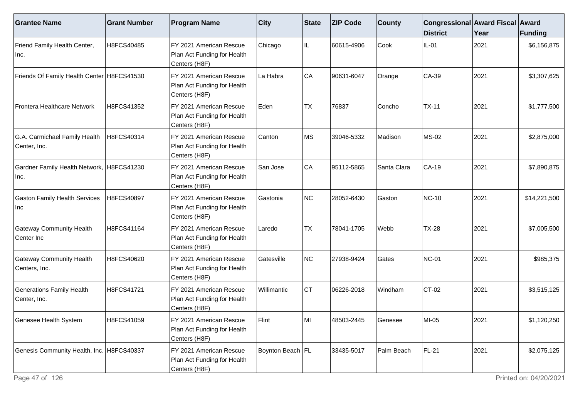| <b>Grantee Name</b>                               | <b>Grant Number</b> | <b>Program Name</b>                                                     | <b>City</b>      | State     | <b>ZIP Code</b> | <b>County</b> | Congressional Award Fiscal Award<br><b>District</b> | Year | Funding      |
|---------------------------------------------------|---------------------|-------------------------------------------------------------------------|------------------|-----------|-----------------|---------------|-----------------------------------------------------|------|--------------|
| Friend Family Health Center,<br>Inc.              | H8FCS40485          | FY 2021 American Rescue<br>Plan Act Funding for Health<br>Centers (H8F) | Chicago          | IL        | 60615-4906      | Cook          | $IL-01$                                             | 2021 | \$6,156,875  |
| Friends Of Family Health Center H8FCS41530        |                     | FY 2021 American Rescue<br>Plan Act Funding for Health<br>Centers (H8F) | La Habra         | <b>CA</b> | 90631-6047      | Orange        | $CA-39$                                             | 2021 | \$3,307,625  |
| Frontera Healthcare Network                       | H8FCS41352          | FY 2021 American Rescue<br>Plan Act Funding for Health<br>Centers (H8F) | Eden             | <b>TX</b> | 76837           | Concho        | $TX-11$                                             | 2021 | \$1,777,500  |
| G.A. Carmichael Family Health<br>Center, Inc.     | H8FCS40314          | FY 2021 American Rescue<br>Plan Act Funding for Health<br>Centers (H8F) | Canton           | MS        | 39046-5332      | Madison       | <b>MS-02</b>                                        | 2021 | \$2,875,000  |
| Gardner Family Health Network, H8FCS41230<br>Inc. |                     | FY 2021 American Rescue<br>Plan Act Funding for Health<br>Centers (H8F) | San Jose         | CA        | 95112-5865      | Santa Clara   | CA-19                                               | 2021 | \$7,890,875  |
| <b>Gaston Family Health Services</b><br>Inc       | H8FCS40897          | FY 2021 American Rescue<br>Plan Act Funding for Health<br>Centers (H8F) | Gastonia         | NC        | 28052-6430      | Gaston        | <b>NC-10</b>                                        | 2021 | \$14,221,500 |
| <b>Gateway Community Health</b><br>Center Inc     | H8FCS41164          | FY 2021 American Rescue<br>Plan Act Funding for Health<br>Centers (H8F) | Laredo           | <b>TX</b> | 78041-1705      | Webb          | <b>TX-28</b>                                        | 2021 | \$7,005,500  |
| <b>Gateway Community Health</b><br>Centers, Inc.  | H8FCS40620          | FY 2021 American Rescue<br>Plan Act Funding for Health<br>Centers (H8F) | Gatesville       | NC        | 27938-9424      | Gates         | <b>NC-01</b>                                        | 2021 | \$985,375    |
| <b>Generations Family Health</b><br>Center, Inc.  | H8FCS41721          | FY 2021 American Rescue<br>Plan Act Funding for Health<br>Centers (H8F) | Willimantic      | Iст       | 06226-2018      | Windham       | $CT-02$                                             | 2021 | \$3,515,125  |
| Genesee Health System                             | H8FCS41059          | FY 2021 American Rescue<br>Plan Act Funding for Health<br>Centers (H8F) | Flint            | lMI       | 48503-2445      | Genesee       | MI-05                                               | 2021 | \$1,120,250  |
| Genesis Community Health, Inc. H8FCS40337         |                     | FY 2021 American Rescue<br>Plan Act Funding for Health<br>Centers (H8F) | Boynton Beach FL |           | 33435-5017      | Palm Beach    | FL-21                                               | 2021 | \$2,075,125  |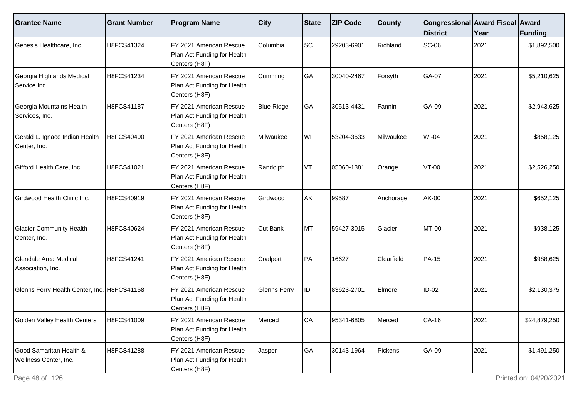| <b>Grantee Name</b>                              | <b>Grant Number</b> | <b>Program Name</b>                                                      | $ $ City            | State | <b>ZIP Code</b> | <b>County</b> | Congressional Award Fiscal Award<br><b>District</b> | Year | Funding      |
|--------------------------------------------------|---------------------|--------------------------------------------------------------------------|---------------------|-------|-----------------|---------------|-----------------------------------------------------|------|--------------|
| Genesis Healthcare, Inc                          | H8FCS41324          | FY 2021 American Rescue<br>Plan Act Funding for Health<br>Centers (H8F)  | Columbia            | SC    | 29203-6901      | Richland      | <b>SC-06</b>                                        | 2021 | \$1,892,500  |
| Georgia Highlands Medical<br>Service Inc         | H8FCS41234          | FY 2021 American Rescue<br>Plan Act Funding for Health<br>Centers (H8F)  | Cumming             | GA    | 30040-2467      | Forsyth       | GA-07                                               | 2021 | \$5,210,625  |
| Georgia Mountains Health<br>Services, Inc.       | H8FCS41187          | IFY 2021 American Rescue<br>Plan Act Funding for Health<br>Centers (H8F) | <b>Blue Ridge</b>   | GA    | 30513-4431      | Fannin        | GA-09                                               | 2021 | \$2,943,625  |
| Gerald L. Ignace Indian Health<br>Center, Inc.   | H8FCS40400          | FY 2021 American Rescue<br>Plan Act Funding for Health<br>Centers (H8F)  | Milwaukee           | WI    | 53204-3533      | Milwaukee     | WI-04                                               | 2021 | \$858,125    |
| Gifford Health Care, Inc.                        | H8FCS41021          | FY 2021 American Rescue<br>Plan Act Funding for Health<br>Centers (H8F)  | Randolph            | VT    | 05060-1381      | Orange        | $VT-00$                                             | 2021 | \$2,526,250  |
| Girdwood Health Clinic Inc.                      | H8FCS40919          | IFY 2021 American Rescue<br>Plan Act Funding for Health<br>Centers (H8F) | l Girdwood          | AK    | 99587           | Anchorage     | AK-00                                               | 2021 | \$652,125    |
| <b>Glacier Community Health</b><br>Center, Inc.  | H8FCS40624          | FY 2021 American Rescue<br>Plan Act Funding for Health<br>Centers (H8F)  | Cut Bank            | MT    | 59427-3015      | Glacier       | MT-00                                               | 2021 | \$938,125    |
| Glendale Area Medical<br>Association, Inc.       | H8FCS41241          | FY 2021 American Rescue<br>Plan Act Funding for Health<br>Centers (H8F)  | Coalport            | PA    | 16627           | Clearfield    | <b>PA-15</b>                                        | 2021 | \$988,625    |
| Glenns Ferry Health Center, Inc.   H8FCS41158    |                     | FY 2021 American Rescue<br>Plan Act Funding for Health<br>Centers (H8F)  | <b>Glenns Ferry</b> | ID    | 83623-2701      | Elmore        | $ID-02$                                             | 2021 | \$2,130,375  |
| Golden Valley Health Centers                     | H8FCS41009          | FY 2021 American Rescue<br>Plan Act Funding for Health<br>Centers (H8F)  | Merced              | lCA   | 95341-6805      | Merced        | CA-16                                               | 2021 | \$24,879,250 |
| Good Samaritan Health &<br>Wellness Center, Inc. | H8FCS41288          | FY 2021 American Rescue<br>Plan Act Funding for Health<br>Centers (H8F)  | Jasper              | GA    | 30143-1964      | Pickens       | GA-09                                               | 2021 | \$1,491,250  |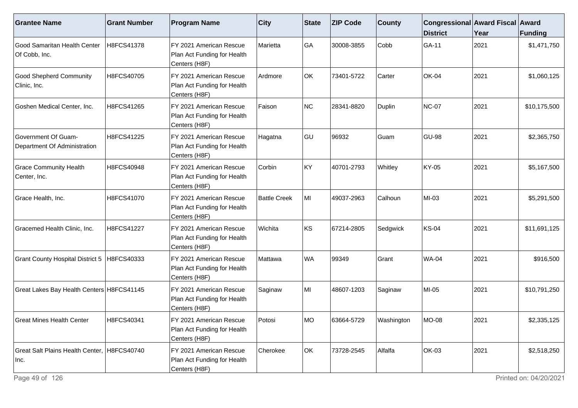| <b>Grantee Name</b>                                 | <b>Grant Number</b> | <b>Program Name</b>                                                                  | $ $ City            | <b>State</b> | <b>ZIP Code</b> | <b>County</b> | Congressional Award Fiscal Award<br><b>District</b> | Year | Funding      |
|-----------------------------------------------------|---------------------|--------------------------------------------------------------------------------------|---------------------|--------------|-----------------|---------------|-----------------------------------------------------|------|--------------|
| Good Samaritan Health Center<br>Of Cobb, Inc.       | H8FCS41378          | FY 2021 American Rescue<br>Plan Act Funding for Health<br>Centers (H8F)              | Marietta            | GA           | 30008-3855      | Cobb          | GA-11                                               | 2021 | \$1,471,750  |
| <b>Good Shepherd Community</b><br>Clinic, Inc.      | H8FCS40705          | FY 2021 American Rescue<br>Plan Act Funding for Health<br>Centers (H8F)              | Ardmore             | OK           | 73401-5722      | Carter        | <b>OK-04</b>                                        | 2021 | \$1,060,125  |
| Goshen Medical Center, Inc.                         | H8FCS41265          | FY 2021 American Rescue<br>Plan Act Funding for Health<br>Centers (H8F)              | Faison              | <b>NC</b>    | 28341-8820      | <b>Duplin</b> | <b>NC-07</b>                                        | 2021 | \$10,175,500 |
| Government Of Guam-<br>Department Of Administration | H8FCS41225          | FY 2021 American Rescue<br>Plan Act Funding for Health<br>Centers (H8F)              | Hagatna             | GU           | 96932           | Guam          | <b>GU-98</b>                                        | 2021 | \$2,365,750  |
| <b>Grace Community Health</b><br>Center, Inc.       | H8FCS40948          | FY 2021 American Rescue<br>Plan Act Funding for Health<br>Centers (H8F)              | Corbin              | KY           | 40701-2793      | Whitley       | KY-05                                               | 2021 | \$5,167,500  |
| Grace Health, Inc.                                  | H8FCS41070          | FY 2021 American Rescue<br>Plan Act Funding for Health<br>Centers (H8F)              | <b>Battle Creek</b> | MI           | 49037-2963      | Calhoun       | MI-03                                               | 2021 | \$5,291,500  |
| Gracemed Health Clinic, Inc.                        | H8FCS41227          | FY 2021 American Rescue<br>Plan Act Funding for Health<br>Centers (H8F)              | Wichita             | KS           | 67214-2805      | Sedgwick      | <b>KS-04</b>                                        | 2021 | \$11,691,125 |
| Grant County Hospital District 5   H8FCS40333       |                     | FY 2021 American Rescue<br>Plan Act Funding for Health<br>Centers (H8F)              | Mattawa             | <b>WA</b>    | 99349           | Grant         | <b>WA-04</b>                                        | 2021 | \$916,500    |
| Great Lakes Bay Health Centers H8FCS41145           |                     | FY 2021 American Rescue<br>Plan Act Funding for Health<br>Centers (H8F)              | Saginaw             | MI           | 48607-1203      | Saginaw       | MI-05                                               | 2021 | \$10,791,250 |
| <b>Great Mines Health Center</b>                    | H8FCS40341          | FY 2021 American Rescue<br>Plan Act Funding for Health<br>Centers (H <sub>8F</sub> ) | Potosi              | IMO.         | 63664-5729      | Washington    | <b>MO-08</b>                                        | 2021 | \$2,335,125  |
| Great Salt Plains Health Center, H8FCS40740<br>Inc. |                     | FY 2021 American Rescue<br>Plan Act Funding for Health<br>Centers (H8F)              | Cherokee            | OK           | 73728-2545      | Alfalfa       | <b>OK-03</b>                                        | 2021 | \$2,518,250  |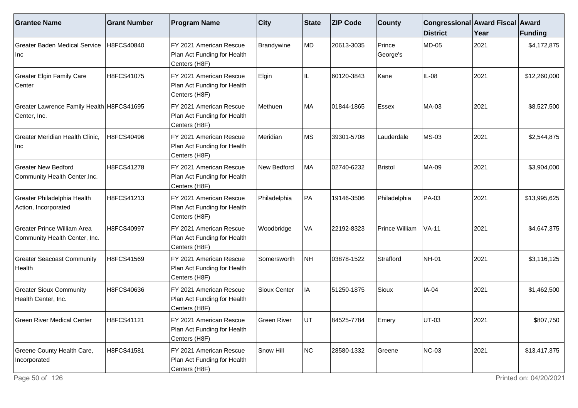| <b>Grantee Name</b>                                          | <b>Grant Number</b> | <b>Program Name</b>                                                     | <b>City</b>  | State     | <b>ZIP Code</b> | <b>County</b>         | Congressional Award Fiscal Award<br><b>District</b> | Year | <b>Funding</b> |
|--------------------------------------------------------------|---------------------|-------------------------------------------------------------------------|--------------|-----------|-----------------|-----------------------|-----------------------------------------------------|------|----------------|
| <b>Greater Baden Medical Service</b><br>Inc                  | H8FCS40840          | FY 2021 American Rescue<br>Plan Act Funding for Health<br>Centers (H8F) | Brandywine   | MD        | 20613-3035      | Prince<br>George's    | <b>MD-05</b>                                        | 2021 | \$4,172,875    |
| <b>Greater Elgin Family Care</b><br>Center                   | H8FCS41075          | FY 2021 American Rescue<br>Plan Act Funding for Health<br>Centers (H8F) | Elgin        | IL        | 60120-3843      | Kane                  | IL-08                                               | 2021 | \$12,260,000   |
| Greater Lawrence Family Health H8FCS41695<br>Center, Inc.    |                     | FY 2021 American Rescue<br>Plan Act Funding for Health<br>Centers (H8F) | Methuen      | MA        | 01844-1865      | Essex                 | MA-03                                               | 2021 | \$8,527,500    |
| Greater Meridian Health Clinic,<br>Inc                       | H8FCS40496          | FY 2021 American Rescue<br>Plan Act Funding for Health<br>Centers (H8F) | Meridian     | <b>MS</b> | 39301-5708      | Lauderdale            | <b>MS-03</b>                                        | 2021 | \$2,544,875    |
| <b>Greater New Bedford</b><br>Community Health Center, Inc.  | H8FCS41278          | FY 2021 American Rescue<br>Plan Act Funding for Health<br>Centers (H8F) | New Bedford  | MA        | 02740-6232      | <b>Bristol</b>        | <b>MA-09</b>                                        | 2021 | \$3,904,000    |
| Greater Philadelphia Health<br>Action, Incorporated          | H8FCS41213          | FY 2021 American Rescue<br>Plan Act Funding for Health<br>Centers (H8F) | Philadelphia | PA        | 19146-3506      | Philadelphia          | PA-03                                               | 2021 | \$13,995,625   |
| Greater Prince William Area<br>Community Health Center, Inc. | H8FCS40997          | FY 2021 American Rescue<br>Plan Act Funding for Health<br>Centers (H8F) | Woodbridge   | VA        | 22192-8323      | <b>Prince William</b> | $VA-11$                                             | 2021 | \$4,647,375    |
| <b>Greater Seacoast Community</b><br>Health                  | H8FCS41569          | FY 2021 American Rescue<br>Plan Act Funding for Health<br>Centers (H8F) | Somersworth  | <b>NH</b> | 03878-1522      | Strafford             | <b>NH-01</b>                                        | 2021 | \$3,116,125    |
| <b>Greater Sioux Community</b><br>Health Center, Inc.        | H8FCS40636          | FY 2021 American Rescue<br>Plan Act Funding for Health<br>Centers (H8F) | Sioux Center | IA        | 51250-1875      | Sioux                 | IA-04                                               | 2021 | \$1,462,500    |
| <b>Green River Medical Center</b>                            | H8FCS41121          | FY 2021 American Rescue<br>Plan Act Funding for Health<br>Centers (H8F) | Green River  | <b>UT</b> | 84525-7784      | Emery                 | UT-03                                               | 2021 | \$807,750      |
| Greene County Health Care,<br>Incorporated                   | H8FCS41581          | FY 2021 American Rescue<br>Plan Act Funding for Health<br>Centers (H8F) | Snow Hill    | NC        | 28580-1332      | Greene                | <b>NC-03</b>                                        | 2021 | \$13,417,375   |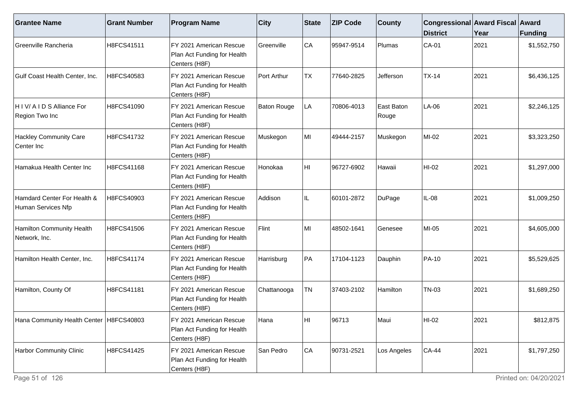| <b>Grantee Name</b>                               | <b>Grant Number</b> | <b>Program Name</b>                                                     | <b>City</b>        | State     | <b>ZIP Code</b> | <b>County</b>       | Congressional Award Fiscal Award<br><b>District</b> | Year | <b>Funding</b> |
|---------------------------------------------------|---------------------|-------------------------------------------------------------------------|--------------------|-----------|-----------------|---------------------|-----------------------------------------------------|------|----------------|
| Greenville Rancheria                              | H8FCS41511          | FY 2021 American Rescue<br>Plan Act Funding for Health<br>Centers (H8F) | Greenville         | <b>CA</b> | 95947-9514      | Plumas              | $CA-01$                                             | 2021 | \$1,552,750    |
| Gulf Coast Health Center, Inc.                    | H8FCS40583          | FY 2021 American Rescue<br>Plan Act Funding for Health<br>Centers (H8F) | Port Arthur        | <b>TX</b> | 77640-2825      | Jefferson           | $TX-14$                                             | 2021 | \$6,436,125    |
| H I V/ A I D S Alliance For<br>Region Two Inc     | H8FCS41090          | FY 2021 American Rescue<br>Plan Act Funding for Health<br>Centers (H8F) | <b>Baton Rouge</b> | LA        | 70806-4013      | East Baton<br>Rouge | $LA-06$                                             | 2021 | \$2,246,125    |
| <b>Hackley Community Care</b><br>Center Inc       | H8FCS41732          | FY 2021 American Rescue<br>Plan Act Funding for Health<br>Centers (H8F) | Muskegon           | MI        | 49444-2157      | Muskegon            | MI-02                                               | 2021 | \$3,323,250    |
| Hamakua Health Center Inc                         | H8FCS41168          | FY 2021 American Rescue<br>Plan Act Funding for Health<br>Centers (H8F) | Honokaa            | HI        | 96727-6902      | Hawaii              | HI-02                                               | 2021 | \$1,297,000    |
| Hamdard Center For Health &<br>Human Services Nfp | H8FCS40903          | FY 2021 American Rescue<br>Plan Act Funding for Health<br>Centers (H8F) | Addison            | IL        | 60101-2872      | DuPage              | IL-08                                               | 2021 | \$1,009,250    |
| Hamilton Community Health<br>Network, Inc.        | H8FCS41506          | FY 2021 American Rescue<br>Plan Act Funding for Health<br>Centers (H8F) | Flint              | MI        | 48502-1641      | Genesee             | MI-05                                               | 2021 | \$4,605,000    |
| Hamilton Health Center, Inc.                      | H8FCS41174          | FY 2021 American Rescue<br>Plan Act Funding for Health<br>Centers (H8F) | Harrisburg         | PA        | 17104-1123      | Dauphin             | PA-10                                               | 2021 | \$5,529,625    |
| Hamilton, County Of                               | H8FCS41181          | FY 2021 American Rescue<br>Plan Act Funding for Health<br>Centers (H8F) | Chattanooga        | <b>TN</b> | 37403-2102      | Hamilton            | TN-03                                               | 2021 | \$1,689,250    |
| Hana Community Health Center   H8FCS40803         |                     | FY 2021 American Rescue<br>Plan Act Funding for Health<br>Centers (H8F) | Hana               | HI        | 96713           | Maui                | HI-02                                               | 2021 | \$812,875      |
| Harbor Community Clinic                           | H8FCS41425          | FY 2021 American Rescue<br>Plan Act Funding for Health<br>Centers (H8F) | San Pedro          | CA        | 90731-2521      | Los Angeles         | <b>CA-44</b>                                        | 2021 | \$1,797,250    |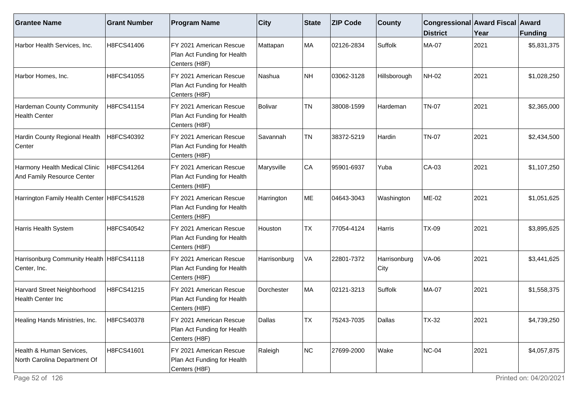| <b>Grantee Name</b>                                         | <b>Grant Number</b> | <b>Program Name</b>                                                      | $ $ City     | <b>State</b> | <b>ZIP Code</b> | <b>County</b>        | Congressional Award Fiscal Award<br><b>District</b> | Year | Funding     |
|-------------------------------------------------------------|---------------------|--------------------------------------------------------------------------|--------------|--------------|-----------------|----------------------|-----------------------------------------------------|------|-------------|
| Harbor Health Services, Inc.                                | H8FCS41406          | FY 2021 American Rescue<br>Plan Act Funding for Health<br>Centers (H8F)  | Mattapan     | MA           | 02126-2834      | Suffolk              | <b>MA-07</b>                                        | 2021 | \$5,831,375 |
| Harbor Homes, Inc.                                          | H8FCS41055          | FY 2021 American Rescue<br>Plan Act Funding for Health<br>Centers (H8F)  | Nashua       | NH           | 03062-3128      | Hillsborough         | <b>NH-02</b>                                        | 2021 | \$1,028,250 |
| Hardeman County Community<br><b>Health Center</b>           | H8FCS41154          | FY 2021 American Rescue<br>Plan Act Funding for Health<br>Centers (H8F)  | Bolivar      | <b>TN</b>    | 38008-1599      | Hardeman             | <b>TN-07</b>                                        | 2021 | \$2,365,000 |
| Hardin County Regional Health<br>Center                     | H8FCS40392          | IFY 2021 American Rescue<br>Plan Act Funding for Health<br>Centers (H8F) | Savannah     | <b>TN</b>    | 38372-5219      | Hardin               | <b>TN-07</b>                                        | 2021 | \$2,434,500 |
| Harmony Health Medical Clinic<br>And Family Resource Center | H8FCS41264          | FY 2021 American Rescue<br>Plan Act Funding for Health<br>Centers (H8F)  | Marysville   | CA           | 95901-6937      | Yuba                 | CA-03                                               | 2021 | \$1,107,250 |
| Harrington Family Health Center   H8FCS41528                |                     | FY 2021 American Rescue<br>Plan Act Funding for Health<br>Centers (H8F)  | Harrington   | ME           | 04643-3043      | Washington           | ME-02                                               | 2021 | \$1,051,625 |
| Harris Health System                                        | H8FCS40542          | FY 2021 American Rescue<br>Plan Act Funding for Health<br>Centers (H8F)  | Houston      | <b>TX</b>    | 77054-4124      | Harris               | <b>TX-09</b>                                        | 2021 | \$3,895,625 |
| Harrisonburg Community Health   H8FCS41118<br>Center, Inc.  |                     | FY 2021 American Rescue<br>Plan Act Funding for Health<br>Centers (H8F)  | Harrisonburg | VA           | 22801-7372      | Harrisonburg<br>City | VA-06                                               | 2021 | \$3,441,625 |
| Harvard Street Neighborhood<br>Health Center Inc            | H8FCS41215          | FY 2021 American Rescue<br>Plan Act Funding for Health<br>Centers (H8F)  | Dorchester   | MA           | 02121-3213      | Suffolk              | <b>MA-07</b>                                        | 2021 | \$1,558,375 |
| Healing Hands Ministries, Inc.                              | H8FCS40378          | FY 2021 American Rescue<br>Plan Act Funding for Health<br>Centers (H8F)  | Dallas       | TX           | 75243-7035      | Dallas               | <b>TX-32</b>                                        | 2021 | \$4,739,250 |
| Health & Human Services,<br>North Carolina Department Of    | H8FCS41601          | FY 2021 American Rescue<br>Plan Act Funding for Health<br>Centers (H8F)  | Raleigh      | NC           | 27699-2000      | Wake                 | $NC-04$                                             | 2021 | \$4,057,875 |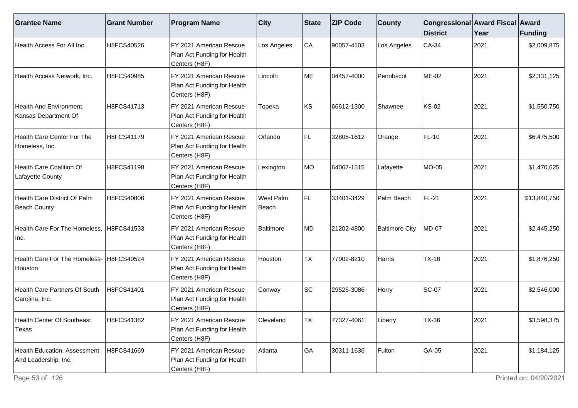| <b>Grantee Name</b>                                  | <b>Grant Number</b> | <b>Program Name</b>                                                     | <b>City</b>        | <b>State</b> | <b>ZIP Code</b> | <b>County</b>         | Congressional Award Fiscal Award<br><b>District</b> | Year | Funding      |
|------------------------------------------------------|---------------------|-------------------------------------------------------------------------|--------------------|--------------|-----------------|-----------------------|-----------------------------------------------------|------|--------------|
| Health Access For All Inc.                           | H8FCS40526          | FY 2021 American Rescue<br>Plan Act Funding for Health<br>Centers (H8F) | Los Angeles        | CA           | 90057-4103      | Los Angeles           | CA-34                                               | 2021 | \$2,009,875  |
| Health Access Network, Inc.                          | H8FCS40985          | FY 2021 American Rescue<br>Plan Act Funding for Health<br>Centers (H8F) | Lincoln            | ME           | 04457-4000      | Penobscot             | ME-02                                               | 2021 | \$2,331,125  |
| Health And Environment,<br>Kansas Department Of      | H8FCS41713          | FY 2021 American Rescue<br>Plan Act Funding for Health<br>Centers (H8F) | Topeka             | KS           | 66612-1300      | Shawnee               | <b>KS-02</b>                                        | 2021 | \$1,550,750  |
| Health Care Center For The<br>Homeless, Inc.         | H8FCS41179          | FY 2021 American Rescue<br>Plan Act Funding for Health<br>Centers (H8F) | Orlando            | FL           | 32805-1612      | Orange                | <b>FL-10</b>                                        | 2021 | \$6,475,500  |
| <b>Health Care Coalition Of</b><br>Lafayette County  | H8FCS41198          | FY 2021 American Rescue<br>Plan Act Funding for Health<br>Centers (H8F) | Lexington          | MO           | 64067-1515      | Lafayette             | MO-05                                               | 2021 | \$1,470,625  |
| Health Care District Of Palm<br><b>Beach County</b>  | H8FCS40806          | FY 2021 American Rescue<br>Plan Act Funding for Health<br>Centers (H8F) | West Palm<br>Beach | FL.          | 33401-3429      | Palm Beach            | FL-21                                               | 2021 | \$13,840,750 |
| Health Care For The Homeless,<br>Inc.                | H8FCS41533          | FY 2021 American Rescue<br>Plan Act Funding for Health<br>Centers (H8F) | <b>Baltimore</b>   | MD           | 21202-4800      | <b>Baltimore City</b> | <b>MD-07</b>                                        | 2021 | \$2,445,250  |
| Health Care For The Homeless-<br>Houston             | H8FCS40524          | FY 2021 American Rescue<br>Plan Act Funding for Health<br>Centers (H8F) | Houston            | <b>TX</b>    | 77002-8210      | Harris                | $TX-18$                                             | 2021 | \$1,876,250  |
| Health Care Partners Of South<br>Carolina, Inc.      | H8FCS41401          | FY 2021 American Rescue<br>Plan Act Funding for Health<br>Centers (H8F) | Conway             | SC           | 29526-3086      | Horry                 | <b>SC-07</b>                                        | 2021 | \$2,546,000  |
| <b>Health Center Of Southeast</b><br>Texas           | H8FCS41382          | FY 2021 American Rescue<br>Plan Act Funding for Health<br>Centers (H8F) | Cleveland          | TX           | 77327-4061      | ∟iberty               | <b>TX-36</b>                                        | 2021 | \$3,598,375  |
| Health Education, Assessment<br>And Leadership, Inc. | H8FCS41669          | FY 2021 American Rescue<br>Plan Act Funding for Health<br>Centers (H8F) | Atlanta            | GA           | 30311-1636      | Fulton                | GA-05                                               | 2021 | \$1,184,125  |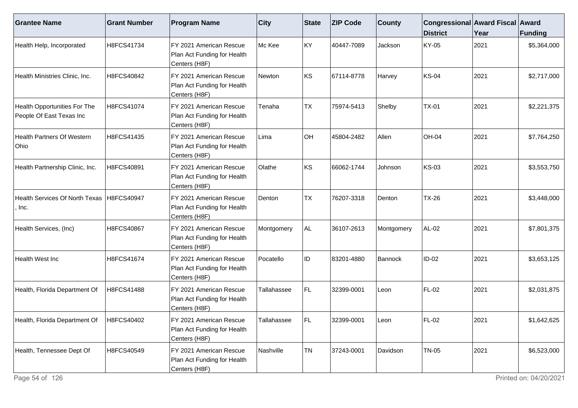| <b>Grantee Name</b>                                      | <b>Grant Number</b> | <b>Program Name</b>                                                      | <b>City</b> | State     | <b>ZIP Code</b> | <b>County</b> | Congressional Award Fiscal Award<br><b>District</b> | Year | <b>Funding</b> |
|----------------------------------------------------------|---------------------|--------------------------------------------------------------------------|-------------|-----------|-----------------|---------------|-----------------------------------------------------|------|----------------|
| Health Help, Incorporated                                | H8FCS41734          | FY 2021 American Rescue<br>Plan Act Funding for Health<br>Centers (H8F)  | Mc Kee      | KY        | 40447-7089      | Jackson       | KY-05                                               | 2021 | \$5,364,000    |
| Health Ministries Clinic, Inc.                           | H8FCS40842          | FY 2021 American Rescue<br>Plan Act Funding for Health<br>Centers (H8F)  | Newton      | KS        | 67114-8778      | Harvey        | KS-04                                               | 2021 | \$2,717,000    |
| Health Opportunities For The<br>People Of East Texas Inc | H8FCS41074          | IFY 2021 American Rescue<br>Plan Act Funding for Health<br>Centers (H8F) | Tenaha      | <b>TX</b> | 75974-5413      | Shelby        | $TX-01$                                             | 2021 | \$2,221,375    |
| <b>Health Partners Of Western</b><br>Ohio                | H8FCS41435          | FY 2021 American Rescue<br>Plan Act Funding for Health<br>Centers (H8F)  | Lima        | <b>OH</b> | 45804-2482      | Allen         | <b>OH-04</b>                                        | 2021 | \$7,764,250    |
| Health Partnership Clinic, Inc.                          | H8FCS40891          | FY 2021 American Rescue<br>Plan Act Funding for Health<br>Centers (H8F)  | Olathe      | KS        | 66062-1744      | Johnson       | KS-03                                               | 2021 | \$3,553,750    |
| <b>Health Services Of North Texas</b><br>Inc.            | H8FCS40947          | IFY 2021 American Rescue<br>Plan Act Funding for Health<br>Centers (H8F) | Denton      | <b>TX</b> | 76207-3318      | Denton        | <b>TX-26</b>                                        | 2021 | \$3,448,000    |
| Health Services, (Inc)                                   | H8FCS40867          | FY 2021 American Rescue<br>Plan Act Funding for Health<br>Centers (H8F)  | Montgomery  | AL.       | 36107-2613      | Montgomery    | AL-02                                               | 2021 | \$7,801,375    |
| <b>Health West Inc</b>                                   | H8FCS41674          | FY 2021 American Rescue<br>Plan Act Funding for Health<br>Centers (H8F)  | Pocatello   | ID        | 83201-4880      | Bannock       | ID-02                                               | 2021 | \$3,653,125    |
| Health, Florida Department Of                            | H8FCS41488          | IFY 2021 American Rescue<br>Plan Act Funding for Health<br>Centers (H8F) | Tallahassee | FL        | 32399-0001      | Leon          | <b>FL-02</b>                                        | 2021 | \$2,031,875    |
| Health, Florida Department Of                            | H8FCS40402          | FY 2021 American Rescue<br>Plan Act Funding for Health<br>Centers (H8F)  | Tallahassee | l FL      | 32399-0001      | eon           | <b>FL-02</b>                                        | 2021 | \$1,642,625    |
| Health, Tennessee Dept Of                                | H8FCS40549          | FY 2021 American Rescue<br>Plan Act Funding for Health<br>Centers (H8F)  | Nashville   | <b>TN</b> | 37243-0001      | Davidson      | <b>TN-05</b>                                        | 2021 | \$6,523,000    |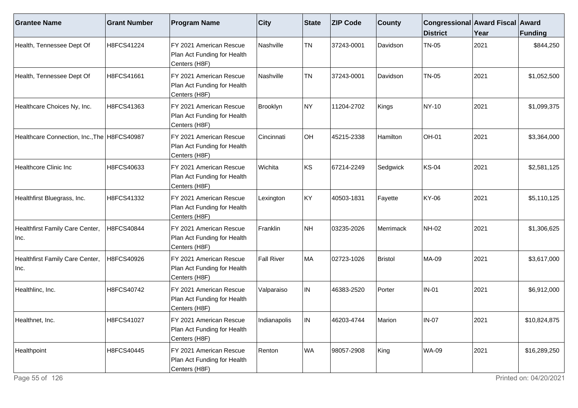| <b>Grantee Name</b>                           | <b>Grant Number</b> | <b>Program Name</b>                                                      | $ $ City     | <b>State</b> | <b>ZIP Code</b> | <b>County</b>    | Congressional Award Fiscal Award<br><b>District</b> | Year | Funding      |
|-----------------------------------------------|---------------------|--------------------------------------------------------------------------|--------------|--------------|-----------------|------------------|-----------------------------------------------------|------|--------------|
| Health, Tennessee Dept Of                     | H8FCS41224          | FY 2021 American Rescue<br>Plan Act Funding for Health<br>Centers (H8F)  | Nashville    | <b>TN</b>    | 37243-0001      | Davidson         | <b>TN-05</b>                                        | 2021 | \$844,250    |
| Health, Tennessee Dept Of                     | H8FCS41661          | FY 2021 American Rescue<br>Plan Act Funding for Health<br>Centers (H8F)  | Nashville    | <b>TN</b>    | 37243-0001      | Davidson         | <b>TN-05</b>                                        | 2021 | \$1,052,500  |
| Healthcare Choices Ny, Inc.                   | H8FCS41363          | FY 2021 American Rescue<br>Plan Act Funding for Health<br>Centers (H8F)  | Brooklyn     | NY)          | 11204-2702      | Kings            | NY-10                                               | 2021 | \$1,099,375  |
| Healthcare Connection, Inc., The   H8FCS40987 |                     | IFY 2021 American Rescue<br>Plan Act Funding for Health<br>Centers (H8F) | Cincinnati   | OH           | 45215-2338      | Hamilton         | OH-01                                               | 2021 | \$3,364,000  |
| <b>Healthcore Clinic Inc</b>                  | H8FCS40633          | FY 2021 American Rescue<br>Plan Act Funding for Health<br>Centers (H8F)  | Wichita      | KS           | 67214-2249      | Sedgwick         | <b>KS-04</b>                                        | 2021 | \$2,581,125  |
| Healthfirst Bluegrass, Inc.                   | H8FCS41332          | FY 2021 American Rescue<br>Plan Act Funding for Health<br>Centers (H8F)  | Lexington    | KY           | 40503-1831      | Fayette          | KY-06                                               | 2021 | \$5,110,125  |
| Healthfirst Family Care Center,<br>Inc.       | H8FCS40844          | FY 2021 American Rescue<br>Plan Act Funding for Health<br>Centers (H8F)  | Franklin     | NH           | 03235-2026      | <b>Merrimack</b> | <b>NH-02</b>                                        | 2021 | \$1,306,625  |
| Healthfirst Family Care Center,<br>Inc.       | H8FCS40926          | FY 2021 American Rescue<br>Plan Act Funding for Health<br>Centers (H8F)  | Fall River   | MA           | 02723-1026      | Bristol          | MA-09                                               | 2021 | \$3,617,000  |
| Healthlinc, Inc.                              | H8FCS40742          | FY 2021 American Rescue<br>Plan Act Funding for Health<br>Centers (H8F)  | Valparaiso   | IN.          | 46383-2520      | Porter           | <b>IN-01</b>                                        | 2021 | \$6,912,000  |
| Healthnet, Inc.                               | H8FCS41027          | FY 2021 American Rescue<br>Plan Act Funding for Health<br>Centers (H8F)  | Indianapolis | ${\sf IN}$   | 46203-4744      | Marion           | $IN-07$                                             | 2021 | \$10,824,875 |
| Healthpoint                                   | H8FCS40445          | FY 2021 American Rescue<br>Plan Act Funding for Health<br>Centers (H8F)  | Renton       | WA           | 98057-2908      | King             | <b>WA-09</b>                                        | 2021 | \$16,289,250 |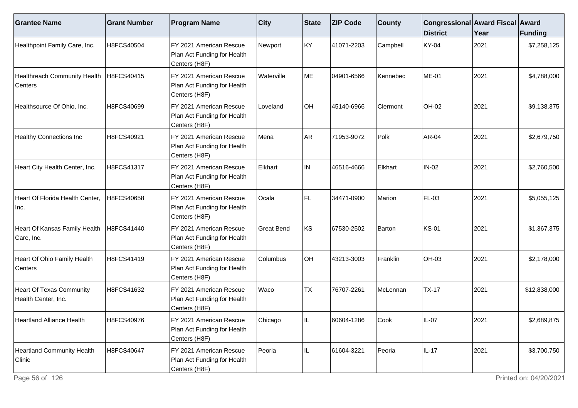| <b>Grantee Name</b>                                    | <b>Grant Number</b> | <b>Program Name</b>                                                      | $ $ City          | <b>State</b> | <b>ZIP Code</b> | <b>County</b> | Congressional Award Fiscal Award<br><b>District</b> | Year | Funding      |
|--------------------------------------------------------|---------------------|--------------------------------------------------------------------------|-------------------|--------------|-----------------|---------------|-----------------------------------------------------|------|--------------|
| Healthpoint Family Care, Inc.                          | H8FCS40504          | FY 2021 American Rescue<br>Plan Act Funding for Health<br>Centers (H8F)  | Newport           | KY           | 41071-2203      | Campbell      | <b>KY-04</b>                                        | 2021 | \$7,258,125  |
| Healthreach Community Health<br>Centers                | H8FCS40415          | FY 2021 American Rescue<br>Plan Act Funding for Health<br>Centers (H8F)  | Waterville        | ME           | 04901-6566      | Kennebec      | <b>ME-01</b>                                        | 2021 | \$4,788,000  |
| Healthsource Of Ohio, Inc.                             | H8FCS40699          | IFY 2021 American Rescue<br>Plan Act Funding for Health<br>Centers (H8F) | Loveland          | OH           | 45140-6966      | Clermont      | OH-02                                               | 2021 | \$9,138,375  |
| <b>Healthy Connections Inc</b>                         | H8FCS40921          | FY 2021 American Rescue<br>Plan Act Funding for Health<br>Centers (H8F)  | Mena              | AR           | 71953-9072      | Polk          | AR-04                                               | 2021 | \$2,679,750  |
| Heart City Health Center, Inc.                         | H8FCS41317          | FY 2021 American Rescue<br>Plan Act Funding for Health<br>Centers (H8F)  | Elkhart           | IN           | 46516-4666      | Elkhart       | $IN-02$                                             | 2021 | \$2,760,500  |
| Heart Of Florida Health Center,<br>Inc.                | H8FCS40658          | IFY 2021 American Rescue<br>Plan Act Funding for Health<br>Centers (H8F) | Ocala             | FL.          | 34471-0900      | Marion        | FL-03                                               | 2021 | \$5,055,125  |
| Heart Of Kansas Family Health<br>Care, Inc.            | H8FCS41440          | FY 2021 American Rescue<br>Plan Act Funding for Health<br>Centers (H8F)  | <b>Great Bend</b> | KS           | 67530-2502      | Barton        | <b>KS-01</b>                                        | 2021 | \$1,367,375  |
| Heart Of Ohio Family Health<br>Centers                 | H8FCS41419          | FY 2021 American Rescue<br>Plan Act Funding for Health<br>Centers (H8F)  | Columbus          | OH           | 43213-3003      | Franklin      | OH-03                                               | 2021 | \$2,178,000  |
| <b>Heart Of Texas Community</b><br>Health Center, Inc. | H8FCS41632          | FY 2021 American Rescue<br>Plan Act Funding for Health<br>Centers (H8F)  | Waco              | <b>TX</b>    | 76707-2261      | McLennan      | <b>TX-17</b>                                        | 2021 | \$12,838,000 |
| <b>Heartland Alliance Health</b>                       | H8FCS40976          | FY 2021 American Rescue<br>Plan Act Funding for Health<br>Centers (H8F)  | Chicago           |              | 60604-1286      | Cook          | $IL-07$                                             | 2021 | \$2,689,875  |
| <b>Heartland Community Health</b><br>Clinic            | H8FCS40647          | FY 2021 American Rescue<br>Plan Act Funding for Health<br>Centers (H8F)  | Peoria            | IL.          | 61604-3221      | Peoria        | $IL-17$                                             | 2021 | \$3,700,750  |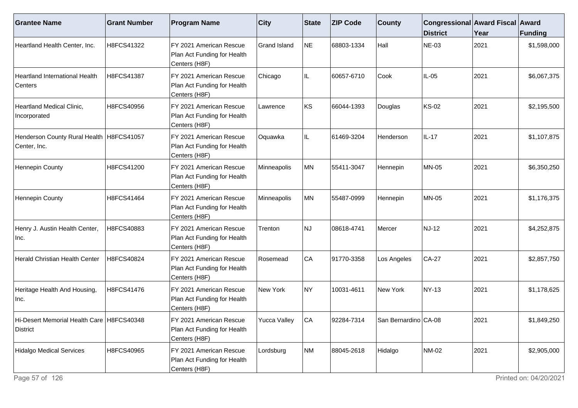| <b>Grantee Name</b>                                        | <b>Grant Number</b> | <b>Program Name</b>                                                     | $ $ City     | State     | <b>ZIP Code</b> | <b>County</b>          | Congressional Award Fiscal Award<br><b>District</b> | Year | <b>Funding</b> |
|------------------------------------------------------------|---------------------|-------------------------------------------------------------------------|--------------|-----------|-----------------|------------------------|-----------------------------------------------------|------|----------------|
| Heartland Health Center, Inc.                              | H8FCS41322          | FY 2021 American Rescue<br>Plan Act Funding for Health<br>Centers (H8F) | Grand Island | <b>NE</b> | 68803-1334      | Hall                   | NE-03                                               | 2021 | \$1,598,000    |
| Heartland International Health<br>Centers                  | H8FCS41387          | FY 2021 American Rescue<br>Plan Act Funding for Health<br>Centers (H8F) | Chicago      | IL.       | 60657-6710      | Cook                   | IL-05                                               | 2021 | \$6,067,375    |
| Heartland Medical Clinic,<br>Incorporated                  | H8FCS40956          | FY 2021 American Rescue<br>Plan Act Funding for Health<br>Centers (H8F) | Lawrence     | KS        | 66044-1393      | Douglas                | <b>KS-02</b>                                        | 2021 | \$2,195,500    |
| Henderson County Rural Health   H8FCS41057<br>Center, Inc. |                     | FY 2021 American Rescue<br>Plan Act Funding for Health<br>Centers (H8F) | Oquawka      | IL        | 61469-3204      | Henderson              | IL-17                                               | 2021 | \$1,107,875    |
| <b>Hennepin County</b>                                     | H8FCS41200          | FY 2021 American Rescue<br>Plan Act Funding for Health<br>Centers (H8F) | Minneapolis  | MN        | 55411-3047      | Hennepin               | <b>MN-05</b>                                        | 2021 | \$6,350,250    |
| Hennepin County                                            | H8FCS41464          | FY 2021 American Rescue<br>Plan Act Funding for Health<br>Centers (H8F) | Minneapolis  | MN        | 55487-0999      | Hennepin               | <b>MN-05</b>                                        | 2021 | \$1,176,375    |
| Henry J. Austin Health Center,<br>Inc.                     | H8FCS40883          | FY 2021 American Rescue<br>Plan Act Funding for Health<br>Centers (H8F) | Trenton      | <b>NJ</b> | 08618-4741      | Mercer                 | <b>NJ-12</b>                                        | 2021 | \$4,252,875    |
| Herald Christian Health Center                             | H8FCS40824          | FY 2021 American Rescue<br>Plan Act Funding for Health<br>Centers (H8F) | Rosemead     | CA        | 91770-3358      | Los Angeles            | $CA-27$                                             | 2021 | \$2,857,750    |
| Heritage Health And Housing,<br>Inc.                       | H8FCS41476          | FY 2021 American Rescue<br>Plan Act Funding for Health<br>Centers (H8F) | New York     | NY)       | 10031-4611      | New York               | <b>NY-13</b>                                        | 2021 | \$1,178,625    |
| Hi-Desert Memorial Health Care   H8FCS40348<br>District    |                     | FY 2021 American Rescue<br>Plan Act Funding for Health<br>Centers (H8F) | Yucca Valley | CA        | 92284-7314      | San Bernardino   CA-08 |                                                     | 2021 | \$1,849,250    |
| Hidalgo Medical Services                                   | H8FCS40965          | FY 2021 American Rescue<br>Plan Act Funding for Health<br>Centers (H8F) | Lordsburg    | NM        | 88045-2618      | Hidalgo                | <b>NM-02</b>                                        | 2021 | \$2,905,000    |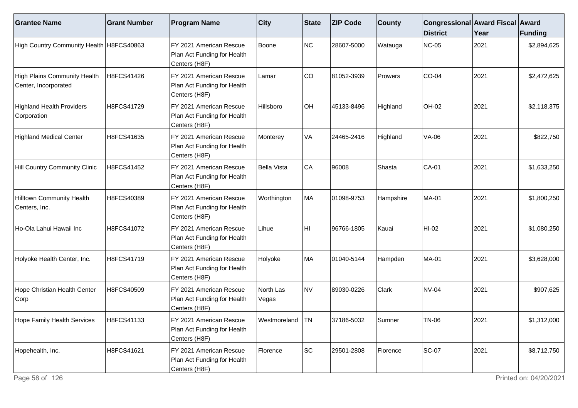| <b>Grantee Name</b>                                  | <b>Grant Number</b> | <b>Program Name</b>                                                     | <b>City</b>        | State | <b>ZIP Code</b> | <b>County</b> | Congressional Award Fiscal Award<br><b>District</b> | Year | Funding     |
|------------------------------------------------------|---------------------|-------------------------------------------------------------------------|--------------------|-------|-----------------|---------------|-----------------------------------------------------|------|-------------|
| High Country Community Health H8FCS40863             |                     | FY 2021 American Rescue<br>Plan Act Funding for Health<br>Centers (H8F) | Boone              | NC    | 28607-5000      | Watauga       | <b>NC-05</b>                                        | 2021 | \$2,894,625 |
| High Plains Community Health<br>Center, Incorporated | H8FCS41426          | FY 2021 American Rescue<br>Plan Act Funding for Health<br>Centers (H8F) | Lamar              | CO    | 81052-3939      | Prowers       | $CO-04$                                             | 2021 | \$2,472,625 |
| <b>Highland Health Providers</b><br>Corporation      | H8FCS41729          | FY 2021 American Rescue<br>Plan Act Funding for Health<br>Centers (H8F) | Hillsboro          | OH    | 45133-8496      | Highland      | <b>OH-02</b>                                        | 2021 | \$2,118,375 |
| Highland Medical Center                              | H8FCS41635          | FY 2021 American Rescue<br>Plan Act Funding for Health<br>Centers (H8F) | Monterey           | VA    | 24465-2416      | Highland      | <b>VA-06</b>                                        | 2021 | \$822,750   |
| Hill Country Community Clinic                        | H8FCS41452          | FY 2021 American Rescue<br>Plan Act Funding for Health<br>Centers (H8F) | Bella Vista        | CA    | 96008           | Shasta        | CA-01                                               | 2021 | \$1,633,250 |
| Hilltown Community Health<br>Centers, Inc.           | H8FCS40389          | FY 2021 American Rescue<br>Plan Act Funding for Health<br>Centers (H8F) | Worthington        | MA    | 01098-9753      | Hampshire     | <b>MA-01</b>                                        | 2021 | \$1,800,250 |
| Ho-Ola Lahui Hawaii Inc                              | H8FCS41072          | FY 2021 American Rescue<br>Plan Act Funding for Health<br>Centers (H8F) | Lihue              | HI    | 96766-1805      | Kauai         | $HI-02$                                             | 2021 | \$1,080,250 |
| Holyoke Health Center, Inc.                          | H8FCS41719          | FY 2021 American Rescue<br>Plan Act Funding for Health<br>Centers (H8F) | Holyoke            | MA    | 01040-5144      | Hampden       | <b>MA-01</b>                                        | 2021 | \$3,628,000 |
| Hope Christian Health Center<br>Corp                 | H8FCS40509          | FY 2021 American Rescue<br>Plan Act Funding for Health<br>Centers (H8F) | North Las<br>Vegas | NV    | 89030-0226      | Clark         | <b>NV-04</b>                                        | 2021 | \$907,625   |
| Hope Family Health Services                          | H8FCS41133          | FY 2021 American Rescue<br>Plan Act Funding for Health<br>Centers (H8F) | Westmoreland   TN  |       | 37186-5032      | Sumner        | TN-06                                               | 2021 | \$1,312,000 |
| Hopehealth, Inc.                                     | H8FCS41621          | FY 2021 American Rescue<br>Plan Act Funding for Health<br>Centers (H8F) | Florence           | SC    | 29501-2808      | Florence      | <b>SC-07</b>                                        | 2021 | \$8,712,750 |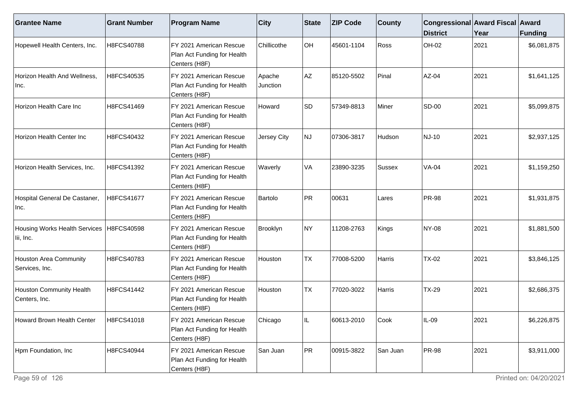| <b>Grantee Name</b>                        | <b>Grant Number</b> | <b>Program Name</b>                                                     | $ $ City           | <b>State</b> | <b>ZIP Code</b> | <b>County</b> | Congressional Award Fiscal Award<br><b>District</b> | Year | <b>Funding</b> |
|--------------------------------------------|---------------------|-------------------------------------------------------------------------|--------------------|--------------|-----------------|---------------|-----------------------------------------------------|------|----------------|
| Hopewell Health Centers, Inc.              | H8FCS40788          | FY 2021 American Rescue<br>Plan Act Funding for Health<br>Centers (H8F) | Chillicothe        | OH           | 45601-1104      | Ross          | OH-02                                               | 2021 | \$6,081,875    |
| Horizon Health And Wellness,<br>Inc.       | H8FCS40535          | FY 2021 American Rescue<br>Plan Act Funding for Health<br>Centers (H8F) | Apache<br>Junction | AZ           | 85120-5502      | Pinal         | AZ-04                                               | 2021 | \$1,641,125    |
| Horizon Health Care Inc                    | H8FCS41469          | FY 2021 American Rescue<br>Plan Act Funding for Health<br>Centers (H8F) | Howard             | SD           | 57349-8813      | Miner         | <b>SD-00</b>                                        | 2021 | \$5,099,875    |
| Horizon Health Center Inc                  | H8FCS40432          | FY 2021 American Rescue<br>Plan Act Funding for Health<br>Centers (H8F) | Jersey City        | NJ           | 07306-3817      | Hudson        | NJ-10                                               | 2021 | \$2,937,125    |
| Horizon Health Services, Inc.              | H8FCS41392          | FY 2021 American Rescue<br>Plan Act Funding for Health<br>Centers (H8F) | Waverly            | VA           | 23890-3235      | Sussex        | $VA-04$                                             | 2021 | \$1,159,250    |
| Hospital General De Castaner,<br> Inc.     | H8FCS41677          | FY 2021 American Rescue<br>Plan Act Funding for Health<br>Centers (H8F) | Bartolo            | PR           | 00631           | Lares         | <b>PR-98</b>                                        | 2021 | \$1,931,875    |
| Housing Works Health Services<br>lii, Inc. | H8FCS40598          | FY 2021 American Rescue<br>Plan Act Funding for Health<br>Centers (H8F) | Brooklyn           | NY)          | 11208-2763      | Kings         | NY-08                                               | 2021 | \$1,881,500    |
| Houston Area Community<br>Services, Inc.   | H8FCS40783          | FY 2021 American Rescue<br>Plan Act Funding for Health<br>Centers (H8F) | Houston            | <b>TX</b>    | 77008-5200      | Harris        | <b>TX-02</b>                                        | 2021 | \$3,846,125    |
| Houston Community Health<br>Centers, Inc.  | H8FCS41442          | FY 2021 American Rescue<br>Plan Act Funding for Health<br>Centers (H8F) | Houston            | <b>TX</b>    | 77020-3022      | Harris        | <b>TX-29</b>                                        | 2021 | \$2,686,375    |
| <b>Howard Brown Health Center</b>          | H8FCS41018          | FY 2021 American Rescue<br>Plan Act Funding for Health<br>Centers (H8F) | Chicago            |              | 60613-2010      | Cook          | IL-09                                               | 2021 | \$6,226,875    |
| Hpm Foundation, Inc                        | H8FCS40944          | FY 2021 American Rescue<br>Plan Act Funding for Health<br>Centers (H8F) | San Juan           | PR           | 00915-3822      | San Juan      | <b>PR-98</b>                                        | 2021 | \$3,911,000    |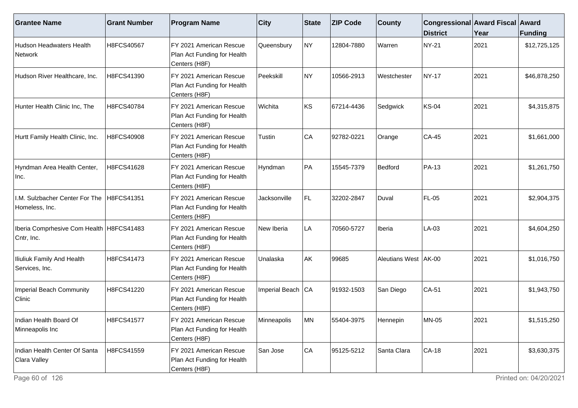| <b>Grantee Name</b>                                      | <b>Grant Number</b> | <b>Program Name</b>                                                      | $ $ City            | State | <b>ZIP Code</b> | <b>County</b>          | Congressional Award Fiscal Award<br><b>District</b> | Year | Funding      |
|----------------------------------------------------------|---------------------|--------------------------------------------------------------------------|---------------------|-------|-----------------|------------------------|-----------------------------------------------------|------|--------------|
| Hudson Headwaters Health<br><b>Network</b>               | H8FCS40567          | FY 2021 American Rescue<br>Plan Act Funding for Health<br>Centers (H8F)  | Queensbury          | NY    | 12804-7880      | Warren                 | <b>NY-21</b>                                        | 2021 | \$12,725,125 |
| Hudson River Healthcare, Inc.                            | H8FCS41390          | FY 2021 American Rescue<br>Plan Act Funding for Health<br>Centers (H8F)  | Peekskill           | NY)   | 10566-2913      | Westchester            | <b>NY-17</b>                                        | 2021 | \$46,878,250 |
| Hunter Health Clinic Inc, The                            | H8FCS40784          | IFY 2021 American Rescue<br>Plan Act Funding for Health<br>Centers (H8F) | Wichita             | KS    | 67214-4436      | Sedgwick               | <b>KS-04</b>                                        | 2021 | \$4,315,875  |
| Hurtt Family Health Clinic, Inc.                         | H8FCS40908          | FY 2021 American Rescue<br>Plan Act Funding for Health<br>Centers (H8F)  | Tustin              | CA    | 92782-0221      | Orange                 | <b>CA-45</b>                                        | 2021 | \$1,661,000  |
| Hyndman Area Health Center,<br>Inc.                      | H8FCS41628          | FY 2021 American Rescue<br>Plan Act Funding for Health<br>Centers (H8F)  | Hyndman             | PA    | 15545-7379      | Bedford                | <b>PA-13</b>                                        | 2021 | \$1,261,750  |
| I.M. Sulzbacher Center For The<br>Homeless, Inc.         | H8FCS41351          | IFY 2021 American Rescue<br>Plan Act Funding for Health<br>Centers (H8F) | Jacksonville        | FL.   | 32202-2847      | Duval                  | FL-05                                               | 2021 | \$2,904,375  |
| Iberia Comprhesive Com Health   H8FCS41483<br>Cntr, Inc. |                     | FY 2021 American Rescue<br>Plan Act Funding for Health<br>Centers (H8F)  | New Iberia          | LA    | 70560-5727      | <b>Iberia</b>          | $LA-03$                                             | 2021 | \$4,604,250  |
| Iliuliuk Family And Health<br>Services, Inc.             | H8FCS41473          | FY 2021 American Rescue<br>Plan Act Funding for Health<br>Centers (H8F)  | Unalaska            | AK    | 99685           | Aleutians West   AK-00 |                                                     | 2021 | \$1,016,750  |
| <b>Imperial Beach Community</b><br>Clinic                | H8FCS41220          | FY 2021 American Rescue<br>Plan Act Funding for Health<br>Centers (H8F)  | Imperial Beach   CA |       | 91932-1503      | San Diego              | $CA-51$                                             | 2021 | \$1,943,750  |
| Indian Health Board Of<br>Minneapolis Inc                | H8FCS41577          | FY 2021 American Rescue<br>Plan Act Funding for Health<br>Centers (H8F)  | Minneapolis         | MN    | 55404-3975      | Hennepin               | <b>MN-05</b>                                        | 2021 | \$1,515,250  |
| Indian Health Center Of Santa<br>Clara Valley            | H8FCS41559          | FY 2021 American Rescue<br>Plan Act Funding for Health<br>Centers (H8F)  | San Jose            | CA    | 95125-5212      | Santa Clara            | <b>CA-18</b>                                        | 2021 | \$3,630,375  |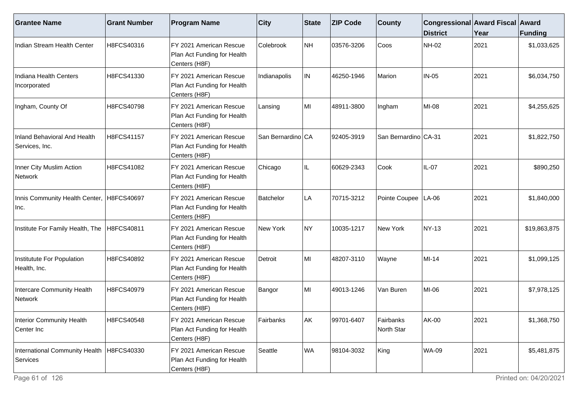| <b>Grantee Name</b>                                     | <b>Grant Number</b> | <b>Program Name</b>                                                     | <b>City</b>       | State | <b>ZIP Code</b> | <b>County</b>           | Congressional Award Fiscal Award<br><b>District</b> | Year | Funding      |
|---------------------------------------------------------|---------------------|-------------------------------------------------------------------------|-------------------|-------|-----------------|-------------------------|-----------------------------------------------------|------|--------------|
| Indian Stream Health Center                             | H8FCS40316          | FY 2021 American Rescue<br>Plan Act Funding for Health<br>Centers (H8F) | Colebrook         | NH    | 03576-3206      | Coos                    | <b>NH-02</b>                                        | 2021 | \$1,033,625  |
| Indiana Health Centers<br>Incorporated                  | H8FCS41330          | FY 2021 American Rescue<br>Plan Act Funding for Health<br>Centers (H8F) | Indianapolis      | IN.   | 46250-1946      | Marion                  | $IN-05$                                             | 2021 | \$6,034,750  |
| Ingham, County Of                                       | H8FCS40798          | FY 2021 American Rescue<br>Plan Act Funding for Health<br>Centers (H8F) | Lansing           | MI    | 48911-3800      | Ingham                  | MI-08                                               | 2021 | \$4,255,625  |
| Inland Behavioral And Health<br>Services, Inc.          | H8FCS41157          | FY 2021 American Rescue<br>Plan Act Funding for Health<br>Centers (H8F) | San Bernardino CA |       | 92405-3919      | San Bernardino CA-31    |                                                     | 2021 | \$1,822,750  |
| Inner City Muslim Action<br>Network                     | H8FCS41082          | FY 2021 American Rescue<br>Plan Act Funding for Health<br>Centers (H8F) | Chicago           | IL.   | 60629-2343      | Cook                    | $IL-07$                                             | 2021 | \$890,250    |
| Innis Community Health Center,  H8FCS40697<br>Inc.      |                     | FY 2021 American Rescue<br>Plan Act Funding for Health<br>Centers (H8F) | Batchelor         | LA.   | 70715-3212      | Pointe Coupee   LA-06   |                                                     | 2021 | \$1,840,000  |
| Institute For Family Health, The                        | H8FCS40811          | FY 2021 American Rescue<br>Plan Act Funding for Health<br>Centers (H8F) | New York          | NY)   | 10035-1217      | <b>New York</b>         | <b>NY-13</b>                                        | 2021 | \$19,863,875 |
| Institutute For Population<br>Health, Inc.              | H8FCS40892          | FY 2021 American Rescue<br>Plan Act Funding for Health<br>Centers (H8F) | Detroit           | MI    | 48207-3110      | Wayne                   | MI-14                                               | 2021 | \$1,099,125  |
| Intercare Community Health<br>Network                   | H8FCS40979          | FY 2021 American Rescue<br>Plan Act Funding for Health<br>Centers (H8F) | Bangor            | MI    | 49013-1246      | Van Buren               | MI-06                                               | 2021 | \$7,978,125  |
| Interior Community Health<br>Center Inc                 | H8FCS40548          | FY 2021 American Rescue<br>Plan Act Funding for Health<br>Centers (H8F) | Fairbanks         | AK    | 99701-6407      | Fairbanks<br>North Star | AK-00                                               | 2021 | \$1,368,750  |
| International Community Health   H8FCS40330<br>Services |                     | FY 2021 American Rescue<br>Plan Act Funding for Health<br>Centers (H8F) | Seattle           | WA    | 98104-3032      | King                    | <b>WA-09</b>                                        | 2021 | \$5,481,875  |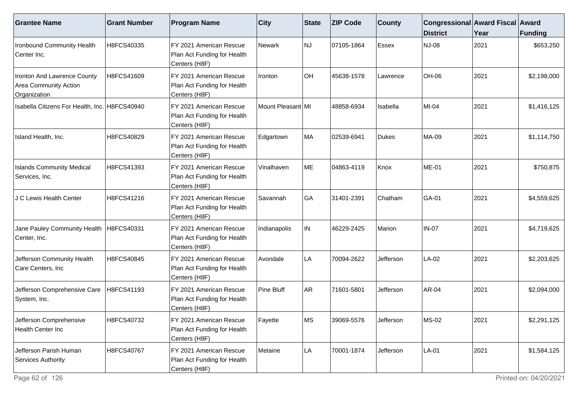| <b>Grantee Name</b>                                                         | <b>Grant Number</b> | <b>Program Name</b>                                                     | $ $ City          | State     | <b>ZIP Code</b> | <b>County</b> | Congressional Award Fiscal Award<br><b>District</b> | Year | Funding     |
|-----------------------------------------------------------------------------|---------------------|-------------------------------------------------------------------------|-------------------|-----------|-----------------|---------------|-----------------------------------------------------|------|-------------|
| Ironbound Community Health<br>Center Inc.                                   | H8FCS40335          | FY 2021 American Rescue<br>Plan Act Funding for Health<br>Centers (H8F) | Newark            | <b>NJ</b> | 07105-1864      | Essex         | <b>NJ-08</b>                                        | 2021 | \$653,250   |
| Ironton And Lawrence County<br><b>Area Community Action</b><br>Organization | H8FCS41609          | FY 2021 American Rescue<br>Plan Act Funding for Health<br>Centers (H8F) | Ironton           | OH        | 45638-1578      | Lawrence      | <b>OH-06</b>                                        | 2021 | \$2,198,000 |
| Isabella Citizens For Health, Inc. H8FCS40940                               |                     | FY 2021 American Rescue<br>Plan Act Funding for Health<br>Centers (H8F) | Mount Pleasant MI |           | 48858-6934      | Isabella      | MI-04                                               | 2021 | \$1,416,125 |
| Island Health, Inc.                                                         | H8FCS40829          | FY 2021 American Rescue<br>Plan Act Funding for Health<br>Centers (H8F) | Edgartown         | MA        | 02539-6941      | Dukes         | MA-09                                               | 2021 | \$1,114,750 |
| <b>Islands Community Medical</b><br>Services, Inc.                          | H8FCS41393          | FY 2021 American Rescue<br>Plan Act Funding for Health<br>Centers (H8F) | Vinalhaven        | ME        | 04863-4119      | Knox          | <b>ME-01</b>                                        | 2021 | \$750,875   |
| J C Lewis Health Center                                                     | H8FCS41216          | FY 2021 American Rescue<br>Plan Act Funding for Health<br>Centers (H8F) | <b>Savannah</b>   | GA        | 31401-2391      | Chatham       | GA-01                                               | 2021 | \$4,559,625 |
| Jane Pauley Community Health<br>Center, Inc.                                | H8FCS40331          | FY 2021 American Rescue<br>Plan Act Funding for Health<br>Centers (H8F) | Indianapolis      | IN        | 46229-2425      | Marion        | <b>IN-07</b>                                        | 2021 | \$4,719,625 |
| Jefferson Community Health<br>Care Centers, Inc                             | H8FCS40845          | FY 2021 American Rescue<br>Plan Act Funding for Health<br>Centers (H8F) | Avondale          | LA        | 70094-2622      | Jefferson     | LA-02                                               | 2021 | \$2,203,625 |
| Jefferson Comprehensive Care<br>System, Inc.                                | H8FCS41193          | FY 2021 American Rescue<br>Plan Act Funding for Health<br>Centers (H8F) | Pine Bluff        | <b>AR</b> | 71601-5801      | Jefferson     | AR-04                                               | 2021 | \$2,094,000 |
| Jefferson Comprehensive<br>Health Center Inc                                | H8FCS40732          | FY 2021 American Rescue<br>Plan Act Funding for Health<br>Centers (H8F) | Fayette           | lMS       | 39069-5576      | Jefferson     | <b>MS-02</b>                                        | 2021 | \$2,291,125 |
| Jefferson Parish Human<br>Services Authority                                | H8FCS40767          | FY 2021 American Rescue<br>Plan Act Funding for Health<br>Centers (H8F) | Metairie          | LA        | 70001-1874      | Jefferson     | LA-01                                               | 2021 | \$1,584,125 |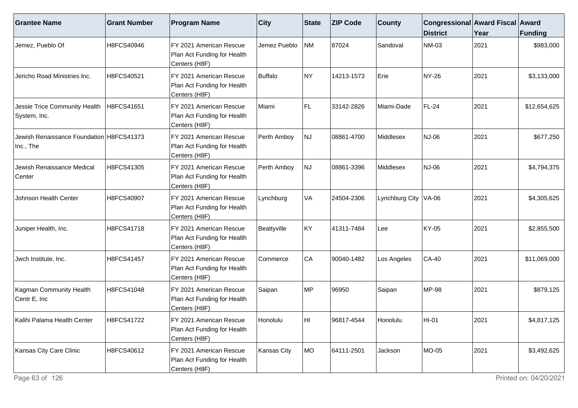| <b>Grantee Name</b>                                   | <b>Grant Number</b> | <b>Program Name</b>                                                     | $ $ City     | <b>State</b> | <b>ZIP Code</b> | <b>County</b>          | Congressional Award Fiscal Award<br><b>District</b> | Year | Funding      |
|-------------------------------------------------------|---------------------|-------------------------------------------------------------------------|--------------|--------------|-----------------|------------------------|-----------------------------------------------------|------|--------------|
| Jemez, Pueblo Of                                      | H8FCS40946          | FY 2021 American Rescue<br>Plan Act Funding for Health<br>Centers (H8F) | Jemez Pueblo | NM           | 87024           | Sandoval               | NM-03                                               | 2021 | \$983,000    |
| Jericho Road Ministries Inc.                          | H8FCS40521          | FY 2021 American Rescue<br>Plan Act Funding for Health<br>Centers (H8F) | Buffalo      | NY)          | 14213-1573      | Erie                   | NY-26                                               | 2021 | \$3,133,000  |
| Jessie Trice Community Health<br>System, Inc.         | H8FCS41651          | FY 2021 American Rescue<br>Plan Act Funding for Health<br>Centers (H8F) | Miami        | FL           | 33142-2826      | Miami-Dade             | FL-24                                               | 2021 | \$12,654,625 |
| Jewish Renaissance Foundation H8FCS41373<br>Inc., The |                     | FY 2021 American Rescue<br>Plan Act Funding for Health<br>Centers (H8F) | Perth Amboy  | NJ)          | 08861-4700      | Middlesex              | NJ-06                                               | 2021 | \$677,250    |
| Jewish Renaissance Medical<br>Center                  | H8FCS41305          | FY 2021 American Rescue<br>Plan Act Funding for Health<br>Centers (H8F) | Perth Amboy  | NJ.          | 08861-3396      | Middlesex              | NJ-06                                               | 2021 | \$4,794,375  |
| Johnson Health Center                                 | H8FCS40907          | FY 2021 American Rescue<br>Plan Act Funding for Health<br>Centers (H8F) | Lynchburg    | VA           | 24504-2306      | Lynchburg City   VA-06 |                                                     | 2021 | \$4,305,625  |
| Juniper Health, Inc.                                  | H8FCS41718          | FY 2021 American Rescue<br>Plan Act Funding for Health<br>Centers (H8F) | Beattyville  | KY           | 41311-7484      | Lee                    | KY-05                                               | 2021 | \$2,855,500  |
| Jwch Institute, Inc.                                  | H8FCS41457          | FY 2021 American Rescue<br>Plan Act Funding for Health<br>Centers (H8F) | Commerce     | CA           | 90040-1482      | Los Angeles            | <b>CA-40</b>                                        | 2021 | \$11,069,000 |
| Kagman Community Health<br>Centr E, Inc               | H8FCS41048          | FY 2021 American Rescue<br>Plan Act Funding for Health<br>Centers (H8F) | Saipan       | MP           | 96950           | Saipan                 | MP-98                                               | 2021 | \$879,125    |
| Kalihi Palama Health Center                           | H8FCS41722          | FY 2021 American Rescue<br>Plan Act Funding for Health<br>Centers (H8F) | Honolulu     | HI           | 96817-4544      | Honolulu               | $HI-01$                                             | 2021 | \$4,817,125  |
| Kansas City Care Clinic                               | H8FCS40612          | FY 2021 American Rescue<br>Plan Act Funding for Health<br>Centers (H8F) | Kansas City  | MO           | 64111-2501      | Jackson                | <b>MO-05</b>                                        | 2021 | \$3,492,625  |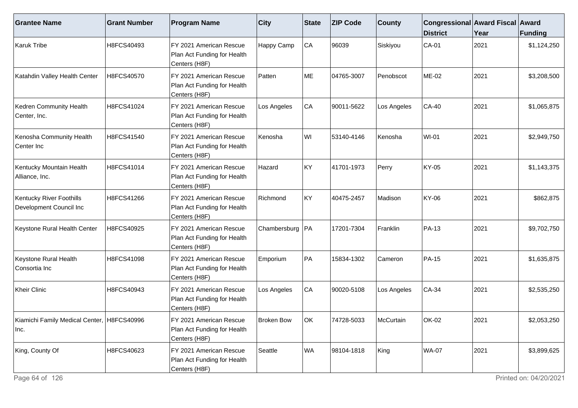| <b>Grantee Name</b>                                 | <b>Grant Number</b> | <b>Program Name</b>                                                     | <b>City</b>       | <b>State</b> | <b>ZIP Code</b> | <b>County</b>    | Congressional Award Fiscal Award<br><b>District</b> | Year | Funding     |
|-----------------------------------------------------|---------------------|-------------------------------------------------------------------------|-------------------|--------------|-----------------|------------------|-----------------------------------------------------|------|-------------|
| Karuk Tribe                                         | H8FCS40493          | FY 2021 American Rescue<br>Plan Act Funding for Health<br>Centers (H8F) | Happy Camp        | CA           | 96039           | Siskiyou         | $CA-01$                                             | 2021 | \$1,124,250 |
| Katahdin Valley Health Center                       | H8FCS40570          | FY 2021 American Rescue<br>Plan Act Funding for Health<br>Centers (H8F) | Patten            | ME           | 04765-3007      | Penobscot        | ME-02                                               | 2021 | \$3,208,500 |
| Kedren Community Health<br>Center, Inc.             | H8FCS41024          | FY 2021 American Rescue<br>Plan Act Funding for Health<br>Centers (H8F) | Los Angeles       | CA           | 90011-5622      | Los Angeles      | CA-40                                               | 2021 | \$1,065,875 |
| Kenosha Community Health<br>Center Inc              | H8FCS41540          | FY 2021 American Rescue<br>Plan Act Funding for Health<br>Centers (H8F) | Kenosha           | WI           | 53140-4146      | Kenosha          | <b>WI-01</b>                                        | 2021 | \$2,949,750 |
| Kentucky Mountain Health<br>Alliance, Inc.          | H8FCS41014          | FY 2021 American Rescue<br>Plan Act Funding for Health<br>Centers (H8F) | Hazard            | KY           | 41701-1973      | Perry            | KY-05                                               | 2021 | \$1,143,375 |
| Kentucky River Foothills<br>Development Council Inc | H8FCS41266          | FY 2021 American Rescue<br>Plan Act Funding for Health<br>Centers (H8F) | Richmond          | KY           | 40475-2457      | Madison          | KY-06                                               | 2021 | \$862,875   |
| Keystone Rural Health Center                        | H8FCS40925          | FY 2021 American Rescue<br>Plan Act Funding for Health<br>Centers (H8F) | Chambersburg   PA |              | 17201-7304      | Franklin         | PA-13                                               | 2021 | \$9,702,750 |
| Keystone Rural Health<br>Consortia Inc              | H8FCS41098          | FY 2021 American Rescue<br>Plan Act Funding for Health<br>Centers (H8F) | Emporium          | PA           | 15834-1302      | Cameron          | <b>PA-15</b>                                        | 2021 | \$1,635,875 |
| Kheir Clinic                                        | H8FCS40943          | FY 2021 American Rescue<br>Plan Act Funding for Health<br>Centers (H8F) | Los Angeles       | CA           | 90020-5108      | Los Angeles      | $CA-34$                                             | 2021 | \$2,535,250 |
| Kiamichi Family Medical Center, H8FCS40996<br>Inc.  |                     | FY 2021 American Rescue<br>Plan Act Funding for Health<br>Centers (H8F) | <b>Broken Bow</b> | lok.         | 74728-5033      | <b>McCurtain</b> | OK-02                                               | 2021 | \$2,053,250 |
| King, County Of                                     | H8FCS40623          | FY 2021 American Rescue<br>Plan Act Funding for Health<br>Centers (H8F) | Seattle           | WA           | 98104-1818      | King             | <b>WA-07</b>                                        | 2021 | \$3,899,625 |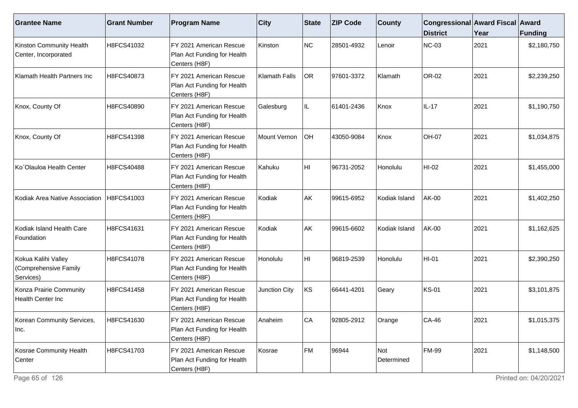| <b>Grantee Name</b>                                       | <b>Grant Number</b> | <b>Program Name</b>                                                      | <b>City</b>   | State           | <b>ZIP Code</b> | <b>County</b>     | Congressional Award Fiscal Award<br><b>District</b> | Year | <b>Funding</b> |
|-----------------------------------------------------------|---------------------|--------------------------------------------------------------------------|---------------|-----------------|-----------------|-------------------|-----------------------------------------------------|------|----------------|
| Kinston Community Health<br>Center, Incorporated          | H8FCS41032          | FY 2021 American Rescue<br>Plan Act Funding for Health<br>Centers (H8F)  | Kinston       | NC              | 28501-4932      | Lenoir            | NC-03                                               | 2021 | \$2,180,750    |
| Klamath Health Partners Inc                               | H8FCS40873          | FY 2021 American Rescue<br>Plan Act Funding for Health<br>Centers (H8F)  | Klamath Falls | OR <sub>.</sub> | 97601-3372      | Klamath           | OR-02                                               | 2021 | \$2,239,250    |
| Knox, County Of                                           | H8FCS40890          | FY 2021 American Rescue<br>Plan Act Funding for Health<br>Centers (H8F)  | Galesburg     | IL              | 61401-2436      | Knox              | IL-17                                               | 2021 | \$1,190,750    |
| Knox, County Of                                           | H8FCS41398          | IFY 2021 American Rescue<br>Plan Act Funding for Health<br>Centers (H8F) | Mount Vernon  | <b>OH</b>       | 43050-9084      | Knox              | <b>OH-07</b>                                        | 2021 | \$1,034,875    |
| Ko`Olauloa Health Center                                  | H8FCS40488          | FY 2021 American Rescue<br>Plan Act Funding for Health<br>Centers (H8F)  | Kahuku        | HI              | 96731-2052      | Honolulu          | HI-02                                               | 2021 | \$1,455,000    |
| Kodiak Area Native Association                            | H8FCS41003          | FY 2021 American Rescue<br>Plan Act Funding for Health<br>Centers (H8F)  | Kodiak        | AK              | 99615-6952      | Kodiak Island     | <b>AK-00</b>                                        | 2021 | \$1,402,250    |
| Kodiak Island Health Care<br>Foundation                   | H8FCS41631          | FY 2021 American Rescue<br>Plan Act Funding for Health<br>Centers (H8F)  | Kodiak        | AK              | 99615-6602      | Kodiak Island     | <b>AK-00</b>                                        | 2021 | \$1,162,625    |
| Kokua Kalihi Valley<br>(Comprehensive Family<br>Services) | H8FCS41078          | FY 2021 American Rescue<br>Plan Act Funding for Health<br>Centers (H8F)  | Honolulu      | HI              | 96819-2539      | Honolulu          | HI-01                                               | 2021 | \$2,390,250    |
| Konza Prairie Community<br>Health Center Inc              | H8FCS41458          | FY 2021 American Rescue<br>Plan Act Funding for Health<br>Centers (H8F)  | Junction City | KS              | 66441-4201      | Geary             | <b>KS-01</b>                                        | 2021 | \$3,101,875    |
| Korean Community Services,<br> Inc.                       | H8FCS41630          | FY 2021 American Rescue<br>Plan Act Funding for Health<br>Centers (H8F)  | Anaheim       | CA              | 92805-2912      | Orange            | $CA-46$                                             | 2021 | \$1,015,375    |
| Kosrae Community Health<br>Center                         | H8FCS41703          | FY 2021 American Rescue<br>Plan Act Funding for Health<br>Centers (H8F)  | Kosrae        | FM              | 96944           | Not<br>Determined | <b>FM-99</b>                                        | 2021 | \$1,148,500    |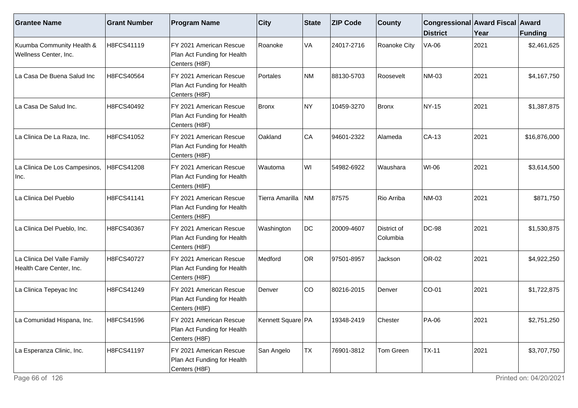| <b>Grantee Name</b>                                     | <b>Grant Number</b> | <b>Program Name</b>                                                     | $ $ City            | <b>State</b> | <b>ZIP Code</b> | <b>County</b>           | Congressional Award Fiscal Award<br><b>District</b> | Year | Funding      |
|---------------------------------------------------------|---------------------|-------------------------------------------------------------------------|---------------------|--------------|-----------------|-------------------------|-----------------------------------------------------|------|--------------|
| Kuumba Community Health &<br>Wellness Center, Inc.      | H8FCS41119          | FY 2021 American Rescue<br>Plan Act Funding for Health<br>Centers (H8F) | Roanoke             | VA           | 24017-2716      | Roanoke City            | <b>VA-06</b>                                        | 2021 | \$2,461,625  |
| La Casa De Buena Salud Inc                              | H8FCS40564          | FY 2021 American Rescue<br>Plan Act Funding for Health<br>Centers (H8F) | Portales            | NM           | 88130-5703      | Roosevelt               | NM-03                                               | 2021 | \$4,167,750  |
| La Casa De Salud Inc.                                   | H8FCS40492          | FY 2021 American Rescue<br>Plan Act Funding for Health<br>Centers (H8F) | Bronx               | NY)          | 10459-3270      | Bronx                   | NY-15                                               | 2021 | \$1,387,875  |
| La Clinica De La Raza, Inc.                             | H8FCS41052          | FY 2021 American Rescue<br>Plan Act Funding for Health<br>Centers (H8F) | Oakland             | CA           | 94601-2322      | Alameda                 | CA-13                                               | 2021 | \$16,876,000 |
| La Clinica De Los Campesinos,<br> Inc.                  | H8FCS41208          | FY 2021 American Rescue<br>Plan Act Funding for Health<br>Centers (H8F) | Wautoma             | WI           | 54982-6922      | Waushara                | WI-06                                               | 2021 | \$3,614,500  |
| La Clinica Del Pueblo                                   | H8FCS41141          | FY 2021 American Rescue<br>Plan Act Funding for Health<br>Centers (H8F) | Tierra Amarilla     | INM.         | 87575           | Rio Arriba              | NM-03                                               | 2021 | \$871,750    |
| La Clinica Del Pueblo, Inc.                             | H8FCS40367          | FY 2021 American Rescue<br>Plan Act Funding for Health<br>Centers (H8F) | Washington          | DC           | 20009-4607      | District of<br>Columbia | DC-98                                               | 2021 | \$1,530,875  |
| La Clinica Del Valle Family<br>Health Care Center, Inc. | H8FCS40727          | FY 2021 American Rescue<br>Plan Act Funding for Health<br>Centers (H8F) | Medford             | OR           | 97501-8957      | Jackson                 | OR-02                                               | 2021 | \$4,922,250  |
| La Clinica Tepeyac Inc                                  | H8FCS41249          | FY 2021 American Rescue<br>Plan Act Funding for Health<br>Centers (H8F) | Denver              | CO           | 80216-2015      | Denver                  | CO-01                                               | 2021 | \$1,722,875  |
| La Comunidad Hispana, Inc.                              | H8FCS41596          | FY 2021 American Rescue<br>Plan Act Funding for Health<br>Centers (H8F) | Kennett Square   PA |              | 19348-2419      | Chester                 | PA-06                                               | 2021 | \$2,751,250  |
| La Esperanza Clinic, Inc.                               | H8FCS41197          | FY 2021 American Rescue<br>Plan Act Funding for Health<br>Centers (H8F) | San Angelo          | TX           | 76901-3812      | Tom Green               | <b>TX-11</b>                                        | 2021 | \$3,707,750  |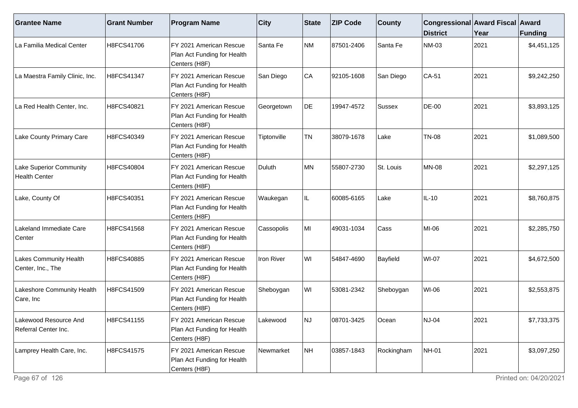| <b>Grantee Name</b>                                    | <b>Grant Number</b> | <b>Program Name</b>                                                      | $ $ City    | State     | <b>ZIP Code</b> | <b>County</b> | Congressional Award Fiscal Award<br><b>District</b> | Year | Funding     |
|--------------------------------------------------------|---------------------|--------------------------------------------------------------------------|-------------|-----------|-----------------|---------------|-----------------------------------------------------|------|-------------|
| La Familia Medical Center                              | H8FCS41706          | FY 2021 American Rescue<br>Plan Act Funding for Health<br>Centers (H8F)  | Santa Fe    | NM        | 87501-2406      | Santa Fe      | <b>NM-03</b>                                        | 2021 | \$4,451,125 |
| La Maestra Family Clinic, Inc.                         | H8FCS41347          | FY 2021 American Rescue<br>Plan Act Funding for Health<br>Centers (H8F)  | San Diego   | CA        | 92105-1608      | San Diego     | $CA-51$                                             | 2021 | \$9,242,250 |
| La Red Health Center, Inc.                             | H8FCS40821          | IFY 2021 American Rescue<br>Plan Act Funding for Health<br>Centers (H8F) | Georgetown  | DE        | 19947-4572      | Sussex        | <b>DE-00</b>                                        | 2021 | \$3,893,125 |
| Lake County Primary Care                               | H8FCS40349          | FY 2021 American Rescue<br>Plan Act Funding for Health<br>Centers (H8F)  | Tiptonville | <b>TN</b> | 38079-1678      | Lake          | <b>TN-08</b>                                        | 2021 | \$1,089,500 |
| <b>Lake Superior Community</b><br><b>Health Center</b> | H8FCS40804          | FY 2021 American Rescue<br>Plan Act Funding for Health<br>Centers (H8F)  | Duluth      | MN        | 55807-2730      | St. Louis     | <b>MN-08</b>                                        | 2021 | \$2,297,125 |
| Lake, County Of                                        | H8FCS40351          | IFY 2021 American Rescue<br>Plan Act Funding for Health<br>Centers (H8F) | Waukegan    | IL.       | 60085-6165      | Lake          | $IL-10$                                             | 2021 | \$8,760,875 |
| Lakeland Immediate Care<br>Center                      | H8FCS41568          | FY 2021 American Rescue<br>Plan Act Funding for Health<br>Centers (H8F)  | Cassopolis  | MI        | 49031-1034      | Cass          | MI-06                                               | 2021 | \$2,285,750 |
| Lakes Community Health<br>Center, Inc., The            | H8FCS40885          | FY 2021 American Rescue<br>Plan Act Funding for Health<br>Centers (H8F)  | Iron River  | WI        | 54847-4690      | Bayfield      | <b>WI-07</b>                                        | 2021 | \$4,672,500 |
| Lakeshore Community Health<br>Care, Inc                | H8FCS41509          | FY 2021 American Rescue<br>Plan Act Funding for Health<br>Centers (H8F)  | Sheboygan   | WI        | 53081-2342      | Sheboygan     | WI-06                                               | 2021 | \$2,553,875 |
| Lakewood Resource And<br>Referral Center Inc.          | H8FCS41155          | IFY 2021 American Rescue<br>Plan Act Funding for Health<br>Centers (H8F) | _akewood    | INJ       | 08701-3425      | <b>Ocean</b>  | <b>NJ-04</b>                                        | 2021 | \$7,733,375 |
| Lamprey Health Care, Inc.                              | H8FCS41575          | FY 2021 American Rescue<br>Plan Act Funding for Health<br>Centers (H8F)  | Newmarket   | NH        | 03857-1843      | Rockingham    | <b>NH-01</b>                                        | 2021 | \$3,097,250 |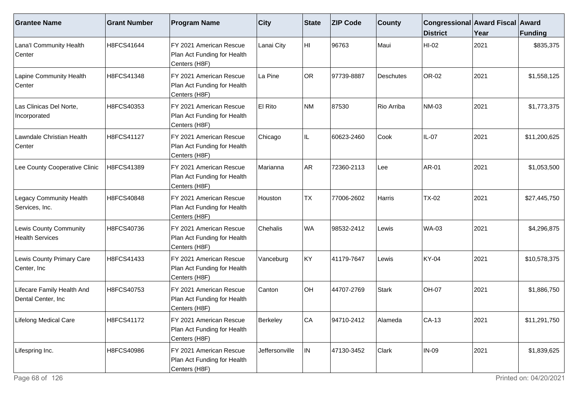| <b>Grantee Name</b>                              | <b>Grant Number</b> | <b>Program Name</b>                                                     | $ $ City       | <b>State</b> | <b>ZIP Code</b> | <b>County</b>    | Congressional Award Fiscal Award<br><b>District</b> | Year | <b>Funding</b> |
|--------------------------------------------------|---------------------|-------------------------------------------------------------------------|----------------|--------------|-----------------|------------------|-----------------------------------------------------|------|----------------|
| Lana'l Community Health<br>Center                | H8FCS41644          | FY 2021 American Rescue<br>Plan Act Funding for Health<br>Centers (H8F) | Lanai City     | HI.          | 96763           | Maui             | HI-02                                               | 2021 | \$835,375      |
| Lapine Community Health<br>Center                | H8FCS41348          | FY 2021 American Rescue<br>Plan Act Funding for Health<br>Centers (H8F) | La Pine        | OR           | 97739-8887      | <b>Deschutes</b> | OR-02                                               | 2021 | \$1,558,125    |
| Las Clinicas Del Norte,<br>Incorporated          | H8FCS40353          | FY 2021 American Rescue<br>Plan Act Funding for Health<br>Centers (H8F) | El Rito        | NM           | 87530           | Rio Arriba       | NM-03                                               | 2021 | \$1,773,375    |
| Lawndale Christian Health<br>Center              | H8FCS41127          | FY 2021 American Rescue<br>Plan Act Funding for Health<br>Centers (H8F) | Chicago        | IL.          | 60623-2460      | Cook             | $IL-07$                                             | 2021 | \$11,200,625   |
| Lee County Cooperative Clinic                    | H8FCS41389          | FY 2021 American Rescue<br>Plan Act Funding for Health<br>Centers (H8F) | Marianna       | AR           | 72360-2113      | Lee              | <b>AR-01</b>                                        | 2021 | \$1,053,500    |
| <b>Legacy Community Health</b><br>Services, Inc. | H8FCS40848          | FY 2021 American Rescue<br>Plan Act Funding for Health<br>Centers (H8F) | Houston        | <b>TX</b>    | 77006-2602      | Harris           | <b>TX-02</b>                                        | 2021 | \$27,445,750   |
| Lewis County Community<br><b>Health Services</b> | H8FCS40736          | FY 2021 American Rescue<br>Plan Act Funding for Health<br>Centers (H8F) | Chehalis       | WA           | 98532-2412      | Lewis            | <b>WA-03</b>                                        | 2021 | \$4,296,875    |
| Lewis County Primary Care<br>Center, Inc         | H8FCS41433          | FY 2021 American Rescue<br>Plan Act Funding for Health<br>Centers (H8F) | Vanceburg      | KY           | 41179-7647      | Lewis            | KY-04                                               | 2021 | \$10,578,375   |
| Lifecare Family Health And<br>Dental Center, Inc | H8FCS40753          | FY 2021 American Rescue<br>Plan Act Funding for Health<br>Centers (H8F) | Canton         | OH           | 44707-2769      | Stark            | <b>OH-07</b>                                        | 2021 | \$1,886,750    |
| Lifelong Medical Care                            | H8FCS41172          | FY 2021 American Rescue<br>Plan Act Funding for Health<br>Centers (H8F) | Berkeley       | CA           | 94710-2412      | Alameda          | $CA-13$                                             | 2021 | \$11,291,750   |
| Lifespring Inc.                                  | H8FCS40986          | FY 2021 American Rescue<br>Plan Act Funding for Health<br>Centers (H8F) | Jeffersonville | IN.          | 47130-3452      | Clark            | <b>IN-09</b>                                        | 2021 | \$1,839,625    |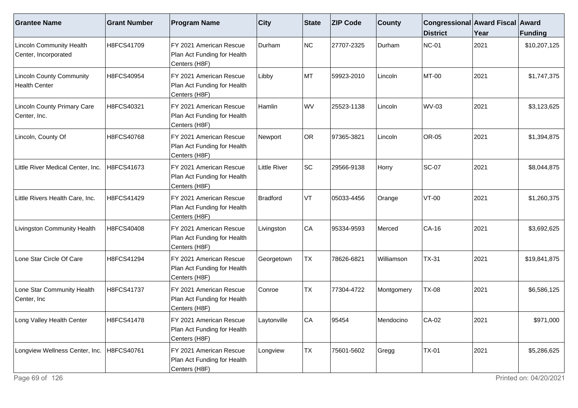| <b>Grantee Name</b>                                     | <b>Grant Number</b> | <b>Program Name</b>                                                                  | $ $ City            | State     | <b>ZIP Code</b> | <b>County</b> | Congressional Award Fiscal Award<br><b>District</b> | Year | <b>Funding</b> |
|---------------------------------------------------------|---------------------|--------------------------------------------------------------------------------------|---------------------|-----------|-----------------|---------------|-----------------------------------------------------|------|----------------|
| <b>Lincoln Community Health</b><br>Center, Incorporated | H8FCS41709          | FY 2021 American Rescue<br>Plan Act Funding for Health<br>Centers (H8F)              | Durham              | NC        | 27707-2325      | Durham        | NC-01                                               | 2021 | \$10,207,125   |
| <b>Lincoln County Community</b><br><b>Health Center</b> | H8FCS40954          | FY 2021 American Rescue<br>Plan Act Funding for Health<br>Centers (H8F)              | Libby               | MT        | 59923-2010      | Lincoln       | MT-00                                               | 2021 | \$1,747,375    |
| <b>Lincoln County Primary Care</b><br>Center, Inc.      | H8FCS40321          | FY 2021 American Rescue<br>Plan Act Funding for Health<br>Centers (H <sub>8F</sub> ) | Hamlin              | WV        | 25523-1138      | Lincoln       | <b>WV-03</b>                                        | 2021 | \$3,123,625    |
| Lincoln, County Of                                      | H8FCS40768          | FY 2021 American Rescue<br>Plan Act Funding for Health<br>Centers (H8F)              | Newport             | OR        | 97365-3821      | Lincoln       | OR-05                                               | 2021 | \$1,394,875    |
| Little River Medical Center, Inc.                       | H8FCS41673          | FY 2021 American Rescue<br>Plan Act Funding for Health<br>Centers (H8F)              | <b>Little River</b> | SC        | 29566-9138      | Horry         | <b>SC-07</b>                                        | 2021 | \$8,044,875    |
| Little Rivers Health Care, Inc.                         | H8FCS41429          | FY 2021 American Rescue<br>Plan Act Funding for Health<br>Centers (H8F)              | Bradford            | VT        | 05033-4456      | Orange        | $VT-00$                                             | 2021 | \$1,260,375    |
| Livingston Community Health                             | H8FCS40408          | FY 2021 American Rescue<br>Plan Act Funding for Health<br>Centers (H8F)              | Livingston          | CA        | 95334-9593      | Merced        | CA-16                                               | 2021 | \$3,692,625    |
| Lone Star Circle Of Care                                | H8FCS41294          | FY 2021 American Rescue<br>Plan Act Funding for Health<br>Centers (H8F)              | Georgetown          | <b>TX</b> | 78626-6821      | Williamson    | $TX-31$                                             | 2021 | \$19,841,875   |
| Lone Star Community Health<br>Center, Inc               | H8FCS41737          | FY 2021 American Rescue<br>Plan Act Funding for Health<br>Centers (H8F)              | Conroe              | <b>TX</b> | 77304-4722      | Montgomery    | <b>TX-08</b>                                        | 2021 | \$6,586,125    |
| Long Valley Health Center                               | H8FCS41478          | FY 2021 American Rescue<br>Plan Act Funding for Health<br>Centers (H8F)              | aytonville          | CA        | 95454           | Mendocino     | CA-02                                               | 2021 | \$971,000      |
| Longview Wellness Center, Inc.                          | H8FCS40761          | FY 2021 American Rescue<br>Plan Act Funding for Health<br>Centers (H8F)              | Longview            | TX        | 75601-5602      | Gregg         | <b>TX-01</b>                                        | 2021 | \$5,286,625    |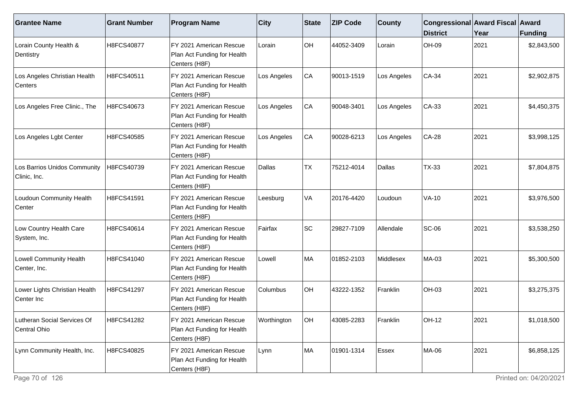| <b>Grantee Name</b>                            | <b>Grant Number</b> | <b>Program Name</b>                                                     | $ $ City    | <b>State</b> | <b>ZIP Code</b> | <b>County</b> | Congressional Award Fiscal Award<br><b>District</b> | Year | <b>Funding</b> |
|------------------------------------------------|---------------------|-------------------------------------------------------------------------|-------------|--------------|-----------------|---------------|-----------------------------------------------------|------|----------------|
| Lorain County Health &<br>Dentistry            | H8FCS40877          | FY 2021 American Rescue<br>Plan Act Funding for Health<br>Centers (H8F) | Lorain      | OH           | 44052-3409      | Lorain        | OH-09                                               | 2021 | \$2,843,500    |
| Los Angeles Christian Health<br>Centers        | H8FCS40511          | FY 2021 American Rescue<br>Plan Act Funding for Health<br>Centers (H8F) | Los Angeles | CA           | 90013-1519      | Los Angeles   | $CA-34$                                             | 2021 | \$2,902,875    |
| Los Angeles Free Clinic., The                  | H8FCS40673          | FY 2021 American Rescue<br>Plan Act Funding for Health<br>Centers (H8F) | Los Angeles | CA           | 90048-3401      | Los Angeles   | $CA-33$                                             | 2021 | \$4,450,375    |
| Los Angeles Lgbt Center                        | H8FCS40585          | FY 2021 American Rescue<br>Plan Act Funding for Health<br>Centers (H8F) | Los Angeles | CA           | 90028-6213      | Los Angeles   | $CA-28$                                             | 2021 | \$3,998,125    |
| Los Barrios Unidos Community<br>Clinic, Inc.   | H8FCS40739          | FY 2021 American Rescue<br>Plan Act Funding for Health<br>Centers (H8F) | Dallas      | TX           | 75212-4014      | Dallas        | <b>TX-33</b>                                        | 2021 | \$7,804,875    |
| Loudoun Community Health<br>Center             | H8FCS41591          | FY 2021 American Rescue<br>Plan Act Funding for Health<br>Centers (H8F) | Leesburg    | VA           | 20176-4420      | Loudoun       | $VA-10$                                             | 2021 | \$3,976,500    |
| Low Country Health Care<br>System, Inc.        | H8FCS40614          | FY 2021 American Rescue<br>Plan Act Funding for Health<br>Centers (H8F) | Fairfax     | <b>SC</b>    | 29827-7109      | Allendale     | <b>SC-06</b>                                        | 2021 | \$3,538,250    |
| <b>Lowell Community Health</b><br>Center, Inc. | H8FCS41040          | FY 2021 American Rescue<br>Plan Act Funding for Health<br>Centers (H8F) | Lowell      | MA           | 01852-2103      | Middlesex     | MA-03                                               | 2021 | \$5,300,500    |
| Lower Lights Christian Health<br>Center Inc    | H8FCS41297          | FY 2021 American Rescue<br>Plan Act Funding for Health<br>Centers (H8F) | Columbus    | OH           | 43222-1352      | Franklin      | <b>OH-03</b>                                        | 2021 | \$3,275,375    |
| Lutheran Social Services Of<br>Central Ohio    | H8FCS41282          | FY 2021 American Rescue<br>Plan Act Funding for Health<br>Centers (H8F) | Worthington | OH           | 43085-2283      | Franklin      | <b>OH-12</b>                                        | 2021 | \$1,018,500    |
| Lynn Community Health, Inc.                    | H8FCS40825          | FY 2021 American Rescue<br>Plan Act Funding for Health<br>Centers (H8F) | Lynn        | MA           | 01901-1314      | Essex         | MA-06                                               | 2021 | \$6,858,125    |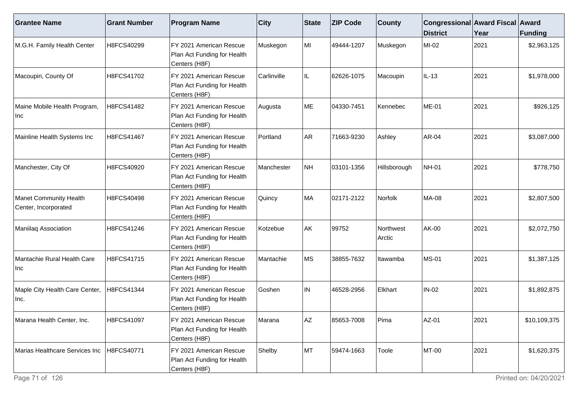| <b>Grantee Name</b>                                   | <b>Grant Number</b> | <b>Program Name</b>                                                     | <b>City</b> | <b>State</b> | <b>ZIP Code</b> | <b>County</b>       | Congressional Award Fiscal Award<br><b>District</b> | Year | <b>Funding</b> |
|-------------------------------------------------------|---------------------|-------------------------------------------------------------------------|-------------|--------------|-----------------|---------------------|-----------------------------------------------------|------|----------------|
| M.G.H. Family Health Center                           | H8FCS40299          | FY 2021 American Rescue<br>Plan Act Funding for Health<br>Centers (H8F) | Muskegon    | MI           | 49444-1207      | Muskegon            | MI-02                                               | 2021 | \$2,963,125    |
| Macoupin, County Of                                   | H8FCS41702          | FY 2021 American Rescue<br>Plan Act Funding for Health<br>Centers (H8F) | Carlinville | IL           | 62626-1075      | Macoupin            | $IL-13$                                             | 2021 | \$1,978,000    |
| Maine Mobile Health Program,<br><b>Inc</b>            | H8FCS41482          | FY 2021 American Rescue<br>Plan Act Funding for Health<br>Centers (H8F) | Augusta     | ME           | 04330-7451      | Kennebec            | <b>ME-01</b>                                        | 2021 | \$926,125      |
| Mainline Health Systems Inc                           | H8FCS41467          | FY 2021 American Rescue<br>Plan Act Funding for Health<br>Centers (H8F) | Portland    | <b>AR</b>    | 71663-9230      | Ashley              | AR-04                                               | 2021 | \$3,087,000    |
| Manchester, City Of                                   | H8FCS40920          | FY 2021 American Rescue<br>Plan Act Funding for Health<br>Centers (H8F) | Manchester  | NH           | 03101-1356      | Hillsborough        | <b>NH-01</b>                                        | 2021 | \$778,750      |
| <b>Manet Community Health</b><br>Center, Incorporated | H8FCS40498          | FY 2021 American Rescue<br>Plan Act Funding for Health<br>Centers (H8F) | Quincy      | MA           | 02171-2122      | Norfolk             | MA-08                                               | 2021 | \$2,807,500    |
| Maniilaq Association                                  | H8FCS41246          | FY 2021 American Rescue<br>Plan Act Funding for Health<br>Centers (H8F) | Kotzebue    | AK           | 99752           | Northwest<br>Arctic | AK-00                                               | 2021 | \$2,072,750    |
| Mantachie Rural Health Care<br>Inc                    | H8FCS41715          | FY 2021 American Rescue<br>Plan Act Funding for Health<br>Centers (H8F) | Mantachie   | <b>MS</b>    | 38855-7632      | Itawamba            | <b>MS-01</b>                                        | 2021 | \$1,387,125    |
| Maple City Health Care Center,<br>Inc.                | H8FCS41344          | FY 2021 American Rescue<br>Plan Act Funding for Health<br>Centers (H8F) | Goshen      | IN           | 46528-2956      | Elkhart             | $IN-02$                                             | 2021 | \$1,892,875    |
| Marana Health Center, Inc.                            | H8FCS41097          | FY 2021 American Rescue<br>Plan Act Funding for Health<br>Centers (H8F) | Marana      | AZ           | 85653-7008      | Pima                | $AZ-01$                                             | 2021 | \$10,109,375   |
| Marias Healthcare Services Inc                        | H8FCS40771          | FY 2021 American Rescue<br>Plan Act Funding for Health<br>Centers (H8F) | Shelby      | MT           | 59474-1663      | Toole               | MT-00                                               | 2021 | \$1,620,375    |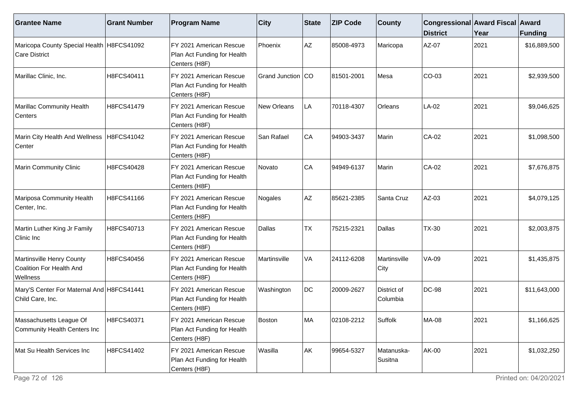| <b>Grantee Name</b>                                               | <b>Grant Number</b> | <b>Program Name</b>                                                     | <b>City</b>       | <b>State</b> | <b>ZIP Code</b> | <b>County</b>           | Congressional Award Fiscal Award<br><b>District</b> | Year | <b>Funding</b> |
|-------------------------------------------------------------------|---------------------|-------------------------------------------------------------------------|-------------------|--------------|-----------------|-------------------------|-----------------------------------------------------|------|----------------|
| Maricopa County Special Health H8FCS41092<br>Care District        |                     | FY 2021 American Rescue<br>Plan Act Funding for Health<br>Centers (H8F) | Phoenix           | AZ           | 85008-4973      | Maricopa                | AZ-07                                               | 2021 | \$16,889,500   |
| Marillac Clinic, Inc.                                             | H8FCS40411          | FY 2021 American Rescue<br>Plan Act Funding for Health<br>Centers (H8F) | Grand Junction CO |              | 81501-2001      | Mesa                    | $CO-03$                                             | 2021 | \$2,939,500    |
| Marillac Community Health<br>Centers                              | H8FCS41479          | FY 2021 American Rescue<br>Plan Act Funding for Health<br>Centers (H8F) | New Orleans       | LA           | 70118-4307      | Orleans                 | LA-02                                               | 2021 | \$9,046,625    |
| Marin City Health And Wellness   H8FCS41042<br>Center             |                     | FY 2021 American Rescue<br>Plan Act Funding for Health<br>Centers (H8F) | San Rafael        | CA           | 94903-3437      | Marin                   | CA-02                                               | 2021 | \$1,098,500    |
| Marin Community Clinic                                            | H8FCS40428          | FY 2021 American Rescue<br>Plan Act Funding for Health<br>Centers (H8F) | Novato            | CA           | 94949-6137      | Marin                   | CA-02                                               | 2021 | \$7,676,875    |
| Mariposa Community Health<br>Center, Inc.                         | H8FCS41166          | FY 2021 American Rescue<br>Plan Act Funding for Health<br>Centers (H8F) | Nogales           | AZ           | 85621-2385      | Santa Cruz              | $AZ-03$                                             | 2021 | \$4,079,125    |
| Martin Luther King Jr Family<br>Clinic Inc                        | H8FCS40713          | FY 2021 American Rescue<br>Plan Act Funding for Health<br>Centers (H8F) | Dallas            | <b>TX</b>    | 75215-2321      | Dallas                  | <b>TX-30</b>                                        | 2021 | \$2,003,875    |
| Martinsville Henry County<br>Coalition For Health And<br>Wellness | H8FCS40456          | FY 2021 American Rescue<br>Plan Act Funding for Health<br>Centers (H8F) | Martinsville      | VA           | 24112-6208      | Martinsville<br>City    | <b>VA-09</b>                                        | 2021 | \$1,435,875    |
| Mary'S Center For Maternal And H8FCS41441<br>Child Care, Inc.     |                     | FY 2021 American Rescue<br>Plan Act Funding for Health<br>Centers (H8F) | Washington        | DC           | 20009-2627      | District of<br>Columbia | <b>DC-98</b>                                        | 2021 | \$11,643,000   |
| Massachusetts League Of<br>Community Health Centers Inc           | H8FCS40371          | FY 2021 American Rescue<br>Plan Act Funding for Health<br>Centers (H8F) | Boston            | MA           | 02108-2212      | Suffolk                 | MA-08                                               | 2021 | \$1,166,625    |
| Mat Su Health Services Inc                                        | H8FCS41402          | FY 2021 American Rescue<br>Plan Act Funding for Health<br>Centers (H8F) | Wasilla           | AK           | 99654-5327      | Matanuska-<br>Susitna   | <b>AK-00</b>                                        | 2021 | \$1,032,250    |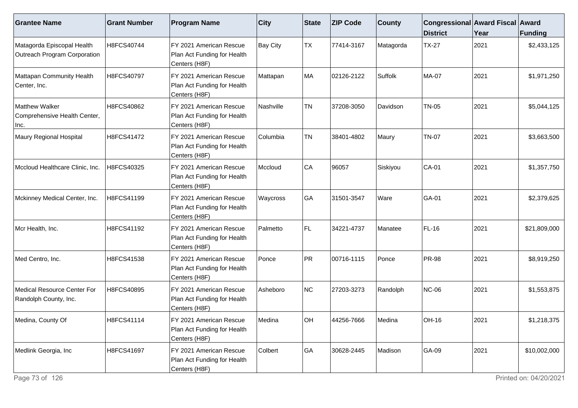| <b>Grantee Name</b>                                        | <b>Grant Number</b> | <b>Program Name</b>                                                     | $ $ City        | <b>State</b> | <b>ZIP Code</b> | <b>County</b> | Congressional Award Fiscal Award<br><b>District</b> | Year | Funding      |
|------------------------------------------------------------|---------------------|-------------------------------------------------------------------------|-----------------|--------------|-----------------|---------------|-----------------------------------------------------|------|--------------|
| Matagorda Episcopal Health<br>Outreach Program Corporation | H8FCS40744          | FY 2021 American Rescue<br>Plan Act Funding for Health<br>Centers (H8F) | <b>Bay City</b> | TX           | 77414-3167      | Matagorda     | <b>TX-27</b>                                        | 2021 | \$2,433,125  |
| Mattapan Community Health<br>Center, Inc.                  | H8FCS40797          | FY 2021 American Rescue<br>Plan Act Funding for Health<br>Centers (H8F) | Mattapan        | MA           | 02126-2122      | Suffolk       | <b>MA-07</b>                                        | 2021 | \$1,971,250  |
| Matthew Walker<br>Comprehensive Health Center,<br>Inc.     | H8FCS40862          | FY 2021 American Rescue<br>Plan Act Funding for Health<br>Centers (H8F) | Nashville       | <b>TN</b>    | 37208-3050      | Davidson      | <b>TN-05</b>                                        | 2021 | \$5,044,125  |
| Maury Regional Hospital                                    | H8FCS41472          | FY 2021 American Rescue<br>Plan Act Funding for Health<br>Centers (H8F) | Columbia        | <b>TN</b>    | 38401-4802      | Maury         | <b>TN-07</b>                                        | 2021 | \$3,663,500  |
| Mccloud Healthcare Clinic, Inc.                            | H8FCS40325          | FY 2021 American Rescue<br>Plan Act Funding for Health<br>Centers (H8F) | Mccloud         | CA           | 96057           | Siskiyou      | <b>CA-01</b>                                        | 2021 | \$1,357,750  |
| Mckinney Medical Center, Inc.                              | H8FCS41199          | FY 2021 American Rescue<br>Plan Act Funding for Health<br>Centers (H8F) | Waycross        | ∣GA          | 31501-3547      | Ware          | GA-01                                               | 2021 | \$2,379,625  |
| Mcr Health, Inc.                                           | H8FCS41192          | FY 2021 American Rescue<br>Plan Act Funding for Health<br>Centers (H8F) | Palmetto        | FL.          | 34221-4737      | Manatee       | $FL-16$                                             | 2021 | \$21,809,000 |
| Med Centro, Inc.                                           | H8FCS41538          | FY 2021 American Rescue<br>Plan Act Funding for Health<br>Centers (H8F) | Ponce           | PR           | 00716-1115      | Ponce         | <b>PR-98</b>                                        | 2021 | \$8,919,250  |
| Medical Resource Center For<br>Randolph County, Inc.       | H8FCS40895          | FY 2021 American Rescue<br>Plan Act Funding for Health<br>Centers (H8F) | Asheboro        | NC           | 27203-3273      | Randolph      | NC-06                                               | 2021 | \$1,553,875  |
| Medina, County Of                                          | H8FCS41114          | FY 2021 American Rescue<br>Plan Act Funding for Health<br>Centers (H8F) | Medina          | OH           | 44256-7666      | Medina        | OH-16                                               | 2021 | \$1,218,375  |
| Medlink Georgia, Inc                                       | H8FCS41697          | FY 2021 American Rescue<br>Plan Act Funding for Health<br>Centers (H8F) | Colbert         | GA           | 30628-2445      | Madison       | GA-09                                               | 2021 | \$10,002,000 |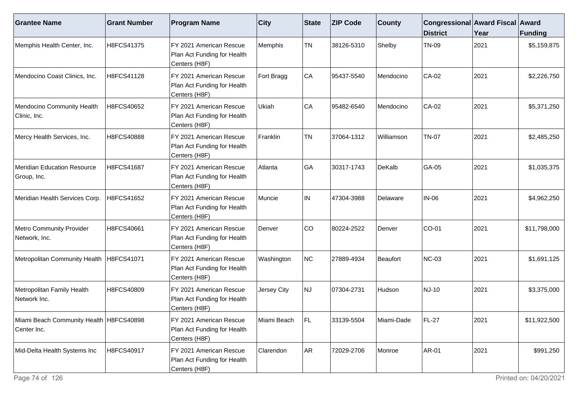| <b>Grantee Name</b>                                      | <b>Grant Number</b> | <b>Program Name</b>                                                      | $ $ City    | State     | <b>ZIP Code</b> | <b>County</b> | Congressional Award Fiscal Award<br><b>District</b> | Year | Funding      |
|----------------------------------------------------------|---------------------|--------------------------------------------------------------------------|-------------|-----------|-----------------|---------------|-----------------------------------------------------|------|--------------|
| Memphis Health Center, Inc.                              | H8FCS41375          | FY 2021 American Rescue<br>Plan Act Funding for Health<br>Centers (H8F)  | Memphis     | <b>TN</b> | 38126-5310      | Shelby        | <b>TN-09</b>                                        | 2021 | \$5,159,875  |
| Mendocino Coast Clinics, Inc.                            | H8FCS41128          | FY 2021 American Rescue<br>Plan Act Funding for Health<br>Centers (H8F)  | Fort Bragg  | CA        | 95437-5540      | Mendocino     | CA-02                                               | 2021 | \$2,226,750  |
| Mendocino Community Health<br>Clinic, Inc.               | H8FCS40652          | FY 2021 American Rescue<br>Plan Act Funding for Health<br>Centers (H8F)  | Ukiah       | CA        | 95482-6540      | Mendocino     | CA-02                                               | 2021 | \$5,371,250  |
| Mercy Health Services, Inc.                              | H8FCS40888          | FY 2021 American Rescue<br>Plan Act Funding for Health<br>Centers (H8F)  | Franklin    | <b>TN</b> | 37064-1312      | Williamson    | <b>TN-07</b>                                        | 2021 | \$2,485,250  |
| <b>Meridian Education Resource</b><br>Group, Inc.        | H8FCS41687          | FY 2021 American Rescue<br>Plan Act Funding for Health<br>Centers (H8F)  | Atlanta     | GA        | 30317-1743      | DeKalb        | GA-05                                               | 2021 | \$1,035,375  |
| Meridian Health Services Corp.                           | H8FCS41652          | IFY 2021 American Rescue<br>Plan Act Funding for Health<br>Centers (H8F) | Muncie      | IN.       | 47304-3988      | Delaware      | <b>IN-06</b>                                        | 2021 | \$4,962,250  |
| Metro Community Provider<br>Network, Inc.                | H8FCS40661          | FY 2021 American Rescue<br>Plan Act Funding for Health<br>Centers (H8F)  | Denver      | CO        | 80224-2522      | Denver        | CO-01                                               | 2021 | \$11,798,000 |
| Metropolitan Community Health                            | H8FCS41071          | FY 2021 American Rescue<br>Plan Act Funding for Health<br>Centers (H8F)  | Washington  | NC        | 27889-4934      | Beaufort      | <b>NC-03</b>                                        | 2021 | \$1,691,125  |
| Metropolitan Family Health<br>Network Inc.               | H8FCS40809          | FY 2021 American Rescue<br>Plan Act Funding for Health<br>Centers (H8F)  | Jersey City | NJ        | 07304-2731      | Hudson        | NJ-10                                               | 2021 | \$3,375,000  |
| Miami Beach Community Health   H8FCS40898<br>Center Inc. |                     | IFY 2021 American Rescue<br>Plan Act Funding for Health<br>Centers (H8F) | Miami Beach | l Fl      | 33139-5504      | Miami-Dade    | FL-27                                               | 2021 | \$11,922,500 |
| Mid-Delta Health Systems Inc                             | H8FCS40917          | FY 2021 American Rescue<br>Plan Act Funding for Health<br>Centers (H8F)  | Clarendon   | AR        | 72029-2706      | Monroe        | <b>AR-01</b>                                        | 2021 | \$991,250    |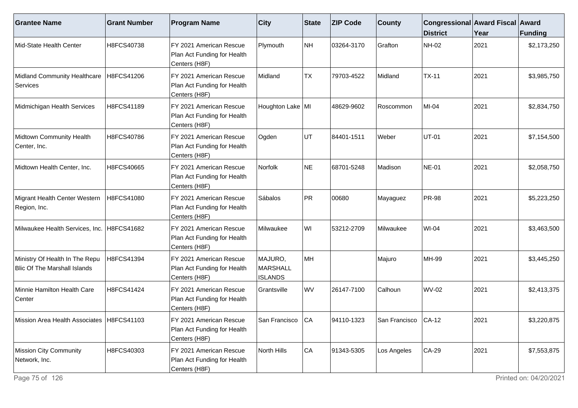| <b>Grantee Name</b>                                                   | <b>Grant Number</b> | <b>Program Name</b>                                                      | $ $ City                                     | State      | <b>ZIP Code</b> | <b>County</b>        | Congressional Award Fiscal Award<br><b>District</b> | Year | Funding     |
|-----------------------------------------------------------------------|---------------------|--------------------------------------------------------------------------|----------------------------------------------|------------|-----------------|----------------------|-----------------------------------------------------|------|-------------|
| Mid-State Health Center                                               | H8FCS40738          | FY 2021 American Rescue<br>Plan Act Funding for Health<br>Centers (H8F)  | Plymouth                                     | NH         | 03264-3170      | Grafton              | <b>NH-02</b>                                        | 2021 | \$2,173,250 |
| Midland Community Healthcare<br>Services                              | H8FCS41206          | FY 2021 American Rescue<br>Plan Act Funding for Health<br>Centers (H8F)  | Midland                                      | <b>TX</b>  | 79703-4522      | Midland              | $TX-11$                                             | 2021 | \$3,985,750 |
| Midmichigan Health Services                                           | H8FCS41189          | IFY 2021 American Rescue<br>Plan Act Funding for Health<br>Centers (H8F) | Houghton Lake   MI                           |            | 48629-9602      | Roscommon            | $MI-04$                                             | 2021 | \$2,834,750 |
| Midtown Community Health<br>Center, Inc.                              | H8FCS40786          | FY 2021 American Rescue<br>Plan Act Funding for Health<br>Centers (H8F)  | Ogden                                        | UT         | 84401-1511      | Weber                | <b>UT-01</b>                                        | 2021 | \$7,154,500 |
| Midtown Health Center, Inc.                                           | H8FCS40665          | FY 2021 American Rescue<br>Plan Act Funding for Health<br>Centers (H8F)  | Norfolk                                      | NE         | 68701-5248      | Madison              | <b>NE-01</b>                                        | 2021 | \$2,058,750 |
| Migrant Health Center Western<br>Region, Inc.                         | H8FCS41080          | IFY 2021 American Rescue<br>Plan Act Funding for Health<br>Centers (H8F) | Sábalos                                      | PR         | 00680           | Mayaguez             | <b>PR-98</b>                                        | 2021 | \$5,223,250 |
| Milwaukee Health Services, Inc.                                       | H8FCS41682          | FY 2021 American Rescue<br>Plan Act Funding for Health<br>Centers (H8F)  | Milwaukee                                    | WI         | 53212-2709      | Milwaukee            | <b>WI-04</b>                                        | 2021 | \$3,463,500 |
| Ministry Of Health In The Repu<br><b>Blic Of The Marshall Islands</b> | H8FCS41394          | FY 2021 American Rescue<br>Plan Act Funding for Health<br>Centers (H8F)  | MAJURO,<br><b>MARSHALL</b><br><b>ISLANDS</b> | MH         |                 | Majuro               | <b>MH-99</b>                                        | 2021 | \$3,445,250 |
| Minnie Hamilton Health Care<br>Center                                 | H8FCS41424          | FY 2021 American Rescue<br>Plan Act Funding for Health<br>Centers (H8F)  | Grantsville                                  | WV         | 26147-7100      | Calhoun              | <b>WV-02</b>                                        | 2021 | \$2,413,375 |
| Mission Area Health Associates   H8FCS41103                           |                     | IFY 2021 American Rescue<br>Plan Act Funding for Health<br>Centers (H8F) | San Francisco                                | <b>ICA</b> | 94110-1323      | San Francisco ICA-12 |                                                     | 2021 | \$3,220,875 |
| Mission City Community<br>Network, Inc.                               | H8FCS40303          | FY 2021 American Rescue<br>Plan Act Funding for Health<br>Centers (H8F)  | North Hills                                  | CA         | 91343-5305      | Los Angeles          | CA-29                                               | 2021 | \$7,553,875 |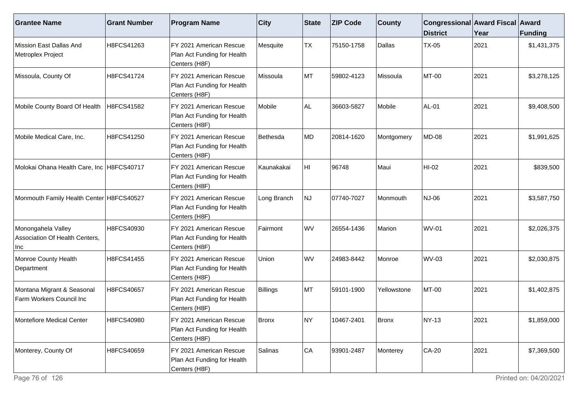| <b>Grantee Name</b>                                         | <b>Grant Number</b> | <b>Program Name</b>                                                      | $ $ City     | <b>State</b> | <b>ZIP Code</b> | <b>County</b> | Congressional Award Fiscal Award<br><b>District</b> | Year | Funding     |
|-------------------------------------------------------------|---------------------|--------------------------------------------------------------------------|--------------|--------------|-----------------|---------------|-----------------------------------------------------|------|-------------|
| Mission East Dallas And<br>Metroplex Project                | H8FCS41263          | FY 2021 American Rescue<br>Plan Act Funding for Health<br>Centers (H8F)  | Mesquite     | <b>TX</b>    | 75150-1758      | Dallas        | <b>TX-05</b>                                        | 2021 | \$1,431,375 |
| Missoula, County Of                                         | H8FCS41724          | FY 2021 American Rescue<br>Plan Act Funding for Health<br>Centers (H8F)  | Missoula     | MT           | 59802-4123      | Missoula      | MT-00                                               | 2021 | \$3,278,125 |
| Mobile County Board Of Health                               | H8FCS41582          | IFY 2021 American Rescue<br>Plan Act Funding for Health<br>Centers (H8F) | Mobile       | AL.          | 36603-5827      | Mobile        | <b>AL-01</b>                                        | 2021 | \$9,408,500 |
| Mobile Medical Care, Inc.                                   | H8FCS41250          | FY 2021 American Rescue<br>Plan Act Funding for Health<br>Centers (H8F)  | Bethesda     | MD           | 20814-1620      | Montgomery    | <b>MD-08</b>                                        | 2021 | \$1,991,625 |
| Molokai Ohana Health Care, Inc H8FCS40717                   |                     | FY 2021 American Rescue<br>Plan Act Funding for Health<br>Centers (H8F)  | Kaunakakai   | HI.          | 96748           | Maui          | HI-02                                               | 2021 | \$839,500   |
| Monmouth Family Health Center H8FCS40527                    |                     | FY 2021 American Rescue<br>Plan Act Funding for Health<br>Centers (H8F)  | Long Branch  | NJ           | 07740-7027      | Monmouth      | <b>NJ-06</b>                                        | 2021 | \$3,587,750 |
| Monongahela Valley<br>Association Of Health Centers,<br>Inc | H8FCS40930          | FY 2021 American Rescue<br>Plan Act Funding for Health<br>Centers (H8F)  | Fairmont     | WV           | 26554-1436      | Marion        | <b>WV-01</b>                                        | 2021 | \$2,026,375 |
| Monroe County Health<br>Department                          | H8FCS41455          | FY 2021 American Rescue<br>Plan Act Funding for Health<br>Centers (H8F)  | Union        | WV           | 24983-8442      | Monroe        | <b>WV-03</b>                                        | 2021 | \$2,030,875 |
| Montana Migrant & Seasonal<br>Farm Workers Council Inc      | H8FCS40657          | FY 2021 American Rescue<br>Plan Act Funding for Health<br>Centers (H8F)  | Billings     | MT           | 59101-1900      | Yellowstone   | MT-00                                               | 2021 | \$1,402,875 |
| Montefiore Medical Center                                   | H8FCS40980          | FY 2021 American Rescue<br>Plan Act Funding for Health<br>Centers (H8F)  | <b>Bronx</b> | INY.         | 10467-2401      | Bronx         | <b>NY-13</b>                                        | 2021 | \$1,859,000 |
| Monterey, County Of                                         | H8FCS40659          | FY 2021 American Rescue<br>Plan Act Funding for Health<br>Centers (H8F)  | Salinas      | CA           | 93901-2487      | Monterey      | CA-20                                               | 2021 | \$7,369,500 |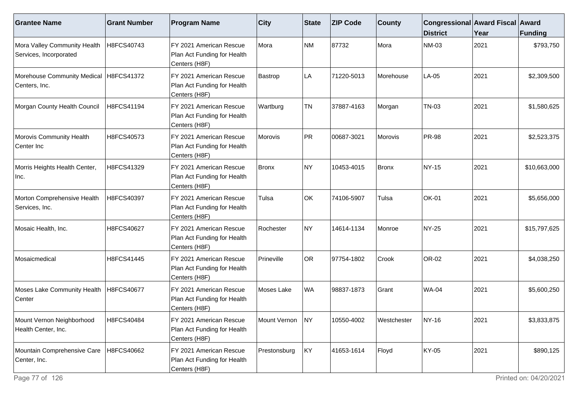| <b>Grantee Name</b>                                       | <b>Grant Number</b> | <b>Program Name</b>                                                     | <b>City</b>  | State     | <b>ZIP Code</b> | <b>County</b> | Congressional Award Fiscal Award<br><b>District</b> | Year | Funding      |
|-----------------------------------------------------------|---------------------|-------------------------------------------------------------------------|--------------|-----------|-----------------|---------------|-----------------------------------------------------|------|--------------|
| Mora Valley Community Health<br>Services, Incorporated    | H8FCS40743          | FY 2021 American Rescue<br>Plan Act Funding for Health<br>Centers (H8F) | Mora         | <b>NM</b> | 87732           | Mora          | <b>NM-03</b>                                        | 2021 | \$793,750    |
| Morehouse Community Medical   H8FCS41372<br>Centers, Inc. |                     | FY 2021 American Rescue<br>Plan Act Funding for Health<br>Centers (H8F) | Bastrop      | LA        | 71220-5013      | Morehouse     | LA-05                                               | 2021 | \$2,309,500  |
| Morgan County Health Council                              | H8FCS41194          | FY 2021 American Rescue<br>Plan Act Funding for Health<br>Centers (H8F) | Wartburg     | <b>TN</b> | 37887-4163      | Morgan        | <b>TN-03</b>                                        | 2021 | \$1,580,625  |
| Morovis Community Health<br>Center Inc                    | H8FCS40573          | FY 2021 American Rescue<br>Plan Act Funding for Health<br>Centers (H8F) | Morovis      | PR        | 00687-3021      | Morovis       | <b>PR-98</b>                                        | 2021 | \$2,523,375  |
| Morris Heights Health Center,<br>Inc.                     | H8FCS41329          | FY 2021 American Rescue<br>Plan Act Funding for Health<br>Centers (H8F) | Bronx        | NY)       | 10453-4015      | Bronx         | <b>NY-15</b>                                        | 2021 | \$10,663,000 |
| Morton Comprehensive Health<br>Services, Inc.             | H8FCS40397          | FY 2021 American Rescue<br>Plan Act Funding for Health<br>Centers (H8F) | Tulsa        | OK        | 74106-5907      | Tulsa         | <b>OK-01</b>                                        | 2021 | \$5,656,000  |
| Mosaic Health, Inc.                                       | H8FCS40627          | FY 2021 American Rescue<br>Plan Act Funding for Health<br>Centers (H8F) | Rochester    | NY)       | 14614-1134      | Monroe        | NY-25                                               | 2021 | \$15,797,625 |
| Mosaicmedical                                             | H8FCS41445          | FY 2021 American Rescue<br>Plan Act Funding for Health<br>Centers (H8F) | Prineville   | <b>OR</b> | 97754-1802      | Crook         | OR-02                                               | 2021 | \$4,038,250  |
| Moses Lake Community Health<br>Center                     | H8FCS40677          | FY 2021 American Rescue<br>Plan Act Funding for Health<br>Centers (H8F) | Moses Lake   | <b>WA</b> | 98837-1873      | Grant         | <b>WA-04</b>                                        | 2021 | \$5,600,250  |
| Mount Vernon Neighborhood<br>Health Center, Inc.          | H8FCS40484          | FY 2021 American Rescue<br>Plan Act Funding for Health<br>Centers (H8F) | Mount Vernon | INY       | 10550-4002      | Westchester   | <b>NY-16</b>                                        | 2021 | \$3,833,875  |
| Mountain Comprehensive Care<br>Center, Inc.               | H8FCS40662          | FY 2021 American Rescue<br>Plan Act Funding for Health<br>Centers (H8F) | Prestonsburg | KY        | 41653-1614      | Floyd         | KY-05                                               | 2021 | \$890,125    |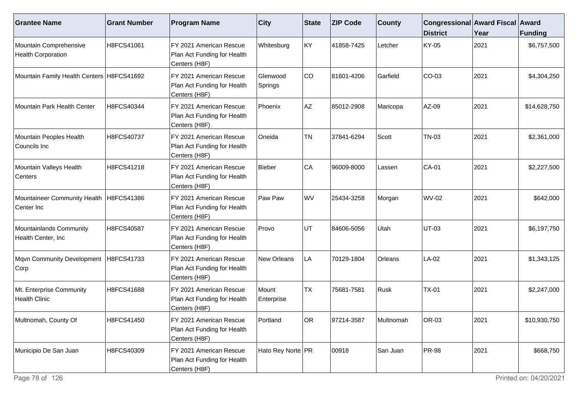| <b>Grantee Name</b>                                     | <b>Grant Number</b> | <b>Program Name</b>                                                     | $ $ City            | State     | <b>ZIP Code</b> | <b>County</b> | Congressional Award Fiscal Award<br><b>District</b> | Year | <b>Funding</b> |
|---------------------------------------------------------|---------------------|-------------------------------------------------------------------------|---------------------|-----------|-----------------|---------------|-----------------------------------------------------|------|----------------|
| Mountain Comprehensive<br><b>Health Corporation</b>     | H8FCS41061          | FY 2021 American Rescue<br>Plan Act Funding for Health<br>Centers (H8F) | Whitesburg          | KY        | 41858-7425      | Letcher       | KY-05                                               | 2021 | \$6,757,500    |
| Mountain Family Health Centers   H8FCS41692             |                     | FY 2021 American Rescue<br>Plan Act Funding for Health<br>Centers (H8F) | Glenwood<br>Springs | CO        | 81601-4206      | Garfield      | $CO-03$                                             | 2021 | \$4,304,250    |
| Mountain Park Health Center                             | H8FCS40344          | FY 2021 American Rescue<br>Plan Act Funding for Health<br>Centers (H8F) | <b>Phoenix</b>      | AZ        | 85012-2908      | Maricopa      | AZ-09                                               | 2021 | \$14,628,750   |
| Mountain Peoples Health<br>Councils Inc                 | H8FCS40737          | FY 2021 American Rescue<br>Plan Act Funding for Health<br>Centers (H8F) | Oneida              | <b>TN</b> | 37841-6294      | Scott         | <b>TN-03</b>                                        | 2021 | \$2,361,000    |
| Mountain Valleys Health<br>Centers                      | H8FCS41218          | FY 2021 American Rescue<br>Plan Act Funding for Health<br>Centers (H8F) | Bieber              | CA        | 96009-8000      | Lassen        | <b>CA-01</b>                                        | 2021 | \$2,227,500    |
| Mountaineer Community Health   H8FCS41386<br>Center Inc |                     | FY 2021 American Rescue<br>Plan Act Funding for Health<br>Centers (H8F) | Paw Paw             | <b>WV</b> | 25434-3258      | Morgan        | <b>WV-02</b>                                        | 2021 | \$642,000      |
| Mountainlands Community<br>Health Center, Inc           | H8FCS40587          | FY 2021 American Rescue<br>Plan Act Funding for Health<br>Centers (H8F) | Provo               | UT        | 84606-5056      | Utah          | <b>UT-03</b>                                        | 2021 | \$6,197,750    |
| Mqvn Community Development<br>Corp                      | H8FCS41733          | FY 2021 American Rescue<br>Plan Act Funding for Health<br>Centers (H8F) | New Orleans         | LA        | 70129-1804      | Orleans       | LA-02                                               | 2021 | \$1,343,125    |
| Mt. Enterprise Community<br><b>Health Clinic</b>        | H8FCS41688          | FY 2021 American Rescue<br>Plan Act Funding for Health<br>Centers (H8F) | Mount<br>Enterprise | <b>TX</b> | 75681-7581      | Rusk          | $TX-01$                                             | 2021 | \$2,247,000    |
| Multnomah, County Of                                    | H8FCS41450          | FY 2021 American Rescue<br>Plan Act Funding for Health<br>Centers (H8F) | Portland            | OR.       | 97214-3587      | Multnomah     | OR-03                                               | 2021 | \$10,930,750   |
| Municipio De San Juan                                   | H8FCS40309          | FY 2021 American Rescue<br>Plan Act Funding for Health<br>Centers (H8F) | Hato Rey Norte   PR |           | 00918           | San Juan      | <b>PR-98</b>                                        | 2021 | \$668,750      |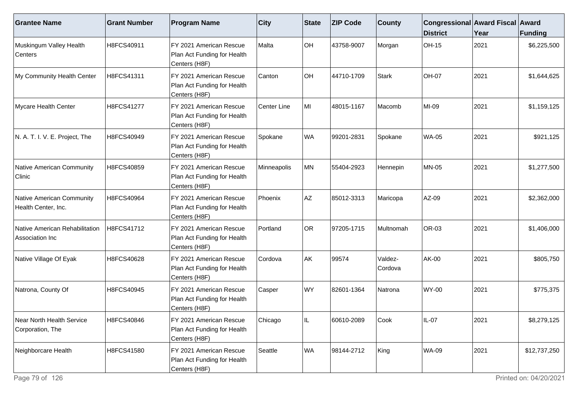| <b>Grantee Name</b>                               | <b>Grant Number</b> | <b>Program Name</b>                                                     | $ $ City    | State     | <b>ZIP Code</b> | <b>County</b>      | Congressional Award Fiscal Award<br><b>District</b> | Year | <b>Funding</b> |
|---------------------------------------------------|---------------------|-------------------------------------------------------------------------|-------------|-----------|-----------------|--------------------|-----------------------------------------------------|------|----------------|
| Muskingum Valley Health<br>Centers                | H8FCS40911          | FY 2021 American Rescue<br>Plan Act Funding for Health<br>Centers (H8F) | Malta       | OH        | 43758-9007      | Morgan             | OH-15                                               | 2021 | \$6,225,500    |
| My Community Health Center                        | H8FCS41311          | FY 2021 American Rescue<br>Plan Act Funding for Health<br>Centers (H8F) | Canton      | OH        | 44710-1709      | Stark              | <b>OH-07</b>                                        | 2021 | \$1,644,625    |
| Mycare Health Center                              | H8FCS41277          | FY 2021 American Rescue<br>Plan Act Funding for Health<br>Centers (H8F) | Center Line | MI        | 48015-1167      | Macomb             | MI-09                                               | 2021 | \$1,159,125    |
| N. A. T. I. V. E. Project, The                    | H8FCS40949          | FY 2021 American Rescue<br>Plan Act Funding for Health<br>Centers (H8F) | Spokane     | <b>WA</b> | 99201-2831      | Spokane            | <b>WA-05</b>                                        | 2021 | \$921,125      |
| Native American Community<br>Clinic               | H8FCS40859          | FY 2021 American Rescue<br>Plan Act Funding for Health<br>Centers (H8F) | Minneapolis | MN        | 55404-2923      | Hennepin           | <b>MN-05</b>                                        | 2021 | \$1,277,500    |
| Native American Community<br>Health Center, Inc.  | H8FCS40964          | FY 2021 American Rescue<br>Plan Act Funding for Health<br>Centers (H8F) | Phoenix     | AZ        | 85012-3313      | Maricopa           | AZ-09                                               | 2021 | \$2,362,000    |
| Native American Rehabilitation<br>Association Inc | H8FCS41712          | FY 2021 American Rescue<br>Plan Act Funding for Health<br>Centers (H8F) | Portland    | <b>OR</b> | 97205-1715      | Multnomah          | OR-03                                               | 2021 | \$1,406,000    |
| Native Village Of Eyak                            | H8FCS40628          | FY 2021 American Rescue<br>Plan Act Funding for Health<br>Centers (H8F) | Cordova     | AK        | 99574           | Valdez-<br>Cordova | AK-00                                               | 2021 | \$805,750      |
| Natrona, County Of                                | H8FCS40945          | FY 2021 American Rescue<br>Plan Act Funding for Health<br>Centers (H8F) | Casper      | <b>WY</b> | 82601-1364      | Natrona            | <b>WY-00</b>                                        | 2021 | \$775,375      |
| Near North Health Service<br>Corporation, The     | H8FCS40846          | FY 2021 American Rescue<br>Plan Act Funding for Health<br>Centers (H8F) | Chicago     |           | 60610-2089      | Cook               | IL-07                                               | 2021 | \$8,279,125    |
| Neighborcare Health                               | H8FCS41580          | FY 2021 American Rescue<br>Plan Act Funding for Health<br>Centers (H8F) | Seattle     | <b>WA</b> | 98144-2712      | King               | <b>WA-09</b>                                        | 2021 | \$12,737,250   |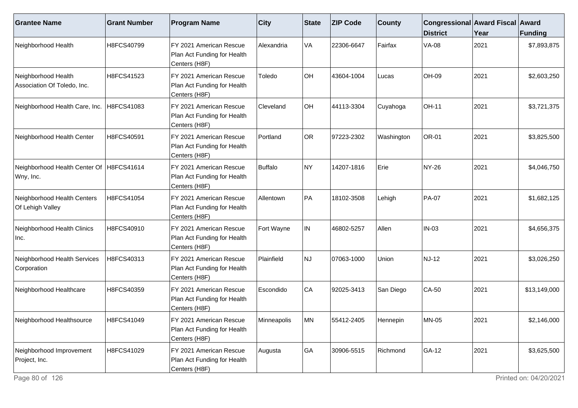| <b>Grantee Name</b>                                   | <b>Grant Number</b> | <b>Program Name</b>                                                     | $ $ City    | State     | <b>ZIP Code</b> | <b>County</b> | Congressional Award Fiscal Award<br><b>District</b> | Year | <b>Funding</b> |
|-------------------------------------------------------|---------------------|-------------------------------------------------------------------------|-------------|-----------|-----------------|---------------|-----------------------------------------------------|------|----------------|
| Neighborhood Health                                   | H8FCS40799          | FY 2021 American Rescue<br>Plan Act Funding for Health<br>Centers (H8F) | Alexandria  | VA        | 22306-6647      | Fairfax       | <b>VA-08</b>                                        | 2021 | \$7,893,875    |
| Neighborhood Health<br>Association Of Toledo, Inc.    | H8FCS41523          | FY 2021 American Rescue<br>Plan Act Funding for Health<br>Centers (H8F) | Toledo      | OH        | 43604-1004      | Lucas         | OH-09                                               | 2021 | \$2,603,250    |
| Neighborhood Health Care, Inc.                        | H8FCS41083          | FY 2021 American Rescue<br>Plan Act Funding for Health<br>Centers (H8F) | Cleveland   | OH        | 44113-3304      | Cuyahoga      | <b>OH-11</b>                                        | 2021 | \$3,721,375    |
| Neighborhood Health Center                            | H8FCS40591          | FY 2021 American Rescue<br>Plan Act Funding for Health<br>Centers (H8F) | Portland    | <b>OR</b> | 97223-2302      | Washington    | <b>OR-01</b>                                        | 2021 | \$3,825,500    |
| Neighborhood Health Center Of H8FCS41614<br>Wny, Inc. |                     | FY 2021 American Rescue<br>Plan Act Funding for Health<br>Centers (H8F) | Buffalo     | NY)       | 14207-1816      | Erie          | <b>NY-26</b>                                        | 2021 | \$4,046,750    |
| Neighborhood Health Centers<br>Of Lehigh Valley       | H8FCS41054          | FY 2021 American Rescue<br>Plan Act Funding for Health<br>Centers (H8F) | Allentown   | PA        | 18102-3508      | Lehigh        | <b>PA-07</b>                                        | 2021 | \$1,682,125    |
| Neighborhood Health Clinics<br>Inc.                   | H8FCS40910          | FY 2021 American Rescue<br>Plan Act Funding for Health<br>Centers (H8F) | Fort Wayne  | IN        | 46802-5257      | Allen         | <b>IN-03</b>                                        | 2021 | \$4,656,375    |
| Neighborhood Health Services<br>Corporation           | H8FCS40313          | FY 2021 American Rescue<br>Plan Act Funding for Health<br>Centers (H8F) | Plainfield  | <b>NJ</b> | 07063-1000      | Union         | <b>NJ-12</b>                                        | 2021 | \$3,026,250    |
| Neighborhood Healthcare                               | H8FCS40359          | FY 2021 American Rescue<br>Plan Act Funding for Health<br>Centers (H8F) | Escondido   | CA        | 92025-3413      | San Diego     | $CA-50$                                             | 2021 | \$13,149,000   |
| Neighborhood Healthsource                             | H8FCS41049          | FY 2021 American Rescue<br>Plan Act Funding for Health<br>Centers (H8F) | Minneapolis | <b>MN</b> | 55412-2405      | Hennepin      | <b>MN-05</b>                                        | 2021 | \$2,146,000    |
| Neighborhood Improvement<br>Project, Inc.             | H8FCS41029          | FY 2021 American Rescue<br>Plan Act Funding for Health<br>Centers (H8F) | Augusta     | GA        | 30906-5515      | Richmond      | GA-12                                               | 2021 | \$3,625,500    |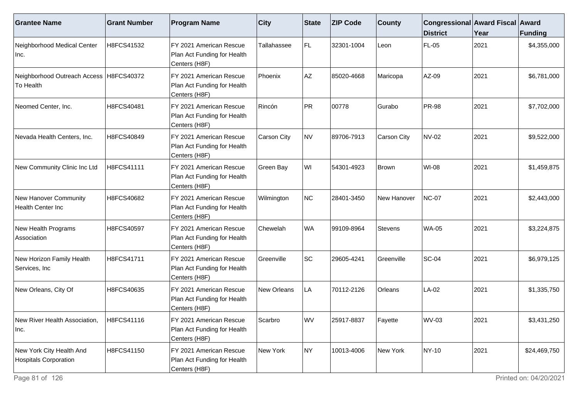| <b>Grantee Name</b>                                    | <b>Grant Number</b> | <b>Program Name</b>                                                     | $ $ City    | State     | <b>ZIP Code</b> | <b>County</b>  | Congressional Award Fiscal Award<br><b>District</b> | Year | <b>Funding</b> |
|--------------------------------------------------------|---------------------|-------------------------------------------------------------------------|-------------|-----------|-----------------|----------------|-----------------------------------------------------|------|----------------|
| Neighborhood Medical Center<br>Inc.                    | H8FCS41532          | FY 2021 American Rescue<br>Plan Act Funding for Health<br>Centers (H8F) | Tallahassee | FL.       | 32301-1004      | Leon           | <b>FL-05</b>                                        | 2021 | \$4,355,000    |
| Neighborhood Outreach Access   H8FCS40372<br>To Health |                     | FY 2021 American Rescue<br>Plan Act Funding for Health<br>Centers (H8F) | Phoenix     | AZ        | 85020-4668      | Maricopa       | AZ-09                                               | 2021 | \$6,781,000    |
| Neomed Center, Inc.                                    | H8FCS40481          | FY 2021 American Rescue<br>Plan Act Funding for Health<br>Centers (H8F) | Rincón      | PR        | 00778           | Gurabo         | <b>PR-98</b>                                        | 2021 | \$7,702,000    |
| Nevada Health Centers, Inc.                            | H8FCS40849          | FY 2021 American Rescue<br>Plan Act Funding for Health<br>Centers (H8F) | Carson City | <b>NV</b> | 89706-7913      | Carson City    | <b>NV-02</b>                                        | 2021 | \$9,522,000    |
| New Community Clinic Inc Ltd                           | H8FCS41111          | FY 2021 American Rescue<br>Plan Act Funding for Health<br>Centers (H8F) | Green Bay   | WI        | 54301-4923      | Brown          | <b>WI-08</b>                                        | 2021 | \$1,459,875    |
| New Hanover Community<br>Health Center Inc             | H8FCS40682          | FY 2021 American Rescue<br>Plan Act Funding for Health<br>Centers (H8F) | Wilmington  | NC        | 28401-3450      | New Hanover    | <b>NC-07</b>                                        | 2021 | \$2,443,000    |
| New Health Programs<br>Association                     | H8FCS40597          | FY 2021 American Rescue<br>Plan Act Funding for Health<br>Centers (H8F) | Chewelah    | <b>WA</b> | 99109-8964      | Stevens        | <b>WA-05</b>                                        | 2021 | \$3,224,875    |
| New Horizon Family Health<br>Services, Inc             | H8FCS41711          | FY 2021 American Rescue<br>Plan Act Funding for Health<br>Centers (H8F) | Greenville  | <b>SC</b> | 29605-4241      | Greenville     | <b>SC-04</b>                                        | 2021 | \$6,979,125    |
| New Orleans, City Of                                   | H8FCS40635          | FY 2021 American Rescue<br>Plan Act Funding for Health<br>Centers (H8F) | New Orleans | LA        | 70112-2126      | <b>Orleans</b> | LA-02                                               | 2021 | \$1,335,750    |
| New River Health Association,<br>Inc.                  | H8FCS41116          | FY 2021 American Rescue<br>Plan Act Funding for Health<br>Centers (H8F) | Scarbro     | <b>WV</b> | 25917-8837      | Fayette        | WV-03                                               | 2021 | \$3,431,250    |
| New York City Health And<br>Hospitals Corporation      | H8FCS41150          | FY 2021 American Rescue<br>Plan Act Funding for Health<br>Centers (H8F) | New York    | NY)       | 10013-4006      | New York       | <b>NY-10</b>                                        | 2021 | \$24,469,750   |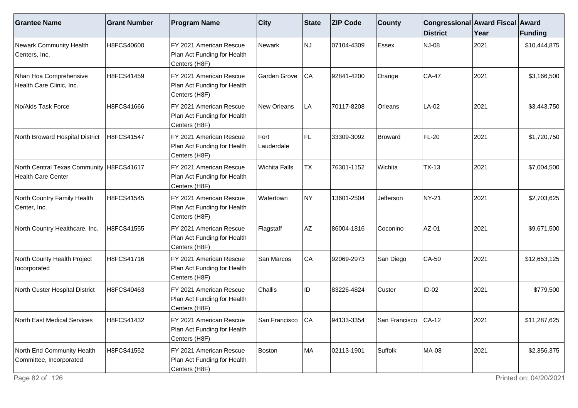| <b>Grantee Name</b>                                                     | <b>Grant Number</b> | <b>Program Name</b>                                                     | <b>City</b>          | <b>State</b> | <b>ZIP Code</b> | <b>County</b>        | Congressional Award Fiscal Award<br><b>District</b> | Year | Funding      |
|-------------------------------------------------------------------------|---------------------|-------------------------------------------------------------------------|----------------------|--------------|-----------------|----------------------|-----------------------------------------------------|------|--------------|
| Newark Community Health<br>Centers, Inc.                                | H8FCS40600          | FY 2021 American Rescue<br>Plan Act Funding for Health<br>Centers (H8F) | Newark               | NJ           | 07104-4309      | Essex                | NJ-08                                               | 2021 | \$10,444,875 |
| Nhan Hoa Comprehensive<br>Health Care Clinic, Inc.                      | H8FCS41459          | FY 2021 American Rescue<br>Plan Act Funding for Health<br>Centers (H8F) | Garden Grove         | CA           | 92841-4200      | Orange               | <b>CA-47</b>                                        | 2021 | \$3,166,500  |
| No/Aids Task Force                                                      | H8FCS41666          | FY 2021 American Rescue<br>Plan Act Funding for Health<br>Centers (H8F) | New Orleans          | LA           | 70117-8208      | Orleans              | $LA-02$                                             | 2021 | \$3,443,750  |
| North Broward Hospital District                                         | H8FCS41547          | FY 2021 American Rescue<br>Plan Act Funding for Health<br>Centers (H8F) | Fort<br>Lauderdale   | FL.          | 33309-3092      | Broward              | FL-20                                               | 2021 | \$1,720,750  |
| North Central Texas Community   H8FCS41617<br><b>Health Care Center</b> |                     | FY 2021 American Rescue<br>Plan Act Funding for Health<br>Centers (H8F) | <b>Wichita Falls</b> | <b>TX</b>    | 76301-1152      | Wichita              | $TX-13$                                             | 2021 | \$7,004,500  |
| North Country Family Health<br>Center, Inc.                             | H8FCS41545          | FY 2021 American Rescue<br>Plan Act Funding for Health<br>Centers (H8F) | Watertown            | NY.          | 13601-2504      | Jefferson            | NY-21                                               | 2021 | \$2,703,625  |
| North Country Healthcare, Inc.                                          | H8FCS41555          | FY 2021 American Rescue<br>Plan Act Funding for Health<br>Centers (H8F) | Flagstaff            | AZ           | 86004-1816      | Coconino             | AZ-01                                               | 2021 | \$9,671,500  |
| North County Health Project<br>Incorporated                             | H8FCS41716          | FY 2021 American Rescue<br>Plan Act Funding for Health<br>Centers (H8F) | San Marcos           | CA           | 92069-2973      | San Diego            | $CA-50$                                             | 2021 | \$12,653,125 |
| North Custer Hospital District                                          | H8FCS40463          | FY 2021 American Rescue<br>Plan Act Funding for Health<br>Centers (H8F) | Challis              | ID           | 83226-4824      | Custer               | $ID-02$                                             | 2021 | \$779,500    |
| <b>North East Medical Services</b>                                      | H8FCS41432          | FY 2021 American Rescue<br>Plan Act Funding for Health<br>Centers (H8F) | San Francisco        | <b>ICA</b>   | 94133-3354      | San Francisco ICA-12 |                                                     | 2021 | \$11,287,625 |
| North End Community Health<br>Committee, Incorporated                   | H8FCS41552          | FY 2021 American Rescue<br>Plan Act Funding for Health<br>Centers (H8F) | Boston               | MA           | 02113-1901      | Suffolk              | MA-08                                               | 2021 | \$2,356,375  |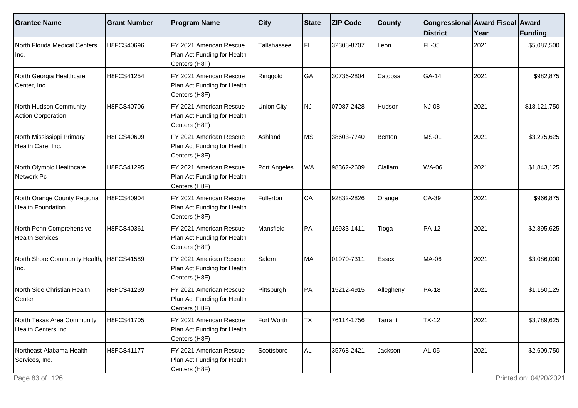| <b>Grantee Name</b>                                      | <b>Grant Number</b> | <b>Program Name</b>                                                     | $ $ City          | State     | <b>ZIP Code</b> | <b>County</b> | Congressional Award Fiscal Award<br><b>District</b> | Year | <b>Funding</b> |
|----------------------------------------------------------|---------------------|-------------------------------------------------------------------------|-------------------|-----------|-----------------|---------------|-----------------------------------------------------|------|----------------|
| North Florida Medical Centers,<br>Inc.                   | H8FCS40696          | FY 2021 American Rescue<br>Plan Act Funding for Health<br>Centers (H8F) | Tallahassee       | FL.       | 32308-8707      | Leon          | <b>FL-05</b>                                        | 2021 | \$5,087,500    |
| North Georgia Healthcare<br>Center, Inc.                 | H8FCS41254          | FY 2021 American Rescue<br>Plan Act Funding for Health<br>Centers (H8F) | Ringgold          | GA        | 30736-2804      | Catoosa       | GA-14                                               | 2021 | \$982,875      |
| North Hudson Community<br>Action Corporation             | H8FCS40706          | FY 2021 American Rescue<br>Plan Act Funding for Health<br>Centers (H8F) | <b>Union City</b> | <b>NJ</b> | 07087-2428      | Hudson        | NJ-08                                               | 2021 | \$18,121,750   |
| North Mississippi Primary<br>Health Care, Inc.           | H8FCS40609          | FY 2021 American Rescue<br>Plan Act Funding for Health<br>Centers (H8F) | Ashland           | <b>MS</b> | 38603-7740      | Benton        | <b>MS-01</b>                                        | 2021 | \$3,275,625    |
| North Olympic Healthcare<br>Network Pc                   | H8FCS41295          | FY 2021 American Rescue<br>Plan Act Funding for Health<br>Centers (H8F) | Port Angeles      | WA        | 98362-2609      | Clallam       | <b>WA-06</b>                                        | 2021 | \$1,843,125    |
| North Orange County Regional<br><b>Health Foundation</b> | H8FCS40904          | FY 2021 American Rescue<br>Plan Act Funding for Health<br>Centers (H8F) | Fullerton         | CA        | 92832-2826      | Orange        | $CA-39$                                             | 2021 | \$966,875      |
| North Penn Comprehensive<br><b>Health Services</b>       | H8FCS40361          | FY 2021 American Rescue<br>Plan Act Funding for Health<br>Centers (H8F) | Mansfield         | PA        | 16933-1411      | Tioga         | <b>PA-12</b>                                        | 2021 | \$2,895,625    |
| North Shore Community Health, H8FCS41589<br>Inc.         |                     | FY 2021 American Rescue<br>Plan Act Funding for Health<br>Centers (H8F) | Salem             | MA        | 01970-7311      | Essex         | <b>MA-06</b>                                        | 2021 | \$3,086,000    |
| North Side Christian Health<br>Center                    | H8FCS41239          | FY 2021 American Rescue<br>Plan Act Funding for Health<br>Centers (H8F) | Pittsburgh        | PA        | 15212-4915      | Allegheny     | <b>PA-18</b>                                        | 2021 | \$1,150,125    |
| North Texas Area Community<br><b>Health Centers Inc</b>  | H8FCS41705          | FY 2021 American Rescue<br>Plan Act Funding for Health<br>Centers (H8F) | Fort Worth        | <b>TX</b> | 76114-1756      | Tarrant       | $TX-12$                                             | 2021 | \$3,789,625    |
| Northeast Alabama Health<br>Services, Inc.               | H8FCS41177          | FY 2021 American Rescue<br>Plan Act Funding for Health<br>Centers (H8F) | Scottsboro        | AL.       | 35768-2421      | Jackson       | <b>AL-05</b>                                        | 2021 | \$2,609,750    |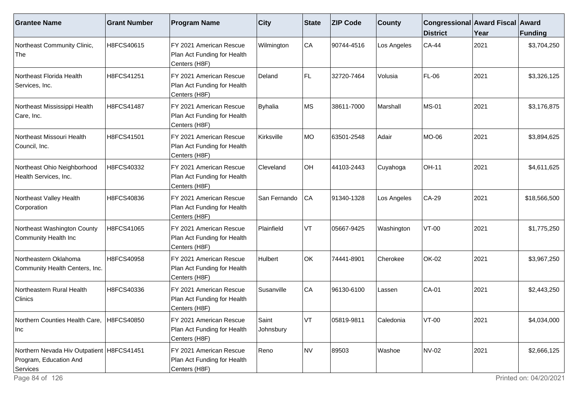| <b>Grantee Name</b>                                                               | <b>Grant Number</b> | <b>Program Name</b>                                                     | <b>City</b>        | <b>State</b> | <b>ZIP Code</b> | <b>County</b> | Congressional Award Fiscal Award<br><b>District</b> | Year | <b>Funding</b> |
|-----------------------------------------------------------------------------------|---------------------|-------------------------------------------------------------------------|--------------------|--------------|-----------------|---------------|-----------------------------------------------------|------|----------------|
| Northeast Community Clinic,<br>The                                                | H8FCS40615          | FY 2021 American Rescue<br>Plan Act Funding for Health<br>Centers (H8F) | Wilmington         | CA           | 90744-4516      | Los Angeles   | $CA-44$                                             | 2021 | \$3,704,250    |
| Northeast Florida Health<br>Services, Inc.                                        | H8FCS41251          | FY 2021 American Rescue<br>Plan Act Funding for Health<br>Centers (H8F) | Deland             | FL.          | 32720-7464      | Volusia       | FL-06                                               | 2021 | \$3,326,125    |
| Northeast Mississippi Health<br>Care, Inc.                                        | H8FCS41487          | FY 2021 American Rescue<br>Plan Act Funding for Health<br>Centers (H8F) | <b>Byhalia</b>     | ∣MS          | 38611-7000      | Marshall      | <b>MS-01</b>                                        | 2021 | \$3,176,875    |
| Northeast Missouri Health<br>Council, Inc.                                        | H8FCS41501          | FY 2021 American Rescue<br>Plan Act Funding for Health<br>Centers (H8F) | Kirksville         | <b>MO</b>    | 63501-2548      | Adair         | MO-06                                               | 2021 | \$3,894,625    |
| Northeast Ohio Neighborhood<br>Health Services, Inc.                              | H8FCS40332          | FY 2021 American Rescue<br>Plan Act Funding for Health<br>Centers (H8F) | Cleveland          | OH           | 44103-2443      | Cuyahoga      | <b>OH-11</b>                                        | 2021 | \$4,611,625    |
| Northeast Valley Health<br>Corporation                                            | H8FCS40836          | FY 2021 American Rescue<br>Plan Act Funding for Health<br>Centers (H8F) | San Fernando       | CA           | 91340-1328      | Los Angeles   | $CA-29$                                             | 2021 | \$18,566,500   |
| Northeast Washington County<br>Community Health Inc                               | H8FCS41065          | FY 2021 American Rescue<br>Plan Act Funding for Health<br>Centers (H8F) | Plainfield         | VT           | 05667-9425      | Washington    | $VT-00$                                             | 2021 | \$1,775,250    |
| Northeastern Oklahoma<br>Community Health Centers, Inc.                           | H8FCS40958          | FY 2021 American Rescue<br>Plan Act Funding for Health<br>Centers (H8F) | Hulbert            | OK           | 74441-8901      | Cherokee      | <b>OK-02</b>                                        | 2021 | \$3,967,250    |
| Northeastern Rural Health<br>Clinics                                              | H8FCS40336          | FY 2021 American Rescue<br>Plan Act Funding for Health<br>Centers (H8F) | Susanville         | CA           | 96130-6100      | Lassen        | $CA-01$                                             | 2021 | \$2,443,250    |
| Northern Counties Health Care,  H8FCS40850<br> Inc                                |                     | FY 2021 American Rescue<br>Plan Act Funding for Health<br>Centers (H8F) | Saint<br>Johnsbury | VT           | 05819-9811      | Caledonia     | $VT-00$                                             | 2021 | \$4,034,000    |
| Northern Nevada Hiv Outpatient   H8FCS41451<br>Program, Education And<br>Services |                     | FY 2021 American Rescue<br>Plan Act Funding for Health<br>Centers (H8F) | Reno               | NV           | 89503           | Washoe        | <b>NV-02</b>                                        | 2021 | \$2,666,125    |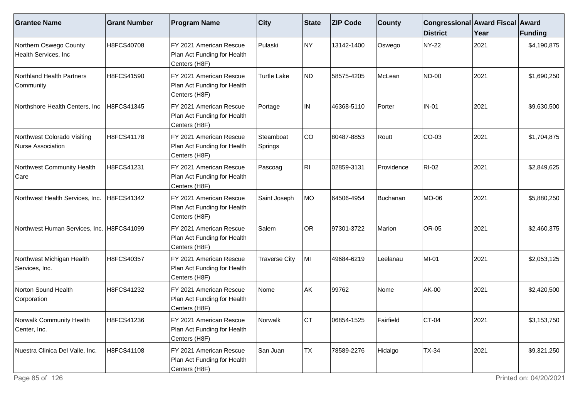| <b>Grantee Name</b>                                     | <b>Grant Number</b> | <b>Program Name</b>                                                            | $ $ City              | State     | <b>ZIP Code</b> | <b>County</b> | Congressional Award Fiscal Award<br><b>District</b> | Year | Funding     |
|---------------------------------------------------------|---------------------|--------------------------------------------------------------------------------|-----------------------|-----------|-----------------|---------------|-----------------------------------------------------|------|-------------|
| Northern Oswego County<br>Health Services, Inc          | H8FCS40708          | FY 2021 American Rescue<br>Plan Act Funding for Health<br>Centers (H8F)        | Pulaski               | NY        | 13142-1400      | Oswego        | <b>NY-22</b>                                        | 2021 | \$4,190,875 |
| Northland Health Partners<br>Community                  | H8FCS41590          | FY 2021 American Rescue<br>Plan Act Funding for Health<br>Centers (H8F)        | <b>Turtle Lake</b>    | ND)       | 58575-4205      | McLean        | <b>ND-00</b>                                        | 2021 | \$1,690,250 |
| Northshore Health Centers, Inc                          | H8FCS41345          | IFY 2021 American Rescue<br>Plan Act Funding for Health<br>Centers (H8F)       | Portage               | IN.       | 46368-5110      | Porter        | <b>IN-01</b>                                        | 2021 | \$9,630,500 |
| Northwest Colorado Visiting<br><b>Nurse Association</b> | H8FCS41178          | FY 2021 American Rescue<br>Plan Act Funding for Health<br>Centers (H8F)        | Steamboat<br> Springs | co        | 80487-8853      | Routt         | CO-03                                               | 2021 | \$1,704,875 |
| Northwest Community Health<br>Care                      | H8FCS41231          | FY 2021 American Rescue<br>Plan Act Funding for Health<br>Centers (H8F)        | Pascoag               | RII       | 02859-3131      | Providence    | <b>RI-02</b>                                        | 2021 | \$2,849,625 |
| Northwest Health Services, Inc.                         | H8FCS41342          | FY 2021 American Rescue<br>Plan Act Funding for Health<br>Centers (H8F)        | Saint Joseph          | MO        | 64506-4954      | Buchanan      | MO-06                                               | 2021 | \$5,880,250 |
| Northwest Human Services, Inc. H8FCS41099               |                     | FY 2021 American Rescue<br>Plan Act Funding for Health<br>Centers (H8F)        | Salem                 | OR        | 97301-3722      | Marion        | <b>OR-05</b>                                        | 2021 | \$2,460,375 |
| Northwest Michigan Health<br>Services, Inc.             | H8FCS40357          | FY 2021 American Rescue<br>Plan Act Funding for Health<br>Centers (H8F)        | <b>Traverse City</b>  | MI        | 49684-6219      | Leelanau      | MI-01                                               | 2021 | \$2,053,125 |
| Norton Sound Health<br>Corporation                      | H8FCS41232          | FY 2021 American Rescue<br>Plan Act Funding for Health<br>Centers (H8F)        | Nome                  | AK        | 99762           | Nome          | AK-00                                               | 2021 | \$2,420,500 |
| Norwalk Community Health<br>Center, Inc.                | H8FCS41236          | <b>FY 2021 American Rescue</b><br>Plan Act Funding for Health<br>Centers (H8F) | Norwalk               | ICT.      | 06854-1525      | Fairfield     | CT-04                                               | 2021 | \$3,153,750 |
| Nuestra Clinica Del Valle, Inc.                         | H8FCS41108          | FY 2021 American Rescue<br>Plan Act Funding for Health<br>Centers (H8F)        | San Juan              | <b>TX</b> | 78589-2276      | Hidalgo       | <b>TX-34</b>                                        | 2021 | \$9,321,250 |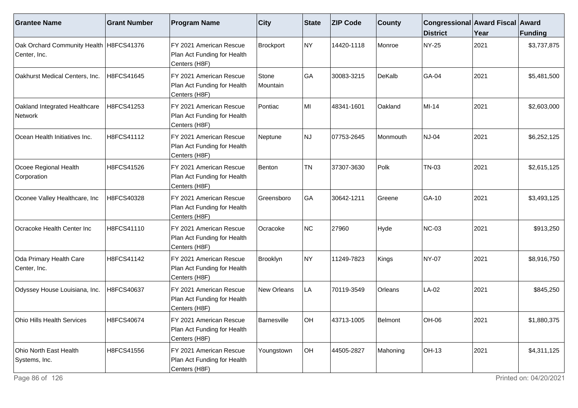| <b>Grantee Name</b>                                       | <b>Grant Number</b> | <b>Program Name</b>                                                     | <b>City</b>       | State     | <b>ZIP Code</b> | <b>County</b>  | Congressional Award Fiscal Award<br><b>District</b> | Year | <b>Funding</b> |
|-----------------------------------------------------------|---------------------|-------------------------------------------------------------------------|-------------------|-----------|-----------------|----------------|-----------------------------------------------------|------|----------------|
| Oak Orchard Community Health   H8FCS41376<br>Center, Inc. |                     | FY 2021 American Rescue<br>Plan Act Funding for Health<br>Centers (H8F) | Brockport         | NY)       | 14420-1118      | Monroe         | NY-25                                               | 2021 | \$3,737,875    |
| Oakhurst Medical Centers, Inc.                            | H8FCS41645          | FY 2021 American Rescue<br>Plan Act Funding for Health<br>Centers (H8F) | Stone<br>Mountain | GA        | 30083-3215      | DeKalb         | GA-04                                               | 2021 | \$5,481,500    |
| Oakland Integrated Healthcare<br>Network                  | H8FCS41253          | FY 2021 American Rescue<br>Plan Act Funding for Health<br>Centers (H8F) | Pontiac           | MI        | 48341-1601      | Oakland        | MI-14                                               | 2021 | \$2,603,000    |
| Ocean Health Initiatives Inc.                             | H8FCS41112          | FY 2021 American Rescue<br>Plan Act Funding for Health<br>Centers (H8F) | Neptune           | NJ        | 07753-2645      | Monmouth       | <b>NJ-04</b>                                        | 2021 | \$6,252,125    |
| Ocoee Regional Health<br>Corporation                      | H8FCS41526          | FY 2021 American Rescue<br>Plan Act Funding for Health<br>Centers (H8F) | Benton            | <b>TN</b> | 37307-3630      | Polk           | TN-03                                               | 2021 | \$2,615,125    |
| Oconee Valley Healthcare, Inc                             | H8FCS40328          | FY 2021 American Rescue<br>Plan Act Funding for Health<br>Centers (H8F) | <b>Greensboro</b> | GA        | 30642-1211      | Greene         | GA-10                                               | 2021 | \$3,493,125    |
| Ocracoke Health Center Inc                                | H8FCS41110          | FY 2021 American Rescue<br>Plan Act Funding for Health<br>Centers (H8F) | Ocracoke          | NC        | 27960           | Hyde           | <b>NC-03</b>                                        | 2021 | \$913,250      |
| Oda Primary Health Care<br>Center, Inc.                   | H8FCS41142          | FY 2021 American Rescue<br>Plan Act Funding for Health<br>Centers (H8F) | Brooklyn          | NY)       | 11249-7823      | Kings          | <b>NY-07</b>                                        | 2021 | \$8,916,750    |
| Odyssey House Louisiana, Inc.                             | H8FCS40637          | FY 2021 American Rescue<br>Plan Act Funding for Health<br>Centers (H8F) | New Orleans       | LA        | 70119-3549      | <b>Orleans</b> | LA-02                                               | 2021 | \$845,250      |
| <b>Ohio Hills Health Services</b>                         | H8FCS40674          | FY 2021 American Rescue<br>Plan Act Funding for Health<br>Centers (H8F) | Barnesville       | <b>OH</b> | 43713-1005      | Belmont        | OH-06                                               | 2021 | \$1,880,375    |
| Ohio North East Health<br>Systems, Inc.                   | H8FCS41556          | FY 2021 American Rescue<br>Plan Act Funding for Health<br>Centers (H8F) | Youngstown        | OH        | 44505-2827      | Mahoning       | OH-13                                               | 2021 | \$4,311,125    |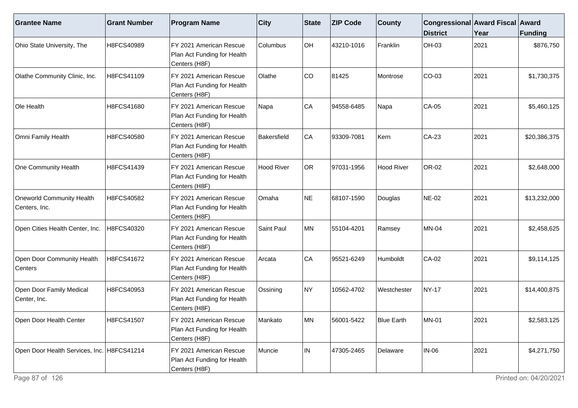| <b>Grantee Name</b>                        | <b>Grant Number</b> | <b>Program Name</b>                                                      | $ $ City          | <b>State</b> | <b>ZIP Code</b> | <b>County</b>     | Congressional Award Fiscal Award<br><b>District</b> | Year | Funding      |
|--------------------------------------------|---------------------|--------------------------------------------------------------------------|-------------------|--------------|-----------------|-------------------|-----------------------------------------------------|------|--------------|
| Ohio State University, The                 | H8FCS40989          | FY 2021 American Rescue<br>Plan Act Funding for Health<br>Centers (H8F)  | Columbus          | OH           | 43210-1016      | Franklin          | OH-03                                               | 2021 | \$876,750    |
| Olathe Community Clinic, Inc.              | H8FCS41109          | FY 2021 American Rescue<br>Plan Act Funding for Health<br>Centers (H8F)  | Olathe            | CO           | 81425           | Montrose          | CO-03                                               | 2021 | \$1,730,375  |
| Ole Health                                 | H8FCS41680          | FY 2021 American Rescue<br>Plan Act Funding for Health<br>Centers (H8F)  | Napa              | CA           | 94558-6485      | Napa              | <b>CA-05</b>                                        | 2021 | \$5,460,125  |
| Omni Family Health                         | H8FCS40580          | FY 2021 American Rescue<br>Plan Act Funding for Health<br>Centers (H8F)  | Bakersfield       | CA           | 93309-7081      | Kern              | CA-23                                               | 2021 | \$20,386,375 |
| One Community Health                       | H8FCS41439          | FY 2021 American Rescue<br>Plan Act Funding for Health<br>Centers (H8F)  | <b>Hood River</b> | OR           | 97031-1956      | <b>Hood River</b> | OR-02                                               | 2021 | \$2,648,000  |
| Oneworld Community Health<br>Centers, Inc. | H8FCS40582          | IFY 2021 American Rescue<br>Plan Act Funding for Health<br>Centers (H8F) | lOmaha            | NE           | 68107-1590      | Douglas           | <b>NE-02</b>                                        | 2021 | \$13,232,000 |
| Open Cities Health Center, Inc.            | H8FCS40320          | FY 2021 American Rescue<br>Plan Act Funding for Health<br>Centers (H8F)  | Saint Paul        | MN           | 55104-4201      | Ramsey            | <b>MN-04</b>                                        | 2021 | \$2,458,625  |
| Open Door Community Health<br>Centers      | H8FCS41672          | FY 2021 American Rescue<br>Plan Act Funding for Health<br>Centers (H8F)  | Arcata            | CA           | 95521-6249      | Humboldt          | CA-02                                               | 2021 | \$9,114,125  |
| Open Door Family Medical<br>Center, Inc.   | H8FCS40953          | FY 2021 American Rescue<br>Plan Act Funding for Health<br>Centers (H8F)  | Ossining          | NY)          | 10562-4702      | Westchester       | NY-17                                               | 2021 | \$14,400,875 |
| Open Door Health Center                    | H8FCS41507          | FY 2021 American Rescue<br>Plan Act Funding for Health<br>Centers (H8F)  | Mankato           | MN           | 56001-5422      | <b>Blue Earth</b> | <b>MN-01</b>                                        | 2021 | \$2,583,125  |
| Open Door Health Services, Inc. H8FCS41214 |                     | FY 2021 American Rescue<br>Plan Act Funding for Health<br>Centers (H8F)  | Muncie            | IN.          | 47305-2465      | Delaware          | $IN-06$                                             | 2021 | \$4,271,750  |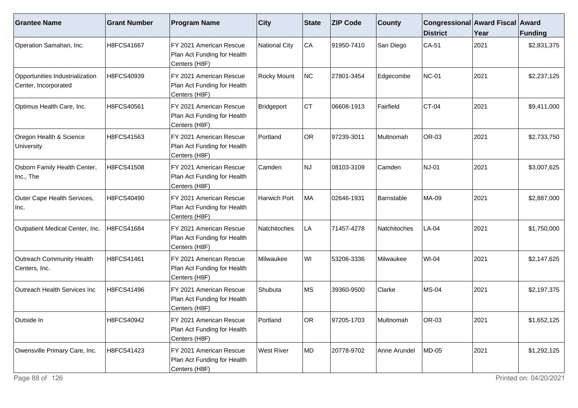| <b>Grantee Name</b>                                     | <b>Grant Number</b> | <b>Program Name</b>                                                                  | $ $ City          | State | <b>ZIP Code</b> | <b>County</b> | Congressional Award Fiscal Award<br><b>District</b> | Year | Funding     |
|---------------------------------------------------------|---------------------|--------------------------------------------------------------------------------------|-------------------|-------|-----------------|---------------|-----------------------------------------------------|------|-------------|
| Operation Samahan, Inc.                                 | H8FCS41667          | FY 2021 American Rescue<br>Plan Act Funding for Health<br>Centers (H8F)              | National City     | CA    | 91950-7410      | San Diego     | CA-51                                               | 2021 | \$2,831,375 |
| Opportunities Industrialization<br>Center, Incorporated | H8FCS40939          | FY 2021 American Rescue<br>Plan Act Funding for Health<br>Centers (H8F)              | Rocky Mount       | NC    | 27801-3454      | Edgecombe     | NC-01                                               | 2021 | \$2,237,125 |
| Optimus Health Care, Inc.                               | H8FCS40561          | FY 2021 American Rescue<br>Plan Act Funding for Health<br>Centers (H8F)              | Bridgeport        | CT    | 06608-1913      | Fairfield     | <b>CT-04</b>                                        | 2021 | \$9,411,000 |
| Oregon Health & Science<br>University                   | H8FCS41563          | FY 2021 American Rescue<br>Plan Act Funding for Health<br>Centers (H8F)              | Portland          | OR    | 97239-3011      | Multnomah     | OR-03                                               | 2021 | \$2,733,750 |
| Osborn Family Health Center,<br>Inc., The               | H8FCS41508          | FY 2021 American Rescue<br>Plan Act Funding for Health<br>Centers (H8F)              | Camden            | NJ    | 08103-3109      | Camden        | NJ-01                                               | 2021 | \$3,007,625 |
| Outer Cape Health Services,<br>Inc.                     | H8FCS40490          | FY 2021 American Rescue<br>Plan Act Funding for Health<br>Centers (H8F)              | Harwich Port      | MA    | 02646-1931      | Barnstable    | MA-09                                               | 2021 | \$2,887,000 |
| Outpatient Medical Center, Inc.                         | H8FCS41684          | FY 2021 American Rescue<br>Plan Act Funding for Health<br>Centers (H8F)              | Natchitoches      | LA    | 71457-4278      | Natchitoches  | $LA-04$                                             | 2021 | \$1,750,000 |
| <b>Outreach Community Health</b><br>Centers, Inc.       | H8FCS41461          | FY 2021 American Rescue<br>Plan Act Funding for Health<br>Centers (H8F)              | Milwaukee         | WI    | 53206-3336      | Milwaukee     | WI-04                                               | 2021 | \$2,147,625 |
| Outreach Health Services Inc                            | H8FCS41496          | FY 2021 American Rescue<br>Plan Act Funding for Health<br>Centers (H8F)              | Shubuta           | ∣MS   | 39360-9500      | Clarke        | <b>MS-04</b>                                        | 2021 | \$2,197,375 |
| Outside In                                              | H8FCS40942          | FY 2021 American Rescue<br>Plan Act Funding for Health<br>Centers (H <sub>8F</sub> ) | Portland          | OR    | 97205-1703      | Multnomah     | OR-03                                               | 2021 | \$1,652,125 |
| Owensville Primary Care, Inc.                           | H8FCS41423          | FY 2021 American Rescue<br>Plan Act Funding for Health<br>Centers (H8F)              | <b>West River</b> | MD    | 20778-9702      | Anne Arundel  | MD-05                                               | 2021 | \$1,292,125 |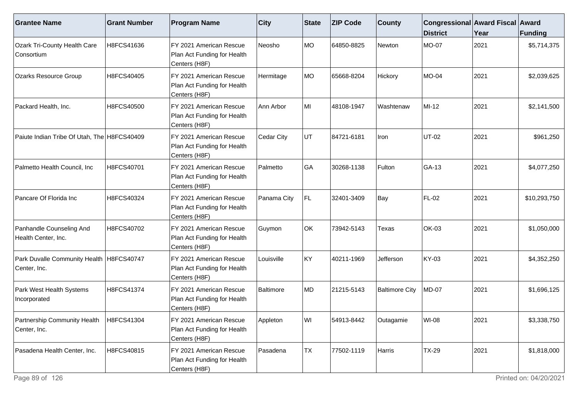| <b>Grantee Name</b>                                        | <b>Grant Number</b> | <b>Program Name</b>                                                     | $ $ City    | State | <b>ZIP Code</b> | <b>County</b>         | Congressional Award Fiscal Award<br><b>District</b> | Year | <b>Funding</b> |
|------------------------------------------------------------|---------------------|-------------------------------------------------------------------------|-------------|-------|-----------------|-----------------------|-----------------------------------------------------|------|----------------|
| <b>Ozark Tri-County Health Care</b><br> Consortium         | H8FCS41636          | FY 2021 American Rescue<br>Plan Act Funding for Health<br>Centers (H8F) | Neosho      | MO    | 64850-8825      | Newton                | MO-07                                               | 2021 | \$5,714,375    |
| <b>Ozarks Resource Group</b>                               | H8FCS40405          | FY 2021 American Rescue<br>Plan Act Funding for Health<br>Centers (H8F) | Hermitage   | MO    | 65668-8204      | Hickory               | <b>MO-04</b>                                        | 2021 | \$2,039,625    |
| Packard Health, Inc.                                       | H8FCS40500          | FY 2021 American Rescue<br>Plan Act Funding for Health<br>Centers (H8F) | Ann Arbor   | MI    | 48108-1947      | Washtenaw             | $MI-12$                                             | 2021 | \$2,141,500    |
| Paiute Indian Tribe Of Utah, The H8FCS40409                |                     | FY 2021 American Rescue<br>Plan Act Funding for Health<br>Centers (H8F) | Cedar City  | UT    | 84721-6181      | Iron                  | UT-02                                               | 2021 | \$961,250      |
| Palmetto Health Council, Inc                               | H8FCS40701          | FY 2021 American Rescue<br>Plan Act Funding for Health<br>Centers (H8F) | Palmetto    | GA    | 30268-1138      | Fulton                | GA-13                                               | 2021 | \$4,077,250    |
| Pancare Of Florida Inc                                     | H8FCS40324          | FY 2021 American Rescue<br>Plan Act Funding for Health<br>Centers (H8F) | Panama City | FL.   | 32401-3409      | Bay                   | FL-02                                               | 2021 | \$10,293,750   |
| Panhandle Counseling And<br>Health Center, Inc.            | H8FCS40702          | FY 2021 American Rescue<br>Plan Act Funding for Health<br>Centers (H8F) | Guymon      | OK    | 73942-5143      | Texas                 | <b>OK-03</b>                                        | 2021 | \$1,050,000    |
| Park Duvalle Community Health   H8FCS40747<br>Center, Inc. |                     | FY 2021 American Rescue<br>Plan Act Funding for Health<br>Centers (H8F) | Louisville  | KY    | 40211-1969      | Jefferson             | KY-03                                               | 2021 | \$4,352,250    |
| Park West Health Systems<br>Incorporated                   | H8FCS41374          | FY 2021 American Rescue<br>Plan Act Funding for Health<br>Centers (H8F) | Baltimore   | MD    | 21215-5143      | <b>Baltimore City</b> | <b>MD-07</b>                                        | 2021 | \$1,696,125    |
| Partnership Community Health   H8FCS41304<br>Center, Inc.  |                     | FY 2021 American Rescue<br>Plan Act Funding for Health<br>Centers (H8F) | Appleton    | WI    | 54913-8442      | Outagamie             | WI-08                                               | 2021 | \$3,338,750    |
| Pasadena Health Center, Inc.                               | H8FCS40815          | FY 2021 American Rescue<br>Plan Act Funding for Health<br>Centers (H8F) | Pasadena    | TX    | 77502-1119      | Harris                | <b>TX-29</b>                                        | 2021 | \$1,818,000    |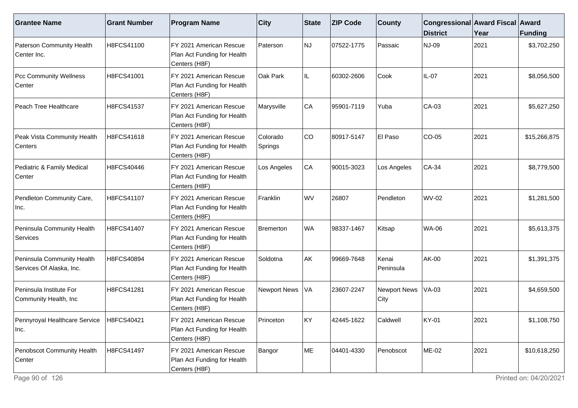| <b>Grantee Name</b>                                    | <b>Grant Number</b> | <b>Program Name</b>                                                     | $ $ City             | State     | <b>ZIP Code</b> | <b>County</b>               | Congressional Award Fiscal Award<br><b>District</b> | Year | <b>Funding</b> |
|--------------------------------------------------------|---------------------|-------------------------------------------------------------------------|----------------------|-----------|-----------------|-----------------------------|-----------------------------------------------------|------|----------------|
| Paterson Community Health<br>Center Inc.               | H8FCS41100          | FY 2021 American Rescue<br>Plan Act Funding for Health<br>Centers (H8F) | Paterson             | <b>NJ</b> | 07522-1775      | Passaic                     | <b>NJ-09</b>                                        | 2021 | \$3,702,250    |
| <b>Pcc Community Wellness</b><br>Center                | H8FCS41001          | FY 2021 American Rescue<br>Plan Act Funding for Health<br>Centers (H8F) | Oak Park             | IL        | 60302-2606      | Cook                        | IL-07                                               | 2021 | \$8,056,500    |
| Peach Tree Healthcare                                  | H8FCS41537          | FY 2021 American Rescue<br>Plan Act Funding for Health<br>Centers (H8F) | Marysville           | CA        | 95901-7119      | Yuba                        | $CA-03$                                             | 2021 | \$5,627,250    |
| Peak Vista Community Health<br>Centers                 | H8FCS41618          | FY 2021 American Rescue<br>Plan Act Funding for Health<br>Centers (H8F) | Colorado<br> Springs | CO        | 80917-5147      | El Paso                     | $CO-05$                                             | 2021 | \$15,266,875   |
| Pediatric & Family Medical<br>Center                   | H8FCS40446          | FY 2021 American Rescue<br>Plan Act Funding for Health<br>Centers (H8F) | Los Angeles          | CA        | 90015-3023      | Los Angeles                 | CA-34                                               | 2021 | \$8,779,500    |
| Pendleton Community Care,<br>Inc.                      | H8FCS41107          | FY 2021 American Rescue<br>Plan Act Funding for Health<br>Centers (H8F) | Franklin             | <b>WV</b> | 26807           | Pendleton                   | <b>WV-02</b>                                        | 2021 | \$1,281,500    |
| Peninsula Community Health<br>Services                 | H8FCS41407          | FY 2021 American Rescue<br>Plan Act Funding for Health<br>Centers (H8F) | Bremerton            | <b>WA</b> | 98337-1467      | Kitsap                      | <b>WA-06</b>                                        | 2021 | \$5,613,375    |
| Peninsula Community Health<br>Services Of Alaska, Inc. | H8FCS40894          | FY 2021 American Rescue<br>Plan Act Funding for Health<br>Centers (H8F) | Soldotna             | AK        | 99669-7648      | Kenai<br>Peninsula          | AK-00                                               | 2021 | \$1,391,375    |
| Peninsula Institute For<br>Community Health, Inc       | H8FCS41281          | FY 2021 American Rescue<br>Plan Act Funding for Health<br>Centers (H8F) | Newport News         | VA)       | 23607-2247      | <b>Newport News</b><br>City | <b>VA-03</b>                                        | 2021 | \$4,659,500    |
| Pennyroyal Healthcare Service   H8FCS40421<br>Inc.     |                     | FY 2021 American Rescue<br>Plan Act Funding for Health<br>Centers (H8F) | Princeton            | lky.      | 42445-1622      | Caldwell                    | <b>KY-01</b>                                        | 2021 | \$1,108,750    |
| Penobscot Community Health<br>Center                   | H8FCS41497          | FY 2021 American Rescue<br>Plan Act Funding for Health<br>Centers (H8F) | Bangor               | ME        | 04401-4330      | Penobscot                   | ME-02                                               | 2021 | \$10,618,250   |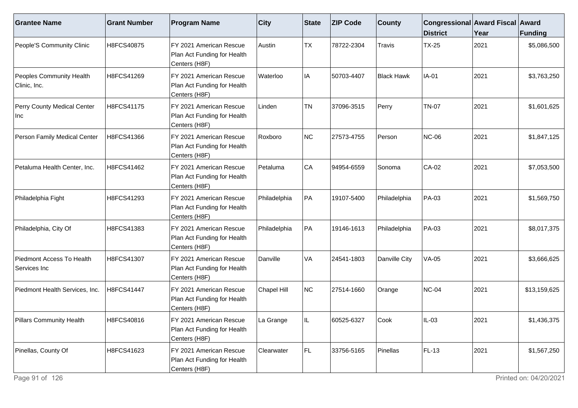| <b>Grantee Name</b>                       | <b>Grant Number</b> | <b>Program Name</b>                                                      | $ $ City           | <b>State</b> | <b>ZIP Code</b> | <b>County</b>     | Congressional Award Fiscal Award<br><b>District</b> | Year | Funding      |
|-------------------------------------------|---------------------|--------------------------------------------------------------------------|--------------------|--------------|-----------------|-------------------|-----------------------------------------------------|------|--------------|
| People'S Community Clinic                 | H8FCS40875          | FY 2021 American Rescue<br>Plan Act Funding for Health<br>Centers (H8F)  | Austin             | <b>TX</b>    | 78722-2304      | Travis            | <b>TX-25</b>                                        | 2021 | \$5,086,500  |
| Peoples Community Health<br>Clinic, Inc.  | H8FCS41269          | FY 2021 American Rescue<br>Plan Act Funding for Health<br>Centers (H8F)  | Waterloo           | IA           | 50703-4407      | <b>Black Hawk</b> | IA-01                                               | 2021 | \$3,763,250  |
| Perry County Medical Center<br>∣Inc       | H8FCS41175          | IFY 2021 American Rescue<br>Plan Act Funding for Health<br>Centers (H8F) | Linden             | <b>TN</b>    | 37096-3515      | Perry             | <b>TN-07</b>                                        | 2021 | \$1,601,625  |
| Person Family Medical Center              | H8FCS41366          | FY 2021 American Rescue<br>Plan Act Funding for Health<br>Centers (H8F)  | Roxboro            | NC           | 27573-4755      | Person            | <b>NC-06</b>                                        | 2021 | \$1,847,125  |
| Petaluma Health Center, Inc.              | H8FCS41462          | FY 2021 American Rescue<br>Plan Act Funding for Health<br>Centers (H8F)  | Petaluma           | CA           | 94954-6559      | Sonoma            | CA-02                                               | 2021 | \$7,053,500  |
| Philadelphia Fight                        | H8FCS41293          | IFY 2021 American Rescue<br>Plan Act Funding for Health<br>Centers (H8F) | Philadelphia       | PA           | 19107-5400      | Philadelphia      | PA-03                                               | 2021 | \$1,569,750  |
| Philadelphia, City Of                     | H8FCS41383          | FY 2021 American Rescue<br>Plan Act Funding for Health<br>Centers (H8F)  | Philadelphia       | PA           | 19146-1613      | Philadelphia      | PA-03                                               | 2021 | \$8,017,375  |
| Piedmont Access To Health<br>Services Inc | H8FCS41307          | FY 2021 American Rescue<br>Plan Act Funding for Health<br>Centers (H8F)  | Danville           | VA           | 24541-1803      | Danville City     | <b>VA-05</b>                                        | 2021 | \$3,666,625  |
| Piedmont Health Services, Inc.            | H8FCS41447          | FY 2021 American Rescue<br>Plan Act Funding for Health<br>Centers (H8F)  | <b>Chapel Hill</b> | NC           | 27514-1660      | Orange            | <b>NC-04</b>                                        | 2021 | \$13,159,625 |
| <b>Pillars Community Health</b>           | H8FCS40816          | FY 2021 American Rescue<br>Plan Act Funding for Health<br>Centers (H8F)  | a Grange           |              | 60525-6327      | Cook              | $IL-03$                                             | 2021 | \$1,436,375  |
| Pinellas, County Of                       | H8FCS41623          | FY 2021 American Rescue<br>Plan Act Funding for Health<br>Centers (H8F)  | Clearwater         | FL           | 33756-5165      | Pinellas          | FL-13                                               | 2021 | \$1,567,250  |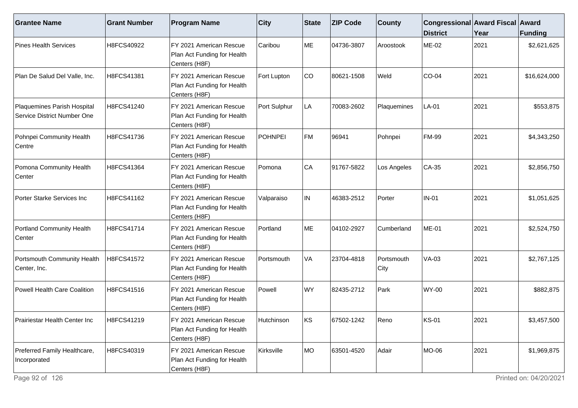| <b>Grantee Name</b>                                        | <b>Grant Number</b> | <b>Program Name</b>                                                     | <b>City</b>    | <b>State</b> | <b>ZIP Code</b> | <b>County</b>      | Congressional Award Fiscal Award<br><b>District</b> | Year | Funding      |
|------------------------------------------------------------|---------------------|-------------------------------------------------------------------------|----------------|--------------|-----------------|--------------------|-----------------------------------------------------|------|--------------|
| <b>Pines Health Services</b>                               | H8FCS40922          | FY 2021 American Rescue<br>Plan Act Funding for Health<br>Centers (H8F) | Caribou        | ME           | 04736-3807      | Aroostook          | <b>ME-02</b>                                        | 2021 | \$2,621,625  |
| Plan De Salud Del Valle, Inc.                              | H8FCS41381          | FY 2021 American Rescue<br>Plan Act Funding for Health<br>Centers (H8F) | Fort Lupton    | CO           | 80621-1508      | Weld               | CO-04                                               | 2021 | \$16,624,000 |
| Plaquemines Parish Hospital<br>Service District Number One | H8FCS41240          | FY 2021 American Rescue<br>Plan Act Funding for Health<br>Centers (H8F) | Port Sulphur   | LA           | 70083-2602      | Plaquemines        | LA-01                                               | 2021 | \$553,875    |
| Pohnpei Community Health<br>Centre                         | H8FCS41736          | FY 2021 American Rescue<br>Plan Act Funding for Health<br>Centers (H8F) | <b>POHNPEI</b> | FM           | 96941           | Pohnpei            | <b>FM-99</b>                                        | 2021 | \$4,343,250  |
| Pomona Community Health<br>Center                          | H8FCS41364          | FY 2021 American Rescue<br>Plan Act Funding for Health<br>Centers (H8F) | Pomona         | CA           | 91767-5822      | Los Angeles        | CA-35                                               | 2021 | \$2,856,750  |
| Porter Starke Services Inc                                 | H8FCS41162          | FY 2021 American Rescue<br>Plan Act Funding for Health<br>Centers (H8F) | Valparaiso     | IN           | 46383-2512      | Porter             | <b>IN-01</b>                                        | 2021 | \$1,051,625  |
| <b>Portland Community Health</b><br>Center                 | H8FCS41714          | FY 2021 American Rescue<br>Plan Act Funding for Health<br>Centers (H8F) | Portland       | ME           | 04102-2927      | Cumberland         | <b>ME-01</b>                                        | 2021 | \$2,524,750  |
| Portsmouth Community Health<br>Center, Inc.                | H8FCS41572          | FY 2021 American Rescue<br>Plan Act Funding for Health<br>Centers (H8F) | Portsmouth     | <b>VA</b>    | 23704-4818      | Portsmouth<br>City | <b>VA-03</b>                                        | 2021 | \$2,767,125  |
| Powell Health Care Coalition                               | H8FCS41516          | FY 2021 American Rescue<br>Plan Act Funding for Health<br>Centers (H8F) | Powell         | WY           | 82435-2712      | Park               | <b>WY-00</b>                                        | 2021 | \$882,875    |
| Prairiestar Health Center Inc.                             | H8FCS41219          | FY 2021 American Rescue<br>Plan Act Funding for Health<br>Centers (H8F) | Hutchinson     | lks.         | 67502-1242      | Reno               | <b>KS-01</b>                                        | 2021 | \$3,457,500  |
| Preferred Family Healthcare,<br>Incorporated               | H8FCS40319          | FY 2021 American Rescue<br>Plan Act Funding for Health<br>Centers (H8F) | Kirksville     | MO           | 63501-4520      | Adair              | MO-06                                               | 2021 | \$1,969,875  |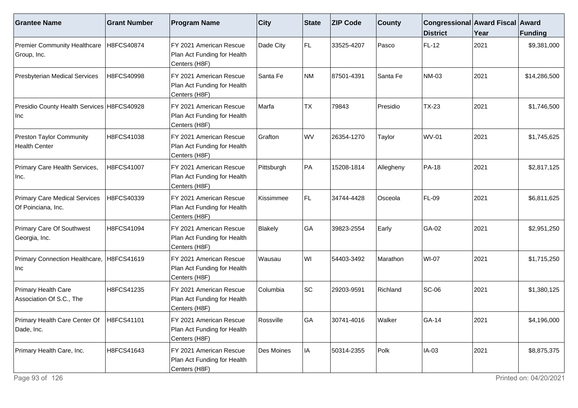| <b>Grantee Name</b>                                        | <b>Grant Number</b> | <b>Program Name</b>                                                                  | $ $ City         | State     | <b>ZIP Code</b> | <b>County</b> | Congressional Award Fiscal Award<br><b>District</b> | Year | <b>Funding</b> |
|------------------------------------------------------------|---------------------|--------------------------------------------------------------------------------------|------------------|-----------|-----------------|---------------|-----------------------------------------------------|------|----------------|
| <b>Premier Community Healthcare</b><br>Group, Inc.         | H8FCS40874          | FY 2021 American Rescue<br>Plan Act Funding for Health<br>Centers (H8F)              | Dade City        | FL.       | 33525-4207      | Pasco         | FL-12                                               | 2021 | \$9,381,000    |
| <b>Presbyterian Medical Services</b>                       | H8FCS40998          | FY 2021 American Rescue<br>Plan Act Funding for Health<br>Centers (H8F)              | Santa Fe         | NM        | 87501-4391      | Santa Fe      | <b>NM-03</b>                                        | 2021 | \$14,286,500   |
| Presidio County Health Services H8FCS40928<br>Inc          |                     | FY 2021 American Rescue<br>Plan Act Funding for Health<br>Centers (H8F)              | Marfa            | <b>TX</b> | 79843           | Presidio      | $TX-23$                                             | 2021 | \$1,746,500    |
| <b>Preston Taylor Community</b><br><b>Health Center</b>    | H8FCS41038          | FY 2021 American Rescue<br>Plan Act Funding for Health<br>Centers (H8F)              | Grafton          | <b>WV</b> | 26354-1270      | Taylor        | <b>WV-01</b>                                        | 2021 | \$1,745,625    |
| Primary Care Health Services,<br>Inc.                      | H8FCS41007          | FY 2021 American Rescue<br>Plan Act Funding for Health<br>Centers (H8F)              | Pittsburgh       | PA        | 15208-1814      | Allegheny     | <b>PA-18</b>                                        | 2021 | \$2,817,125    |
| <b>Primary Care Medical Services</b><br>Of Poinciana, Inc. | H8FCS40339          | FY 2021 American Rescue<br>Plan Act Funding for Health<br>Centers (H8F)              | <b>Kissimmee</b> | FL.       | 34744-4428      | Osceola       | <b>FL-09</b>                                        | 2021 | \$6,811,625    |
| Primary Care Of Southwest<br>Georgia, Inc.                 | H8FCS41094          | FY 2021 American Rescue<br>Plan Act Funding for Health<br>Centers (H8F)              | Blakely          | GA        | 39823-2554      | Early         | GA-02                                               | 2021 | \$2,951,250    |
| Primary Connection Healthcare, H8FCS41619<br>Inc           |                     | FY 2021 American Rescue<br>Plan Act Funding for Health<br>Centers (H8F)              | Wausau           | WI        | 54403-3492      | Marathon      | <b>WI-07</b>                                        | 2021 | \$1,715,250    |
| Primary Health Care<br>Association Of S.C., The            | H8FCS41235          | FY 2021 American Rescue<br>Plan Act Funding for Health<br>Centers (H8F)              | Columbia         | <b>SC</b> | 29203-9591      | Richland      | $SC-06$                                             | 2021 | \$1,380,125    |
| Primary Health Care Center Of   H8FCS41101<br>Dade, Inc.   |                     | FY 2021 American Rescue<br>Plan Act Funding for Health<br>Centers (H <sub>8F</sub> ) | Rossville        | <b>GA</b> | 30741-4016      | Walker        | GA-14                                               | 2021 | \$4,196,000    |
| Primary Health Care, Inc.                                  | H8FCS41643          | FY 2021 American Rescue<br>Plan Act Funding for Health<br>Centers (H8F)              | Des Moines       | IA        | 50314-2355      | Polk          | IA-03                                               | 2021 | \$8,875,375    |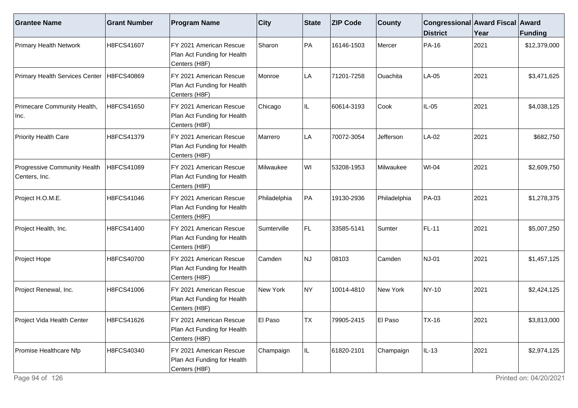| <b>Grantee Name</b>                           | <b>Grant Number</b> | <b>Program Name</b>                                                      | $ $ City     | <b>State</b> | <b>ZIP Code</b> | <b>County</b> | Congressional Award Fiscal Award<br><b>District</b> | Year | Funding      |
|-----------------------------------------------|---------------------|--------------------------------------------------------------------------|--------------|--------------|-----------------|---------------|-----------------------------------------------------|------|--------------|
| <b>Primary Health Network</b>                 | H8FCS41607          | FY 2021 American Rescue<br>Plan Act Funding for Health<br>Centers (H8F)  | Sharon       | PA           | 16146-1503      | Mercer        | PA-16                                               | 2021 | \$12,379,000 |
| Primary Health Services Center                | H8FCS40869          | FY 2021 American Rescue<br>Plan Act Funding for Health<br>Centers (H8F)  | Monroe       | LA           | 71201-7258      | Ouachita      | LA-05                                               | 2021 | \$3,471,625  |
| Primecare Community Health,<br>Inc.           | H8FCS41650          | FY 2021 American Rescue<br>Plan Act Funding for Health<br>Centers (H8F)  | Chicago      | IL.          | 60614-3193      | Cook          | $IL-05$                                             | 2021 | \$4,038,125  |
| <b>Priority Health Care</b>                   | H8FCS41379          | FY 2021 American Rescue<br>Plan Act Funding for Health<br>Centers (H8F)  | Marrero      | LA           | 70072-3054      | Jefferson     | LA-02                                               | 2021 | \$682,750    |
| Progressive Community Health<br>Centers, Inc. | H8FCS41089          | FY 2021 American Rescue<br>Plan Act Funding for Health<br>Centers (H8F)  | Milwaukee    | WI           | 53208-1953      | Milwaukee     | <b>WI-04</b>                                        | 2021 | \$2,609,750  |
| Project H.O.M.E.                              | H8FCS41046          | IFY 2021 American Rescue<br>Plan Act Funding for Health<br>Centers (H8F) | Philadelphia | PA           | 19130-2936      | Philadelphia  | PA-03                                               | 2021 | \$1,278,375  |
| Project Health, Inc.                          | H8FCS41400          | FY 2021 American Rescue<br>Plan Act Funding for Health<br>Centers (H8F)  | Sumterville  | FL.          | 33585-5141      | Sumter        | FL-11                                               | 2021 | \$5,007,250  |
| Project Hope                                  | H8FCS40700          | FY 2021 American Rescue<br>Plan Act Funding for Health<br>Centers (H8F)  | Camden       | NJ           | 08103           | Camden        | <b>NJ-01</b>                                        | 2021 | \$1,457,125  |
| Project Renewal, Inc.                         | H8FCS41006          | IFY 2021 American Rescue<br>Plan Act Funding for Health<br>Centers (H8F) | New York     | NY)          | 10014-4810      | New York      | NY-10                                               | 2021 | \$2,424,125  |
| Project Vida Health Center                    | H8FCS41626          | FY 2021 American Rescue<br>Plan Act Funding for Health<br>Centers (H8F)  | El Paso      | ltx          | 79905-2415      | El Paso       | TX-16                                               | 2021 | \$3,813,000  |
| Promise Healthcare Nfp                        | H8FCS40340          | FY 2021 American Rescue<br>Plan Act Funding for Health<br>Centers (H8F)  | Champaign    | IL.          | 61820-2101      | Champaign     | IL-13                                               | 2021 | \$2,974,125  |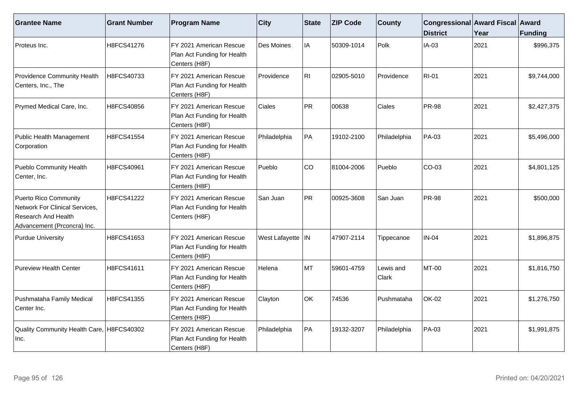| <b>Grantee Name</b>                                                                                           | <b>Grant Number</b> | <b>Program Name</b>                                                     | <b>City</b>        | State | <b>ZIP Code</b> | <b>County</b>      | Congressional Award Fiscal Award<br><b>District</b> | Year | <b>Funding</b> |
|---------------------------------------------------------------------------------------------------------------|---------------------|-------------------------------------------------------------------------|--------------------|-------|-----------------|--------------------|-----------------------------------------------------|------|----------------|
| Proteus Inc.                                                                                                  | H8FCS41276          | FY 2021 American Rescue<br>Plan Act Funding for Health<br>Centers (H8F) | Des Moines         | IA    | 50309-1014      | Polk               | $IA-03$                                             | 2021 | \$996,375      |
| Providence Community Health<br>Centers, Inc., The                                                             | H8FCS40733          | FY 2021 American Rescue<br>Plan Act Funding for Health<br>Centers (H8F) | Providence         | RI.   | 02905-5010      | Providence         | <b>RI-01</b>                                        | 2021 | \$9,744,000    |
| Prymed Medical Care, Inc.                                                                                     | H8FCS40856          | FY 2021 American Rescue<br>Plan Act Funding for Health<br>Centers (H8F) | Ciales             | PR)   | 00638           | Ciales             | <b>PR-98</b>                                        | 2021 | \$2,427,375    |
| Public Health Management<br>Corporation                                                                       | H8FCS41554          | FY 2021 American Rescue<br>Plan Act Funding for Health<br>Centers (H8F) | Philadelphia       | PA    | 19102-2100      | Philadelphia       | PA-03                                               | 2021 | \$5,496,000    |
| Pueblo Community Health<br>Center, Inc.                                                                       | H8FCS40961          | FY 2021 American Rescue<br>Plan Act Funding for Health<br>Centers (H8F) | Pueblo             | co    | 81004-2006      | Pueblo             | CO-03                                               | 2021 | \$4,801,125    |
| Puerto Rico Community<br>Network For Clinical Services,<br>Research And Health<br>Advancement (Prconcra) Inc. | H8FCS41222          | FY 2021 American Rescue<br>Plan Act Funding for Health<br>Centers (H8F) | San Juan           | PR    | 00925-3608      | San Juan           | <b>PR-98</b>                                        | 2021 | \$500,000      |
| <b>Purdue University</b>                                                                                      | H8FCS41653          | FY 2021 American Rescue<br>Plan Act Funding for Health<br>Centers (H8F) | West Lafayette  IN |       | 47907-2114      | Tippecanoe         | <b>IN-04</b>                                        | 2021 | \$1,896,875    |
| <b>Pureview Health Center</b>                                                                                 | H8FCS41611          | FY 2021 American Rescue<br>Plan Act Funding for Health<br>Centers (H8F) | Helena             | MT    | 59601-4759      | Lewis and<br>Clark | MT-00                                               | 2021 | \$1,816,750    |
| Pushmataha Family Medical<br>Center Inc.                                                                      | H8FCS41355          | FY 2021 American Rescue<br>Plan Act Funding for Health<br>Centers (H8F) | Clayton            | OK    | 74536           | Pushmataha         | <b>OK-02</b>                                        | 2021 | \$1,276,750    |
| Quality Community Health Care, H8FCS40302<br>Inc.                                                             |                     | FY 2021 American Rescue<br>Plan Act Funding for Health<br>Centers (H8F) | Philadelphia       | PA    | 19132-3207      | Philadelphia       | PA-03                                               | 2021 | \$1,991,875    |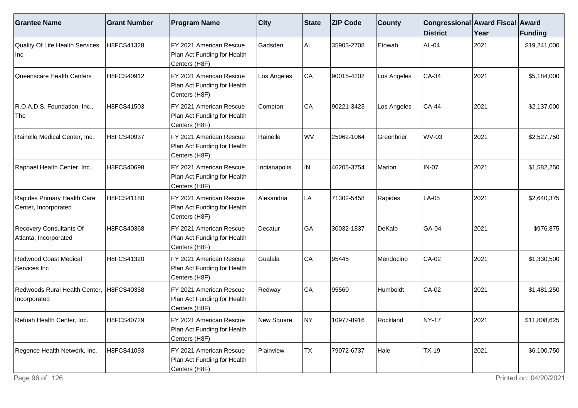| <b>Grantee Name</b>                                 | <b>Grant Number</b> | <b>Program Name</b>                                                     | <b>City</b>  | <b>State</b> | <b>ZIP Code</b> | <b>County</b> | Congressional Award Fiscal Award<br><b>District</b> | Year | Funding      |
|-----------------------------------------------------|---------------------|-------------------------------------------------------------------------|--------------|--------------|-----------------|---------------|-----------------------------------------------------|------|--------------|
| Quality Of Life Health Services<br>Inc              | H8FCS41328          | FY 2021 American Rescue<br>Plan Act Funding for Health<br>Centers (H8F) | Gadsden      | AL.          | 35903-2708      | Etowah        | AL-04                                               | 2021 | \$19,241,000 |
| Queenscare Health Centers                           | H8FCS40912          | FY 2021 American Rescue<br>Plan Act Funding for Health<br>Centers (H8F) | Los Angeles  | CA           | 90015-4202      | Los Angeles   | $CA-34$                                             | 2021 | \$5,184,000  |
| R.O.A.D.S. Foundation, Inc.,<br>The                 | H8FCS41503          | FY 2021 American Rescue<br>Plan Act Funding for Health<br>Centers (H8F) | Compton      | CA           | 90221-3423      | Los Angeles   | <b>CA-44</b>                                        | 2021 | \$2,137,000  |
| Rainelle Medical Center, Inc.                       | H8FCS40937          | FY 2021 American Rescue<br>Plan Act Funding for Health<br>Centers (H8F) | Rainelle     | WV           | 25962-1064      | Greenbrier    | WV-03                                               | 2021 | \$2,527,750  |
| Raphael Health Center, Inc.                         | H8FCS40698          | FY 2021 American Rescue<br>Plan Act Funding for Health<br>Centers (H8F) | Indianapolis | IN.          | 46205-3754      | Marion        | <b>IN-07</b>                                        | 2021 | \$1,582,250  |
| Rapides Primary Health Care<br>Center, Incorporated | H8FCS41180          | FY 2021 American Rescue<br>Plan Act Funding for Health<br>Centers (H8F) | Alexandria   | LA.          | 71302-5458      | Rapides       | LA-05                                               | 2021 | \$2,640,375  |
| Recovery Consultants Of<br>Atlanta, Incorporated    | H8FCS40368          | FY 2021 American Rescue<br>Plan Act Funding for Health<br>Centers (H8F) | Decatur      | GA           | 30032-1837      | <b>DeKalb</b> | GA-04                                               | 2021 | \$976,875    |
| Redwood Coast Medical<br>Services Inc               | H8FCS41320          | FY 2021 American Rescue<br>Plan Act Funding for Health<br>Centers (H8F) | Gualala      | CA           | 95445           | Mendocino     | CA-02                                               | 2021 | \$1,330,500  |
| Redwoods Rural Health Center,<br>Incorporated       | H8FCS40358          | FY 2021 American Rescue<br>Plan Act Funding for Health<br>Centers (H8F) | Redway       | CA           | 95560           | Humboldt      | $CA-02$                                             | 2021 | \$1,481,250  |
| Refuah Health Center, Inc.                          | H8FCS40729          | FY 2021 American Rescue<br>Plan Act Funding for Health<br>Centers (H8F) | New Square   | NY)          | 10977-8916      | Rockland      | <b>NY-17</b>                                        | 2021 | \$11,808,625 |
| Regence Health Network, Inc.                        | H8FCS41093          | FY 2021 American Rescue<br>Plan Act Funding for Health<br>Centers (H8F) | Plainview    | <b>TX</b>    | 79072-6737      | Hale          | <b>TX-19</b>                                        | 2021 | \$6,100,750  |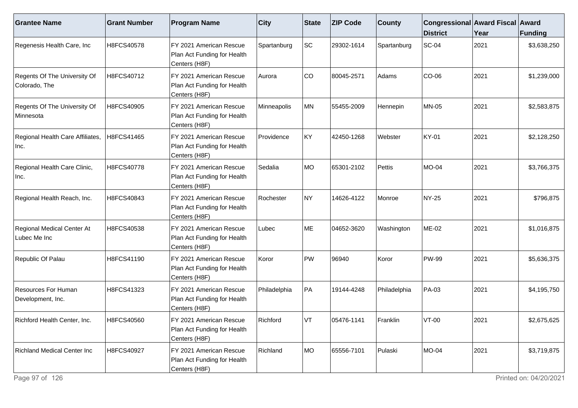| <b>Grantee Name</b>                           | <b>Grant Number</b> | <b>Program Name</b>                                                     | $ $ City     | State  | <b>ZIP Code</b> | <b>County</b> | Congressional Award Fiscal Award<br><b>District</b> | Year | Funding     |
|-----------------------------------------------|---------------------|-------------------------------------------------------------------------|--------------|--------|-----------------|---------------|-----------------------------------------------------|------|-------------|
| Regenesis Health Care, Inc                    | H8FCS40578          | FY 2021 American Rescue<br>Plan Act Funding for Health<br>Centers (H8F) | Spartanburg  | SC     | 29302-1614      | Spartanburg   | <b>SC-04</b>                                        | 2021 | \$3,638,250 |
| Regents Of The University Of<br>Colorado, The | H8FCS40712          | FY 2021 American Rescue<br>Plan Act Funding for Health<br>Centers (H8F) | Aurora       | CO     | 80045-2571      | Adams         | CO-06                                               | 2021 | \$1,239,000 |
| Regents Of The University Of<br>Minnesota     | H8FCS40905          | FY 2021 American Rescue<br>Plan Act Funding for Health<br>Centers (H8F) | Minneapolis  | MN     | 55455-2009      | Hennepin      | <b>MN-05</b>                                        | 2021 | \$2,583,875 |
| Regional Health Care Affiliates,<br>Inc.      | H8FCS41465          | FY 2021 American Rescue<br>Plan Act Funding for Health<br>Centers (H8F) | Providence   | KY     | 42450-1268      | Webster       | KY-01                                               | 2021 | \$2,128,250 |
| Regional Health Care Clinic,<br>Inc.          | H8FCS40778          | FY 2021 American Rescue<br>Plan Act Funding for Health<br>Centers (H8F) | Sedalia      | MO     | 65301-2102      | Pettis        | <b>MO-04</b>                                        | 2021 | \$3,766,375 |
| Regional Health Reach, Inc.                   | H8FCS40843          | FY 2021 American Rescue<br>Plan Act Funding for Health<br>Centers (H8F) | Rochester    | NY)    | 14626-4122      | Monroe        | NY-25                                               | 2021 | \$796,875   |
| Regional Medical Center At<br>Lubec Me Inc    | H8FCS40538          | FY 2021 American Rescue<br>Plan Act Funding for Health<br>Centers (H8F) | Lubec        | ME     | 04652-3620      | Washington    | ME-02                                               | 2021 | \$1,016,875 |
| Republic Of Palau                             | H8FCS41190          | FY 2021 American Rescue<br>Plan Act Funding for Health<br>Centers (H8F) | Koror        | $ $ PW | 96940           | Koror         | <b>PW-99</b>                                        | 2021 | \$5,636,375 |
| Resources For Human<br>Development, Inc.      | H8FCS41323          | FY 2021 American Rescue<br>Plan Act Funding for Health<br>Centers (H8F) | Philadelphia | PA     | 19144-4248      | Philadelphia  | PA-03                                               | 2021 | \$4,195,750 |
| Richford Health Center, Inc.                  | H8FCS40560          | FY 2021 American Rescue<br>Plan Act Funding for Health<br>Centers (H8F) | Richford     | lvt.   | 05476-1141      | Franklin      | VT-00                                               | 2021 | \$2,675,625 |
| <b>Richland Medical Center Inc</b>            | H8FCS40927          | FY 2021 American Rescue<br>Plan Act Funding for Health<br>Centers (H8F) | Richland     | MO     | 65556-7101      | Pulaski       | MO-04                                               | 2021 | \$3,719,875 |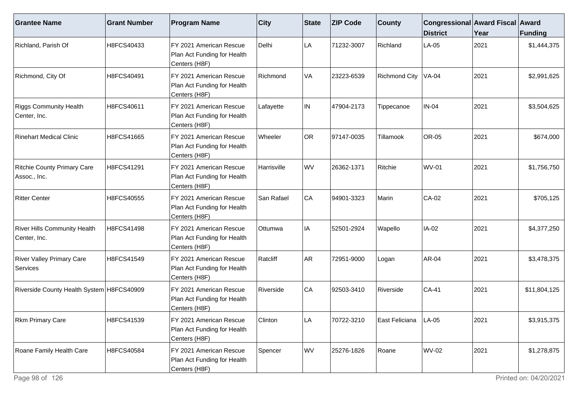| <b>Grantee Name</b>                                 | <b>Grant Number</b> | <b>Program Name</b>                                                      | $ $ City       | <b>State</b> | <b>ZIP Code</b> | <b>County</b>          | Congressional Award Fiscal Award<br><b>District</b> | Year | <b>Funding</b> |
|-----------------------------------------------------|---------------------|--------------------------------------------------------------------------|----------------|--------------|-----------------|------------------------|-----------------------------------------------------|------|----------------|
| Richland, Parish Of                                 | H8FCS40433          | FY 2021 American Rescue<br>Plan Act Funding for Health<br>Centers (H8F)  | Delhi          | LA           | 71232-3007      | Richland               | LA-05                                               | 2021 | \$1,444,375    |
| Richmond, City Of                                   | H8FCS40491          | FY 2021 American Rescue<br>Plan Act Funding for Health<br>Centers (H8F)  | Richmond       | VA           | 23223-6539      | <b>Richmond City</b>   | <b>VA-04</b>                                        | 2021 | \$2,991,625    |
| <b>Riggs Community Health</b><br>Center, Inc.       | H8FCS40611          | FY 2021 American Rescue<br>Plan Act Funding for Health<br>Centers (H8F)  | Lafayette      | IN.          | 47904-2173      | Tippecanoe             | <b>IN-04</b>                                        | 2021 | \$3,504,625    |
| Rinehart Medical Clinic                             | H8FCS41665          | FY 2021 American Rescue<br>Plan Act Funding for Health<br>Centers (H8F)  | <b>Wheeler</b> | OR           | 97147-0035      | Tillamook              | <b>OR-05</b>                                        | 2021 | \$674,000      |
| <b>Ritchie County Primary Care</b><br>Assoc., Inc.  | H8FCS41291          | FY 2021 American Rescue<br>Plan Act Funding for Health<br>Centers (H8F)  | Harrisville    | WV           | 26362-1371      | Ritchie                | <b>WV-01</b>                                        | 2021 | \$1,756,750    |
| Ritter Center                                       | H8FCS40555          | IFY 2021 American Rescue<br>Plan Act Funding for Health<br>Centers (H8F) | San Rafael     | CA           | 94901-3323      | Marin                  | CA-02                                               | 2021 | \$705,125      |
| <b>River Hills Community Health</b><br>Center, Inc. | H8FCS41498          | FY 2021 American Rescue<br>Plan Act Funding for Health<br>Centers (H8F)  | Ottumwa        | IA           | 52501-2924      | Wapello                | IA-02                                               | 2021 | \$4,377,250    |
| <b>River Valley Primary Care</b><br>Services        | H8FCS41549          | FY 2021 American Rescue<br>Plan Act Funding for Health<br>Centers (H8F)  | Ratcliff       | <b>AR</b>    | 72951-9000      | Logan                  | AR-04                                               | 2021 | \$3,478,375    |
| Riverside County Health System H8FCS40909           |                     | FY 2021 American Rescue<br>Plan Act Funding for Health<br>Centers (H8F)  | Riverside      | CA           | 92503-3410      | Riverside              | <b>CA-41</b>                                        | 2021 | \$11,804,125   |
| <b>Rkm Primary Care</b>                             | H8FCS41539          | FY 2021 American Rescue<br>Plan Act Funding for Health<br>Centers (H8F)  | Clinton        | _A           | 70722-3210      | East Feliciana   LA-05 |                                                     | 2021 | \$3,915,375    |
| Roane Family Health Care                            | H8FCS40584          | FY 2021 American Rescue<br>Plan Act Funding for Health<br>Centers (H8F)  | Spencer        | WV           | 25276-1826      | Roane                  | <b>WV-02</b>                                        | 2021 | \$1,278,875    |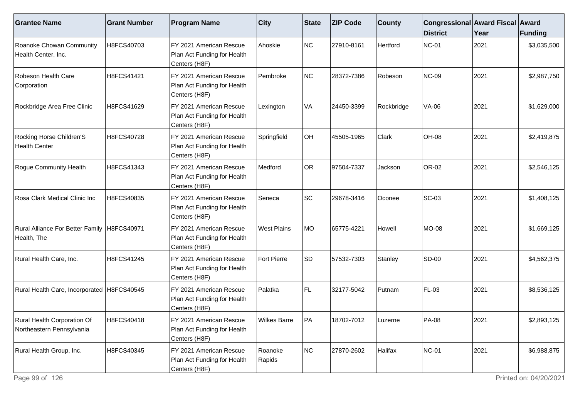| <b>Grantee Name</b>                                      | <b>Grant Number</b> | <b>Program Name</b>                                                      | $ $ City            | State | <b>ZIP Code</b> | <b>County</b> | Congressional Award Fiscal Award<br><b>District</b> | Year | Funding     |
|----------------------------------------------------------|---------------------|--------------------------------------------------------------------------|---------------------|-------|-----------------|---------------|-----------------------------------------------------|------|-------------|
| Roanoke Chowan Community<br>Health Center, Inc.          | H8FCS40703          | FY 2021 American Rescue<br>Plan Act Funding for Health<br>Centers (H8F)  | Ahoskie             | NC    | 27910-8161      | Hertford      | <b>NC-01</b>                                        | 2021 | \$3,035,500 |
| Robeson Health Care<br>Corporation                       | H8FCS41421          | FY 2021 American Rescue<br>Plan Act Funding for Health<br>Centers (H8F)  | Pembroke            | NC    | 28372-7386      | Robeson       | <b>NC-09</b>                                        | 2021 | \$2,987,750 |
| Rockbridge Area Free Clinic                              | H8FCS41629          | IFY 2021 American Rescue<br>Plan Act Funding for Health<br>Centers (H8F) | Lexington           | VA    | 24450-3399      | Rockbridge    | VA-06                                               | 2021 | \$1,629,000 |
| Rocking Horse Children'S<br><b>Health Center</b>         | H8FCS40728          | FY 2021 American Rescue<br>Plan Act Funding for Health<br>Centers (H8F)  | Springfield         | OH    | 45505-1965      | Clark         | <b>OH-08</b>                                        | 2021 | \$2,419,875 |
| Rogue Community Health                                   | H8FCS41343          | FY 2021 American Rescue<br>Plan Act Funding for Health<br>Centers (H8F)  | Medford             | OR    | 97504-7337      | Jackson       | OR-02                                               | 2021 | \$2,546,125 |
| Rosa Clark Medical Clinic Inc                            | H8FCS40835          | IFY 2021 American Rescue<br>Plan Act Funding for Health<br>Centers (H8F) | Seneca              | SC    | 29678-3416      | Oconee        | <b>SC-03</b>                                        | 2021 | \$1,408,125 |
| Rural Alliance For Better Family<br>Health, The          | H8FCS40971          | FY 2021 American Rescue<br>Plan Act Funding for Health<br>Centers (H8F)  | <b>West Plains</b>  | MO    | 65775-4221      | Howell        | <b>MO-08</b>                                        | 2021 | \$1,669,125 |
| Rural Health Care, Inc.                                  | H8FCS41245          | FY 2021 American Rescue<br>Plan Act Funding for Health<br>Centers (H8F)  | Fort Pierre         | SD    | 57532-7303      | Stanley       | <b>SD-00</b>                                        | 2021 | \$4,562,375 |
| Rural Health Care, Incorporated   H8FCS40545             |                     | FY 2021 American Rescue<br>Plan Act Funding for Health<br>Centers (H8F)  | Palatka             | FL    | 32177-5042      | Putnam        | FL-03                                               | 2021 | \$8,536,125 |
| Rural Health Corporation Of<br>Northeastern Pennsylvania | H8FCS40418          | IFY 2021 American Rescue<br>Plan Act Funding for Health<br>Centers (H8F) | <b>Wilkes Barre</b> | PA    | 18702-7012      | Luzerne       | <b>PA-08</b>                                        | 2021 | \$2,893,125 |
| Rural Health Group, Inc.                                 | H8FCS40345          | FY 2021 American Rescue<br>Plan Act Funding for Health<br>Centers (H8F)  | Roanoke<br>Rapids   | NC    | 27870-2602      | Halifax       | <b>NC-01</b>                                        | 2021 | \$6,988,875 |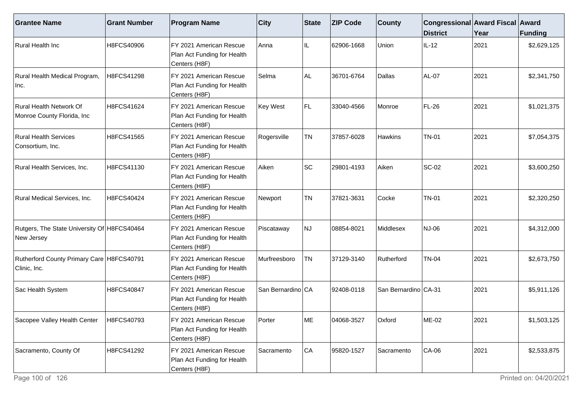| <b>Grantee Name</b>                                       | <b>Grant Number</b> | <b>Program Name</b>                                                      | <b>City</b>       | <b>State</b> | <b>ZIP Code</b> | <b>County</b>        | Congressional Award Fiscal Award<br><b>District</b> | Year | Funding     |
|-----------------------------------------------------------|---------------------|--------------------------------------------------------------------------|-------------------|--------------|-----------------|----------------------|-----------------------------------------------------|------|-------------|
| Rural Health Inc                                          | H8FCS40906          | FY 2021 American Rescue<br>Plan Act Funding for Health<br>Centers (H8F)  | Anna              | IL           | 62906-1668      | Union                | $IL-12$                                             | 2021 | \$2,629,125 |
| Rural Health Medical Program,<br>Inc.                     | H8FCS41298          | FY 2021 American Rescue<br>Plan Act Funding for Health<br>Centers (H8F)  | Selma             | AL           | 36701-6764      | Dallas               | AL-07                                               | 2021 | \$2,341,750 |
| Rural Health Network Of<br>Monroe County Florida, Inc     | H8FCS41624          | FY 2021 American Rescue<br>Plan Act Funding for Health<br>Centers (H8F)  | <b>Key West</b>   | FL           | 33040-4566      | Monroe               | <b>FL-26</b>                                        | 2021 | \$1,021,375 |
| <b>Rural Health Services</b><br>Consortium, Inc.          | H8FCS41565          | FY 2021 American Rescue<br>Plan Act Funding for Health<br>Centers (H8F)  | Rogersville       | <b>TN</b>    | 37857-6028      | <b>Hawkins</b>       | <b>TN-01</b>                                        | 2021 | \$7,054,375 |
| Rural Health Services, Inc.                               | H8FCS41130          | FY 2021 American Rescue<br>Plan Act Funding for Health<br>Centers (H8F)  | Aiken             | SC           | 29801-4193      | Aiken                | <b>SC-02</b>                                        | 2021 | \$3,600,250 |
| Rural Medical Services, Inc.                              | H8FCS40424          | FY 2021 American Rescue<br>Plan Act Funding for Health<br>Centers (H8F)  | Newport           | <b>TN</b>    | 37821-3631      | Cocke                | <b>TN-01</b>                                        | 2021 | \$2,320,250 |
| Rutgers, The State University Of H8FCS40464<br>New Jersey |                     | FY 2021 American Rescue<br>Plan Act Funding for Health<br>Centers (H8F)  | Piscataway        | NJ.          | 08854-8021      | Middlesex            | NJ-06                                               | 2021 | \$4,312,000 |
| Rutherford County Primary Care H8FCS40791<br>Clinic, Inc. |                     | FY 2021 American Rescue<br>Plan Act Funding for Health<br>Centers (H8F)  | Murfreesboro      | <b>TN</b>    | 37129-3140      | Rutherford           | <b>TN-04</b>                                        | 2021 | \$2,673,750 |
| Sac Health System                                         | H8FCS40847          | IFY 2021 American Rescue<br>Plan Act Funding for Health<br>Centers (H8F) | San Bernardino CA |              | 92408-0118      | San Bernardino CA-31 |                                                     | 2021 | \$5,911,126 |
| Sacopee Valley Health Center                              | H8FCS40793          | FY 2021 American Rescue<br>Plan Act Funding for Health<br>Centers (H8F)  | Porter            | lME.         | 04068-3527      | Oxford               | ME-02                                               | 2021 | \$1,503,125 |
| Sacramento, County Of                                     | H8FCS41292          | FY 2021 American Rescue<br>Plan Act Funding for Health<br>Centers (H8F)  | Sacramento        | CA           | 95820-1527      | Sacramento           | $CA-06$                                             | 2021 | \$2,533,875 |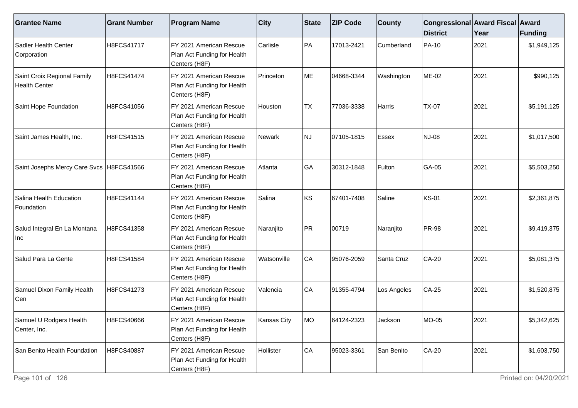| <b>Grantee Name</b>                                 | <b>Grant Number</b> | <b>Program Name</b>                                                                  | $ $ City    | State     | <b>ZIP Code</b> | <b>County</b> | Congressional Award Fiscal Award<br><b>District</b> | Year | <b>Funding</b> |
|-----------------------------------------------------|---------------------|--------------------------------------------------------------------------------------|-------------|-----------|-----------------|---------------|-----------------------------------------------------|------|----------------|
| Sadler Health Center<br>Corporation                 | H8FCS41717          | FY 2021 American Rescue<br>Plan Act Funding for Health<br>Centers (H8F)              | Carlisle    | PA        | 17013-2421      | Cumberland    | PA-10                                               | 2021 | \$1,949,125    |
| Saint Croix Regional Family<br><b>Health Center</b> | H8FCS41474          | FY 2021 American Rescue<br>Plan Act Funding for Health<br>Centers (H8F)              | Princeton   | ME        | 04668-3344      | Washington    | <b>ME-02</b>                                        | 2021 | \$990,125      |
| Saint Hope Foundation                               | H8FCS41056          | FY 2021 American Rescue<br>Plan Act Funding for Health<br>Centers (H8F)              | Houston     | <b>TX</b> | 77036-3338      | Harris        | <b>TX-07</b>                                        | 2021 | \$5,191,125    |
| Saint James Health, Inc.                            | H8FCS41515          | FY 2021 American Rescue<br>Plan Act Funding for Health<br>Centers (H8F)              | Newark      | NJ        | 07105-1815      | Essex         | NJ-08                                               | 2021 | \$1,017,500    |
| Saint Josephs Mercy Care Svcs   H8FCS41566          |                     | FY 2021 American Rescue<br>Plan Act Funding for Health<br>Centers (H8F)              | Atlanta     | GA        | 30312-1848      | Fulton        | GA-05                                               | 2021 | \$5,503,250    |
| Salina Health Education<br>Foundation               | H8FCS41144          | FY 2021 American Rescue<br>Plan Act Funding for Health<br>Centers (H8F)              | Salina      | KS        | 67401-7408      | Saline        | <b>KS-01</b>                                        | 2021 | \$2,361,875    |
| Salud Integral En La Montana<br>Inc                 | H8FCS41358          | FY 2021 American Rescue<br>Plan Act Funding for Health<br>Centers (H8F)              | Naranjito   | PR        | 00719           | Naranjito     | <b>PR-98</b>                                        | 2021 | \$9,419,375    |
| l Salud Para La Gente                               | H8FCS41584          | FY 2021 American Rescue<br>Plan Act Funding for Health<br>Centers (H8F)              | Watsonville | CA        | 95076-2059      | Santa Cruz    | <b>CA-20</b>                                        | 2021 | \$5,081,375    |
| Samuel Dixon Family Health<br>Cen                   | H8FCS41273          | FY 2021 American Rescue<br>Plan Act Funding for Health<br>Centers (H8F)              | Valencia    | CA        | 91355-4794      | Los Angeles   | $CA-25$                                             | 2021 | \$1,520,875    |
| Samuel U Rodgers Health<br>Center, Inc.             | H8FCS40666          | FY 2021 American Rescue<br>Plan Act Funding for Health<br>Centers (H <sub>8F</sub> ) | Kansas City | MO        | 64124-2323      | Jackson       | <b>MO-05</b>                                        | 2021 | \$5,342,625    |
| San Benito Health Foundation                        | H8FCS40887          | FY 2021 American Rescue<br>Plan Act Funding for Health<br>Centers (H8F)              | Hollister   | CA        | 95023-3361      | San Benito    | <b>CA-20</b>                                        | 2021 | \$1,603,750    |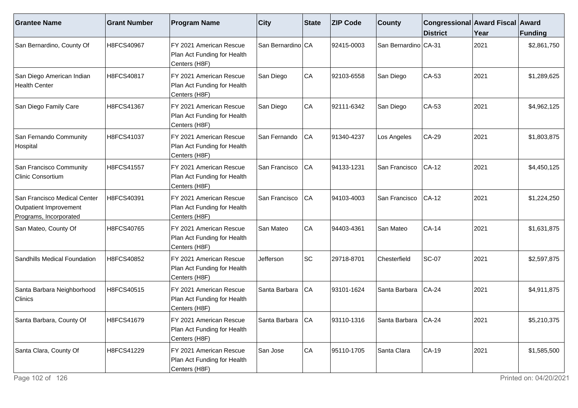| <b>Grantee Name</b>                                                              | <b>Grant Number</b> | <b>Program Name</b>                                                                  | $ $ City          | State | <b>ZIP Code</b> | <b>County</b>         | Congressional Award Fiscal Award<br><b>District</b> | Year | Funding     |
|----------------------------------------------------------------------------------|---------------------|--------------------------------------------------------------------------------------|-------------------|-------|-----------------|-----------------------|-----------------------------------------------------|------|-------------|
| San Bernardino, County Of                                                        | H8FCS40967          | FY 2021 American Rescue<br>Plan Act Funding for Health<br>Centers (H8F)              | San Bernardino CA |       | 92415-0003      | San Bernardino CA-31  |                                                     | 2021 | \$2,861,750 |
| San Diego American Indian<br><b>Health Center</b>                                | H8FCS40817          | FY 2021 American Rescue<br>Plan Act Funding for Health<br>Centers (H8F)              | San Diego         | CA    | 92103-6558      | San Diego             | CA-53                                               | 2021 | \$1,289,625 |
| San Diego Family Care                                                            | H8FCS41367          | FY 2021 American Rescue<br>Plan Act Funding for Health<br>Centers (H <sub>8F</sub> ) | San Diego         | CA    | 92111-6342      | San Diego             | $CA-53$                                             | 2021 | \$4,962,125 |
| San Fernando Community<br>Hospital                                               | H8FCS41037          | IFY 2021 American Rescue<br>Plan Act Funding for Health<br>Centers (H8F)             | San Fernando      | CA    | 91340-4237      | Los Angeles           | <b>CA-29</b>                                        | 2021 | \$1,803,875 |
| San Francisco Community<br><b>Clinic Consortium</b>                              | H8FCS41557          | FY 2021 American Rescue<br>Plan Act Funding for Health<br>Centers (H8F)              | San Francisco     | CA    | 94133-1231      | San Francisco         | CA-12                                               | 2021 | \$4,450,125 |
| San Francisco Medical Center<br>Outpatient Improvement<br>Programs, Incorporated | H8FCS40391          | FY 2021 American Rescue<br>Plan Act Funding for Health<br>Centers (H8F)              | San Francisco     | CA    | 94103-4003      | San Francisco         | $CA-12$                                             | 2021 | \$1,224,250 |
| San Mateo, County Of                                                             | H8FCS40765          | FY 2021 American Rescue<br>Plan Act Funding for Health<br>Centers (H8F)              | San Mateo         | CA    | 94403-4361      | San Mateo             | <b>CA-14</b>                                        | 2021 | \$1,631,875 |
| Sandhills Medical Foundation                                                     | H8FCS40852          | FY 2021 American Rescue<br>Plan Act Funding for Health<br>Centers (H8F)              | Jefferson         | SC    | 29718-8701      | Chesterfield          | <b>SC-07</b>                                        | 2021 | \$2,597,875 |
| Santa Barbara Neighborhood<br>Clinics                                            | H8FCS40515          | FY 2021 American Rescue<br>Plan Act Funding for Health<br>Centers (H8F)              | Santa Barbara     | CA    | 93101-1624      | Santa Barbara         | <b>CA-24</b>                                        | 2021 | \$4,911,875 |
| Santa Barbara, County Of                                                         | H8FCS41679          | FY 2021 American Rescue<br>Plan Act Funding for Health<br>Centers (H8F)              | Santa Barbara     | CA    | 93110-1316      | Santa Barbara   CA-24 |                                                     | 2021 | \$5,210,375 |
| Santa Clara, County Of                                                           | H8FCS41229          | FY 2021 American Rescue<br>Plan Act Funding for Health<br>Centers (H8F)              | San Jose          | CA    | 95110-1705      | Santa Clara           | $CA-19$                                             | 2021 | \$1,585,500 |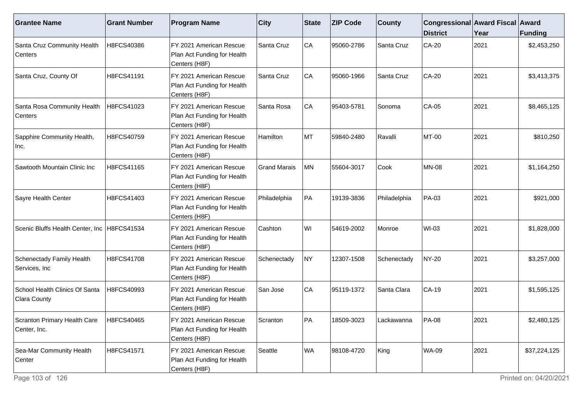| <b>Grantee Name</b>                            | <b>Grant Number</b> | <b>Program Name</b>                                                     | <b>City</b>         | State     | <b>ZIP Code</b> | <b>County</b> | Congressional Award Fiscal Award<br><b>District</b> | Year | Funding      |
|------------------------------------------------|---------------------|-------------------------------------------------------------------------|---------------------|-----------|-----------------|---------------|-----------------------------------------------------|------|--------------|
| Santa Cruz Community Health<br>Centers         | H8FCS40386          | FY 2021 American Rescue<br>Plan Act Funding for Health<br>Centers (H8F) | Santa Cruz          | CA        | 95060-2786      | Santa Cruz    | CA-20                                               | 2021 | \$2,453,250  |
| Santa Cruz, County Of                          | H8FCS41191          | FY 2021 American Rescue<br>Plan Act Funding for Health<br>Centers (H8F) | Santa Cruz          | CA        | 95060-1966      | Santa Cruz    | CA-20                                               | 2021 | \$3,413,375  |
| Santa Rosa Community Health<br>Centers         | H8FCS41023          | FY 2021 American Rescue<br>Plan Act Funding for Health<br>Centers (H8F) | Santa Rosa          | CA        | 95403-5781      | Sonoma        | CA-05                                               | 2021 | \$8,465,125  |
| Sapphire Community Health,<br>Inc.             | H8FCS40759          | FY 2021 American Rescue<br>Plan Act Funding for Health<br>Centers (H8F) | Hamilton            | MT        | 59840-2480      | Ravalli       | MT-00                                               | 2021 | \$810,250    |
| Sawtooth Mountain Clinic Inc                   | H8FCS41165          | FY 2021 American Rescue<br>Plan Act Funding for Health<br>Centers (H8F) | <b>Grand Marais</b> | <b>MN</b> | 55604-3017      | Cook          | <b>MN-08</b>                                        | 2021 | \$1,164,250  |
| Sayre Health Center                            | H8FCS41403          | FY 2021 American Rescue<br>Plan Act Funding for Health<br>Centers (H8F) | Philadelphia        | ∣PA       | 19139-3836      | Philadelphia  | PA-03                                               | 2021 | \$921,000    |
| Scenic Bluffs Health Center, Inc   H8FCS41534  |                     | FY 2021 American Rescue<br>Plan Act Funding for Health<br>Centers (H8F) | Cashton             | WI        | 54619-2002      | Monroe        | <b>WI-03</b>                                        | 2021 | \$1,828,000  |
| Schenectady Family Health<br>Services, Inc.    | H8FCS41708          | FY 2021 American Rescue<br>Plan Act Funding for Health<br>Centers (H8F) | Schenectady         | <b>NY</b> | 12307-1508      | Schenectady   | <b>NY-20</b>                                        | 2021 | \$3,257,000  |
| School Health Clinics Of Santa<br>Clara County | H8FCS40993          | FY 2021 American Rescue<br>Plan Act Funding for Health<br>Centers (H8F) | San Jose            | CA        | 95119-1372      | Santa Clara   | $CA-19$                                             | 2021 | \$1,595,125  |
| Scranton Primary Health Care<br>Center, Inc.   | H8FCS40465          | FY 2021 American Rescue<br>Plan Act Funding for Health<br>Centers (H8F) | Scranton            | PA        | 18509-3023      | ackawanna     | <b>PA-08</b>                                        | 2021 | \$2,480,125  |
| Sea-Mar Community Health<br>Center             | H8FCS41571          | FY 2021 American Rescue<br>Plan Act Funding for Health<br>Centers (H8F) | Seattle             | <b>WA</b> | 98108-4720      | King          | <b>WA-09</b>                                        | 2021 | \$37,224,125 |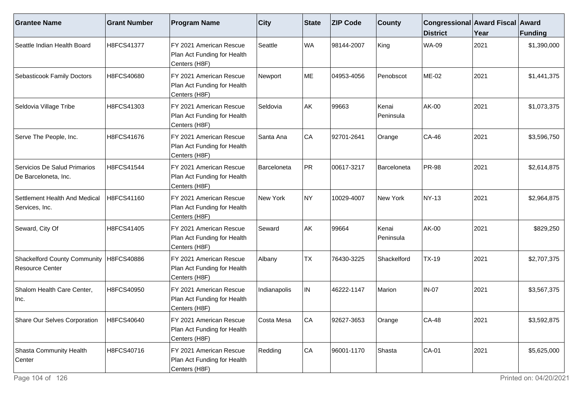| <b>Grantee Name</b>                                           | <b>Grant Number</b> | <b>Program Name</b>                                                     | <b>City</b>  | <b>State</b> | <b>ZIP Code</b> | <b>County</b>      | Congressional Award Fiscal Award<br><b>District</b> | Year | Funding     |
|---------------------------------------------------------------|---------------------|-------------------------------------------------------------------------|--------------|--------------|-----------------|--------------------|-----------------------------------------------------|------|-------------|
| Seattle Indian Health Board                                   | H8FCS41377          | FY 2021 American Rescue<br>Plan Act Funding for Health<br>Centers (H8F) | Seattle      | WA           | 98144-2007      | King               | <b>WA-09</b>                                        | 2021 | \$1,390,000 |
| Sebasticook Family Doctors                                    | H8FCS40680          | FY 2021 American Rescue<br>Plan Act Funding for Health<br>Centers (H8F) | Newport      | ME           | 04953-4056      | Penobscot          | ME-02                                               | 2021 | \$1,441,375 |
| Seldovia Village Tribe                                        | H8FCS41303          | FY 2021 American Rescue<br>Plan Act Funding for Health<br>Centers (H8F) | Seldovia     | AK           | 99663           | Kenai<br>Peninsula | AK-00                                               | 2021 | \$1,073,375 |
| Serve The People, Inc.                                        | H8FCS41676          | FY 2021 American Rescue<br>Plan Act Funding for Health<br>Centers (H8F) | Santa Ana    | CA           | 92701-2641      | Orange             | <b>CA-46</b>                                        | 2021 | \$3,596,750 |
| Servicios De Salud Primarios<br>De Barceloneta, Inc.          | H8FCS41544          | FY 2021 American Rescue<br>Plan Act Funding for Health<br>Centers (H8F) | Barceloneta  | PR           | 00617-3217      | Barceloneta        | <b>PR-98</b>                                        | 2021 | \$2,614,875 |
| Settlement Health And Medical<br>Services, Inc.               | H8FCS41160          | FY 2021 American Rescue<br>Plan Act Funding for Health<br>Centers (H8F) | New York     | NY.          | 10029-4007      | New York           | NY-13                                               | 2021 | \$2,964,875 |
| Seward, City Of                                               | H8FCS41405          | FY 2021 American Rescue<br>Plan Act Funding for Health<br>Centers (H8F) | Seward       | AK           | 99664           | Kenai<br>Peninsula | <b>AK-00</b>                                        | 2021 | \$829,250   |
| <b>Shackelford County Community</b><br><b>Resource Center</b> | H8FCS40886          | FY 2021 American Rescue<br>Plan Act Funding for Health<br>Centers (H8F) | Albany       | TX           | 76430-3225      | Shackelford        | <b>TX-19</b>                                        | 2021 | \$2,707,375 |
| Shalom Health Care Center,<br>Inc.                            | H8FCS40950          | FY 2021 American Rescue<br>Plan Act Funding for Health<br>Centers (H8F) | Indianapolis | IN.          | 46222-1147      | Marion             | <b>IN-07</b>                                        | 2021 | \$3,567,375 |
| Share Our Selves Corporation                                  | H8FCS40640          | FY 2021 American Rescue<br>Plan Act Funding for Health<br>Centers (H8F) | Costa Mesa   | CA           | 92627-3653      | Orange             | <b>CA-48</b>                                        | 2021 | \$3,592,875 |
| Shasta Community Health<br>Center                             | H8FCS40716          | FY 2021 American Rescue<br>Plan Act Funding for Health<br>Centers (H8F) | Redding      | CA           | 96001-1170      | Shasta             | $CA-01$                                             | 2021 | \$5,625,000 |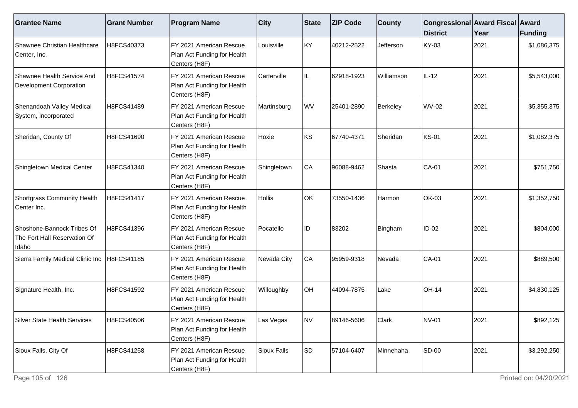| <b>Grantee Name</b>                                                 | <b>Grant Number</b> | <b>Program Name</b>                                                     | <b>City</b>   | State     | <b>ZIP Code</b> | <b>County</b> | Congressional Award Fiscal Award<br><b>District</b> | Year | Funding     |
|---------------------------------------------------------------------|---------------------|-------------------------------------------------------------------------|---------------|-----------|-----------------|---------------|-----------------------------------------------------|------|-------------|
| Shawnee Christian Healthcare<br>Center, Inc.                        | H8FCS40373          | FY 2021 American Rescue<br>Plan Act Funding for Health<br>Centers (H8F) | Louisville    | KY        | 40212-2522      | Jefferson     | KY-03                                               | 2021 | \$1,086,375 |
| Shawnee Health Service And<br><b>Development Corporation</b>        | H8FCS41574          | FY 2021 American Rescue<br>Plan Act Funding for Health<br>Centers (H8F) | Carterville   | IL        | 62918-1923      | Williamson    | $IL-12$                                             | 2021 | \$5,543,000 |
| Shenandoah Valley Medical<br>System, Incorporated                   | H8FCS41489          | FY 2021 American Rescue<br>Plan Act Funding for Health<br>Centers (H8F) | Martinsburg   | <b>WV</b> | 25401-2890      | Berkeley      | <b>WV-02</b>                                        | 2021 | \$5,355,375 |
| Sheridan, County Of                                                 | H8FCS41690          | FY 2021 American Rescue<br>Plan Act Funding for Health<br>Centers (H8F) | Hoxie         | ∣ĸs       | 67740-4371      | Sheridan      | <b>KS-01</b>                                        | 2021 | \$1,082,375 |
| Shingletown Medical Center                                          | H8FCS41340          | FY 2021 American Rescue<br>Plan Act Funding for Health<br>Centers (H8F) | Shingletown   | CA        | 96088-9462      | Shasta        | CA-01                                               | 2021 | \$751,750   |
| Shortgrass Community Health<br>Center Inc.                          | H8FCS41417          | FY 2021 American Rescue<br>Plan Act Funding for Health<br>Centers (H8F) | <b>Hollis</b> | OK        | 73550-1436      | Harmon        | OK-03                                               | 2021 | \$1,352,750 |
| Shoshone-Bannock Tribes Of<br>The Fort Hall Reservation Of<br>Idaho | H8FCS41396          | FY 2021 American Rescue<br>Plan Act Funding for Health<br>Centers (H8F) | Pocatello     | ID.       | 83202           | Bingham       | $ID-02$                                             | 2021 | \$804,000   |
| Sierra Family Medical Clinic Inc                                    | H8FCS41185          | FY 2021 American Rescue<br>Plan Act Funding for Health<br>Centers (H8F) | Nevada City   | CA        | 95959-9318      | Nevada        | <b>CA-01</b>                                        | 2021 | \$889,500   |
| Signature Health, Inc.                                              | H8FCS41592          | FY 2021 American Rescue<br>Plan Act Funding for Health<br>Centers (H8F) | Willoughby    | OH        | 44094-7875      | Lake          | <b>OH-14</b>                                        | 2021 | \$4,830,125 |
| <b>Silver State Health Services</b>                                 | H8FCS40506          | FY 2021 American Rescue<br>Plan Act Funding for Health<br>Centers (H8F) | as Vegas      | NV        | 89146-5606      | Clark         | <b>NV-01</b>                                        | 2021 | \$892,125   |
| Sioux Falls, City Of                                                | H8FCS41258          | FY 2021 American Rescue<br>Plan Act Funding for Health<br>Centers (H8F) | Sioux Falls   | SD        | 57104-6407      | Minnehaha     | SD-00                                               | 2021 | \$3,292,250 |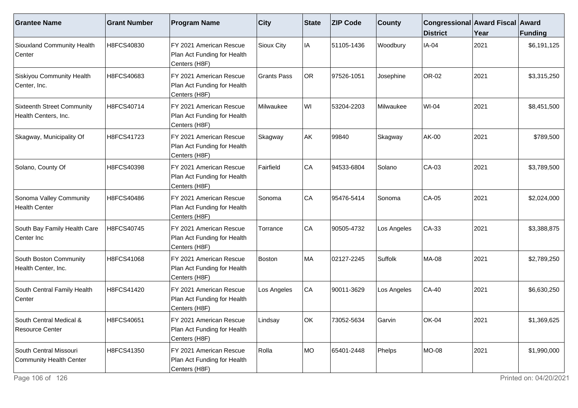| <b>Grantee Name</b>                                       | <b>Grant Number</b> | <b>Program Name</b>                                                      | $ $ City           | <b>State</b> | <b>ZIP Code</b> | <b>County</b> | Congressional Award Fiscal Award<br><b>District</b> | Year | <b>Funding</b> |
|-----------------------------------------------------------|---------------------|--------------------------------------------------------------------------|--------------------|--------------|-----------------|---------------|-----------------------------------------------------|------|----------------|
| Siouxland Community Health<br>Center                      | H8FCS40830          | FY 2021 American Rescue<br>Plan Act Funding for Health<br>Centers (H8F)  | Sioux City         | IA           | 51105-1436      | Woodbury      | <b>IA-04</b>                                        | 2021 | \$6,191,125    |
| Siskiyou Community Health<br>Center, Inc.                 | H8FCS40683          | FY 2021 American Rescue<br>Plan Act Funding for Health<br>Centers (H8F)  | <b>Grants Pass</b> | OR           | 97526-1051      | Josephine     | OR-02                                               | 2021 | \$3,315,250    |
| <b>Sixteenth Street Community</b><br>Health Centers, Inc. | H8FCS40714          | FY 2021 American Rescue<br>Plan Act Funding for Health<br>Centers (H8F)  | Milwaukee          | WI           | 53204-2203      | Milwaukee     | <b>WI-04</b>                                        | 2021 | \$8,451,500    |
| Skagway, Municipality Of                                  | H8FCS41723          | IFY 2021 American Rescue<br>Plan Act Funding for Health<br>Centers (H8F) | Skagway            | AK           | 99840           | Skagway       | <b>AK-00</b>                                        | 2021 | \$789,500      |
| Solano, County Of                                         | H8FCS40398          | FY 2021 American Rescue<br>Plan Act Funding for Health<br>Centers (H8F)  | Fairfield          | CA           | 94533-6804      | Solano        | CA-03                                               | 2021 | \$3,789,500    |
| Sonoma Valley Community<br>Health Center                  | H8FCS40486          | IFY 2021 American Rescue<br>Plan Act Funding for Health<br>Centers (H8F) | Sonoma             | CA           | 95476-5414      | Sonoma        | CA-05                                               | 2021 | \$2,024,000    |
| South Bay Family Health Care<br>Center Inc                | H8FCS40745          | FY 2021 American Rescue<br>Plan Act Funding for Health<br>Centers (H8F)  | Torrance           | CA           | 90505-4732      | Los Angeles   | CA-33                                               | 2021 | \$3,388,875    |
| South Boston Community<br>Health Center, Inc.             | H8FCS41068          | FY 2021 American Rescue<br>Plan Act Funding for Health<br>Centers (H8F)  | Boston             | MA           | 02127-2245      | Suffolk       | <b>MA-08</b>                                        | 2021 | \$2,789,250    |
| South Central Family Health<br>Center                     | H8FCS41420          | FY 2021 American Rescue<br>Plan Act Funding for Health<br>Centers (H8F)  | Los Angeles        | CA           | 90011-3629      | Los Angeles   | <b>CA-40</b>                                        | 2021 | \$6,630,250    |
| South Central Medical &<br>Resource Center                | H8FCS40651          | FY 2021 American Rescue<br>Plan Act Funding for Health<br>Centers (H8F)  | Lindsay            | OK           | 73052-5634      | Garvin        | <b>OK-04</b>                                        | 2021 | \$1,369,625    |
| South Central Missouri<br>Community Health Center         | H8FCS41350          | FY 2021 American Rescue<br>Plan Act Funding for Health<br>Centers (H8F)  | Rolla              | MO           | 65401-2448      | Phelps        | MO-08                                               | 2021 | \$1,990,000    |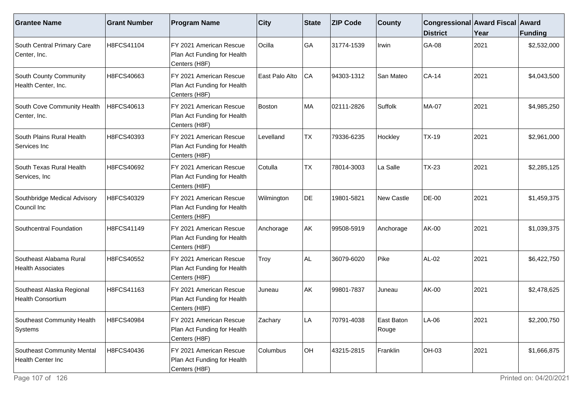| <b>Grantee Name</b>                                   | <b>Grant Number</b> | <b>Program Name</b>                                                     | <b>City</b>    | State     | <b>ZIP Code</b> | <b>County</b>       | Congressional Award Fiscal Award<br><b>District</b> | Year | <b>Funding</b> |
|-------------------------------------------------------|---------------------|-------------------------------------------------------------------------|----------------|-----------|-----------------|---------------------|-----------------------------------------------------|------|----------------|
| South Central Primary Care<br>Center, Inc.            | H8FCS41104          | FY 2021 American Rescue<br>Plan Act Funding for Health<br>Centers (H8F) | Ocilla         | GA        | 31774-1539      | Irwin               | GA-08                                               | 2021 | \$2,532,000    |
| South County Community<br>Health Center, Inc.         | H8FCS40663          | FY 2021 American Rescue<br>Plan Act Funding for Health<br>Centers (H8F) | East Palo Alto | CA        | 94303-1312      | San Mateo           | $CA-14$                                             | 2021 | \$4,043,500    |
| South Cove Community Health<br>Center, Inc.           | H8FCS40613          | FY 2021 American Rescue<br>Plan Act Funding for Health<br>Centers (H8F) | Boston         | MA        | 02111-2826      | Suffolk             | <b>MA-07</b>                                        | 2021 | \$4,985,250    |
| South Plains Rural Health<br>Services Inc             | H8FCS40393          | FY 2021 American Rescue<br>Plan Act Funding for Health<br>Centers (H8F) | Levelland      | <b>TX</b> | 79336-6235      | Hockley             | <b>TX-19</b>                                        | 2021 | \$2,961,000    |
| South Texas Rural Health<br>Services, Inc             | H8FCS40692          | FY 2021 American Rescue<br>Plan Act Funding for Health<br>Centers (H8F) | Cotulla        | TX        | 78014-3003      | La Salle            | <b>TX-23</b>                                        | 2021 | \$2,285,125    |
| Southbridge Medical Advisory<br>Council Inc           | H8FCS40329          | FY 2021 American Rescue<br>Plan Act Funding for Health<br>Centers (H8F) | Wilmington     | DE        | 19801-5821      | New Castle          | <b>DE-00</b>                                        | 2021 | \$1,459,375    |
| Southcentral Foundation                               | H8FCS41149          | FY 2021 American Rescue<br>Plan Act Funding for Health<br>Centers (H8F) | Anchorage      | AK        | 99508-5919      | Anchorage           | AK-00                                               | 2021 | \$1,039,375    |
| Southeast Alabama Rural<br><b>Health Associates</b>   | H8FCS40552          | FY 2021 American Rescue<br>Plan Act Funding for Health<br>Centers (H8F) | Troy           | ALL       | 36079-6020      | Pike                | AL-02                                               | 2021 | \$6,422,750    |
| Southeast Alaska Regional<br><b>Health Consortium</b> | H8FCS41163          | FY 2021 American Rescue<br>Plan Act Funding for Health<br>Centers (H8F) | Juneau         | AK        | 99801-7837      | Juneau              | AK-00                                               | 2021 | \$2,478,625    |
| Southeast Community Health<br>Systems                 | H8FCS40984          | FY 2021 American Rescue<br>Plan Act Funding for Health<br>Centers (H8F) | Zachary        | LA        | 70791-4038      | East Baton<br>Rouge | A-06                                                | 2021 | \$2,200,750    |
| Southeast Community Mental<br>Health Center Inc       | H8FCS40436          | FY 2021 American Rescue<br>Plan Act Funding for Health<br>Centers (H8F) | Columbus       | OH        | 43215-2815      | Franklin            | <b>OH-03</b>                                        | 2021 | \$1,666,875    |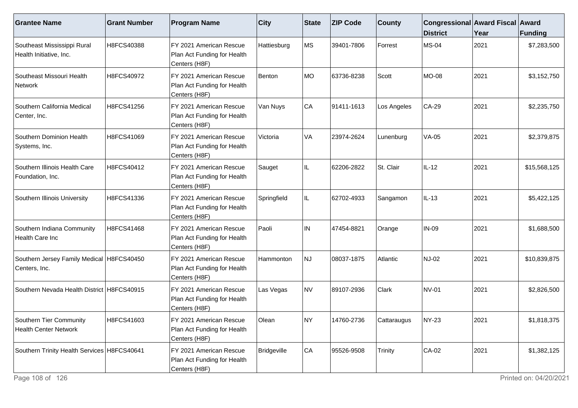| <b>Grantee Name</b>                                        | <b>Grant Number</b> | <b>Program Name</b>                                                     | $ $ City    | <b>State</b> | <b>ZIP Code</b> | <b>County</b> | Congressional Award Fiscal Award<br><b>District</b> | Year | <b>Funding</b> |
|------------------------------------------------------------|---------------------|-------------------------------------------------------------------------|-------------|--------------|-----------------|---------------|-----------------------------------------------------|------|----------------|
| Southeast Mississippi Rural<br>Health Initiative, Inc.     | H8FCS40388          | FY 2021 American Rescue<br>Plan Act Funding for Health<br>Centers (H8F) | Hattiesburg | <b>MS</b>    | 39401-7806      | Forrest       | <b>MS-04</b>                                        | 2021 | \$7,283,500    |
| Southeast Missouri Health<br>Network                       | H8FCS40972          | FY 2021 American Rescue<br>Plan Act Funding for Health<br>Centers (H8F) | Benton      | MO           | 63736-8238      | Scott         | <b>MO-08</b>                                        | 2021 | \$3,152,750    |
| Southern California Medical<br>Center, Inc.                | H8FCS41256          | FY 2021 American Rescue<br>Plan Act Funding for Health<br>Centers (H8F) | Van Nuys    | CA           | 91411-1613      | Los Angeles   | CA-29                                               | 2021 | \$2,235,750    |
| Southern Dominion Health<br>Systems, Inc.                  | H8FCS41069          | FY 2021 American Rescue<br>Plan Act Funding for Health<br>Centers (H8F) | Victoria    | VA           | 23974-2624      | Lunenburg     | $VA-05$                                             | 2021 | \$2,379,875    |
| Southern Illinois Health Care<br>Foundation, Inc.          | H8FCS40412          | FY 2021 American Rescue<br>Plan Act Funding for Health<br>Centers (H8F) | Sauget      | IL.          | 62206-2822      | St. Clair     | IL-12                                               | 2021 | \$15,568,125   |
| Southern Illinois University                               | H8FCS41336          | FY 2021 American Rescue<br>Plan Act Funding for Health<br>Centers (H8F) | Springfield | IL           | 62702-4933      | Sangamon      | IL-13                                               | 2021 | \$5,422,125    |
| Southern Indiana Community<br>Health Care Inc              | H8FCS41468          | FY 2021 American Rescue<br>Plan Act Funding for Health<br>Centers (H8F) | Paoli       | IN           | 47454-8821      | Orange        | <b>IN-09</b>                                        | 2021 | \$1,688,500    |
| Southern Jersey Family Medical H8FCS40450<br>Centers, Inc. |                     | FY 2021 American Rescue<br>Plan Act Funding for Health<br>Centers (H8F) | Hammonton   | <b>NJ</b>    | 08037-1875      | Atlantic      | <b>NJ-02</b>                                        | 2021 | \$10,839,875   |
| Southern Nevada Health District H8FCS40915                 |                     | FY 2021 American Rescue<br>Plan Act Funding for Health<br>Centers (H8F) | Las Vegas   | NV           | 89107-2936      | Clark         | <b>NV-01</b>                                        | 2021 | \$2,826,500    |
| Southern Tier Community<br><b>Health Center Network</b>    | H8FCS41603          | FY 2021 American Rescue<br>Plan Act Funding for Health<br>Centers (H8F) | Olean       | <b>NY</b>    | 14760-2736      | Cattaraugus   | <b>NY-23</b>                                        | 2021 | \$1,818,375    |
| Southern Trinity Health Services   H8FCS40641              |                     | FY 2021 American Rescue<br>Plan Act Funding for Health<br>Centers (H8F) | Bridgeville | CA           | 95526-9508      | Trinity       | $CA-02$                                             | 2021 | \$1,382,125    |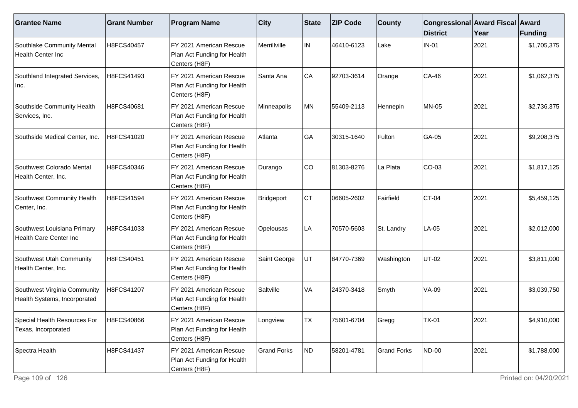| <b>Grantee Name</b>                                          | <b>Grant Number</b> | <b>Program Name</b>                                                     | <b>City</b>        | State | <b>ZIP Code</b> | <b>County</b>      | Congressional Award Fiscal Award<br><b>District</b> | Year | Funding     |
|--------------------------------------------------------------|---------------------|-------------------------------------------------------------------------|--------------------|-------|-----------------|--------------------|-----------------------------------------------------|------|-------------|
| Southlake Community Mental<br>Health Center Inc              | H8FCS40457          | FY 2021 American Rescue<br>Plan Act Funding for Health<br>Centers (H8F) | Merrillville       | IN.   | 46410-6123      | Lake               | $IN-01$                                             | 2021 | \$1,705,375 |
| Southland Integrated Services,<br>Inc.                       | H8FCS41493          | FY 2021 American Rescue<br>Plan Act Funding for Health<br>Centers (H8F) | Santa Ana          | CA    | 92703-3614      | Orange             | CA-46                                               | 2021 | \$1,062,375 |
| Southside Community Health<br>Services, Inc.                 | H8FCS40681          | FY 2021 American Rescue<br>Plan Act Funding for Health<br>Centers (H8F) | Minneapolis        | MN    | 55409-2113      | Hennepin           | MN-05                                               | 2021 | \$2,736,375 |
| Southside Medical Center, Inc.                               | H8FCS41020          | FY 2021 American Rescue<br>Plan Act Funding for Health<br>Centers (H8F) | Atlanta            | GA    | 30315-1640      | Fulton             | GA-05                                               | 2021 | \$9,208,375 |
| Southwest Colorado Mental<br>Health Center, Inc.             | H8FCS40346          | FY 2021 American Rescue<br>Plan Act Funding for Health<br>Centers (H8F) | Durango            | CO    | 81303-8276      | La Plata           | CO-03                                               | 2021 | \$1,817,125 |
| Southwest Community Health<br>Center, Inc.                   | H8FCS41594          | FY 2021 American Rescue<br>Plan Act Funding for Health<br>Centers (H8F) | Bridgeport         | Iст   | 06605-2602      | Fairfield          | $CT-04$                                             | 2021 | \$5,459,125 |
| Southwest Louisiana Primary<br>Health Care Center Inc        | H8FCS41033          | FY 2021 American Rescue<br>Plan Act Funding for Health<br>Centers (H8F) | Opelousas          | LA    | 70570-5603      | St. Landry         | LA-05                                               | 2021 | \$2,012,000 |
| Southwest Utah Community<br>Health Center, Inc.              | H8FCS40451          | FY 2021 American Rescue<br>Plan Act Funding for Health<br>Centers (H8F) | Saint George       | UT    | 84770-7369      | Washington         | <b>UT-02</b>                                        | 2021 | \$3,811,000 |
| Southwest Virginia Community<br>Health Systems, Incorporated | H8FCS41207          | FY 2021 American Rescue<br>Plan Act Funding for Health<br>Centers (H8F) | Saltville          | VA    | 24370-3418      | Smyth              | <b>VA-09</b>                                        | 2021 | \$3,039,750 |
| Special Health Resources For<br>Texas, Incorporated          | H8FCS40866          | FY 2021 American Rescue<br>Plan Act Funding for Health<br>Centers (H8F) | _ongview           | TX    | 75601-6704      | Gregg              | <b>TX-01</b>                                        | 2021 | \$4,910,000 |
| Spectra Health                                               | H8FCS41437          | FY 2021 American Rescue<br>Plan Act Funding for Health<br>Centers (H8F) | <b>Grand Forks</b> | ND)   | 58201-4781      | <b>Grand Forks</b> | <b>ND-00</b>                                        | 2021 | \$1,788,000 |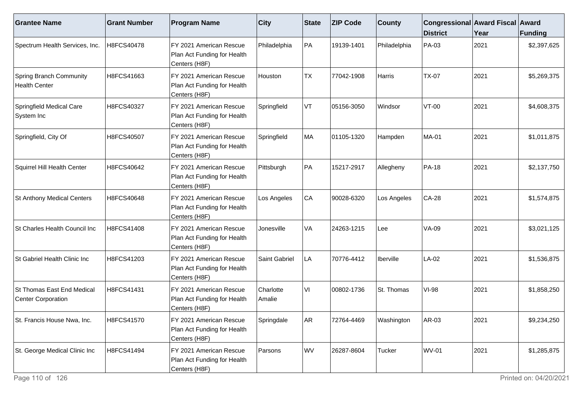| <b>Grantee Name</b>                                     | <b>Grant Number</b> | <b>Program Name</b>                                                     | $ $ City            | <b>State</b> | <b>ZIP Code</b> | <b>County</b> | Congressional Award Fiscal Award<br><b>District</b> | Year | <b>Funding</b> |
|---------------------------------------------------------|---------------------|-------------------------------------------------------------------------|---------------------|--------------|-----------------|---------------|-----------------------------------------------------|------|----------------|
| Spectrum Health Services, Inc.                          | H8FCS40478          | FY 2021 American Rescue<br>Plan Act Funding for Health<br>Centers (H8F) | Philadelphia        | PA           | 19139-1401      | Philadelphia  | PA-03                                               | 2021 | \$2,397,625    |
| <b>Spring Branch Community</b><br><b>Health Center</b>  | H8FCS41663          | FY 2021 American Rescue<br>Plan Act Funding for Health<br>Centers (H8F) | Houston             | <b>TX</b>    | 77042-1908      | Harris        | <b>TX-07</b>                                        | 2021 | \$5,269,375    |
| Springfield Medical Care<br>System Inc                  | H8FCS40327          | FY 2021 American Rescue<br>Plan Act Funding for Health<br>Centers (H8F) | Springfield         | VT           | 05156-3050      | Windsor       | VT-00                                               | 2021 | \$4,608,375    |
| Springfield, City Of                                    | H8FCS40507          | FY 2021 American Rescue<br>Plan Act Funding for Health<br>Centers (H8F) | Springfield         | MA           | 01105-1320      | Hampden       | <b>MA-01</b>                                        | 2021 | \$1,011,875    |
| Squirrel Hill Health Center                             | H8FCS40642          | FY 2021 American Rescue<br>Plan Act Funding for Health<br>Centers (H8F) | Pittsburgh          | PA           | 15217-2917      | Allegheny     | PA-18                                               | 2021 | \$2,137,750    |
| St Anthony Medical Centers                              | H8FCS40648          | FY 2021 American Rescue<br>Plan Act Funding for Health<br>Centers (H8F) | Los Angeles         | CA           | 90028-6320      | Los Angeles   | <b>CA-28</b>                                        | 2021 | \$1,574,875    |
| St Charles Health Council Inc                           | H8FCS41408          | FY 2021 American Rescue<br>Plan Act Funding for Health<br>Centers (H8F) | Jonesville          | VA           | 24263-1215      | Lee           | <b>VA-09</b>                                        | 2021 | \$3,021,125    |
| St Gabriel Health Clinic Inc                            | H8FCS41203          | FY 2021 American Rescue<br>Plan Act Funding for Health<br>Centers (H8F) | Saint Gabriel       | LA           | 70776-4412      | Iberville     | LA-02                                               | 2021 | \$1,536,875    |
| St Thomas East End Medical<br><b>Center Corporation</b> | H8FCS41431          | FY 2021 American Rescue<br>Plan Act Funding for Health<br>Centers (H8F) | Charlotte<br>Amalie | VI           | 00802-1736      | St. Thomas    | <b>VI-98</b>                                        | 2021 | \$1,858,250    |
| St. Francis House Nwa, Inc.                             | H8FCS41570          | FY 2021 American Rescue<br>Plan Act Funding for Health<br>Centers (H8F) | Springdale          | AR           | 72764-4469      | Washington    | AR-03                                               | 2021 | \$9,234,250    |
| St. George Medical Clinic Inc                           | H8FCS41494          | FY 2021 American Rescue<br>Plan Act Funding for Health<br>Centers (H8F) | Parsons             | WV           | 26287-8604      | Tucker        | <b>WV-01</b>                                        | 2021 | \$1,285,875    |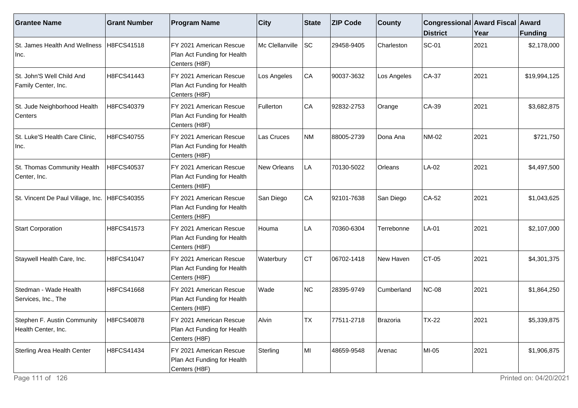| <b>Grantee Name</b>                                | <b>Grant Number</b> | <b>Program Name</b>                                                     | <b>City</b>     | State     | <b>ZIP Code</b> | <b>County</b> | Congressional Award Fiscal Award<br><b>District</b> | Year | Funding      |
|----------------------------------------------------|---------------------|-------------------------------------------------------------------------|-----------------|-----------|-----------------|---------------|-----------------------------------------------------|------|--------------|
| St. James Health And Wellness   H8FCS41518<br>Inc. |                     | FY 2021 American Rescue<br>Plan Act Funding for Health<br>Centers (H8F) | Mc Clellanville | SC        | 29458-9405      | Charleston    | <b>SC-01</b>                                        | 2021 | \$2,178,000  |
| St. John'S Well Child And<br>Family Center, Inc.   | H8FCS41443          | FY 2021 American Rescue<br>Plan Act Funding for Health<br>Centers (H8F) | Los Angeles     | CA        | 90037-3632      | Los Angeles   | $CA-37$                                             | 2021 | \$19,994,125 |
| St. Jude Neighborhood Health<br>Centers            | H8FCS40379          | FY 2021 American Rescue<br>Plan Act Funding for Health<br>Centers (H8F) | Fullerton       | CA        | 92832-2753      | Orange        | CA-39                                               | 2021 | \$3,682,875  |
| St. Luke'S Health Care Clinic,<br>Inc.             | H8FCS40755          | FY 2021 American Rescue<br>Plan Act Funding for Health<br>Centers (H8F) | Las Cruces      | NM        | 88005-2739      | l Dona Ana    | <b>NM-02</b>                                        | 2021 | \$721,750    |
| St. Thomas Community Health<br>Center, Inc.        | H8FCS40537          | FY 2021 American Rescue<br>Plan Act Funding for Health<br>Centers (H8F) | New Orleans     | LA        | 70130-5022      | Orleans       | LA-02                                               | 2021 | \$4,497,500  |
| St. Vincent De Paul Village, Inc. H8FCS40355       |                     | FY 2021 American Rescue<br>Plan Act Funding for Health<br>Centers (H8F) | San Diego       | CA        | 92101-7638      | San Diego     | CA-52                                               | 2021 | \$1,043,625  |
| <b>Start Corporation</b>                           | H8FCS41573          | FY 2021 American Rescue<br>Plan Act Funding for Health<br>Centers (H8F) | Houma           | LA        | 70360-6304      | Terrebonne    | $LA-01$                                             | 2021 | \$2,107,000  |
| Staywell Health Care, Inc.                         | H8FCS41047          | FY 2021 American Rescue<br>Plan Act Funding for Health<br>Centers (H8F) | Waterbury       | <b>CT</b> | 06702-1418      | New Haven     | $CT-05$                                             | 2021 | \$4,301,375  |
| Stedman - Wade Health<br>Services, Inc., The       | H8FCS41668          | FY 2021 American Rescue<br>Plan Act Funding for Health<br>Centers (H8F) | Wade            | NC        | 28395-9749      | Cumberland    | NC-08                                               | 2021 | \$1,864,250  |
| Stephen F. Austin Community<br>Health Center, Inc. | H8FCS40878          | FY 2021 American Rescue<br>Plan Act Funding for Health<br>Centers (H8F) | Alvin           | TX        | 77511-2718      | Brazoria      | <b>TX-22</b>                                        | 2021 | \$5,339,875  |
| Sterling Area Health Center                        | H8FCS41434          | FY 2021 American Rescue<br>Plan Act Funding for Health<br>Centers (H8F) | Sterling        | MI        | 48659-9548      | <b>Arenac</b> | MI-05                                               | 2021 | \$1,906,875  |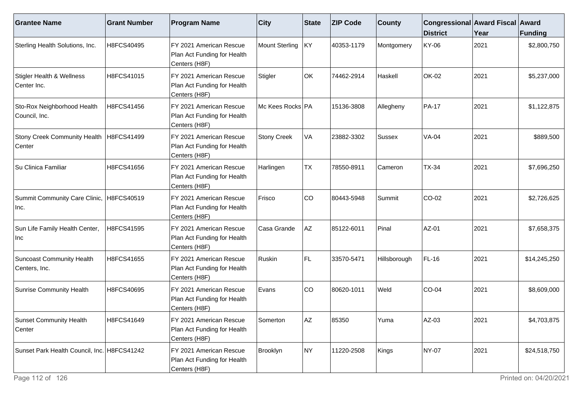| <b>Grantee Name</b>                                 | <b>Grant Number</b> | <b>Program Name</b>                                                     | <b>City</b>        | State     | <b>ZIP Code</b> | <b>County</b> | Congressional Award Fiscal Award<br><b>District</b> | Year | Funding      |
|-----------------------------------------------------|---------------------|-------------------------------------------------------------------------|--------------------|-----------|-----------------|---------------|-----------------------------------------------------|------|--------------|
| Sterling Health Solutions, Inc.                     | H8FCS40495          | FY 2021 American Rescue<br>Plan Act Funding for Health<br>Centers (H8F) | Mount Sterling     | KY)       | 40353-1179      | Montgomery    | KY-06                                               | 2021 | \$2,800,750  |
| Stigler Health & Wellness<br>Center Inc.            | H8FCS41015          | FY 2021 American Rescue<br>Plan Act Funding for Health<br>Centers (H8F) | Stigler            | OK        | 74462-2914      | Haskell       | OK-02                                               | 2021 | \$5,237,000  |
| Sto-Rox Neighborhood Health<br>Council, Inc.        | H8FCS41456          | FY 2021 American Rescue<br>Plan Act Funding for Health<br>Centers (H8F) | Mc Kees Rocks PA   |           | 15136-3808      | Allegheny     | <b>PA-17</b>                                        | 2021 | \$1,122,875  |
| Stony Creek Community Health   H8FCS41499<br>Center |                     | FY 2021 American Rescue<br>Plan Act Funding for Health<br>Centers (H8F) | <b>Stony Creek</b> | VA        | 23882-3302      | <b>Sussex</b> | <b>VA-04</b>                                        | 2021 | \$889,500    |
| Su Clinica Familiar                                 | H8FCS41656          | FY 2021 American Rescue<br>Plan Act Funding for Health<br>Centers (H8F) | Harlingen          | <b>TX</b> | 78550-8911      | Cameron       | <b>TX-34</b>                                        | 2021 | \$7,696,250  |
| Summit Community Care Clinic, H8FCS40519<br>Inc.    |                     | FY 2021 American Rescue<br>Plan Act Funding for Health<br>Centers (H8F) | Frisco             | CO        | 80443-5948      | Summit        | CO-02                                               | 2021 | \$2,726,625  |
| Sun Life Family Health Center,<br>Inc               | H8FCS41595          | FY 2021 American Rescue<br>Plan Act Funding for Health<br>Centers (H8F) | Casa Grande        | AZ        | 85122-6011      | Pinal         | AZ-01                                               | 2021 | \$7,658,375  |
| Suncoast Community Health<br>Centers, Inc.          | H8FCS41655          | FY 2021 American Rescue<br>Plan Act Funding for Health<br>Centers (H8F) | Ruskin             | FL        | 33570-5471      | Hillsborough  | FL-16                                               | 2021 | \$14,245,250 |
| Sunrise Community Health                            | H8FCS40695          | FY 2021 American Rescue<br>Plan Act Funding for Health<br>Centers (H8F) | Evans              | CO        | 80620-1011      | Weld          | $CO-04$                                             | 2021 | \$8,609,000  |
| Sunset Community Health<br>Center                   | H8FCS41649          | FY 2021 American Rescue<br>Plan Act Funding for Health<br>Centers (H8F) | Somerton           | AZ        | 85350           | Yuma          | $AZ-03$                                             | 2021 | \$4,703,875  |
| Sunset Park Health Council, Inc. H8FCS41242         |                     | FY 2021 American Rescue<br>Plan Act Funding for Health<br>Centers (H8F) | Brooklyn           | NY.       | 11220-2508      | Kings         | <b>NY-07</b>                                        | 2021 | \$24,518,750 |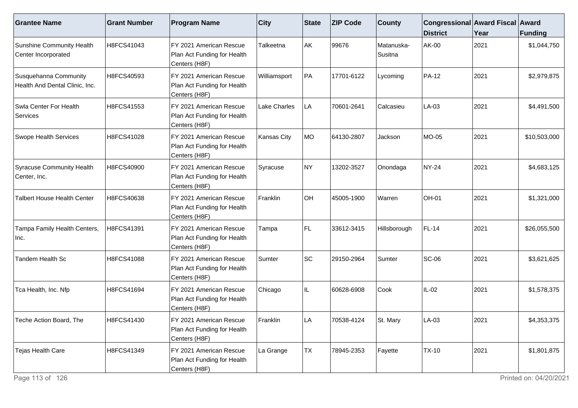| <b>Grantee Name</b>                                     | <b>Grant Number</b> | <b>Program Name</b>                                                     | $ $ City            | State | <b>ZIP Code</b> | <b>County</b>         | Congressional Award Fiscal Award<br><b>District</b> | Year | Funding      |
|---------------------------------------------------------|---------------------|-------------------------------------------------------------------------|---------------------|-------|-----------------|-----------------------|-----------------------------------------------------|------|--------------|
| Sunshine Community Health<br>Center Incorporated        | H8FCS41043          | FY 2021 American Rescue<br>Plan Act Funding for Health<br>Centers (H8F) | Talkeetna           | AK    | 99676           | Matanuska-<br>Susitna | AK-00                                               | 2021 | \$1,044,750  |
| Susquehanna Community<br>Health And Dental Clinic, Inc. | H8FCS40593          | FY 2021 American Rescue<br>Plan Act Funding for Health<br>Centers (H8F) | Williamsport        | PA    | 17701-6122      | Lycoming              | PA-12                                               | 2021 | \$2,979,875  |
| Swla Center For Health<br>Services                      | H8FCS41553          | FY 2021 American Rescue<br>Plan Act Funding for Health<br>Centers (H8F) | <b>Lake Charles</b> | LA    | 70601-2641      | Calcasieu             | LA-03                                               | 2021 | \$4,491,500  |
| <b>Swope Health Services</b>                            | H8FCS41028          | FY 2021 American Rescue<br>Plan Act Funding for Health<br>Centers (H8F) | Kansas City         | MO    | 64130-2807      | Jackson               | MO-05                                               | 2021 | \$10,503,000 |
| Syracuse Community Health<br>Center, Inc.               | H8FCS40900          | FY 2021 American Rescue<br>Plan Act Funding for Health<br>Centers (H8F) | Syracuse            | NY)   | 13202-3527      | Onondaga              | NY-24                                               | 2021 | \$4,683,125  |
| <b>Talbert House Health Center</b>                      | H8FCS40638          | FY 2021 American Rescue<br>Plan Act Funding for Health<br>Centers (H8F) | <b>IFranklin</b>    | lон   | 45005-1900      | Warren                | OH-01                                               | 2021 | \$1,321,000  |
| Tampa Family Health Centers,<br>Inc.                    | H8FCS41391          | FY 2021 American Rescue<br>Plan Act Funding for Health<br>Centers (H8F) | Tampa               | FL.   | 33612-3415      | Hillsborough          | FL-14                                               | 2021 | \$26,055,500 |
| Tandem Health Sc                                        | H8FCS41088          | FY 2021 American Rescue<br>Plan Act Funding for Health<br>Centers (H8F) | Sumter              | SC    | 29150-2964      | Sumter                | <b>SC-06</b>                                        | 2021 | \$3,621,625  |
| Tca Health, Inc. Nfp                                    | H8FCS41694          | FY 2021 American Rescue<br>Plan Act Funding for Health<br>Centers (H8F) | Chicago             | IL.   | 60628-6908      | Cook                  | $IL-02$                                             | 2021 | \$1,578,375  |
| Teche Action Board, The                                 | H8FCS41430          | FY 2021 American Rescue<br>Plan Act Funding for Health<br>Centers (H8F) | Franklin            | _A    | 70538-4124      | St. Mary              | LA-03                                               | 2021 | \$4,353,375  |
| Tejas Health Care                                       | H8FCS41349          | FY 2021 American Rescue<br>Plan Act Funding for Health<br>Centers (H8F) | La Grange           | TX    | 78945-2353      | Fayette               | <b>TX-10</b>                                        | 2021 | \$1,801,875  |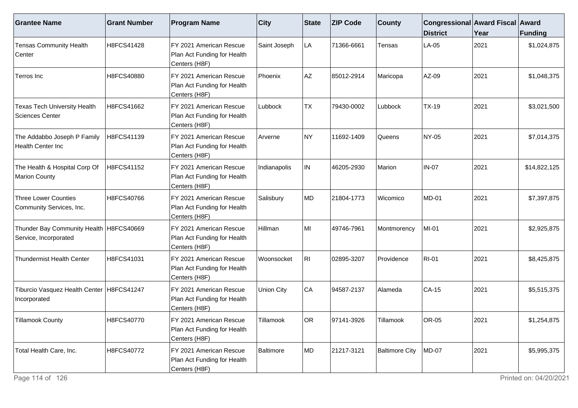| <b>Grantee Name</b>                                                | <b>Grant Number</b> | <b>Program Name</b>                                                      | $ $ City          | <b>State</b> | <b>ZIP Code</b> | <b>County</b>         | Congressional Award Fiscal Award<br><b>District</b> | Year | <b>Funding</b> |
|--------------------------------------------------------------------|---------------------|--------------------------------------------------------------------------|-------------------|--------------|-----------------|-----------------------|-----------------------------------------------------|------|----------------|
| <b>Tensas Community Health</b><br>Center                           | H8FCS41428          | FY 2021 American Rescue<br>Plan Act Funding for Health<br>Centers (H8F)  | Saint Joseph      | LA           | 71366-6661      | Tensas                | LA-05                                               | 2021 | \$1,024,875    |
| Terros Inc                                                         | H8FCS40880          | FY 2021 American Rescue<br>Plan Act Funding for Health<br>Centers (H8F)  | Phoenix           | AZ           | 85012-2914      | Maricopa              | AZ-09                                               | 2021 | \$1,048,375    |
| <b>Texas Tech University Health</b><br>Sciences Center             | H8FCS41662          | FY 2021 American Rescue<br>Plan Act Funding for Health<br>Centers (H8F)  | Lubbock           | <b>TX</b>    | 79430-0002      | Lubbock               | <b>TX-19</b>                                        | 2021 | \$3,021,500    |
| The Addabbo Joseph P Family<br>Health Center Inc                   | H8FCS41139          | FY 2021 American Rescue<br>Plan Act Funding for Health<br>Centers (H8F)  | Arverne           | NY)          | 11692-1409      | Queens                | NY-05                                               | 2021 | \$7,014,375    |
| The Health & Hospital Corp Of<br>Marion County                     | H8FCS41152          | FY 2021 American Rescue<br>Plan Act Funding for Health<br>Centers (H8F)  | Indianapolis      | IN.          | 46205-2930      | Marion                | <b>IN-07</b>                                        | 2021 | \$14,822,125   |
| <b>Three Lower Counties</b><br>Community Services, Inc.            | H8FCS40766          | IFY 2021 American Rescue<br>Plan Act Funding for Health<br>Centers (H8F) | Salisbury         | MD           | 21804-1773      | Wicomico              | <b>MD-01</b>                                        | 2021 | \$7,397,875    |
| Thunder Bay Community Health   H8FCS40669<br>Service, Incorporated |                     | FY 2021 American Rescue<br>Plan Act Funding for Health<br>Centers (H8F)  | Hillman           | MI           | 49746-7961      | Montmorency           | MI-01                                               | 2021 | \$2,925,875    |
| Thundermist Health Center                                          | H8FCS41031          | FY 2021 American Rescue<br>Plan Act Funding for Health<br>Centers (H8F)  | Woonsocket        | RII          | 02895-3207      | Providence            | <b>RI-01</b>                                        | 2021 | \$8,425,875    |
| Tiburcio Vasquez Health Center   H8FCS41247<br>Incorporated        |                     | FY 2021 American Rescue<br>Plan Act Funding for Health<br>Centers (H8F)  | <b>Union City</b> | CA           | 94587-2137      | Alameda               | <b>CA-15</b>                                        | 2021 | \$5,515,375    |
| Tillamook County                                                   | H8FCS40770          | FY 2021 American Rescue<br>Plan Act Funding for Health<br>Centers (H8F)  | Tillamook         | OR           | 97141-3926      | Tillamook             | OR-05                                               | 2021 | \$1,254,875    |
| Total Health Care, Inc.                                            | H8FCS40772          | FY 2021 American Rescue<br>Plan Act Funding for Health<br>Centers (H8F)  | Baltimore         | MD           | 21217-3121      | <b>Baltimore City</b> | <b>MD-07</b>                                        | 2021 | \$5,995,375    |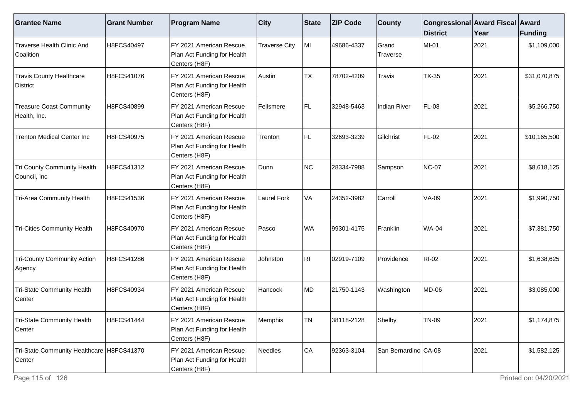| <b>Grantee Name</b>                                   | <b>Grant Number</b> | <b>Program Name</b>                                                     | $ $ City             | State     | <b>ZIP Code</b> | <b>County</b>        | Congressional Award Fiscal Award<br><b>District</b> | Year | <b>Funding</b> |
|-------------------------------------------------------|---------------------|-------------------------------------------------------------------------|----------------------|-----------|-----------------|----------------------|-----------------------------------------------------|------|----------------|
| Traverse Health Clinic And<br>Coalition               | H8FCS40497          | FY 2021 American Rescue<br>Plan Act Funding for Health<br>Centers (H8F) | <b>Traverse City</b> | MI        | 49686-4337      | Grand<br>Traverse    | MI-01                                               | 2021 | \$1,109,000    |
| <b>Travis County Healthcare</b><br><b>District</b>    | H8FCS41076          | FY 2021 American Rescue<br>Plan Act Funding for Health<br>Centers (H8F) | Austin               | <b>TX</b> | 78702-4209      | Travis               | <b>TX-35</b>                                        | 2021 | \$31,070,875   |
| <b>Treasure Coast Community</b><br>Health, Inc.       | H8FCS40899          | FY 2021 American Rescue<br>Plan Act Funding for Health<br>Centers (H8F) | Fellsmere            | FL.       | 32948-5463      | Indian River         | <b>FL-08</b>                                        | 2021 | \$5,266,750    |
| <b>Trenton Medical Center Inc</b>                     | H8FCS40975          | FY 2021 American Rescue<br>Plan Act Funding for Health<br>Centers (H8F) | Trenton              | FL.       | 32693-3239      | Gilchrist            | <b>FL-02</b>                                        | 2021 | \$10,165,500   |
| Tri County Community Health<br>Council, Inc           | H8FCS41312          | FY 2021 American Rescue<br>Plan Act Funding for Health<br>Centers (H8F) | Dunn                 | <b>NC</b> | 28334-7988      | Sampson              | <b>NC-07</b>                                        | 2021 | \$8,618,125    |
| Tri-Area Community Health                             | H8FCS41536          | FY 2021 American Rescue<br>Plan Act Funding for Health<br>Centers (H8F) | <b>Laurel Fork</b>   | VA        | 24352-3982      | Carroll              | <b>VA-09</b>                                        | 2021 | \$1,990,750    |
| <b>Tri-Cities Community Health</b>                    | H8FCS40970          | FY 2021 American Rescue<br>Plan Act Funding for Health<br>Centers (H8F) | Pasco                | <b>WA</b> | 99301-4175      | Franklin             | <b>WA-04</b>                                        | 2021 | \$7,381,750    |
| <b>Tri-County Community Action</b><br> Agency         | H8FCS41286          | FY 2021 American Rescue<br>Plan Act Funding for Health<br>Centers (H8F) | Johnston             | RI.       | 02919-7109      | Providence           | <b>RI-02</b>                                        | 2021 | \$1,638,625    |
| Tri-State Community Health<br>Center                  | H8FCS40934          | FY 2021 American Rescue<br>Plan Act Funding for Health<br>Centers (H8F) | Hancock              | MD        | 21750-1143      | Washington           | <b>MD-06</b>                                        | 2021 | \$3,085,000    |
| Tri-State Community Health<br>Center                  | H8FCS41444          | FY 2021 American Rescue<br>Plan Act Funding for Health<br>Centers (H8F) | Memphis              | TN        | 38118-2128      | Shelby               | <b>TN-09</b>                                        | 2021 | \$1,174,875    |
| Tri-State Community Healthcare   H8FCS41370<br>Center |                     | FY 2021 American Rescue<br>Plan Act Funding for Health<br>Centers (H8F) | Needles              | CA        | 92363-3104      | San Bernardino CA-08 |                                                     | 2021 | \$1,582,125    |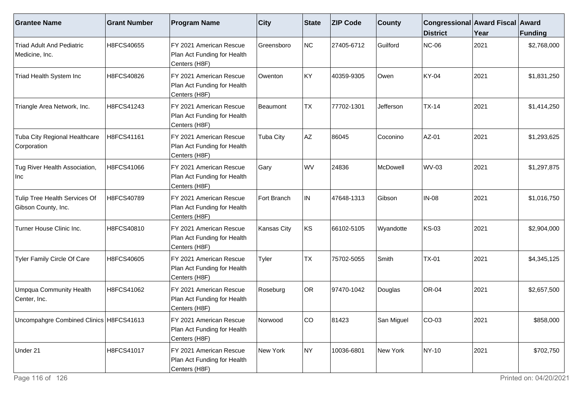| <b>Grantee Name</b>                                  | <b>Grant Number</b> | <b>Program Name</b>                                                      | <b>City</b>        | State     | <b>ZIP Code</b> | <b>County</b> | Congressional Award Fiscal Award<br><b>District</b> | Year | <b>Funding</b> |
|------------------------------------------------------|---------------------|--------------------------------------------------------------------------|--------------------|-----------|-----------------|---------------|-----------------------------------------------------|------|----------------|
| Triad Adult And Pediatric<br>Medicine, Inc.          | H8FCS40655          | FY 2021 American Rescue<br>Plan Act Funding for Health<br>Centers (H8F)  | Greensboro         | NC        | 27405-6712      | Guilford      | <b>NC-06</b>                                        | 2021 | \$2,768,000    |
| Triad Health System Inc                              | H8FCS40826          | FY 2021 American Rescue<br>Plan Act Funding for Health<br>Centers (H8F)  | Owenton            | KY        | 40359-9305      | Owen          | KY-04                                               | 2021 | \$1,831,250    |
| Triangle Area Network, Inc.                          | H8FCS41243          | FY 2021 American Rescue<br>Plan Act Funding for Health<br>Centers (H8F)  | Beaumont           | <b>TX</b> | 77702-1301      | Jefferson     | $TX-14$                                             | 2021 | \$1,414,250    |
| Tuba City Regional Healthcare<br>Corporation         | H8FCS41161          | FY 2021 American Rescue<br>Plan Act Funding for Health<br>Centers (H8F)  | <b>Tuba City</b>   | <b>AZ</b> | 86045           | Coconino      | AZ-01                                               | 2021 | \$1,293,625    |
| Tug River Health Association,<br>Inc                 | H8FCS41066          | FY 2021 American Rescue<br>Plan Act Funding for Health<br>Centers (H8F)  | Gary               | WV        | 24836           | McDowell      | <b>WV-03</b>                                        | 2021 | \$1,297,875    |
| Tulip Tree Health Services Of<br>Gibson County, Inc. | H8FCS40789          | IFY 2021 American Rescue<br>Plan Act Funding for Health<br>Centers (H8F) | Fort Branch        | IN.       | 47648-1313      | Gibson        | <b>IN-08</b>                                        | 2021 | \$1,016,750    |
| Turner House Clinic Inc.                             | H8FCS40810          | FY 2021 American Rescue<br>Plan Act Funding for Health<br>Centers (H8F)  | <b>Kansas City</b> | KS        | 66102-5105      | Wyandotte     | <b>KS-03</b>                                        | 2021 | \$2,904,000    |
| Tyler Family Circle Of Care                          | H8FCS40605          | FY 2021 American Rescue<br>Plan Act Funding for Health<br>Centers (H8F)  | Tyler              | <b>TX</b> | 75702-5055      | Smith         | $TX-01$                                             | 2021 | \$4,345,125    |
| <b>Umpqua Community Health</b><br>Center, Inc.       | H8FCS41062          | FY 2021 American Rescue<br>Plan Act Funding for Health<br>Centers (H8F)  | Roseburg           | OR        | 97470-1042      | Douglas       | <b>OR-04</b>                                        | 2021 | \$2,657,500    |
| Uncompahgre Combined Clinics   H8FCS41613            |                     | FY 2021 American Rescue<br>Plan Act Funding for Health<br>Centers (H8F)  | Norwood            | ∣co       | 81423           | San Miguel    | $CO-03$                                             | 2021 | \$858,000      |
| Under 21                                             | H8FCS41017          | FY 2021 American Rescue<br>Plan Act Funding for Health<br>Centers (H8F)  | New York           | NY.       | 10036-6801      | New York      | <b>NY-10</b>                                        | 2021 | \$702,750      |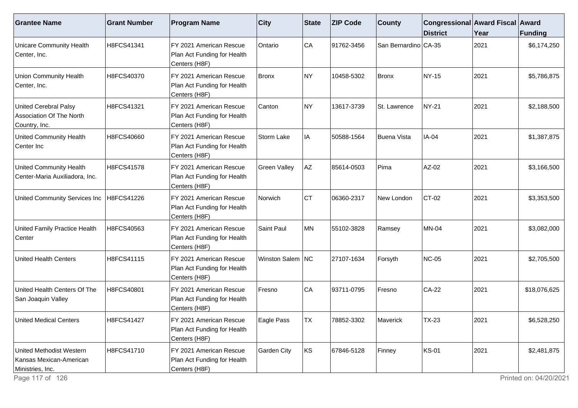| <b>Grantee Name</b>                                                       | <b>Grant Number</b> | <b>Program Name</b>                                                     | <b>City</b>         | <b>State</b> | <b>ZIP Code</b> | <b>County</b>        | Congressional Award Fiscal Award<br><b>District</b> | Year | <b>Funding</b> |
|---------------------------------------------------------------------------|---------------------|-------------------------------------------------------------------------|---------------------|--------------|-----------------|----------------------|-----------------------------------------------------|------|----------------|
| <b>Unicare Community Health</b><br>Center, Inc.                           | H8FCS41341          | FY 2021 American Rescue<br>Plan Act Funding for Health<br>Centers (H8F) | Ontario             | CA           | 91762-3456      | San Bernardino CA-35 |                                                     | 2021 | \$6,174,250    |
| <b>Union Community Health</b><br>Center, Inc.                             | H8FCS40370          | FY 2021 American Rescue<br>Plan Act Funding for Health<br>Centers (H8F) | Bronx               | NY)          | 10458-5302      | Bronx                | <b>NY-15</b>                                        | 2021 | \$5,786,875    |
| <b>United Cerebral Palsy</b><br>Association Of The North<br>Country, Inc. | H8FCS41321          | FY 2021 American Rescue<br>Plan Act Funding for Health<br>Centers (H8F) | Canton              | NY)          | 13617-3739      | St. Lawrence         | <b>NY-21</b>                                        | 2021 | \$2,188,500    |
| <b>United Community Health</b><br>Center Inc                              | H8FCS40660          | FY 2021 American Rescue<br>Plan Act Funding for Health<br>Centers (H8F) | Storm Lake          | IA           | 50588-1564      | <b>Buena Vista</b>   | IA-04                                               | 2021 | \$1,387,875    |
| United Community Health<br>Center-Maria Auxiliadora, Inc.                 | H8FCS41578          | FY 2021 American Rescue<br>Plan Act Funding for Health<br>Centers (H8F) | <b>Green Valley</b> | AZ           | 85614-0503      | Pima                 | AZ-02                                               | 2021 | \$3,166,500    |
| United Community Services Inc                                             | H8FCS41226          | FY 2021 American Rescue<br>Plan Act Funding for Health<br>Centers (H8F) | Norwich             | <b>CT</b>    | 06360-2317      | New London           | $CT-02$                                             | 2021 | \$3,353,500    |
| United Family Practice Health<br>Center                                   | H8FCS40563          | FY 2021 American Rescue<br>Plan Act Funding for Health<br>Centers (H8F) | Saint Paul          | MN           | 55102-3828      | Ramsey               | <b>MN-04</b>                                        | 2021 | \$3,082,000    |
| <b>United Health Centers</b>                                              | H8FCS41115          | FY 2021 American Rescue<br>Plan Act Funding for Health<br>Centers (H8F) | Winston Salem NC    |              | 27107-1634      | Forsyth              | <b>NC-05</b>                                        | 2021 | \$2,705,500    |
| United Health Centers Of The<br>San Joaquin Valley                        | H8FCS40801          | FY 2021 American Rescue<br>Plan Act Funding for Health<br>Centers (H8F) | Fresno              | CA           | 93711-0795      | Fresno               | $CA-22$                                             | 2021 | \$18,076,625   |
| United Medical Centers                                                    | H8FCS41427          | FY 2021 American Rescue<br>Plan Act Funding for Health<br>Centers (H8F) | Eagle Pass          | <b>TX</b>    | 78852-3302      | Maverick             | <b>TX-23</b>                                        | 2021 | \$6,528,250    |
| United Methodist Western<br>Kansas Mexican-American<br>Ministries, Inc.   | H8FCS41710          | FY 2021 American Rescue<br>Plan Act Funding for Health<br>Centers (H8F) | Garden City         | KS           | 67846-5128      | Finney               | <b>KS-01</b>                                        | 2021 | \$2,481,875    |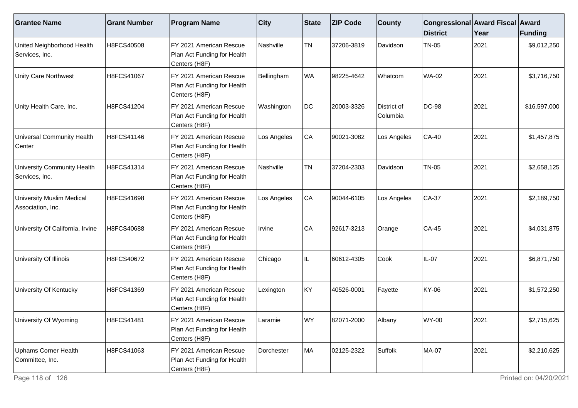| <b>Grantee Name</b>                                   | <b>Grant Number</b> | <b>Program Name</b>                                                     | <b>City</b> | State     | <b>ZIP Code</b> | <b>County</b>           | Congressional Award Fiscal Award<br><b>District</b> | Year | <b>Funding</b> |
|-------------------------------------------------------|---------------------|-------------------------------------------------------------------------|-------------|-----------|-----------------|-------------------------|-----------------------------------------------------|------|----------------|
| United Neighborhood Health<br>Services, Inc.          | H8FCS40508          | FY 2021 American Rescue<br>Plan Act Funding for Health<br>Centers (H8F) | Nashville   | <b>TN</b> | 37206-3819      | Davidson                | <b>TN-05</b>                                        | 2021 | \$9,012,250    |
| Unity Care Northwest                                  | H8FCS41067          | FY 2021 American Rescue<br>Plan Act Funding for Health<br>Centers (H8F) | Bellingham  | WA        | 98225-4642      | Whatcom                 | <b>WA-02</b>                                        | 2021 | \$3,716,750    |
| Unity Health Care, Inc.                               | H8FCS41204          | FY 2021 American Rescue<br>Plan Act Funding for Health<br>Centers (H8F) | Washington  | DC        | 20003-3326      | District of<br>Columbia | <b>DC-98</b>                                        | 2021 | \$16,597,000   |
| Universal Community Health<br>Center                  | H8FCS41146          | FY 2021 American Rescue<br>Plan Act Funding for Health<br>Centers (H8F) | Los Angeles | CA        | 90021-3082      | Los Angeles             | $CA-40$                                             | 2021 | \$1,457,875    |
| University Community Health<br>Services, Inc.         | H8FCS41314          | FY 2021 American Rescue<br>Plan Act Funding for Health<br>Centers (H8F) | Nashville   | <b>TN</b> | 37204-2303      | Davidson                | <b>TN-05</b>                                        | 2021 | \$2,658,125    |
| <b>University Muslim Medical</b><br>Association, Inc. | H8FCS41698          | FY 2021 American Rescue<br>Plan Act Funding for Health<br>Centers (H8F) | Los Angeles | CA        | 90044-6105      | Los Angeles             | CA-37                                               | 2021 | \$2,189,750    |
| University Of California, Irvine                      | H8FCS40688          | FY 2021 American Rescue<br>Plan Act Funding for Health<br>Centers (H8F) | Irvine      | CA        | 92617-3213      | Orange                  | CA-45                                               | 2021 | \$4,031,875    |
| University Of Illinois                                | H8FCS40672          | FY 2021 American Rescue<br>Plan Act Funding for Health<br>Centers (H8F) | Chicago     | IL        | 60612-4305      | Cook                    | $IL-07$                                             | 2021 | \$6,871,750    |
| University Of Kentucky                                | H8FCS41369          | FY 2021 American Rescue<br>Plan Act Funding for Health<br>Centers (H8F) | Lexington   | KY        | 40526-0001      | Fayette                 | KY-06                                               | 2021 | \$1,572,250    |
| University Of Wyoming                                 | H8FCS41481          | FY 2021 American Rescue<br>Plan Act Funding for Health<br>Centers (H8F) | Laramie     | WY        | 82071-2000      | Albany                  | <b>WY-00</b>                                        | 2021 | \$2,715,625    |
| <b>Uphams Corner Health</b><br>Committee, Inc.        | H8FCS41063          | FY 2021 American Rescue<br>Plan Act Funding for Health<br>Centers (H8F) | Dorchester  | MA        | 02125-2322      | Suffolk                 | <b>MA-07</b>                                        | 2021 | \$2,210,625    |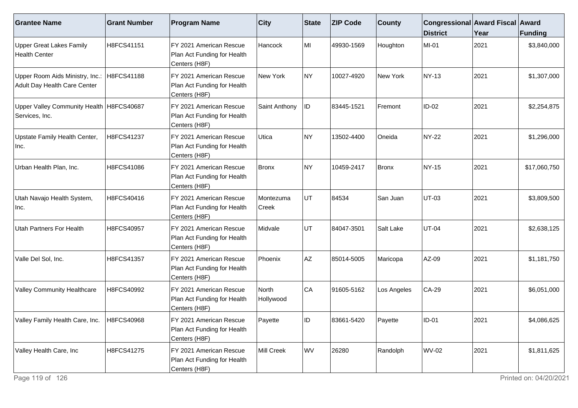| <b>Grantee Name</b>                                             | <b>Grant Number</b> | <b>Program Name</b>                                                      | <b>City</b>        | State | <b>ZIP Code</b> | <b>County</b> | Congressional Award Fiscal Award<br><b>District</b> | Year | Funding      |
|-----------------------------------------------------------------|---------------------|--------------------------------------------------------------------------|--------------------|-------|-----------------|---------------|-----------------------------------------------------|------|--------------|
| <b>Upper Great Lakes Family</b><br><b>Health Center</b>         | H8FCS41151          | FY 2021 American Rescue<br>Plan Act Funding for Health<br>Centers (H8F)  | Hancock            | MI    | 49930-1569      | Houghton      | MI-01                                               | 2021 | \$3,840,000  |
| Upper Room Aids Ministry, Inc.:<br>Adult Day Health Care Center | H8FCS41188          | FY 2021 American Rescue<br>Plan Act Funding for Health<br>Centers (H8F)  | New York           | NY)   | 10027-4920      | New York      | <b>NY-13</b>                                        | 2021 | \$1,307,000  |
| Upper Valley Community Health   H8FCS40687<br>Services, Inc.    |                     | FY 2021 American Rescue<br>Plan Act Funding for Health<br>Centers (H8F)  | Saint Anthony      | ID    | 83445-1521      | Fremont       | $ID-02$                                             | 2021 | \$2,254,875  |
| Upstate Family Health Center,<br>Inc.                           | H8FCS41237          | IFY 2021 American Rescue<br>Plan Act Funding for Health<br>Centers (H8F) | Utica              | NY)   | 13502-4400      | Oneida        | <b>NY-22</b>                                        | 2021 | \$1,296,000  |
| Urban Health Plan, Inc.                                         | H8FCS41086          | FY 2021 American Rescue<br>Plan Act Funding for Health<br>Centers (H8F)  | Bronx              | NY)   | 10459-2417      | <b>Bronx</b>  | NY-15                                               | 2021 | \$17,060,750 |
| Utah Navajo Health System,<br>Inc.                              | H8FCS40416          | FY 2021 American Rescue<br>Plan Act Funding for Health<br>Centers (H8F)  | Montezuma<br>Creek | UT    | 84534           | San Juan      | UT-03                                               | 2021 | \$3,809,500  |
| Utah Partners For Health                                        | H8FCS40957          | FY 2021 American Rescue<br>Plan Act Funding for Health<br>Centers (H8F)  | Midvale            | UT    | 84047-3501      | Salt Lake     | <b>UT-04</b>                                        | 2021 | \$2,638,125  |
| Valle Del Sol, Inc.                                             | H8FCS41357          | FY 2021 American Rescue<br>Plan Act Funding for Health<br>Centers (H8F)  | Phoenix            | AZ    | 85014-5005      | Maricopa      | AZ-09                                               | 2021 | \$1,181,750  |
| <b>Valley Community Healthcare</b>                              | H8FCS40992          | FY 2021 American Rescue<br>Plan Act Funding for Health<br>Centers (H8F)  | North<br>Hollywood | CA    | 91605-5162      | Los Angeles   | $CA-29$                                             | 2021 | \$6,051,000  |
| Valley Family Health Care, Inc.                                 | H8FCS40968          | FY 2021 American Rescue<br>Plan Act Funding for Health<br>Centers (H8F)  | Payette            | ID    | 83661-5420      | Payette       | $ID-01$                                             | 2021 | \$4,086,625  |
| Valley Health Care, Inc                                         | H8FCS41275          | FY 2021 American Rescue<br>Plan Act Funding for Health<br>Centers (H8F)  | Mill Creek         | wv    | 26280           | Randolph      | <b>WV-02</b>                                        | 2021 | \$1,811,625  |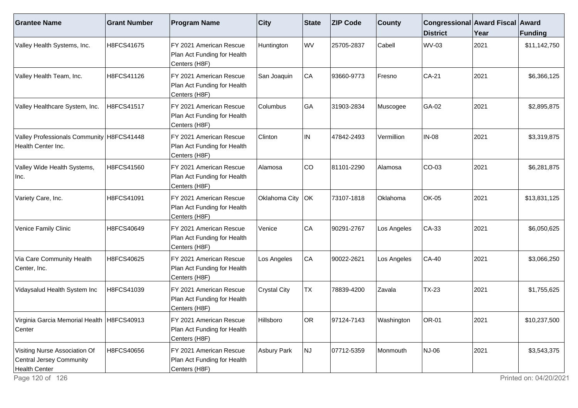| <b>Grantee Name</b>                                                        | <b>Grant Number</b> | <b>Program Name</b>                                                     | $ $ City            | <b>State</b> | <b>ZIP Code</b> | <b>County</b> | Congressional Award Fiscal Award<br><b>District</b> | Year | <b>Funding</b> |
|----------------------------------------------------------------------------|---------------------|-------------------------------------------------------------------------|---------------------|--------------|-----------------|---------------|-----------------------------------------------------|------|----------------|
| Valley Health Systems, Inc.                                                | H8FCS41675          | FY 2021 American Rescue<br>Plan Act Funding for Health<br>Centers (H8F) | Huntington          | <b>WV</b>    | 25705-2837      | Cabell        | <b>WV-03</b>                                        | 2021 | \$11,142,750   |
| Valley Health Team, Inc.                                                   | H8FCS41126          | FY 2021 American Rescue<br>Plan Act Funding for Health<br>Centers (H8F) | San Joaquin         | CA           | 93660-9773      | Fresno        | CA-21                                               | 2021 | \$6,366,125    |
| Valley Healthcare System, Inc.                                             | H8FCS41517          | FY 2021 American Rescue<br>Plan Act Funding for Health<br>Centers (H8F) | Columbus            | GA           | 31903-2834      | Muscogee      | GA-02                                               | 2021 | \$2,895,875    |
| Valley Professionals Community   H8FCS41448<br>Health Center Inc.          |                     | FY 2021 American Rescue<br>Plan Act Funding for Health<br>Centers (H8F) | Clinton             | IN           | 47842-2493      | Vermillion    | <b>IN-08</b>                                        | 2021 | \$3,319,875    |
| Valley Wide Health Systems,<br>Inc.                                        | H8FCS41560          | FY 2021 American Rescue<br>Plan Act Funding for Health<br>Centers (H8F) | Alamosa             | CO           | 81101-2290      | Alamosa       | CO-03                                               | 2021 | \$6,281,875    |
| Variety Care, Inc.                                                         | H8FCS41091          | FY 2021 American Rescue<br>Plan Act Funding for Health<br>Centers (H8F) | Oklahoma City       | OK           | 73107-1818      | Oklahoma      | <b>OK-05</b>                                        | 2021 | \$13,831,125   |
| Venice Family Clinic                                                       | H8FCS40649          | FY 2021 American Rescue<br>Plan Act Funding for Health<br>Centers (H8F) | Venice              | CA           | 90291-2767      | Los Angeles   | CA-33                                               | 2021 | \$6,050,625    |
| Via Care Community Health<br>Center, Inc.                                  | H8FCS40625          | FY 2021 American Rescue<br>Plan Act Funding for Health<br>Centers (H8F) | Los Angeles         | CA           | 90022-2621      | Los Angeles   | <b>CA-40</b>                                        | 2021 | \$3,066,250    |
| Vidaysalud Health System Inc                                               | H8FCS41039          | FY 2021 American Rescue<br>Plan Act Funding for Health<br>Centers (H8F) | <b>Crystal City</b> | <b>TX</b>    | 78839-4200      | Zavala        | <b>TX-23</b>                                        | 2021 | \$1,755,625    |
| Virginia Garcia Memorial Health   H8FCS40913<br>Center                     |                     | FY 2021 American Rescue<br>Plan Act Funding for Health<br>Centers (H8F) | Hillsboro           | OR           | 97124-7143      | Washington    | <b>OR-01</b>                                        | 2021 | \$10,237,500   |
| Visiting Nurse Association Of<br>Central Jersey Community<br>Health Center | H8FCS40656          | FY 2021 American Rescue<br>Plan Act Funding for Health<br>Centers (H8F) | <b>Asbury Park</b>  | NJ           | 07712-5359      | Monmouth      | NJ-06                                               | 2021 | \$3,543,375    |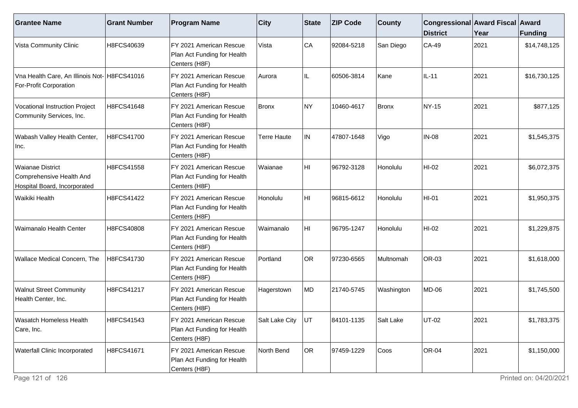| <b>Grantee Name</b>                                                           | <b>Grant Number</b> | <b>Program Name</b>                                                     | <b>City</b>        | State     | <b>ZIP Code</b> | <b>County</b> | Congressional Award Fiscal Award<br><b>District</b> | Year | Funding      |
|-------------------------------------------------------------------------------|---------------------|-------------------------------------------------------------------------|--------------------|-----------|-----------------|---------------|-----------------------------------------------------|------|--------------|
| Vista Community Clinic                                                        | H8FCS40639          | FY 2021 American Rescue<br>Plan Act Funding for Health<br>Centers (H8F) | Vista              | CA        | 92084-5218      | San Diego     | CA-49                                               | 2021 | \$14,748,125 |
| Vna Health Care, An Illinois Not- H8FCS41016<br><b>For-Profit Corporation</b> |                     | FY 2021 American Rescue<br>Plan Act Funding for Health<br>Centers (H8F) | Aurora             | IL        | 60506-3814      | Kane          | $IL-11$                                             | 2021 | \$16,730,125 |
| Vocational Instruction Project<br>Community Services, Inc.                    | H8FCS41648          | FY 2021 American Rescue<br>Plan Act Funding for Health<br>Centers (H8F) | Bronx              | NY)       | 10460-4617      | Bronx         | <b>NY-15</b>                                        | 2021 | \$877,125    |
| Wabash Valley Health Center,<br>Inc.                                          | H8FCS41700          | FY 2021 American Rescue<br>Plan Act Funding for Health<br>Centers (H8F) | <b>Terre Haute</b> | IN.       | 47807-1648      | Vigo          | <b>IN-08</b>                                        | 2021 | \$1,545,375  |
| Waianae District<br>Comprehensive Health And<br>Hospital Board, Incorporated  | H8FCS41558          | FY 2021 American Rescue<br>Plan Act Funding for Health<br>Centers (H8F) | Waianae            | HI        | 96792-3128      | Honolulu      | $HI-02$                                             | 2021 | \$6,072,375  |
| Waikiki Health                                                                | H8FCS41422          | FY 2021 American Rescue<br>Plan Act Funding for Health<br>Centers (H8F) | Honolulu           | HI.       | 96815-6612      | Honolulu      | HI-01                                               | 2021 | \$1,950,375  |
| Waimanalo Health Center                                                       | H8FCS40808          | FY 2021 American Rescue<br>Plan Act Funding for Health<br>Centers (H8F) | Waimanalo          | HI.       | 96795-1247      | Honolulu      | $HI-02$                                             | 2021 | \$1,229,875  |
| <b>Wallace Medical Concern, The</b>                                           | H8FCS41730          | FY 2021 American Rescue<br>Plan Act Funding for Health<br>Centers (H8F) | Portland           | <b>OR</b> | 97230-6565      | Multnomah     | OR-03                                               | 2021 | \$1,618,000  |
| <b>Walnut Street Community</b><br>Health Center, Inc.                         | H8FCS41217          | FY 2021 American Rescue<br>Plan Act Funding for Health<br>Centers (H8F) | Hagerstown         | MD        | 21740-5745      | Washington    | <b>MD-06</b>                                        | 2021 | \$1,745,500  |
| <b>Wasatch Homeless Health</b><br>Care, Inc.                                  | H8FCS41543          | FY 2021 American Rescue<br>Plan Act Funding for Health<br>Centers (H8F) | Salt Lake City     | <b>UT</b> | 84101-1135      | Salt Lake     | <b>UT-02</b>                                        | 2021 | \$1,783,375  |
| <b>Waterfall Clinic Incorporated</b>                                          | H8FCS41671          | FY 2021 American Rescue<br>Plan Act Funding for Health<br>Centers (H8F) | North Bend         | OR        | 97459-1229      | Coos          | <b>OR-04</b>                                        | 2021 | \$1,150,000  |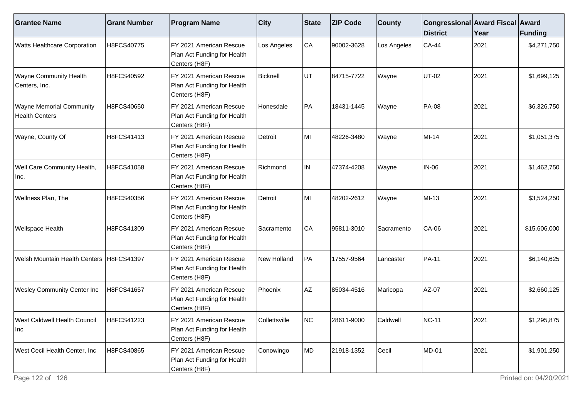| <b>Grantee Name</b>                                      | <b>Grant Number</b> | <b>Program Name</b>                                                     | <b>City</b>   | State | <b>ZIP Code</b> | <b>County</b> | Congressional Award Fiscal Award<br><b>District</b> | Year | Funding      |
|----------------------------------------------------------|---------------------|-------------------------------------------------------------------------|---------------|-------|-----------------|---------------|-----------------------------------------------------|------|--------------|
| <b>Watts Healthcare Corporation</b>                      | H8FCS40775          | FY 2021 American Rescue<br>Plan Act Funding for Health<br>Centers (H8F) | Los Angeles   | CA    | 90002-3628      | Los Angeles   | <b>CA-44</b>                                        | 2021 | \$4,271,750  |
| <b>Wayne Community Health</b><br>Centers, Inc.           | H8FCS40592          | FY 2021 American Rescue<br>Plan Act Funding for Health<br>Centers (H8F) | Bicknell      | UT    | 84715-7722      | Wayne         | <b>UT-02</b>                                        | 2021 | \$1,699,125  |
| <b>Wayne Memorial Community</b><br><b>Health Centers</b> | H8FCS40650          | FY 2021 American Rescue<br>Plan Act Funding for Health<br>Centers (H8F) | Honesdale     | PA    | 18431-1445      | Wayne         | <b>PA-08</b>                                        | 2021 | \$6,326,750  |
| Wayne, County Of                                         | H8FCS41413          | FY 2021 American Rescue<br>Plan Act Funding for Health<br>Centers (H8F) | Detroit       | MI    | 48226-3480      | Wayne         | MI-14                                               | 2021 | \$1,051,375  |
| Well Care Community Health,<br>Inc.                      | H8FCS41058          | FY 2021 American Rescue<br>Plan Act Funding for Health<br>Centers (H8F) | Richmond      | IN.   | 47374-4208      | Wayne         | <b>IN-06</b>                                        | 2021 | \$1,462,750  |
| Wellness Plan, The                                       | H8FCS40356          | FY 2021 American Rescue<br>Plan Act Funding for Health<br>Centers (H8F) | Detroit       | MI    | 48202-2612      | Wayne         | MI-13                                               | 2021 | \$3,524,250  |
| <b>Wellspace Health</b>                                  | H8FCS41309          | FY 2021 American Rescue<br>Plan Act Funding for Health<br>Centers (H8F) | Sacramento    | CA    | 95811-3010      | Sacramento    | CA-06                                               | 2021 | \$15,606,000 |
| Welsh Mountain Health Centers   H8FCS41397               |                     | FY 2021 American Rescue<br>Plan Act Funding for Health<br>Centers (H8F) | New Holland   | ∣PA   | 17557-9564      | Lancaster     | <b>PA-11</b>                                        | 2021 | \$6,140,625  |
| <b>Wesley Community Center Inc</b>                       | H8FCS41657          | FY 2021 American Rescue<br>Plan Act Funding for Health<br>Centers (H8F) | Phoenix       | AZ    | 85034-4516      | Maricopa      | AZ-07                                               | 2021 | \$2,660,125  |
| West Caldwell Health Council<br> Inc                     | H8FCS41223          | FY 2021 American Rescue<br>Plan Act Funding for Health<br>Centers (H8F) | Collettsville | INC.  | 28611-9000      | Caldwell      | <b>NC-11</b>                                        | 2021 | \$1,295,875  |
| West Cecil Health Center, Inc                            | H8FCS40865          | FY 2021 American Rescue<br>Plan Act Funding for Health<br>Centers (H8F) | Conowingo     | MD    | 21918-1352      | Cecil         | <b>MD-01</b>                                        | 2021 | \$1,901,250  |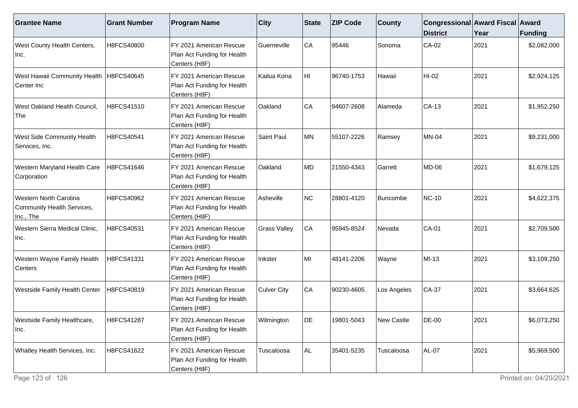| <b>Grantee Name</b>                                                      | <b>Grant Number</b> | <b>Program Name</b>                                                     | <b>City</b>         | State     | <b>ZIP Code</b> | <b>County</b> | Congressional Award Fiscal Award<br><b>District</b> | Year | <b>Funding</b> |
|--------------------------------------------------------------------------|---------------------|-------------------------------------------------------------------------|---------------------|-----------|-----------------|---------------|-----------------------------------------------------|------|----------------|
| <b>West County Health Centers,</b><br>Inc.                               | H8FCS40800          | FY 2021 American Rescue<br>Plan Act Funding for Health<br>Centers (H8F) | <b>Guerneville</b>  | CA        | 95446           | Sonoma        | $CA-02$                                             | 2021 | \$2,082,000    |
| West Hawaii Community Health   H8FCS40645<br>Center Inc                  |                     | FY 2021 American Rescue<br>Plan Act Funding for Health<br>Centers (H8F) | Kailua Kona         | HI        | 96740-1753      | Hawaii        | $HI-02$                                             | 2021 | \$2,924,125    |
| West Oakland Health Council,<br> The                                     | H8FCS41510          | FY 2021 American Rescue<br>Plan Act Funding for Health<br>Centers (H8F) | Oakland             | <b>CA</b> | 94607-2608      | Alameda       | $CA-13$                                             | 2021 | \$1,952,250    |
| <b>West Side Community Health</b><br>Services, Inc.                      | H8FCS40541          | FY 2021 American Rescue<br>Plan Act Funding for Health<br>Centers (H8F) | Saint Paul          | MN        | 55107-2226      | Ramsey        | <b>MN-04</b>                                        | 2021 | \$9,231,000    |
| Western Maryland Health Care<br>Corporation                              | H8FCS41646          | FY 2021 American Rescue<br>Plan Act Funding for Health<br>Centers (H8F) | Oakland             | MD        | 21550-4343      | Garrett       | <b>MD-06</b>                                        | 2021 | \$1,679,125    |
| <b>Western North Carolina</b><br>Community Health Services,<br>Inc., The | H8FCS40962          | FY 2021 American Rescue<br>Plan Act Funding for Health<br>Centers (H8F) | Asheville           | NC        | 28801-4120      | Buncombe      | <b>NC-10</b>                                        | 2021 | \$4,622,375    |
| Western Sierra Medical Clinic,<br>∣Inc.                                  | H8FCS40531          | FY 2021 American Rescue<br>Plan Act Funding for Health<br>Centers (H8F) | <b>Grass Valley</b> | CA        | 95945-8524      | Nevada        | CA-01                                               | 2021 | \$2,709,500    |
| Western Wayne Family Health<br>Centers                                   | H8FCS41331          | FY 2021 American Rescue<br>Plan Act Funding for Health<br>Centers (H8F) | Inkster             | MI        | 48141-2206      | Wayne         | MI-13                                               | 2021 | \$3,109,250    |
| <b>Westside Family Health Center</b>                                     | H8FCS40819          | FY 2021 American Rescue<br>Plan Act Funding for Health<br>Centers (H8F) | <b>Culver City</b>  | <b>CA</b> | 90230-4605      | Los Angeles   | $CA-37$                                             | 2021 | \$3,664,625    |
| Westside Family Healthcare,<br>∣Inc.                                     | H8FCS41287          | FY 2021 American Rescue<br>Plan Act Funding for Health<br>Centers (H8F) | Wilmington          | DE        | 19801-5043      | New Castle    | DE-00                                               | 2021 | \$6,073,250    |
| Whatley Health Services, Inc.                                            | H8FCS41622          | FY 2021 American Rescue<br>Plan Act Funding for Health<br>Centers (H8F) | Tuscaloosa          | AL.       | 35401-5235      | Tuscaloosa    | <b>AL-07</b>                                        | 2021 | \$5,969,500    |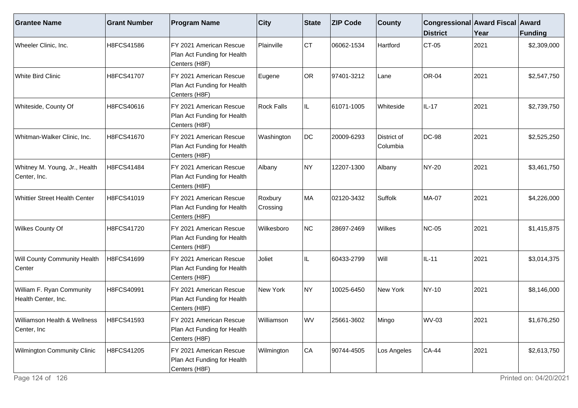| <b>Grantee Name</b>                              | <b>Grant Number</b> | <b>Program Name</b>                                                     | $ $ City            | <b>State</b> | <b>ZIP Code</b> | <b>County</b>           | Congressional Award Fiscal Award<br><b>District</b> | Year | Funding     |
|--------------------------------------------------|---------------------|-------------------------------------------------------------------------|---------------------|--------------|-----------------|-------------------------|-----------------------------------------------------|------|-------------|
| Wheeler Clinic, Inc.                             | H8FCS41586          | FY 2021 American Rescue<br>Plan Act Funding for Health<br>Centers (H8F) | Plainville          | Iст          | 06062-1534      | Hartford                | $CT-05$                                             | 2021 | \$2,309,000 |
| <b>White Bird Clinic</b>                         | H8FCS41707          | FY 2021 American Rescue<br>Plan Act Funding for Health<br>Centers (H8F) | Eugene              | OR           | 97401-3212      | Lane                    | <b>OR-04</b>                                        | 2021 | \$2,547,750 |
| Whiteside, County Of                             | H8FCS40616          | FY 2021 American Rescue<br>Plan Act Funding for Health<br>Centers (H8F) | <b>Rock Falls</b>   | IL.          | 61071-1005      | Whiteside               | $IL-17$                                             | 2021 | \$2,739,750 |
| Whitman-Walker Clinic, Inc.                      | H8FCS41670          | FY 2021 American Rescue<br>Plan Act Funding for Health<br>Centers (H8F) | Washington          | DC           | 20009-6293      | District of<br>Columbia | <b>DC-98</b>                                        | 2021 | \$2,525,250 |
| Whitney M. Young, Jr., Health<br>Center, Inc.    | H8FCS41484          | FY 2021 American Rescue<br>Plan Act Funding for Health<br>Centers (H8F) | Albany              | NY)          | 12207-1300      | Albany                  | NY-20                                               | 2021 | \$3,461,750 |
| <b>Whittier Street Health Center</b>             | H8FCS41019          | FY 2021 American Rescue<br>Plan Act Funding for Health<br>Centers (H8F) | Roxbury<br>Crossing | MA           | 02120-3432      | Suffolk                 | <b>MA-07</b>                                        | 2021 | \$4,226,000 |
| Wilkes County Of                                 | H8FCS41720          | FY 2021 American Rescue<br>Plan Act Funding for Health<br>Centers (H8F) | Wilkesboro          | NC           | 28697-2469      | Wilkes                  | <b>NC-05</b>                                        | 2021 | \$1,415,875 |
| Will County Community Health<br>Center           | H8FCS41699          | FY 2021 American Rescue<br>Plan Act Funding for Health<br>Centers (H8F) | Joliet              | IL.          | 60433-2799      | Will                    | $IL-11$                                             | 2021 | \$3,014,375 |
| William F. Ryan Community<br>Health Center, Inc. | H8FCS40991          | FY 2021 American Rescue<br>Plan Act Funding for Health<br>Centers (H8F) | New York            | NY)          | 10025-6450      | New York                | NY-10                                               | 2021 | \$8,146,000 |
| Williamson Health & Wellness<br>Center, Inc      | H8FCS41593          | FY 2021 American Rescue<br>Plan Act Funding for Health<br>Centers (H8F) | Williamson          | WV           | 25661-3602      | Mingo                   | <b>WV-03</b>                                        | 2021 | \$1,676,250 |
| <b>Wilmington Community Clinic</b>               | H8FCS41205          | FY 2021 American Rescue<br>Plan Act Funding for Health<br>Centers (H8F) | Wilmington          | CA           | 90744-4505      | Los Angeles             | <b>CA-44</b>                                        | 2021 | \$2,613,750 |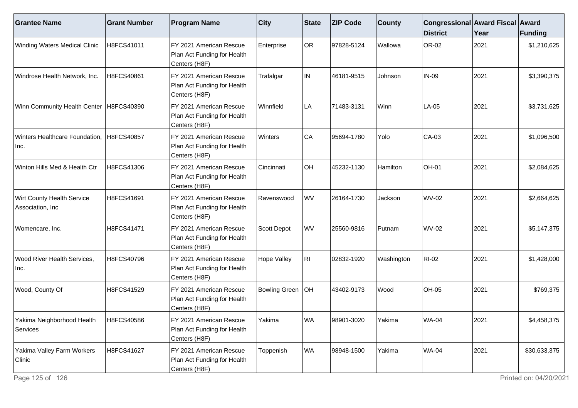| <b>Grantee Name</b>                                   | <b>Grant Number</b> | <b>Program Name</b>                                                     | $ $ City             | State     | <b>ZIP Code</b> | <b>County</b> | Congressional Award Fiscal Award<br><b>District</b> | Year | <b>Funding</b> |
|-------------------------------------------------------|---------------------|-------------------------------------------------------------------------|----------------------|-----------|-----------------|---------------|-----------------------------------------------------|------|----------------|
| <b>Winding Waters Medical Clinic</b>                  | H8FCS41011          | FY 2021 American Rescue<br>Plan Act Funding for Health<br>Centers (H8F) | Enterprise           | <b>OR</b> | 97828-5124      | Wallowa       | OR-02                                               | 2021 | \$1,210,625    |
| Windrose Health Network, Inc.                         | H8FCS40861          | FY 2021 American Rescue<br>Plan Act Funding for Health<br>Centers (H8F) | Trafalgar            | IN.       | 46181-9515      | Johnson       | IN-09                                               | 2021 | \$3,390,375    |
| Winn Community Health Center                          | H8FCS40390          | FY 2021 American Rescue<br>Plan Act Funding for Health<br>Centers (H8F) | Winnfield            | LA        | 71483-3131      | Winn          | LA-05                                               | 2021 | \$3,731,625    |
| Winters Healthcare Foundation,<br>Inc.                | H8FCS40857          | FY 2021 American Rescue<br>Plan Act Funding for Health<br>Centers (H8F) | Winters              | CA        | 95694-1780      | Yolo          | CA-03                                               | 2021 | \$1,096,500    |
| Winton Hills Med & Health Ctr                         | H8FCS41306          | FY 2021 American Rescue<br>Plan Act Funding for Health<br>Centers (H8F) | Cincinnati           | OH        | 45232-1130      | Hamilton      | OH-01                                               | 2021 | \$2,084,625    |
| <b>Wirt County Health Service</b><br>Association, Inc | H8FCS41691          | FY 2021 American Rescue<br>Plan Act Funding for Health<br>Centers (H8F) | Ravenswood           | <b>WV</b> | 26164-1730      | Jackson       | <b>WV-02</b>                                        | 2021 | \$2,664,625    |
| Womencare, Inc.                                       | H8FCS41471          | FY 2021 American Rescue<br>Plan Act Funding for Health<br>Centers (H8F) | Scott Depot          | <b>WV</b> | 25560-9816      | Putnam        | <b>WV-02</b>                                        | 2021 | \$5,147,375    |
| <b>Wood River Health Services,</b><br>Inc.            | H8FCS40796          | FY 2021 American Rescue<br>Plan Act Funding for Health<br>Centers (H8F) | Hope Valley          | RI.       | 02832-1920      | Washington    | <b>RI-02</b>                                        | 2021 | \$1,428,000    |
| Wood, County Of                                       | H8FCS41529          | FY 2021 American Rescue<br>Plan Act Funding for Health<br>Centers (H8F) | <b>Bowling Green</b> | OH        | 43402-9173      | Wood          | <b>OH-05</b>                                        | 2021 | \$769,375      |
| Yakima Neighborhood Health<br>Services                | H8FCS40586          | FY 2021 American Rescue<br>Plan Act Funding for Health<br>Centers (H8F) | Yakima               | <b>WA</b> | 98901-3020      | Yakima        | <b>WA-04</b>                                        | 2021 | \$4,458,375    |
| Yakima Valley Farm Workers<br>Clinic                  | H8FCS41627          | FY 2021 American Rescue<br>Plan Act Funding for Health<br>Centers (H8F) | Toppenish            | <b>WA</b> | 98948-1500      | Yakima        | <b>WA-04</b>                                        | 2021 | \$30,633,375   |